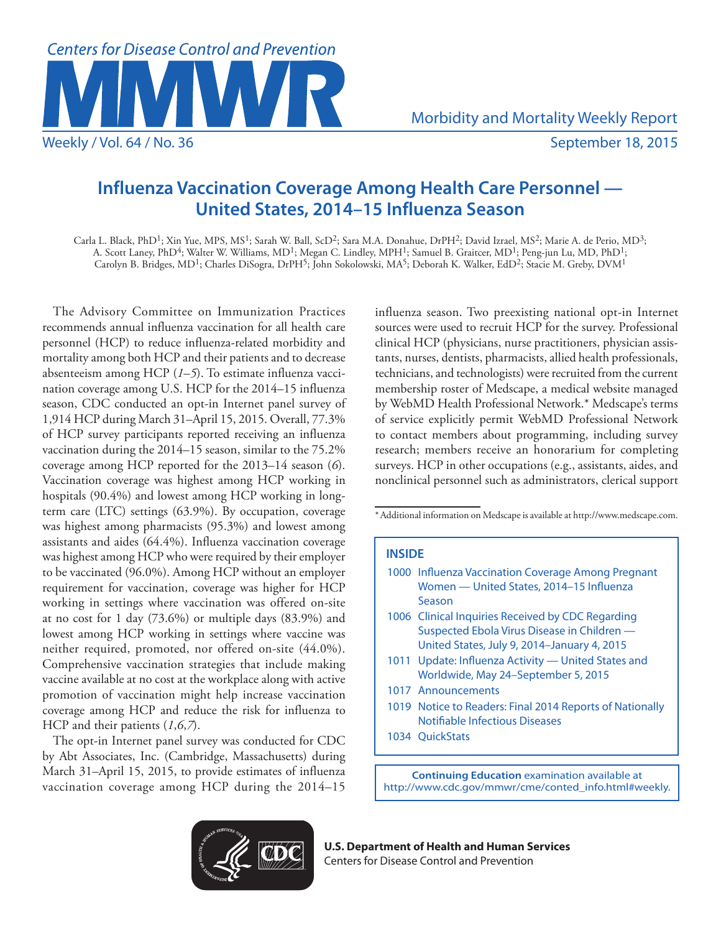

# **Influenza Vaccination Coverage Among Health Care Personnel — United States, 2014–15 Influenza Season**

Carla L. Black, PhD1; Xin Yue, MPS, MS1; Sarah W. Ball, ScD2; Sara M.A. Donahue, DrPH2; David Izrael, MS2; Marie A. de Perio, MD3; A. Scott Laney, PhD<sup>4</sup>; Walter W. Williams, MD<sup>1</sup>; Megan C. Lindley, MPH<sup>1</sup>; Samuel B. Graitcer, MD<sup>1</sup>; Peng-jun Lu, MD, PhD<sup>1</sup>; Carolyn B. Bridges, MD<sup>1</sup>; Charles DiSogra, DrPH<sup>5</sup>; John Sokolowski, MA<sup>5</sup>; Deborah K. Walker, EdD<sup>2</sup>; Stacie M. Greby, DVM<sup>1</sup>

The Advisory Committee on Immunization Practices recommends annual influenza vaccination for all health care personnel (HCP) to reduce influenza-related morbidity and mortality among both HCP and their patients and to decrease absenteeism among HCP (*1*–*5*). To estimate influenza vaccination coverage among U.S. HCP for the 2014–15 influenza season, CDC conducted an opt-in Internet panel survey of 1,914 HCP during March 31–April 15, 2015. Overall, 77.3% of HCP survey participants reported receiving an influenza vaccination during the 2014–15 season, similar to the 75.2% coverage among HCP reported for the 2013–14 season (*6*). Vaccination coverage was highest among HCP working in hospitals (90.4%) and lowest among HCP working in longterm care (LTC) settings (63.9%). By occupation, coverage was highest among pharmacists (95.3%) and lowest among assistants and aides (64.4%). Influenza vaccination coverage was highest among HCP who were required by their employer to be vaccinated (96.0%). Among HCP without an employer requirement for vaccination, coverage was higher for HCP working in settings where vaccination was offered on-site at no cost for 1 day (73.6%) or multiple days (83.9%) and lowest among HCP working in settings where vaccine was neither required, promoted, nor offered on-site (44.0%). Comprehensive vaccination strategies that include making vaccine available at no cost at the workplace along with active promotion of vaccination might help increase vaccination coverage among HCP and reduce the risk for influenza to HCP and their patients (*1*,*6*,*7*).

The opt-in Internet panel survey was conducted for CDC by Abt Associates, Inc. (Cambridge, Massachusetts) during March 31–April 15, 2015, to provide estimates of influenza vaccination coverage among HCP during the 2014–15 influenza season. Two preexisting national opt-in Internet sources were used to recruit HCP for the survey. Professional clinical HCP (physicians, nurse practitioners, physician assistants, nurses, dentists, pharmacists, allied health professionals, technicians, and technologists) were recruited from the current membership roster of Medscape, a medical website managed by WebMD Health Professional Network.\* Medscape's terms of service explicitly permit WebMD Professional Network to contact members about programming, including survey research; members receive an honorarium for completing surveys. HCP in other occupations (e.g., assistants, aides, and nonclinical personnel such as administrators, clerical support

\*Additional information on Medscape is available at [http://www.medscape.com.](http://www.medscape.com)

# **INSIDE**

| 1000 Influenza Vaccination Coverage Among Pregnant<br>Women - United States, 2014-15 Influenza<br>Season |
|----------------------------------------------------------------------------------------------------------|
| 1006 Clinical Inquiries Received by CDC Regarding<br>Suspected Ebola Virus Disease in Children -         |
| United States, July 9, 2014-January 4, 2015                                                              |
| 1011 Update: Influenza Activity - United States and<br>Worldwide, May 24-September 5, 2015               |
| 1017 Announcements                                                                                       |
| 1019 Notice to Readers: Final 2014 Reports of Nationally<br>Notifiable Infectious Diseases               |
| 1034 OuickStats                                                                                          |
|                                                                                                          |

**Continuing Education** examination available at [http://www.cdc.gov/mmwr/cme/conted\\_info.html#weekly.](http://www.cdc.gov/mmwr/cme/conted_info.html#weekly)



**U.S. Department of Health and Human Services** Centers for Disease Control and Prevention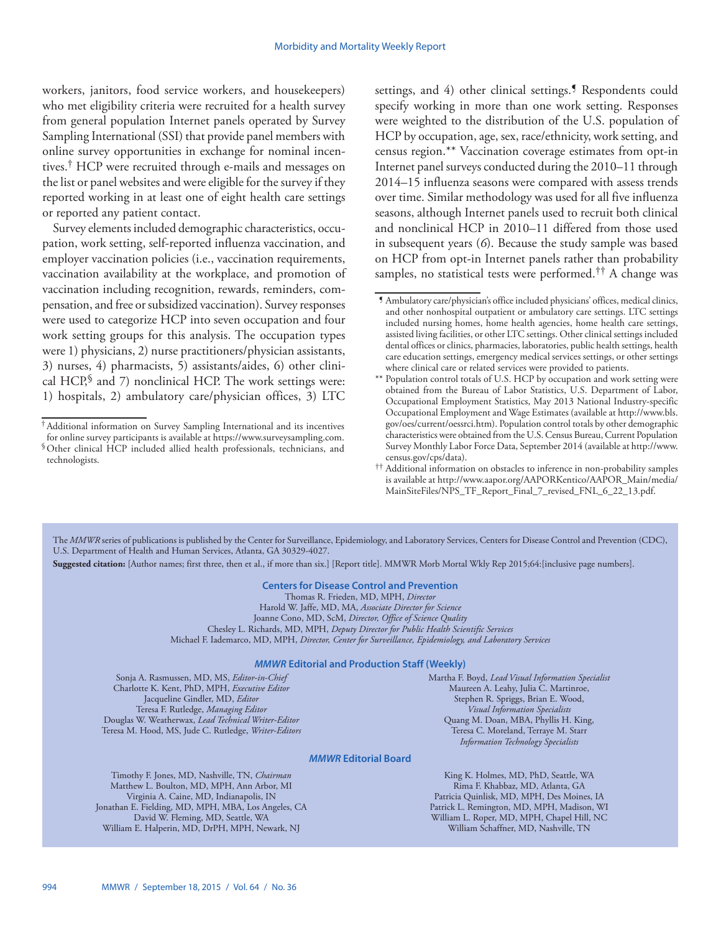workers, janitors, food service workers, and housekeepers) who met eligibility criteria were recruited for a health survey from general population Internet panels operated by Survey Sampling International (SSI) that provide panel members with online survey opportunities in exchange for nominal incentives.† HCP were recruited through e-mails and messages on the list or panel websites and were eligible for the survey if they reported working in at least one of eight health care settings or reported any patient contact.

Survey elements included demographic characteristics, occupation, work setting, self-reported influenza vaccination, and employer vaccination policies (i.e., vaccination requirements, vaccination availability at the workplace, and promotion of vaccination including recognition, rewards, reminders, compensation, and free or subsidized vaccination). Survey responses were used to categorize HCP into seven occupation and four work setting groups for this analysis. The occupation types were 1) physicians, 2) nurse practitioners/physician assistants, 3) nurses, 4) pharmacists, 5) assistants/aides, 6) other clinical HCP, $\frac{1}{2}$  and 7) nonclinical HCP. The work settings were: 1) hospitals, 2) ambulatory care/physician offices, 3) LTC

settings, and 4) other clinical settings.<sup>5</sup> Respondents could specify working in more than one work setting. Responses were weighted to the distribution of the U.S. population of HCP by occupation, age, sex, race/ethnicity, work setting, and census region.\*\* Vaccination coverage estimates from opt-in Internet panel surveys conducted during the 2010–11 through 2014–15 influenza seasons were compared with assess trends over time. Similar methodology was used for all five influenza seasons, although Internet panels used to recruit both clinical and nonclinical HCP in 2010–11 differed from those used in subsequent years (*6*). Because the study sample was based on HCP from opt-in Internet panels rather than probability samples, no statistical tests were performed.<sup>††</sup> A change was

The *MMWR* series of publications is published by the Center for Surveillance, Epidemiology, and Laboratory Services, Centers for Disease Control and Prevention (CDC), U.S. Department of Health and Human Services, Atlanta, GA 30329-4027.

**Suggested citation:** [Author names; first three, then et al., if more than six.] [Report title]. MMWR Morb Mortal Wkly Rep 2015;64:[inclusive page numbers].

# **Centers for Disease Control and Prevention**

Thomas R. Frieden, MD, MPH, *Director* Harold W. Jaffe, MD, MA, *Associate Director for Science* Joanne Cono, MD, ScM, *Director, Office of Science Quality*  Chesley L. Richards, MD, MPH, *Deputy Director for Public Health Scientific Services* Michael F. Iademarco, MD, MPH, *Director, Center for Surveillance, Epidemiology, and Laboratory Services*

#### *MMWR* **Editorial and Production Staff (Weekly)**

Sonja A. Rasmussen, MD, MS, *Editor-in-Chief* Charlotte K. Kent, PhD, MPH, *Executive Editor* Jacqueline Gindler, MD, *Editor* Teresa F. Rutledge, *Managing Editor* Douglas W. Weatherwax, *Lead Technical Writer-Editor* Teresa M. Hood, MS, Jude C. Rutledge, *Writer-Editors* Martha F. Boyd, *Lead Visual Information Specialist* Maureen A. Leahy, Julia C. Martinroe, Stephen R. Spriggs, Brian E. Wood, *Visual Information Specialists* Quang M. Doan, MBA, Phyllis H. King, Teresa C. Moreland, Terraye M. Starr *Information Technology Specialists*

#### *MMWR* **Editorial Board**

Timothy F. Jones, MD, Nashville, TN, *Chairman* Matthew L. Boulton, MD, MPH, Ann Arbor, MI Virginia A. Caine, MD, Indianapolis, IN Jonathan E. Fielding, MD, MPH, MBA, Los Angeles, CA David W. Fleming, MD, Seattle, WA William E. Halperin, MD, DrPH, MPH, Newark, NJ

King K. Holmes, MD, PhD, Seattle, WA Rima F. Khabbaz, MD, Atlanta, GA Patricia Quinlisk, MD, MPH, Des Moines, IA Patrick L. Remington, MD, MPH, Madison, WI William L. Roper, MD, MPH, Chapel Hill, NC William Schaffner, MD, Nashville, TN

<sup>†</sup>Additional information on Survey Sampling International and its incentives

for online survey participants is available at<https://www.surveysampling.com>. §Other clinical HCP included allied health professionals, technicians, and technologists.

<sup>¶</sup> Ambulatory care/physician's office included physicians' offices, medical clinics, and other nonhospital outpatient or ambulatory care settings. LTC settings included nursing homes, home health agencies, home health care settings, assisted living facilities, or other LTC settings. Other clinical settings included dental offices or clinics, pharmacies, laboratories, public health settings, health care education settings, emergency medical services settings, or other settings where clinical care or related services were provided to patients.

<sup>\*\*</sup> Population control totals of U.S. HCP by occupation and work setting were obtained from the Bureau of Labor Statistics, U.S. Department of Labor, Occupational Employment Statistics, May 2013 National Industry-specific Occupational Employment and Wage Estimates (available at [http://www.bls.](http://www.bls.gov/oes/current/oessrci.htm) [gov/oes/current/oessrci.htm\)](http://www.bls.gov/oes/current/oessrci.htm). Population control totals by other demographic characteristics were obtained from the U.S. Census Bureau, Current Population Survey Monthly Labor Force Data, September 2014 (available at [http://www.](http://www.census.gov/cps/data) [census.gov/cps/data](http://www.census.gov/cps/data)).

<sup>††</sup> Additional information on obstacles to inference in non-probability samples is available at [http://www.aapor.org/AAPORKentico/AAPOR\\_Main/media/](http://www.aapor.org/AAPORKentico/AAPOR_Main/media/MainSiteFiles/NPS_TF_Report_Final_7_revised_FNL_6_22_13.pdf) [MainSiteFiles/NPS\\_TF\\_Report\\_Final\\_7\\_revised\\_FNL\\_6\\_22\\_13.pdf.](http://www.aapor.org/AAPORKentico/AAPOR_Main/media/MainSiteFiles/NPS_TF_Report_Final_7_revised_FNL_6_22_13.pdf)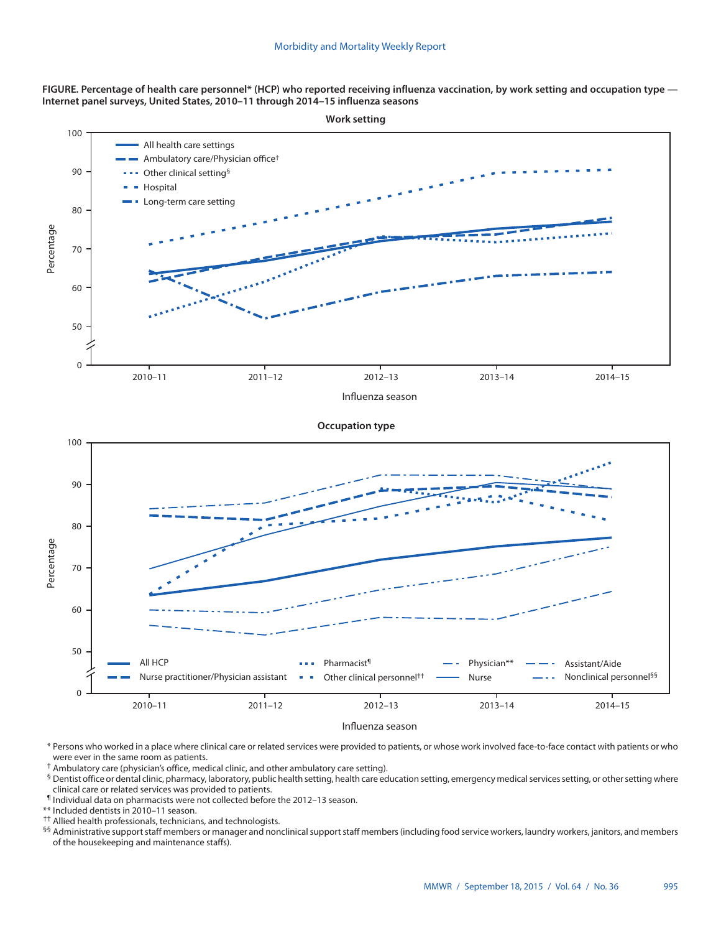**FIGURE. Percentage of health care personnel\* (HCP) who reported receiving influenza vaccination, by work setting and occupation type — Internet panel surveys, United States, 2010–11 through 2014–15 influenza seasons**



Influenza season

\* Persons who worked in a place where clinical care or related services were provided to patients, or whose work involved face-to-face contact with patients or who were ever in the same room as patients.

† Ambulatory care (physician's office, medical clinic, and other ambulatory care setting).

§ Dentist office or dental clinic, pharmacy, laboratory, public health setting, health care education setting, emergency medical services setting, or other setting where clinical care or related services was provided to patients.

¶ Individual data on pharmacists were not collected before the 2012–13 season.

\*\* Included dentists in 2010–11 season.

<sup>††</sup> Allied health professionals, technicians, and technologists.

§§ Administrative support staff members or manager and nonclinical support staff members (including food service workers, laundry workers, janitors, and members of the housekeeping and maintenance staffs).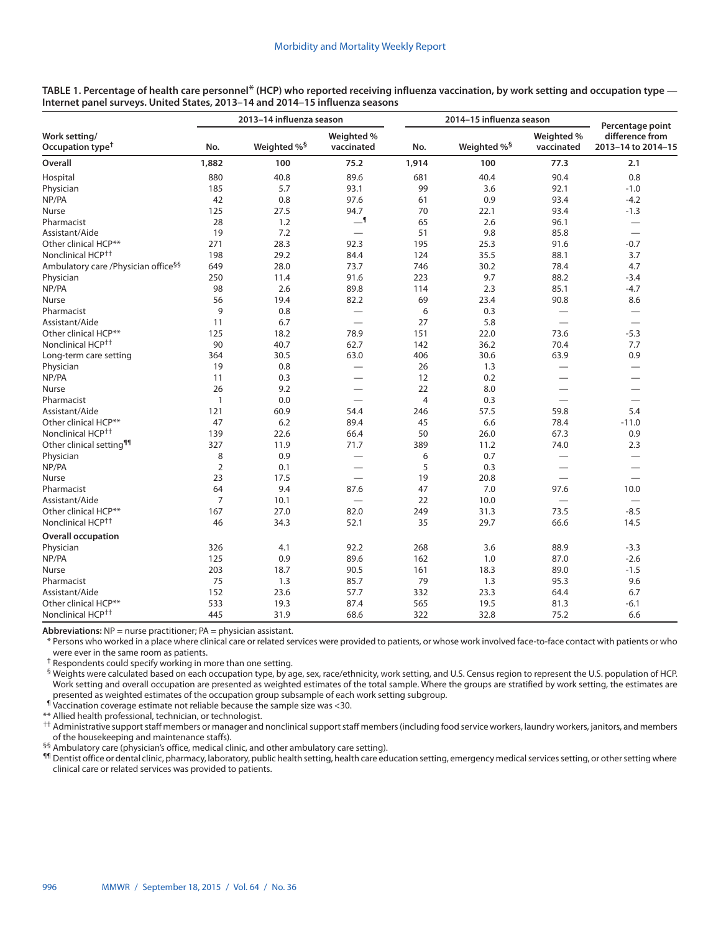|                                                  |                | 2013-14 influenza season |                          |                | 2014-15 influenza season | Percentage point         |                                       |
|--------------------------------------------------|----------------|--------------------------|--------------------------|----------------|--------------------------|--------------------------|---------------------------------------|
| Work setting/<br>Occupation type <sup>†</sup>    | No.            | Weighted % <sup>§</sup>  | Weighted %<br>vaccinated | No.            | Weighted % <sup>§</sup>  | Weighted %<br>vaccinated | difference from<br>2013-14 to 2014-15 |
| Overall                                          | 1,882          | 100                      | 75.2                     | 1,914          | 100                      | 77.3                     | 2.1                                   |
| Hospital                                         | 880            | 40.8                     | 89.6                     | 681            | 40.4                     | 90.4                     | 0.8                                   |
| Physician                                        | 185            | 5.7                      | 93.1                     | 99             | 3.6                      | 92.1                     | $-1.0$                                |
| NP/PA                                            | 42             | 0.8                      | 97.6                     | 61             | 0.9                      | 93.4                     | $-4.2$                                |
| <b>Nurse</b>                                     | 125            | 27.5                     | 94.7                     | 70             | 22.1                     | 93.4                     | $-1.3$                                |
| Pharmacist                                       | 28             | 1.2                      | $-1$                     | 65             | 2.6                      | 96.1                     | $\overline{\phantom{m}}$              |
| Assistant/Aide                                   | 19             | 7.2                      |                          | 51             | 9.8                      | 85.8                     |                                       |
| Other clinical HCP**                             | 271            | 28.3                     | 92.3                     | 195            | 25.3                     | 91.6                     | $-0.7$                                |
| Nonclinical HCP <sup>++</sup>                    | 198            | 29.2                     | 84.4                     | 124            | 35.5                     | 88.1                     | 3.7                                   |
| Ambulatory care / Physician office <sup>§§</sup> | 649            | 28.0                     | 73.7                     | 746            | 30.2                     | 78.4                     | 4.7                                   |
| Physician                                        | 250            | 11.4                     | 91.6                     | 223            | 9.7                      | 88.2                     | $-3.4$                                |
| NP/PA                                            | 98             | 2.6                      | 89.8                     | 114            | 2.3                      | 85.1                     | $-4.7$                                |
| Nurse                                            | 56             | 19.4                     | 82.2                     | 69             | 23.4                     | 90.8                     | 8.6                                   |
| Pharmacist                                       | 9              | 0.8                      | $\overline{\phantom{0}}$ | 6              | 0.3                      |                          |                                       |
| Assistant/Aide                                   | 11             | 6.7                      | $\overline{\phantom{0}}$ | 27             | 5.8                      |                          |                                       |
| Other clinical HCP**                             | 125            | 18.2                     | 78.9                     | 151            | 22.0                     | 73.6                     | $-5.3$                                |
| Nonclinical HCP <sup>++</sup>                    | 90             | 40.7                     | 62.7                     | 142            | 36.2                     | 70.4                     | 7.7                                   |
| Long-term care setting                           | 364            | 30.5                     | 63.0                     | 406            | 30.6                     | 63.9                     | 0.9                                   |
| Physician                                        | 19             | 0.8                      | $\overline{\phantom{0}}$ | 26             | 1.3                      | $\overline{\phantom{0}}$ |                                       |
| NP/PA                                            | 11             | 0.3                      | $\overline{\phantom{0}}$ | 12             | 0.2                      |                          |                                       |
| Nurse                                            | 26             | 9.2                      |                          | 22             | 8.0                      | $\overline{\phantom{0}}$ |                                       |
| Pharmacist                                       | $\mathbf{1}$   | 0.0                      | $\overline{\phantom{0}}$ | $\overline{4}$ | 0.3                      |                          |                                       |
| Assistant/Aide                                   | 121            | 60.9                     | 54.4                     | 246            | 57.5                     | 59.8                     | 5.4                                   |
| Other clinical HCP**                             | 47             | 6.2                      | 89.4                     | 45             | 6.6                      | 78.4                     | $-11.0$                               |
| Nonclinical HCP <sup>††</sup>                    | 139            | 22.6                     | 66.4                     | 50             | 26.0                     | 67.3                     | 0.9                                   |
| Other clinical setting <sup>11</sup>             | 327            | 11.9                     | 71.7                     | 389            | 11.2                     | 74.0                     | 2.3                                   |
| Physician                                        | 8              | 0.9                      | $\overline{\phantom{0}}$ | 6              | 0.7                      |                          | $\overline{\phantom{0}}$              |
| NP/PA                                            | $\overline{2}$ | 0.1                      | $\overline{\phantom{0}}$ | 5              | 0.3                      | $\overline{\phantom{0}}$ |                                       |
| Nurse                                            | 23             | 17.5                     | $\equiv$                 | 19             | 20.8                     |                          |                                       |
| Pharmacist                                       | 64             | 9.4                      | 87.6                     | 47             | 7.0                      | 97.6                     | 10.0                                  |
| Assistant/Aide                                   | 7              | 10.1                     | $\overline{\phantom{0}}$ | 22             | 10.0                     | $\overline{\phantom{0}}$ | $\qquad \qquad -$                     |
| Other clinical HCP**                             | 167            | 27.0                     | 82.0                     | 249            | 31.3                     | 73.5                     | $-8.5$                                |
| Nonclinical HCP <sup>++</sup>                    | 46             | 34.3                     | 52.1                     | 35             | 29.7                     | 66.6                     | 14.5                                  |
| <b>Overall occupation</b>                        |                |                          |                          |                |                          |                          |                                       |
| Physician                                        | 326            | 4.1                      | 92.2                     | 268            | 3.6                      | 88.9                     | $-3.3$                                |
| NP/PA                                            | 125            | 0.9                      | 89.6                     | 162            | 1.0                      | 87.0                     | $-2.6$                                |
| Nurse                                            | 203            | 18.7                     | 90.5                     | 161            | 18.3                     | 89.0                     | $-1.5$                                |
| Pharmacist                                       | 75             | 1.3                      | 85.7                     | 79             | 1.3                      | 95.3                     | 9.6                                   |
| Assistant/Aide                                   | 152            | 23.6                     | 57.7                     | 332            | 23.3                     | 64.4                     | 6.7                                   |
| Other clinical HCP**                             | 533            | 19.3                     | 87.4                     | 565            | 19.5                     | 81.3                     | $-6.1$                                |
| Nonclinical HCP <sup>++</sup>                    | 445            | 31.9                     | 68.6                     | 322            | 32.8                     | 75.2                     | 6.6                                   |

**TABLE 1. Percentage of health care personnel**\* **(HCP) who reported receiving influenza vaccination, by work setting and occupation type — Internet panel surveys. United States, 2013–14 and 2014–15 influenza seasons**

**Abbreviations:** NP = nurse practitioner; PA = physician assistant.

\* Persons who worked in a place where clinical care or related services were provided to patients, or whose work involved face-to-face contact with patients or who were ever in the same room as patients.

† Respondents could specify working in more than one setting.

§ Weights were calculated based on each occupation type, by age, sex, race/ethnicity, work setting, and U.S. Census region to represent the U.S. population of HCP. Work setting and overall occupation are presented as weighted estimates of the total sample. Where the groups are stratified by work setting, the estimates are presented as weighted estimates of the occupation group subsample of each work setting subgroup.

¶ Vaccination coverage estimate not reliable because the sample size was <30.

\*\* Allied health professional, technician, or technologist.

†† Administrative support staff members or manager and nonclinical support staff members (including food service workers, laundry workers, janitors, and members of the housekeeping and maintenance staffs).

§§ Ambulatory care (physician's office, medical clinic, and other ambulatory care setting).

¶¶ Dentist office or dental clinic, pharmacy, laboratory, public health setting, health care education setting, emergency medical services setting, or other setting where clinical care or related services was provided to patients.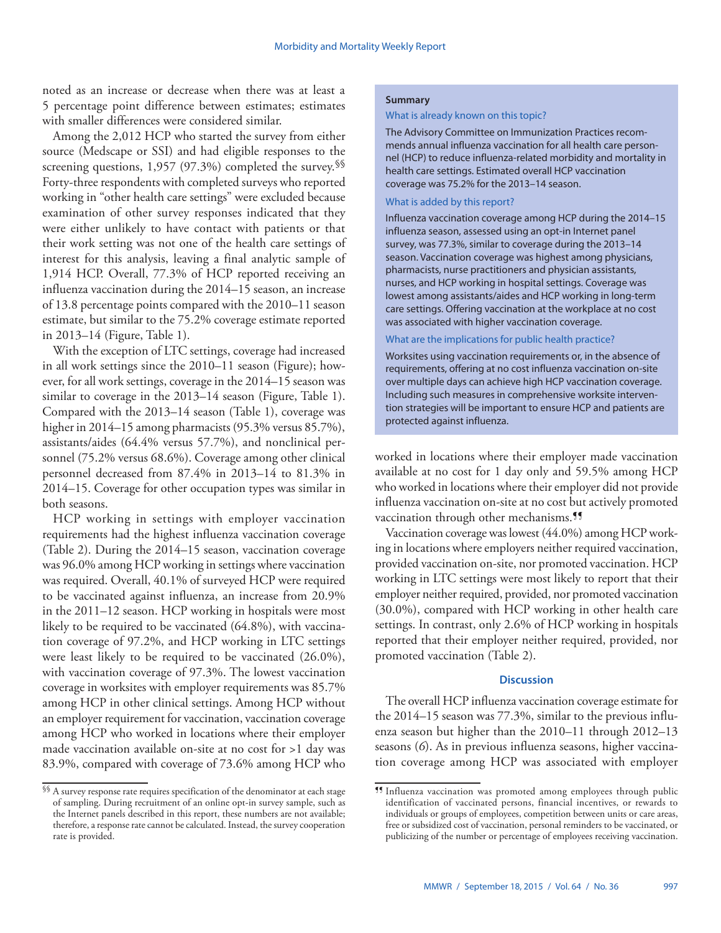noted as an increase or decrease when there was at least a 5 percentage point difference between estimates; estimates with smaller differences were considered similar.

Among the 2,012 HCP who started the survey from either source (Medscape or SSI) and had eligible responses to the screening questions, 1,957 (97.3%) completed the survey. $\frac{1}{8}$ Forty-three respondents with completed surveys who reported working in "other health care settings" were excluded because examination of other survey responses indicated that they were either unlikely to have contact with patients or that their work setting was not one of the health care settings of interest for this analysis, leaving a final analytic sample of 1,914 HCP. Overall, 77.3% of HCP reported receiving an influenza vaccination during the 2014–15 season, an increase of 13.8 percentage points compared with the 2010–11 season estimate, but similar to the 75.2% coverage estimate reported in 2013–14 (Figure, Table 1).

With the exception of LTC settings, coverage had increased in all work settings since the 2010–11 season (Figure); however, for all work settings, coverage in the 2014–15 season was similar to coverage in the 2013–14 season (Figure, Table 1). Compared with the 2013–14 season (Table 1), coverage was higher in 2014–15 among pharmacists (95.3% versus 85.7%), assistants/aides (64.4% versus 57.7%), and nonclinical personnel (75.2% versus 68.6%). Coverage among other clinical personnel decreased from 87.4% in 2013–14 to 81.3% in 2014–15. Coverage for other occupation types was similar in both seasons.

HCP working in settings with employer vaccination requirements had the highest influenza vaccination coverage (Table 2). During the 2014–15 season, vaccination coverage was 96.0% among HCP working in settings where vaccination was required. Overall, 40.1% of surveyed HCP were required to be vaccinated against influenza, an increase from 20.9% in the 2011–12 season. HCP working in hospitals were most likely to be required to be vaccinated (64.8%), with vaccination coverage of 97.2%, and HCP working in LTC settings were least likely to be required to be vaccinated (26.0%), with vaccination coverage of 97.3%. The lowest vaccination coverage in worksites with employer requirements was 85.7% among HCP in other clinical settings. Among HCP without an employer requirement for vaccination, vaccination coverage among HCP who worked in locations where their employer made vaccination available on-site at no cost for >1 day was 83.9%, compared with coverage of 73.6% among HCP who

# **Summary**

#### What is already known on this topic?

The Advisory Committee on Immunization Practices recommends annual influenza vaccination for all health care personnel (HCP) to reduce influenza-related morbidity and mortality in health care settings. Estimated overall HCP vaccination coverage was 75.2% for the 2013–14 season.

# What is added by this report?

Influenza vaccination coverage among HCP during the 2014–15 influenza season, assessed using an opt-in Internet panel survey, was 77.3%, similar to coverage during the 2013–14 season. Vaccination coverage was highest among physicians, pharmacists, nurse practitioners and physician assistants, nurses, and HCP working in hospital settings. Coverage was lowest among assistants/aides and HCP working in long-term care settings. Offering vaccination at the workplace at no cost was associated with higher vaccination coverage.

#### What are the implications for public health practice?

Worksites using vaccination requirements or, in the absence of requirements, offering at no cost influenza vaccination on-site over multiple days can achieve high HCP vaccination coverage. Including such measures in comprehensive worksite intervention strategies will be important to ensure HCP and patients are protected against influenza.

worked in locations where their employer made vaccination available at no cost for 1 day only and 59.5% among HCP who worked in locations where their employer did not provide influenza vaccination on-site at no cost but actively promoted vaccination through other mechanisms.<sup>99</sup>

Vaccination coverage was lowest (44.0%) among HCP working in locations where employers neither required vaccination, provided vaccination on-site, nor promoted vaccination. HCP working in LTC settings were most likely to report that their employer neither required, provided, nor promoted vaccination (30.0%), compared with HCP working in other health care settings. In contrast, only 2.6% of HCP working in hospitals reported that their employer neither required, provided, nor promoted vaccination (Table 2).

# **Discussion**

The overall HCP influenza vaccination coverage estimate for the 2014–15 season was 77.3%, similar to the previous influenza season but higher than the 2010–11 through 2012–13 seasons (*6*). As in previous influenza seasons, higher vaccination coverage among HCP was associated with employer

 $\$ §§ A survey response rate requires specification of the denominator at each stage of sampling. During recruitment of an online opt-in survey sample, such as the Internet panels described in this report, these numbers are not available; therefore, a response rate cannot be calculated. Instead, the survey cooperation rate is provided.

<sup>¶¶</sup> Influenza vaccination was promoted among employees through public identification of vaccinated persons, financial incentives, or rewards to individuals or groups of employees, competition between units or care areas, free or subsidized cost of vaccination, personal reminders to be vaccinated, or publicizing of the number or percentage of employees receiving vaccination.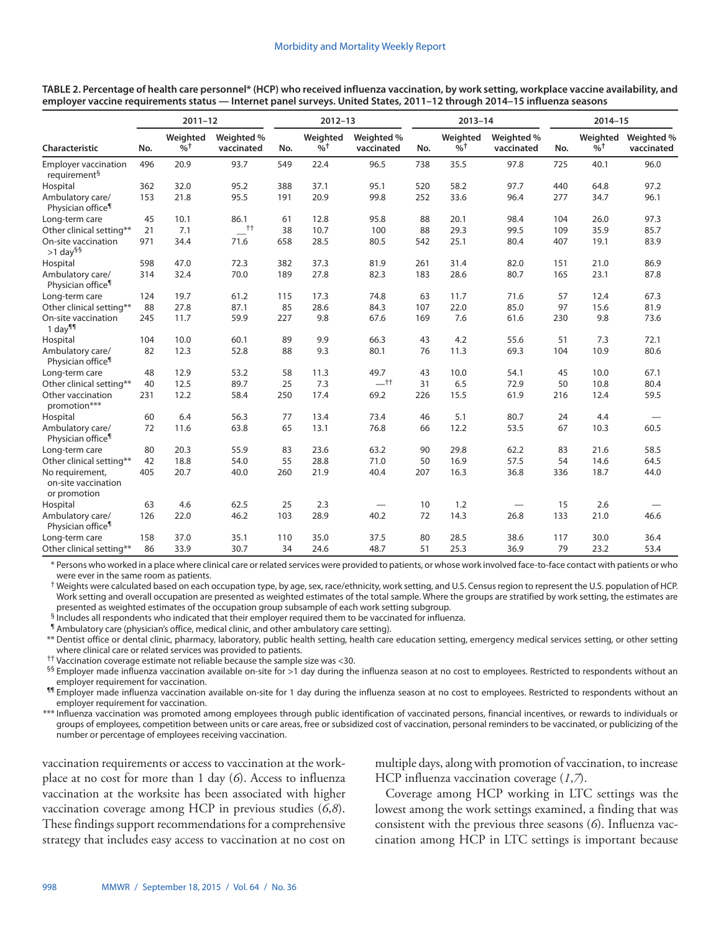|                                                         | $2011 - 12$ |                                        |                          |     | $2012 - 13$                            |                          |     | $2013 - 14$                            |                                |     | $2014 - 15$                            |                          |  |
|---------------------------------------------------------|-------------|----------------------------------------|--------------------------|-----|----------------------------------------|--------------------------|-----|----------------------------------------|--------------------------------|-----|----------------------------------------|--------------------------|--|
| Characteristic                                          | No.         | Weighted<br>$\frac{9}{6}$ <sup>+</sup> | Weighted %<br>vaccinated | No. | Weighted<br>$\frac{9}{6}$ <sup>+</sup> | Weighted %<br>vaccinated | No. | Weighted<br>$\frac{9}{6}$ <sup>+</sup> | Weighted %<br>vaccinated       | No. | Weighted<br>$\frac{9}{6}$ <sup>+</sup> | Weighted %<br>vaccinated |  |
| <b>Employer vaccination</b><br>requirement <sup>§</sup> | 496         | 20.9                                   | 93.7                     | 549 | 22.4                                   | 96.5                     | 738 | 35.5                                   | 97.8                           | 725 | 40.1                                   | 96.0                     |  |
| Hospital                                                | 362         | 32.0                                   | 95.2                     | 388 | 37.1                                   | 95.1                     | 520 | 58.2                                   | 97.7                           | 440 | 64.8                                   | 97.2                     |  |
| Ambulatory care/<br>Physician office <sup>1</sup>       | 153         | 21.8                                   | 95.5                     | 191 | 20.9                                   | 99.8                     | 252 | 33.6                                   | 96.4                           | 277 | 34.7                                   | 96.1                     |  |
| Long-term care                                          | 45          | 10.1                                   | 86.1                     | 61  | 12.8                                   | 95.8                     | 88  | 20.1                                   | 98.4                           | 104 | 26.0                                   | 97.3                     |  |
| Other clinical setting**                                | 21          | 7.1                                    | $++$                     | 38  | 10.7                                   | 100                      | 88  | 29.3                                   | 99.5                           | 109 | 35.9                                   | 85.7                     |  |
| On-site vaccination<br>$>1$ day <sup>§§</sup>           | 971         | 34.4                                   | 71.6                     | 658 | 28.5                                   | 80.5                     | 542 | 25.1                                   | 80.4                           | 407 | 19.1                                   | 83.9                     |  |
| Hospital                                                | 598         | 47.0                                   | 72.3                     | 382 | 37.3                                   | 81.9                     | 261 | 31.4                                   | 82.0                           | 151 | 21.0                                   | 86.9                     |  |
| Ambulatory care/<br>Physician office <sup>¶</sup>       | 314         | 32.4                                   | 70.0                     | 189 | 27.8                                   | 82.3                     | 183 | 28.6                                   | 80.7                           | 165 | 23.1                                   | 87.8                     |  |
| Long-term care                                          | 124         | 19.7                                   | 61.2                     | 115 | 17.3                                   | 74.8                     | 63  | 11.7                                   | 71.6                           | 57  | 12.4                                   | 67.3                     |  |
| Other clinical setting**                                | 88          | 27.8                                   | 87.1                     | 85  | 28.6                                   | 84.3                     | 107 | 22.0                                   | 85.0                           | 97  | 15.6                                   | 81.9                     |  |
| On-site vaccination<br>1 day <sup>¶¶</sup>              | 245         | 11.7                                   | 59.9                     | 227 | 9.8                                    | 67.6                     | 169 | 7.6                                    | 61.6                           | 230 | 9.8                                    | 73.6                     |  |
| Hospital                                                | 104         | 10.0                                   | 60.1                     | 89  | 9.9                                    | 66.3                     | 43  | 4.2                                    | 55.6                           | 51  | 7.3                                    | 72.1                     |  |
| Ambulatory care/<br>Physician office <sup>¶</sup>       | 82          | 12.3                                   | 52.8                     | 88  | 9.3                                    | 80.1                     | 76  | 11.3                                   | 69.3                           | 104 | 10.9                                   | 80.6                     |  |
| Long-term care                                          | 48          | 12.9                                   | 53.2                     | 58  | 11.3                                   | 49.7                     | 43  | 10.0                                   | 54.1                           | 45  | 10.0                                   | 67.1                     |  |
| Other clinical setting**                                | 40          | 12.5                                   | 89.7                     | 25  | 7.3                                    | $-$ tt                   | 31  | 6.5                                    | 72.9                           | 50  | 10.8                                   | 80.4                     |  |
| Other vaccination<br>promotion***                       | 231         | 12.2                                   | 58.4                     | 250 | 17.4                                   | 69.2                     | 226 | 15.5                                   | 61.9                           | 216 | 12.4                                   | 59.5                     |  |
| Hospital                                                | 60          | 6.4                                    | 56.3                     | 77  | 13.4                                   | 73.4                     | 46  | 5.1                                    | 80.7                           | 24  | 4.4                                    |                          |  |
| Ambulatory care/<br>Physician office <sup>¶</sup>       | 72          | 11.6                                   | 63.8                     | 65  | 13.1                                   | 76.8                     | 66  | 12.2                                   | 53.5                           | 67  | 10.3                                   | 60.5                     |  |
| Long-term care                                          | 80          | 20.3                                   | 55.9                     | 83  | 23.6                                   | 63.2                     | 90  | 29.8                                   | 62.2                           | 83  | 21.6                                   | 58.5                     |  |
| Other clinical setting**                                | 42          | 18.8                                   | 54.0                     | 55  | 28.8                                   | 71.0                     | 50  | 16.9                                   | 57.5                           | 54  | 14.6                                   | 64.5                     |  |
| No requirement,<br>on-site vaccination<br>or promotion  | 405         | 20.7                                   | 40.0                     | 260 | 21.9                                   | 40.4                     | 207 | 16.3                                   | 36.8                           | 336 | 18.7                                   | 44.0                     |  |
| Hospital                                                | 63          | 4.6                                    | 62.5                     | 25  | 2.3                                    |                          | 10  | 1.2                                    | $\qquad \qquad \longleftarrow$ | 15  | 2.6                                    |                          |  |
| Ambulatory care/<br>Physician office <sup>1</sup>       | 126         | 22.0                                   | 46.2                     | 103 | 28.9                                   | 40.2                     | 72  | 14.3                                   | 26.8                           | 133 | 21.0                                   | 46.6                     |  |
| Long-term care                                          | 158         | 37.0                                   | 35.1                     | 110 | 35.0                                   | 37.5                     | 80  | 28.5                                   | 38.6                           | 117 | 30.0                                   | 36.4                     |  |
| Other clinical setting**                                | 86          | 33.9                                   | 30.7                     | 34  | 24.6                                   | 48.7                     | 51  | 25.3                                   | 36.9                           | 79  | 23.2                                   | 53.4                     |  |

**TABLE 2. Percentage of health care personnel\* (HCP) who received influenza vaccination, by work setting, workplace vaccine availability, and employer vaccine requirements status — Internet panel surveys. United States, 2011–12 through 2014–15 influenza seasons**

\* Persons who worked in a place where clinical care or related services were provided to patients, or whose work involved face-to-face contact with patients or who were ever in the same room as patients.

† Weights were calculated based on each occupation type, by age, sex, race/ethnicity, work setting, and U.S. Census region to represent the U.S. population of HCP. Work setting and overall occupation are presented as weighted estimates of the total sample. Where the groups are stratified by work setting, the estimates are presented as weighted estimates of the occupation group subsample of each work setting subgroup.

§ Includes all respondents who indicated that their employer required them to be vaccinated for influenza.

¶ Ambulatory care (physician's office, medical clinic, and other ambulatory care setting).

\*\* Dentist office or dental clinic, pharmacy, laboratory, public health setting, health care education setting, emergency medical services setting, or other setting where clinical care or related services was provided to patients.

 $^{\dagger\dagger}$  Vaccination coverage estimate not reliable because the sample size was <30.

<sup>§§</sup> Employer made influenza vaccination available on-site for >1 day during the influenza season at no cost to employees. Restricted to respondents without an employer requirement for vaccination.

<sup>11</sup> Employer made influenza vaccination available on-site for 1 day during the influenza season at no cost to employees. Restricted to respondents without an employer requirement for vaccination.

\*\*\* Influenza vaccination was promoted among employees through public identification of vaccinated persons, financial incentives, or rewards to individuals or groups of employees, competition between units or care areas, free or subsidized cost of vaccination, personal reminders to be vaccinated, or publicizing of the number or percentage of employees receiving vaccination.

vaccination requirements or access to vaccination at the workplace at no cost for more than 1 day (*6*). Access to influenza vaccination at the worksite has been associated with higher vaccination coverage among HCP in previous studies (*6*,*8*). These findings support recommendations for a comprehensive strategy that includes easy access to vaccination at no cost on multiple days, along with promotion of vaccination, to increase HCP influenza vaccination coverage (*1*,*7*).

Coverage among HCP working in LTC settings was the lowest among the work settings examined, a finding that was consistent with the previous three seasons (*6*). Influenza vaccination among HCP in LTC settings is important because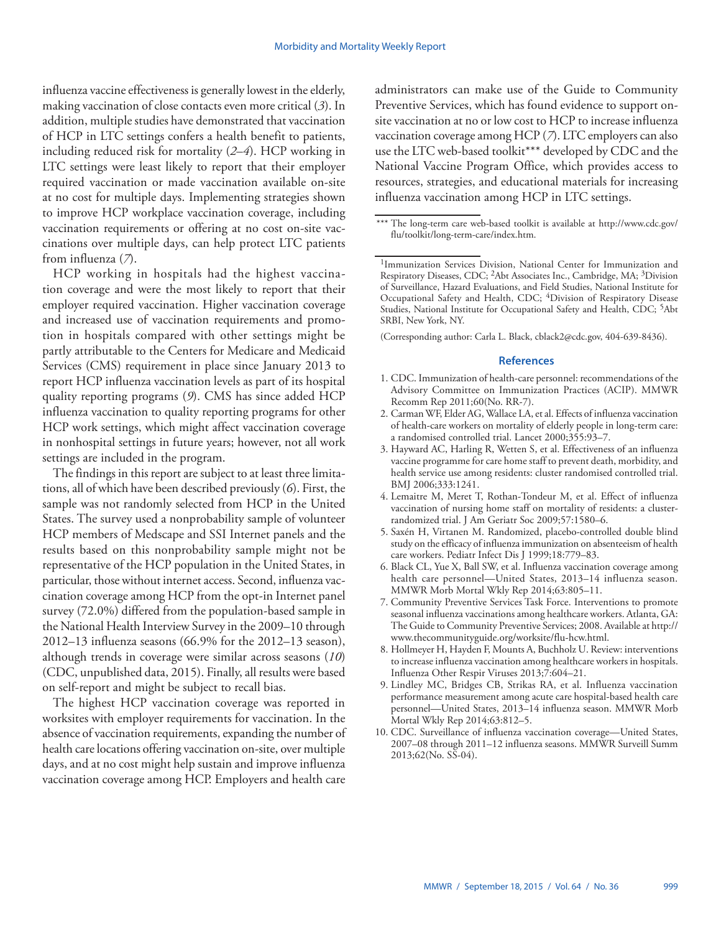influenza vaccine effectiveness is generally lowest in the elderly, making vaccination of close contacts even more critical (*3*). In addition, multiple studies have demonstrated that vaccination of HCP in LTC settings confers a health benefit to patients, including reduced risk for mortality (*2*–*4*). HCP working in LTC settings were least likely to report that their employer required vaccination or made vaccination available on-site at no cost for multiple days. Implementing strategies shown to improve HCP workplace vaccination coverage, including vaccination requirements or offering at no cost on-site vaccinations over multiple days, can help protect LTC patients from influenza (*7*).

HCP working in hospitals had the highest vaccination coverage and were the most likely to report that their employer required vaccination. Higher vaccination coverage and increased use of vaccination requirements and promotion in hospitals compared with other settings might be partly attributable to the Centers for Medicare and Medicaid Services (CMS) requirement in place since January 2013 to report HCP influenza vaccination levels as part of its hospital quality reporting programs (*9*). CMS has since added HCP influenza vaccination to quality reporting programs for other HCP work settings, which might affect vaccination coverage in nonhospital settings in future years; however, not all work settings are included in the program.

The findings in this report are subject to at least three limitations, all of which have been described previously (*6*). First, the sample was not randomly selected from HCP in the United States. The survey used a nonprobability sample of volunteer HCP members of Medscape and SSI Internet panels and the results based on this nonprobability sample might not be representative of the HCP population in the United States, in particular, those without internet access. Second, influenza vaccination coverage among HCP from the opt-in Internet panel survey (72.0%) differed from the population-based sample in the National Health Interview Survey in the 2009–10 through 2012–13 influenza seasons (66.9% for the 2012–13 season), although trends in coverage were similar across seasons (*10*) (CDC, unpublished data, 2015). Finally, all results were based on self-report and might be subject to recall bias.

The highest HCP vaccination coverage was reported in worksites with employer requirements for vaccination. In the absence of vaccination requirements, expanding the number of health care locations offering vaccination on-site, over multiple days, and at no cost might help sustain and improve influenza vaccination coverage among HCP. Employers and health care

administrators can make use of the Guide to Community Preventive Services, which has found evidence to support onsite vaccination at no or low cost to HCP to increase influenza vaccination coverage among HCP (*7*). LTC employers can also use the LTC web-based toolkit\*\*\* developed by CDC and the National Vaccine Program Office, which provides access to resources, strategies, and educational materials for increasing influenza vaccination among HCP in LTC settings.

(Corresponding author: Carla L. Black, [cblack2@cdc.gov,](mailto:cblack2@cdc.gov) 404-639-8436).

- 1. CDC. Immunization of health-care personnel: recommendations of the Advisory Committee on Immunization Practices (ACIP). MMWR Recomm Rep 2011;60(No. RR-7).
- 2. Carman WF, Elder AG, Wallace LA, et al. Effects of influenza vaccination of health-care workers on mortality of elderly people in long-term care: a randomised controlled trial. Lancet 2000;355:93–7.
- 3. Hayward AC, Harling R, Wetten S, et al. Effectiveness of an influenza vaccine programme for care home staff to prevent death, morbidity, and health service use among residents: cluster randomised controlled trial. BMJ 2006;333:1241.
- 4. Lemaitre M, Meret T, Rothan-Tondeur M, et al. Effect of influenza vaccination of nursing home staff on mortality of residents: a clusterrandomized trial. J Am Geriatr Soc 2009;57:1580–6.
- 5. Saxén H, Virtanen M. Randomized, placebo-controlled double blind study on the efficacy of influenza immunization on absenteeism of health care workers. Pediatr Infect Dis J 1999;18:779–83.
- 6. Black CL, Yue X, Ball SW, et al. Influenza vaccination coverage among health care personnel—United States, 2013–14 influenza season. MMWR Morb Mortal Wkly Rep 2014;63:805–11.
- 7. Community Preventive Services Task Force. Interventions to promote seasonal influenza vaccinations among healthcare workers. Atlanta, GA: The Guide to Community Preventive Services; 2008. Available at [http://](http://www.thecommunityguide.org/worksite/flu-hcw.html) [www.thecommunityguide.org/worksite/flu-hcw.html](http://www.thecommunityguide.org/worksite/flu-hcw.html).
- 8. Hollmeyer H, Hayden F, Mounts A, Buchholz U. Review: interventions to increase influenza vaccination among healthcare workers in hospitals. Influenza Other Respir Viruses 2013;7:604–21.
- 9. Lindley MC, Bridges CB, Strikas RA, et al. Influenza vaccination performance measurement among acute care hospital-based health care personnel—United States, 2013–14 influenza season. MMWR Morb Mortal Wkly Rep 2014;63:812–5.
- 10. CDC. Surveillance of influenza vaccination coverage—United States, 2007–08 through 2011–12 influenza seasons. MMWR Surveill Summ 2013;62(No. SS-04).

<sup>\*\*\*</sup> The long-term care web-based toolkit is available at [http://www.cdc.gov/](http://www.cdc.gov/flu/toolkit/long-term-care/index.htm) [flu/toolkit/long-term-care/index.htm](http://www.cdc.gov/flu/toolkit/long-term-care/index.htm).

<sup>1</sup>Immunization Services Division, National Center for Immunization and Respiratory Diseases, CDC; 2Abt Associates Inc., Cambridge, MA; 3Division of Surveillance, Hazard Evaluations, and Field Studies, National Institute for Occupational Safety and Health, CDC; <sup>4</sup>Division of Respiratory Disease Studies, National Institute for Occupational Safety and Health, CDC; <sup>5</sup>Abt SRBI, New York, NY.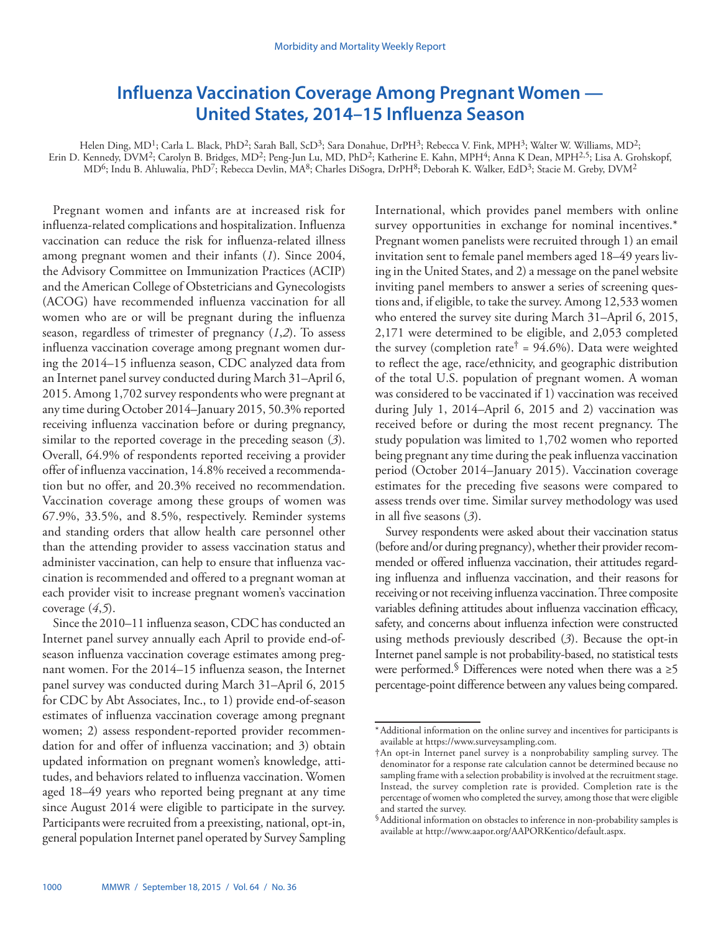# <span id="page-7-0"></span>**Influenza Vaccination Coverage Among Pregnant Women — United States, 2014–15 Influenza Season**

Helen Ding, MD<sup>1</sup>; Carla L. Black, PhD<sup>2</sup>; Sarah Ball, ScD<sup>3</sup>; Sara Donahue, DrPH<sup>3</sup>; Rebecca V. Fink, MPH<sup>3</sup>; Walter W. Williams, MD<sup>2</sup>; Erin D. Kennedy, DVM<sup>2</sup>; Carolyn B. Bridges, MD<sup>2</sup>; Peng-Jun Lu, MD, PhD<sup>2</sup>; Katherine E. Kahn, MPH<sup>4</sup>; Anna K Dean, MPH<sup>2,5</sup>; Lisa A. Grohskopf, MD6; Indu B. Ahluwalia, PhD7; Rebecca Devlin, MA8; Charles DiSogra, DrPH8; Deborah K. Walker, EdD3; Stacie M. Greby, DVM2

Pregnant women and infants are at increased risk for influenza-related complications and hospitalization. Influenza vaccination can reduce the risk for influenza-related illness among pregnant women and their infants (*1*). Since 2004, the Advisory Committee on Immunization Practices (ACIP) and the American College of Obstetricians and Gynecologists (ACOG) have recommended influenza vaccination for all women who are or will be pregnant during the influenza season, regardless of trimester of pregnancy (*1*,*2*). To assess influenza vaccination coverage among pregnant women during the 2014–15 influenza season, CDC analyzed data from an Internet panel survey conducted during March 31–April 6, 2015. Among 1,702 survey respondents who were pregnant at any time during October 2014–January 2015, 50.3% reported receiving influenza vaccination before or during pregnancy, similar to the reported coverage in the preceding season (*3*). Overall, 64.9% of respondents reported receiving a provider offer of influenza vaccination, 14.8% received a recommendation but no offer, and 20.3% received no recommendation. Vaccination coverage among these groups of women was 67.9%, 33.5%, and 8.5%, respectively. Reminder systems and standing orders that allow health care personnel other than the attending provider to assess vaccination status and administer vaccination, can help to ensure that influenza vaccination is recommended and offered to a pregnant woman at each provider visit to increase pregnant women's vaccination coverage (*4*,*5*).

Since the 2010–11 influenza season, CDC has conducted an Internet panel survey annually each April to provide end-ofseason influenza vaccination coverage estimates among pregnant women. For the 2014–15 influenza season, the Internet panel survey was conducted during March 31–April 6, 2015 for CDC by Abt Associates, Inc., to 1) provide end-of-season estimates of influenza vaccination coverage among pregnant women; 2) assess respondent-reported provider recommendation for and offer of influenza vaccination; and 3) obtain updated information on pregnant women's knowledge, attitudes, and behaviors related to influenza vaccination. Women aged 18–49 years who reported being pregnant at any time since August 2014 were eligible to participate in the survey. Participants were recruited from a preexisting, national, opt-in, general population Internet panel operated by Survey Sampling International, which provides panel members with online survey opportunities in exchange for nominal incentives.\* Pregnant women panelists were recruited through 1) an email invitation sent to female panel members aged 18–49 years living in the United States, and 2) a message on the panel website inviting panel members to answer a series of screening questions and, if eligible, to take the survey. Among 12,533 women who entered the survey site during March 31–April 6, 2015, 2,171 were determined to be eligible, and 2,053 completed the survey (completion rate<sup>†</sup> =  $94.6\%$ ). Data were weighted to reflect the age, race/ethnicity, and geographic distribution of the total U.S. population of pregnant women. A woman was considered to be vaccinated if 1) vaccination was received during July 1, 2014–April 6, 2015 and 2) vaccination was received before or during the most recent pregnancy. The study population was limited to 1,702 women who reported being pregnant any time during the peak influenza vaccination period (October 2014–January 2015). Vaccination coverage estimates for the preceding five seasons were compared to assess trends over time. Similar survey methodology was used in all five seasons (*3*).

Survey respondents were asked about their vaccination status (before and/or during pregnancy), whether their provider recommended or offered influenza vaccination, their attitudes regarding influenza and influenza vaccination, and their reasons for receiving or not receiving influenza vaccination. Three composite variables defining attitudes about influenza vaccination efficacy, safety, and concerns about influenza infection were constructed using methods previously described (*3*). Because the opt-in Internet panel sample is not probability-based, no statistical tests were performed. Differences were noted when there was a  $\geq 5$ percentage-point difference between any values being compared.

<sup>\*</sup>Additional information on the online survey and incentives for participants is available at [https://www.surveysampling.com.](https://www.surveysampling.com)

<sup>†</sup>An opt-in Internet panel survey is a nonprobability sampling survey. The denominator for a response rate calculation cannot be determined because no sampling frame with a selection probability is involved at the recruitment stage. Instead, the survey completion rate is provided. Completion rate is the percentage of women who completed the survey, among those that were eligible and started the survey.

<sup>§</sup>Additional information on obstacles to inference in non-probability samples is available at [http://www.aapor.org/AAPORKentico/default.aspx.](http://www.aapor.org/AAPORKentico/default.aspx)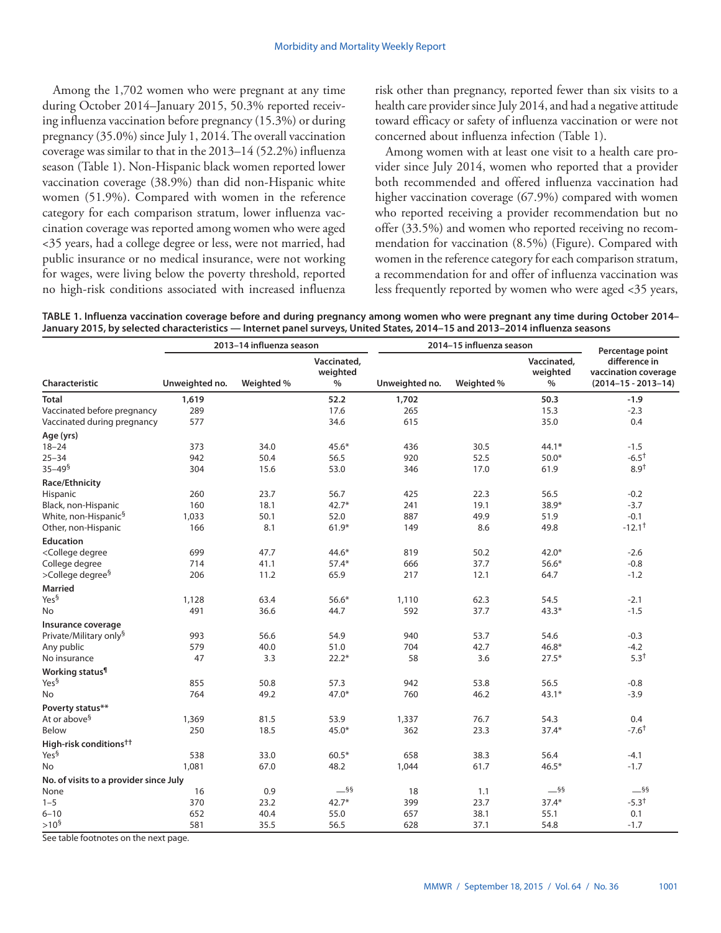Among the 1,702 women who were pregnant at any time during October 2014–January 2015, 50.3% reported receiving influenza vaccination before pregnancy (15.3%) or during pregnancy (35.0%) since July 1, 2014. The overall vaccination coverage was similar to that in the 2013–14 (52.2%) influenza season (Table 1). Non-Hispanic black women reported lower vaccination coverage (38.9%) than did non-Hispanic white women (51.9%). Compared with women in the reference category for each comparison stratum, lower influenza vaccination coverage was reported among women who were aged <35 years, had a college degree or less, were not married, had public insurance or no medical insurance, were not working for wages, were living below the poverty threshold, reported no high-risk conditions associated with increased influenza

risk other than pregnancy, reported fewer than six visits to a health care provider since July 2014, and had a negative attitude toward efficacy or safety of influenza vaccination or were not concerned about influenza infection (Table 1).

Among women with at least one visit to a health care provider since July 2014, women who reported that a provider both recommended and offered influenza vaccination had higher vaccination coverage (67.9%) compared with women who reported receiving a provider recommendation but no offer (33.5%) and women who reported receiving no recommendation for vaccination (8.5%) (Figure). Compared with women in the reference category for each comparison stratum, a recommendation for and offer of influenza vaccination was less frequently reported by women who were aged <35 years,

|  |  |                                                                                                                            |  | TABLE 1. Influenza vaccination coverage before and during pregnancy among women who were pregnant any time during October 2014– |  |
|--|--|----------------------------------------------------------------------------------------------------------------------------|--|---------------------------------------------------------------------------------------------------------------------------------|--|
|  |  | January 2015, by selected characteristics — Internet panel surveys, United States, 2014–15 and 2013–2014 influenza seasons |  |                                                                                                                                 |  |

|                                                                                                                                                                        |                | 2013-14 influenza season |                                 |                | 2014-15 influenza season |                                 | Percentage point                                                   |  |
|------------------------------------------------------------------------------------------------------------------------------------------------------------------------|----------------|--------------------------|---------------------------------|----------------|--------------------------|---------------------------------|--------------------------------------------------------------------|--|
| Characteristic                                                                                                                                                         | Unweighted no. | Weighted %               | Vaccinated,<br>weighted<br>$\%$ | Unweighted no. | Weighted %               | Vaccinated,<br>weighted<br>$\%$ | difference in<br>vaccination coverage<br>$(2014 - 15 - 2013 - 14)$ |  |
| <b>Total</b>                                                                                                                                                           | 1,619          |                          | 52.2                            | 1,702          |                          | 50.3                            | $-1.9$                                                             |  |
| Vaccinated before pregnancy                                                                                                                                            | 289            |                          | 17.6                            | 265            |                          | 15.3                            | $-2.3$                                                             |  |
| Vaccinated during pregnancy                                                                                                                                            | 577            |                          | 34.6                            | 615            |                          | 35.0                            | 0.4                                                                |  |
| Age (yrs)                                                                                                                                                              |                |                          |                                 |                |                          |                                 |                                                                    |  |
| $18 - 24$                                                                                                                                                              | 373            | 34.0                     | $45.6*$                         | 436            | 30.5                     | $44.1*$                         | $-1.5$                                                             |  |
| $25 - 34$                                                                                                                                                              | 942            | 50.4                     | 56.5                            | 920            | 52.5                     | $50.0*$                         | $-6.5^+$                                                           |  |
| $35 - 49^{\frac{5}{2}}$                                                                                                                                                | 304            | 15.6                     | 53.0                            | 346            | 17.0                     | 61.9                            | $8.9^{+}$                                                          |  |
| Race/Ethnicity                                                                                                                                                         |                |                          |                                 |                |                          |                                 |                                                                    |  |
| Hispanic                                                                                                                                                               | 260            | 23.7                     | 56.7                            | 425            | 22.3                     | 56.5                            | $-0.2$                                                             |  |
| Black, non-Hispanic                                                                                                                                                    | 160            | 18.1                     | $42.7*$                         | 241            | 19.1                     | 38.9*                           | $-3.7$                                                             |  |
| White, non-Hispanic <sup>§</sup>                                                                                                                                       | 1,033          | 50.1                     | 52.0                            | 887            | 49.9                     | 51.9                            | $-0.1$                                                             |  |
| Other, non-Hispanic                                                                                                                                                    | 166            | 8.1                      | $61.9*$                         | 149            | 8.6                      | 49.8                            | $-12.1$ <sup>+</sup>                                               |  |
| <b>Education</b>                                                                                                                                                       |                |                          |                                 |                |                          |                                 |                                                                    |  |
| <college degree<="" td=""><td>699</td><td>47.7</td><td><math>44.6*</math></td><td>819</td><td>50.2</td><td><math>42.0*</math></td><td><math>-2.6</math></td></college> | 699            | 47.7                     | $44.6*$                         | 819            | 50.2                     | $42.0*$                         | $-2.6$                                                             |  |
| College degree                                                                                                                                                         | 714            | 41.1                     | $57.4*$                         | 666            | 37.7                     | $56.6*$                         | $-0.8$                                                             |  |
| >College degree <sup>§</sup>                                                                                                                                           | 206            | 11.2                     | 65.9                            | 217            | 12.1                     | 64.7                            | $-1.2$                                                             |  |
| <b>Married</b>                                                                                                                                                         |                |                          |                                 |                |                          |                                 |                                                                    |  |
| Yes <sup>§</sup>                                                                                                                                                       | 1,128          | 63.4                     | $56.6*$                         | 1,110          | 62.3                     | 54.5                            | $-2.1$                                                             |  |
| No                                                                                                                                                                     | 491            | 36.6                     | 44.7                            | 592            | 37.7                     | $43.3*$                         | $-1.5$                                                             |  |
| Insurance coverage                                                                                                                                                     |                |                          |                                 |                |                          |                                 |                                                                    |  |
| Private/Military only <sup>§</sup>                                                                                                                                     | 993            | 56.6                     | 54.9                            | 940            | 53.7                     | 54.6                            | $-0.3$                                                             |  |
| Any public                                                                                                                                                             | 579            | 40.0                     | 51.0                            | 704            | 42.7                     | $46.8*$                         | $-4.2$                                                             |  |
| No insurance                                                                                                                                                           | 47             | 3.3                      | $22.2*$                         | 58             | 3.6                      | $27.5*$                         | $5.3^{+}$                                                          |  |
| Working status <sup>¶</sup>                                                                                                                                            |                |                          |                                 |                |                          |                                 |                                                                    |  |
| Yes <sup>§</sup>                                                                                                                                                       | 855            | 50.8                     | 57.3                            | 942            | 53.8                     | 56.5                            | $-0.8$                                                             |  |
| No                                                                                                                                                                     | 764            | 49.2                     | $47.0*$                         | 760            | 46.2                     | $43.1*$                         | $-3.9$                                                             |  |
| Poverty status**                                                                                                                                                       |                |                          |                                 |                |                          |                                 |                                                                    |  |
| At or above <sup>§</sup>                                                                                                                                               | 1,369          | 81.5                     | 53.9                            | 1,337          | 76.7                     | 54.3                            | 0.4                                                                |  |
| Below                                                                                                                                                                  | 250            | 18.5                     | $45.0*$                         | 362            | 23.3                     | $37.4*$                         | $-7.6^{\dagger}$                                                   |  |
| High-risk conditions <sup>††</sup>                                                                                                                                     |                |                          |                                 |                |                          |                                 |                                                                    |  |
| Yes <sup>§</sup>                                                                                                                                                       | 538            | 33.0                     | $60.5*$                         | 658            | 38.3                     | 56.4                            | $-4.1$                                                             |  |
| No                                                                                                                                                                     | 1,081          | 67.0                     | 48.2                            | 1,044          | 61.7                     | $46.5*$                         | $-1.7$                                                             |  |
|                                                                                                                                                                        |                |                          |                                 |                |                          |                                 |                                                                    |  |
| No. of visits to a provider since July                                                                                                                                 |                |                          | $-$ §§                          |                |                          | $-$ §§                          | $-$ §§                                                             |  |
| None                                                                                                                                                                   | 16<br>370      | 0.9                      | $42.7*$                         | 18             | 1.1<br>23.7              | $37.4*$                         | $-5.3^{+}$                                                         |  |
| $1 - 5$<br>$6 - 10$                                                                                                                                                    | 652            | 23.2<br>40.4             | 55.0                            | 399<br>657     | 38.1                     | 55.1                            | 0.1                                                                |  |
| $>10^{\mathsf{S}}$                                                                                                                                                     | 581            |                          |                                 | 628            |                          |                                 |                                                                    |  |
|                                                                                                                                                                        |                | 35.5                     | 56.5                            |                | 37.1                     | 54.8                            | $-1.7$                                                             |  |

See table footnotes on the next page.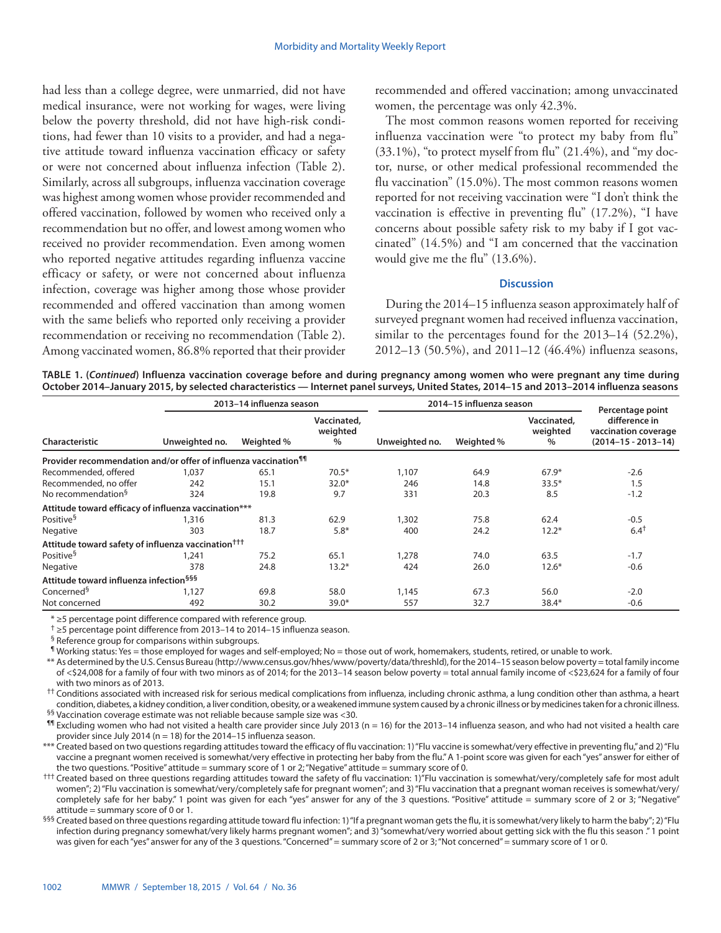had less than a college degree, were unmarried, did not have medical insurance, were not working for wages, were living below the poverty threshold, did not have high-risk conditions, had fewer than 10 visits to a provider, and had a negative attitude toward influenza vaccination efficacy or safety or were not concerned about influenza infection (Table 2). Similarly, across all subgroups, influenza vaccination coverage was highest among women whose provider recommended and offered vaccination, followed by women who received only a recommendation but no offer, and lowest among women who received no provider recommendation. Even among women who reported negative attitudes regarding influenza vaccine efficacy or safety, or were not concerned about influenza infection, coverage was higher among those whose provider recommended and offered vaccination than among women with the same beliefs who reported only receiving a provider recommendation or receiving no recommendation (Table 2). Among vaccinated women, 86.8% reported that their provider

recommended and offered vaccination; among unvaccinated women, the percentage was only 42.3%.

The most common reasons women reported for receiving influenza vaccination were "to protect my baby from flu"  $(33.1\%)$ , "to protect myself from flu"  $(21.4\%)$ , and "my doctor, nurse, or other medical professional recommended the flu vaccination" (15.0%). The most common reasons women reported for not receiving vaccination were "I don't think the vaccination is effective in preventing flu" (17.2%), "I have concerns about possible safety risk to my baby if I got vaccinated" (14.5%) and "I am concerned that the vaccination would give me the flu" (13.6%).

### **Discussion**

During the 2014–15 influenza season approximately half of surveyed pregnant women had received influenza vaccination, similar to the percentages found for the 2013–14 (52.2%), 2012–13 (50.5%), and 2011–12 (46.4%) influenza seasons,

**TABLE 1. (***Continued***) Influenza vaccination coverage before and during pregnancy among women who were pregnant any time during October 2014–January 2015, by selected characteristics — Internet panel surveys, United States, 2014–15 and 2013–2014 influenza seasons**

|                                                                             |                | 2013-14 influenza season |                                 |                | 2014-15 influenza season |                                 | Percentage point                                                   |  |
|-----------------------------------------------------------------------------|----------------|--------------------------|---------------------------------|----------------|--------------------------|---------------------------------|--------------------------------------------------------------------|--|
| Characteristic                                                              | Unweighted no. | Weighted %               | Vaccinated,<br>weighted<br>$\%$ | Unweighted no. | Weighted %               | Vaccinated.<br>weighted<br>$\%$ | difference in<br>vaccination coverage<br>$(2014 - 15 - 2013 - 14)$ |  |
| Provider recommendation and/or offer of influenza vaccination <sup>11</sup> |                |                          |                                 |                |                          |                                 |                                                                    |  |
| Recommended, offered                                                        | 1.037          | 65.1                     | $70.5*$                         | 1,107          | 64.9                     | $67.9*$                         | $-2.6$                                                             |  |
| Recommended, no offer                                                       | 242            | 15.1                     | $32.0*$                         | 246            | 14.8                     | $33.5*$                         | 1.5                                                                |  |
| No recommendation <sup>§</sup>                                              | 324            | 19.8                     | 9.7                             | 331            | 20.3                     | 8.5                             | $-1.2$                                                             |  |
| Attitude toward efficacy of influenza vaccination***                        |                |                          |                                 |                |                          |                                 |                                                                    |  |
| Positive <sup>§</sup>                                                       | 1,316          | 81.3                     | 62.9                            | 1,302          | 75.8                     | 62.4                            | $-0.5$                                                             |  |
| Negative                                                                    | 303            | 18.7                     | $5.8*$                          | 400            | 24.2                     | $12.2*$                         | $6.4^{\dagger}$                                                    |  |
| Attitude toward safety of influenza vaccination <sup>†††</sup>              |                |                          |                                 |                |                          |                                 |                                                                    |  |
| Positive <sup>§</sup>                                                       | 1,241          | 75.2                     | 65.1                            | 1,278          | 74.0                     | 63.5                            | $-1.7$                                                             |  |
| Negative                                                                    | 378            | 24.8                     | $13.2*$                         | 424            | 26.0                     | $12.6*$                         | $-0.6$                                                             |  |
| Attitude toward influenza infection <sup>§§§</sup>                          |                |                          |                                 |                |                          |                                 |                                                                    |  |
| Concerned <sup>§</sup>                                                      | 1,127          | 69.8                     | 58.0                            | 1,145          | 67.3                     | 56.0                            | $-2.0$                                                             |  |
| Not concerned                                                               | 492            | 30.2                     | $39.0*$                         | 557            | 32.7                     | $38.4*$                         | $-0.6$                                                             |  |

\* ≥5 percentage point difference compared with reference group.

† ≥5 percentage point difference from 2013–14 to 2014–15 influenza season.

§ Reference group for comparisons within subgroups.

¶ Working status: Yes = those employed for wages and self-employed; No = those out of work, homemakers, students, retired, or unable to work.

\*\* As determined by the U.S. Census Bureau (<http://www.census.gov/hhes/www/poverty/data/threshld>), for the 2014–15 season below poverty = total family income of <\$24,008 for a family of four with two minors as of 2014; for the 2013–14 season below poverty = total annual family income of <\$23,624 for a family of four with two minors as of 2013.

<sup>††</sup> Conditions associated with increased risk for serious medical complications from influenza, including chronic asthma, a lung condition other than asthma, a heart condition, diabetes, a kidney condition, a liver condition, obesity, or a weakened immune system caused by a chronic illness or by medicines taken for a chronic illness. §§ Vaccination coverage estimate was not reliable because sample size was <30.

¶¶ Excluding women who had not visited a health care provider since July 2013 (n = 16) for the 2013–14 influenza season, and who had not visited a health care provider since July 2014 (n = 18) for the 2014–15 influenza season.

\*\*\* Created based on two questions regarding attitudes toward the efficacy of flu vaccination: 1) "Flu vaccine is somewhat/very effective in preventing flu," and 2) "Flu vaccine a pregnant women received is somewhat/very effective in protecting her baby from the flu." A 1-point score was given for each "yes" answer for either of the two questions. "Positive" attitude = summary score of 1 or 2; "Negative" attitude = summary score of 0.

††† Created based on three questions regarding attitudes toward the safety of flu vaccination: 1)"Flu vaccination is somewhat/very/completely safe for most adult women"; 2) "Flu vaccination is somewhat/very/completely safe for pregnant women"; and 3) "Flu vaccination that a pregnant woman receives is somewhat/very/ completely safe for her baby." 1 point was given for each "yes" answer for any of the 3 questions. "Positive" attitude = summary score of 2 or 3; "Negative" attitude = summary score of 0 or 1.

§§§ Created based on three questions regarding attitude toward flu infection: 1) "If a pregnant woman gets the flu, it is somewhat/very likely to harm the baby"; 2) "Flu infection during pregnancy somewhat/very likely harms pregnant women"; and 3) "somewhat/very worried about getting sick with the flu this season ." 1 point was given for each "yes" answer for any of the 3 questions. "Concerned" = summary score of 2 or 3; "Not concerned" = summary score of 1 or 0.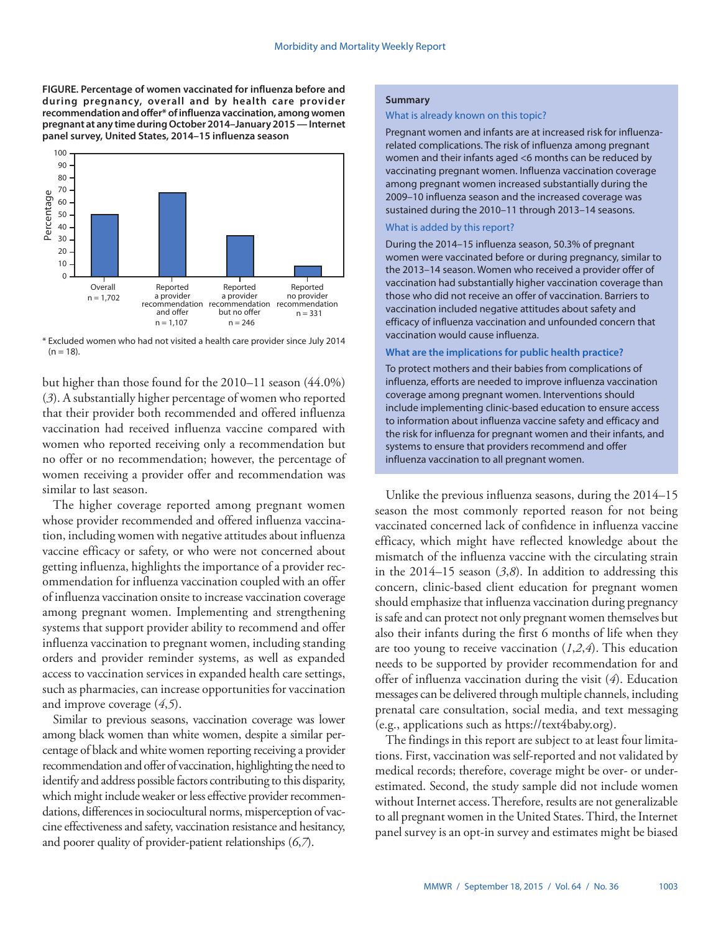**FIGURE. Percentage of women vaccinated for influenza before and during pregnancy, overall and by health care provider recommendation and offer\* of influenza vaccination, among women pregnant at any time during October 2014–January 2015 — Internet panel survey, United States, 2014–15 influenza season**



\* Excluded women who had not visited a health care provider since July 2014  $(n = 18)$ .

but higher than those found for the 2010–11 season (44.0%) (*3*). A substantially higher percentage of women who reported that their provider both recommended and offered influenza vaccination had received influenza vaccine compared with women who reported receiving only a recommendation but no offer or no recommendation; however, the percentage of women receiving a provider offer and recommendation was similar to last season.

The higher coverage reported among pregnant women whose provider recommended and offered influenza vaccination, including women with negative attitudes about influenza vaccine efficacy or safety, or who were not concerned about getting influenza, highlights the importance of a provider recommendation for influenza vaccination coupled with an offer of influenza vaccination onsite to increase vaccination coverage among pregnant women. Implementing and strengthening systems that support provider ability to recommend and offer influenza vaccination to pregnant women, including standing orders and provider reminder systems, as well as expanded access to vaccination services in expanded health care settings, such as pharmacies, can increase opportunities for vaccination and improve coverage (*4*,*5*).

Similar to previous seasons, vaccination coverage was lower among black women than white women, despite a similar percentage of black and white women reporting receiving a provider recommendation and offer of vaccination, highlighting the need to identify and address possible factors contributing to this disparity, which might include weaker or less effective provider recommendations, differences in sociocultural norms, misperception of vaccine effectiveness and safety, vaccination resistance and hesitancy, and poorer quality of provider-patient relationships (*6*,*7*).

#### **Summary**

#### What is already known on this topic?

Pregnant women and infants are at increased risk for influenzarelated complications. The risk of influenza among pregnant women and their infants aged <6 months can be reduced by vaccinating pregnant women. Influenza vaccination coverage among pregnant women increased substantially during the 2009–10 influenza season and the increased coverage was sustained during the 2010–11 through 2013–14 seasons.

# What is added by this report?

During the 2014–15 influenza season, 50.3% of pregnant women were vaccinated before or during pregnancy, similar to the 2013–14 season. Women who received a provider offer of vaccination had substantially higher vaccination coverage than those who did not receive an offer of vaccination. Barriers to vaccination included negative attitudes about safety and efficacy of influenza vaccination and unfounded concern that vaccination would cause influenza.

## **What are the implications for public health practice?**

To protect mothers and their babies from complications of influenza, efforts are needed to improve influenza vaccination coverage among pregnant women. Interventions should include implementing clinic-based education to ensure access to information about influenza vaccine safety and efficacy and the risk for influenza for pregnant women and their infants, and systems to ensure that providers recommend and offer influenza vaccination to all pregnant women.

Unlike the previous influenza seasons, during the 2014–15 season the most commonly reported reason for not being vaccinated concerned lack of confidence in influenza vaccine efficacy, which might have reflected knowledge about the mismatch of the influenza vaccine with the circulating strain in the 2014–15 season (*3*,*8*). In addition to addressing this concern, clinic-based client education for pregnant women should emphasize that influenza vaccination during pregnancy is safe and can protect not only pregnant women themselves but also their infants during the first 6 months of life when they are too young to receive vaccination (*1*,*2*,*4*). This education needs to be supported by provider recommendation for and offer of influenza vaccination during the visit (*4*). Education messages can be delivered through multiple channels, including prenatal care consultation, social media, and text messaging (e.g., applications such as [https://text4baby.org\)](https://text4baby.org).

The findings in this report are subject to at least four limitations. First, vaccination was self-reported and not validated by medical records; therefore, coverage might be over- or underestimated. Second, the study sample did not include women without Internet access. Therefore, results are not generalizable to all pregnant women in the United States. Third, the Internet panel survey is an opt-in survey and estimates might be biased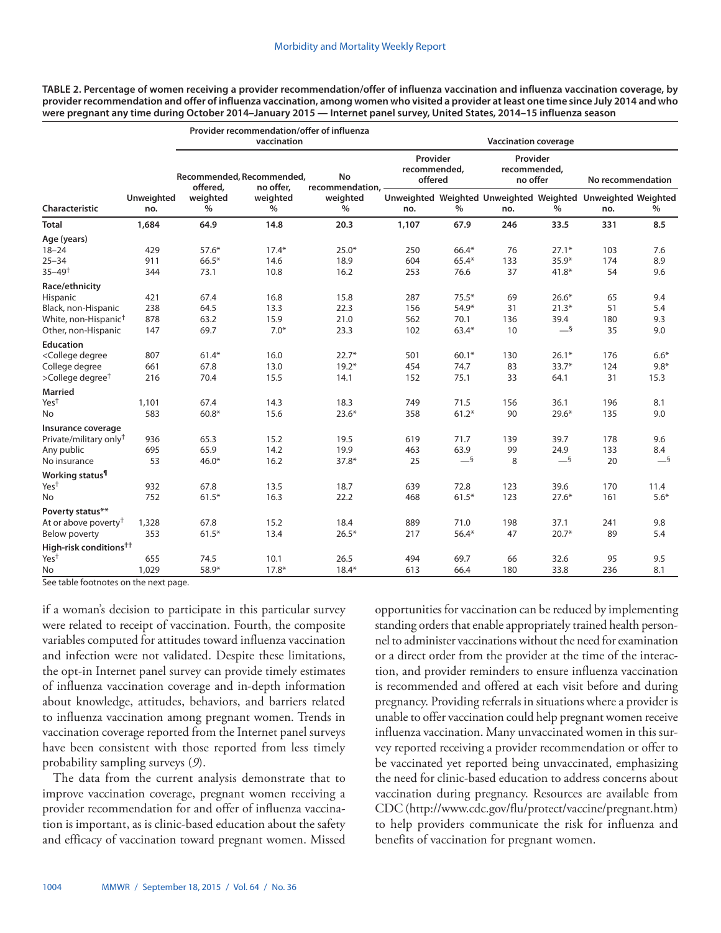**TABLE 2. Percentage of women receiving a provider recommendation/offer of influenza vaccination and influenza vaccination coverage, by provider recommendation and offer of influenza vaccination, among women who visited a provider at least one time since July 2014 and who were pregnant any time during October 2014–January 2015 — Internet panel survey, United States, 2014–15 influenza season**

|                                                                                                                                                                                                                                         |                          |                           | Provider recommendation/offer of influenza<br>vaccination |                                |                                     |         | <b>Vaccination coverage</b>                                        |         |                   |        |
|-----------------------------------------------------------------------------------------------------------------------------------------------------------------------------------------------------------------------------------------|--------------------------|---------------------------|-----------------------------------------------------------|--------------------------------|-------------------------------------|---------|--------------------------------------------------------------------|---------|-------------------|--------|
|                                                                                                                                                                                                                                         |                          | offered,                  | Recommended, Recommended,<br>no offer.                    | <b>No</b><br>recommendation, - | Provider<br>recommended,<br>offered |         | Provider<br>recommended,<br>no offer                               |         | No recommendation |        |
| Characteristic                                                                                                                                                                                                                          | <b>Unweighted</b><br>no. | weighted<br>$\frac{0}{0}$ | weighted<br>$\frac{0}{0}$                                 | weighted<br>$\frac{0}{0}$      | no.                                 | $\%$    | Unweighted Weighted Unweighted Weighted Unweighted Weighted<br>no. | $\%$    | no.               | $\%$   |
| <b>Total</b>                                                                                                                                                                                                                            | 1,684                    | 64.9                      | 14.8                                                      | 20.3                           | 1,107                               | 67.9    | 246                                                                | 33.5    | 331               | 8.5    |
| Age (years)                                                                                                                                                                                                                             |                          |                           |                                                           |                                |                                     |         |                                                                    |         |                   |        |
| $18 - 24$                                                                                                                                                                                                                               | 429                      | $57.6*$                   | $17.4*$                                                   | $25.0*$                        | 250                                 | 66.4*   | 76                                                                 | $27.1*$ | 103               | 7.6    |
| $25 - 34$                                                                                                                                                                                                                               | 911                      | $66.5*$                   | 14.6                                                      | 18.9                           | 604                                 | 65.4*   | 133                                                                | $35.9*$ | 174               | 8.9    |
| $35 - 49$ <sup>†</sup>                                                                                                                                                                                                                  | 344                      | 73.1                      | 10.8                                                      | 16.2                           | 253                                 | 76.6    | 37                                                                 | $41.8*$ | 54                | 9.6    |
| Race/ethnicity                                                                                                                                                                                                                          |                          |                           |                                                           |                                |                                     |         |                                                                    |         |                   |        |
| Hispanic                                                                                                                                                                                                                                | 421                      | 67.4                      | 16.8                                                      | 15.8                           | 287                                 | $75.5*$ | 69                                                                 | $26.6*$ | 65                | 9.4    |
| Black, non-Hispanic                                                                                                                                                                                                                     | 238                      | 64.5                      | 13.3                                                      | 22.3                           | 156                                 | 54.9*   | 31                                                                 | $21.3*$ | 51                | 5.4    |
| White, non-Hispanic <sup>†</sup>                                                                                                                                                                                                        | 878                      | 63.2                      | 15.9                                                      | 21.0                           | 562                                 | 70.1    | 136                                                                | 39.4    | 180               | 9.3    |
| Other, non-Hispanic                                                                                                                                                                                                                     | 147                      | 69.7                      | $7.0*$                                                    | 23.3                           | 102                                 | 63.4*   | 10                                                                 | $-$ §   | 35                | 9.0    |
| <b>Education</b>                                                                                                                                                                                                                        |                          |                           |                                                           |                                |                                     |         |                                                                    |         |                   |        |
| <college degree<="" td=""><td>807</td><td><math>61.4*</math></td><td>16.0</td><td><math>22.7*</math></td><td>501</td><td><math>60.1*</math></td><td>130</td><td><math>26.1*</math></td><td>176</td><td><math>6.6*</math></td></college> | 807                      | $61.4*$                   | 16.0                                                      | $22.7*$                        | 501                                 | $60.1*$ | 130                                                                | $26.1*$ | 176               | $6.6*$ |
| College degree                                                                                                                                                                                                                          | 661                      | 67.8                      | 13.0                                                      | $19.2*$                        | 454                                 | 74.7    | 83                                                                 | $33.7*$ | 124               | $9.8*$ |
| $>$ College degree <sup>†</sup>                                                                                                                                                                                                         | 216                      | 70.4                      | 15.5                                                      | 14.1                           | 152                                 | 75.1    | 33                                                                 | 64.1    | 31                | 15.3   |
| <b>Married</b>                                                                                                                                                                                                                          |                          |                           |                                                           |                                |                                     |         |                                                                    |         |                   |        |
| Yes <sup>t</sup>                                                                                                                                                                                                                        | 1,101                    | 67.4                      | 14.3                                                      | 18.3                           | 749                                 | 71.5    | 156                                                                | 36.1    | 196               | 8.1    |
| No.                                                                                                                                                                                                                                     | 583                      | $60.8*$                   | 15.6                                                      | $23.6*$                        | 358                                 | $61.2*$ | 90                                                                 | $29.6*$ | 135               | 9.0    |
| Insurance coverage                                                                                                                                                                                                                      |                          |                           |                                                           |                                |                                     |         |                                                                    |         |                   |        |
| Private/military only <sup>†</sup>                                                                                                                                                                                                      | 936                      | 65.3                      | 15.2                                                      | 19.5                           | 619                                 | 71.7    | 139                                                                | 39.7    | 178               | 9.6    |
| Any public                                                                                                                                                                                                                              | 695                      | 65.9                      | 14.2                                                      | 19.9                           | 463                                 | 63.9    | 99                                                                 | 24.9    | 133               | 8.4    |
| No insurance                                                                                                                                                                                                                            | 53                       | $46.0*$                   | 16.2                                                      | 37.8*                          | 25                                  | $-$ §   | 8                                                                  | $-$ §   | 20                | $-$ §  |
| Working status <sup>1</sup>                                                                                                                                                                                                             |                          |                           |                                                           |                                |                                     |         |                                                                    |         |                   |        |
| Yes <sup>t</sup>                                                                                                                                                                                                                        | 932                      | 67.8                      | 13.5                                                      | 18.7                           | 639                                 | 72.8    | 123                                                                | 39.6    | 170               | 11.4   |
| No                                                                                                                                                                                                                                      | 752                      | $61.5*$                   | 16.3                                                      | 22.2                           | 468                                 | $61.5*$ | 123                                                                | $27.6*$ | 161               | $5.6*$ |
| Poverty status**                                                                                                                                                                                                                        |                          |                           |                                                           |                                |                                     |         |                                                                    |         |                   |        |
| At or above poverty <sup>†</sup>                                                                                                                                                                                                        | 1,328                    | 67.8                      | 15.2                                                      | 18.4                           | 889                                 | 71.0    | 198                                                                | 37.1    | 241               | 9.8    |
| Below poverty                                                                                                                                                                                                                           | 353                      | $61.5*$                   | 13.4                                                      | $26.5*$                        | 217                                 | $56.4*$ | 47                                                                 | $20.7*$ | 89                | 5.4    |
| High-risk conditions <sup>††</sup>                                                                                                                                                                                                      |                          |                           |                                                           |                                |                                     |         |                                                                    |         |                   |        |
| Yes <sup>t</sup>                                                                                                                                                                                                                        | 655                      | 74.5                      | 10.1                                                      | 26.5                           | 494                                 | 69.7    | 66                                                                 | 32.6    | 95                | 9.5    |
| <b>No</b>                                                                                                                                                                                                                               | 1.029                    | 58.9*                     | $17.8*$                                                   | $18.4*$                        | 613                                 | 66.4    | 180                                                                | 33.8    | 236               | 8.1    |

See table footnotes on the next page.

if a woman's decision to participate in this particular survey were related to receipt of vaccination. Fourth, the composite variables computed for attitudes toward influenza vaccination and infection were not validated. Despite these limitations, the opt-in Internet panel survey can provide timely estimates of influenza vaccination coverage and in-depth information about knowledge, attitudes, behaviors, and barriers related to influenza vaccination among pregnant women. Trends in vaccination coverage reported from the Internet panel surveys have been consistent with those reported from less timely probability sampling surveys (*9*).

The data from the current analysis demonstrate that to improve vaccination coverage, pregnant women receiving a provider recommendation for and offer of influenza vaccination is important, as is clinic-based education about the safety and efficacy of vaccination toward pregnant women. Missed opportunities for vaccination can be reduced by implementing standing orders that enable appropriately trained health personnel to administer vaccinations without the need for examination or a direct order from the provider at the time of the interaction, and provider reminders to ensure influenza vaccination is recommended and offered at each visit before and during pregnancy. Providing referrals in situations where a provider is unable to offer vaccination could help pregnant women receive influenza vaccination. Many unvaccinated women in this survey reported receiving a provider recommendation or offer to be vaccinated yet reported being unvaccinated, emphasizing the need for clinic-based education to address concerns about vaccination during pregnancy. Resources are available from CDC (<http://www.cdc.gov/flu/protect/vaccine/pregnant.htm>) to help providers communicate the risk for influenza and benefits of vaccination for pregnant women.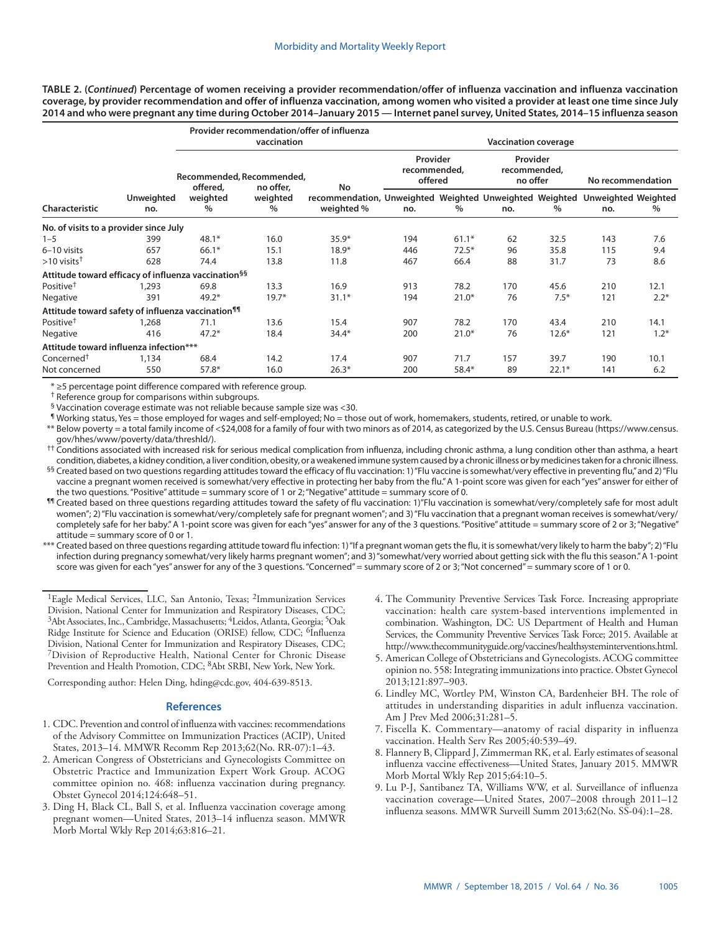**TABLE 2. (***Continued***) Percentage of women receiving a provider recommendation/offer of influenza vaccination and influenza vaccination coverage, by provider recommendation and offer of influenza vaccination, among women who visited a provider at least one time since July 2014 and who were pregnant any time during October 2014–January 2015 — Internet panel survey, United States, 2014–15 influenza season**

|                                                                 |                          |                                       | vaccination                | Provider recommendation/offer of influenza                                                      |     | <b>Vaccination coverage</b>         |     |                                      |                   |        |  |  |
|-----------------------------------------------------------------|--------------------------|---------------------------------------|----------------------------|-------------------------------------------------------------------------------------------------|-----|-------------------------------------|-----|--------------------------------------|-------------------|--------|--|--|
|                                                                 |                          | Recommended, Recommended,<br>offered, |                            |                                                                                                 |     | Provider<br>recommended,<br>offered |     | Provider<br>recommended,<br>no offer | No recommendation |        |  |  |
| Characteristic                                                  | <b>Unweighted</b><br>no. | weighted<br>$\%$                      | no offer,<br>weighted<br>% | No<br>recommendation, Unweighted Weighted Unweighted Weighted Unweighted Weighted<br>weighted % | no. | $\%$                                | no. | $\%$                                 | no.               | %      |  |  |
| No. of visits to a provider since July                          |                          |                                       |                            |                                                                                                 |     |                                     |     |                                      |                   |        |  |  |
| $1 - 5$                                                         | 399                      | $48.1*$                               | 16.0                       | $35.9*$                                                                                         | 194 | $61.1*$                             | 62  | 32.5                                 | 143               | 7.6    |  |  |
| 6-10 visits                                                     | 657                      | $66.1*$                               | 15.1                       | $18.9*$                                                                                         | 446 | $72.5*$                             | 96  | 35.8                                 | 115               | 9.4    |  |  |
| $>10$ visits <sup>†</sup>                                       | 628                      | 74.4                                  | 13.8                       | 11.8                                                                                            | 467 | 66.4                                | 88  | 31.7                                 | 73                | 8.6    |  |  |
| Attitude toward efficacy of influenza vaccination <sup>§§</sup> |                          |                                       |                            |                                                                                                 |     |                                     |     |                                      |                   |        |  |  |
| Positive <sup>†</sup>                                           | 1,293                    | 69.8                                  | 13.3                       | 16.9                                                                                            | 913 | 78.2                                | 170 | 45.6                                 | 210               | 12.1   |  |  |
| Negative                                                        | 391                      | $49.2*$                               | $19.7*$                    | $31.1*$                                                                                         | 194 | $21.0*$                             | 76  | $7.5*$                               | 121               | $2.2*$ |  |  |
| Attitude toward safety of influenza vaccination <sup>11</sup>   |                          |                                       |                            |                                                                                                 |     |                                     |     |                                      |                   |        |  |  |
| Positive <sup>†</sup>                                           | 1,268                    | 71.1                                  | 13.6                       | 15.4                                                                                            | 907 | 78.2                                | 170 | 43.4                                 | 210               | 14.1   |  |  |
| Negative                                                        | 416                      | $47.2*$                               | 18.4                       | $34.4*$                                                                                         | 200 | $21.0*$                             | 76  | $12.6*$                              | 121               | $1.2*$ |  |  |
| Attitude toward influenza infection***                          |                          |                                       |                            |                                                                                                 |     |                                     |     |                                      |                   |        |  |  |
| Concerned <sup>†</sup>                                          | 1,134                    | 68.4                                  | 14.2                       | 17.4                                                                                            | 907 | 71.7                                | 157 | 39.7                                 | 190               | 10.1   |  |  |
| Not concerned                                                   | 550                      | $57.8*$                               | 16.0                       | $26.3*$                                                                                         | 200 | $58.4*$                             | 89  | $22.1*$                              | 141               | 6.2    |  |  |

\* ≥5 percentage point difference compared with reference group.

† Reference group for comparisons within subgroups.

§ Vaccination coverage estimate was not reliable because sample size was <30.

¶ Working status, Yes = those employed for wages and self-employed; No = those out of work, homemakers, students, retired, or unable to work.

\*\* Below poverty = a total family income of <\$24,008 for a family of four with two minors as of 2014, as categorized by the U.S. Census Bureau ([https://www.census.](https://www.census.gov/hhes/www/poverty/data/threshld/) [gov/hhes/www/poverty/data/threshld/](https://www.census.gov/hhes/www/poverty/data/threshld/)).

†† Conditions associated with increased risk for serious medical complication from influenza, including chronic asthma, a lung condition other than asthma, a heart condition, diabetes, a kidney condition, a liver condition, obesity, or a weakened immune system caused by a chronic illness or by medicines taken for a chronic illness.

- §§ Created based on two questions regarding attitudes toward the efficacy of flu vaccination: 1) "Flu vaccine is somewhat/very effective in preventing flu," and 2) "Flu vaccine a pregnant women received is somewhat/very effective in protecting her baby from the flu." A 1-point score was given for each "yes" answer for either of the two questions. "Positive" attitude = summary score of 1 or 2; "Negative" attitude = summary score of 0.
- ¶¶ Created based on three questions regarding attitudes toward the safety of flu vaccination: 1)"Flu vaccination is somewhat/very/completely safe for most adult women"; 2) "Flu vaccination is somewhat/very/completely safe for pregnant women"; and 3) "Flu vaccination that a pregnant woman receives is somewhat/very/ completely safe for her baby." A 1-point score was given for each "yes" answer for any of the 3 questions. "Positive" attitude = summary score of 2 or 3; "Negative" attitude = summary score of 0 or 1.
- \*\*\* Created based on three questions regarding attitude toward flu infection: 1) "If a pregnant woman gets the flu, it is somewhat/very likely to harm the baby"; 2) "Flu infection during pregnancy somewhat/very likely harms pregnant women"; and 3) "somewhat/very worried about getting sick with the flu this season." A 1-point score was given for each "yes" answer for any of the 3 questions. "Concerned" = summary score of 2 or 3; "Not concerned" = summary score of 1 or 0.

<sup>1</sup>Eagle Medical Services, LLC, San Antonio, Texas; <sup>2</sup>Immunization Services Division, National Center for Immunization and Respiratory Diseases, CDC; 3Abt Associates, Inc., Cambridge, Massachusetts; 4Leidos, Atlanta, Georgia; 5Oak Ridge Institute for Science and Education (ORISE) fellow, CDC; <sup>6</sup>Influenza Division, National Center for Immunization and Respiratory Diseases, CDC; 7Division of Reproductive Health, National Center for Chronic Disease Prevention and Health Promotion, CDC; <sup>8</sup>Abt SRBI, New York, New York.

Corresponding author: Helen Ding, [hding@cdc.gov](mailto:hding@cdc.gov), 404-639-8513.

- 1. CDC. Prevention and control of influenza with vaccines: recommendations of the Advisory Committee on Immunization Practices (ACIP), United States, 2013–14. MMWR Recomm Rep 2013;62(No. RR-07):1–43.
- 2. American Congress of Obstetricians and Gynecologists Committee on Obstetric Practice and Immunization Expert Work Group. ACOG committee opinion no. 468: influenza vaccination during pregnancy. Obstet Gynecol 2014;124:648–51.
- 3. Ding H, Black CL, Ball S, et al. Influenza vaccination coverage among pregnant women—United States, 2013–14 influenza season. MMWR Morb Mortal Wkly Rep 2014;63:816–21.
- 4. The Community Preventive Services Task Force. Increasing appropriate vaccination: health care system-based interventions implemented in combination. Washington, DC: US Department of Health and Human Services, the Community Preventive Services Task Force; 2015. Available at [http://www.thecommunityguide.org/vaccines/healthsysteminterventions.html.](http://www.thecommunityguide.org/vaccines/healthsysteminterventions.html)
- 5. American College of Obstetricians and Gynecologists. ACOG committee opinion no. 558: Integrating immunizations into practice. Obstet Gynecol 2013;121:897–903.
- 6. Lindley MC, Wortley PM, Winston CA, Bardenheier BH. The role of attitudes in understanding disparities in adult influenza vaccination. Am J Prev Med 2006;31:281–5.
- 7. Fiscella K. Commentary—anatomy of racial disparity in influenza vaccination. Health Serv Res 2005;40:539–49.
- 8. Flannery B, Clippard J, Zimmerman RK, et al. Early estimates of seasonal influenza vaccine effectiveness—United States, January 2015. MMWR Morb Mortal Wkly Rep 2015;64:10–5.
- 9. Lu P-J, Santibanez TA, Williams WW, et al. Surveillance of influenza vaccination coverage—United States, 2007–2008 through 2011–12 influenza seasons. MMWR Surveill Summ 2013;62(No. SS-04):1–28.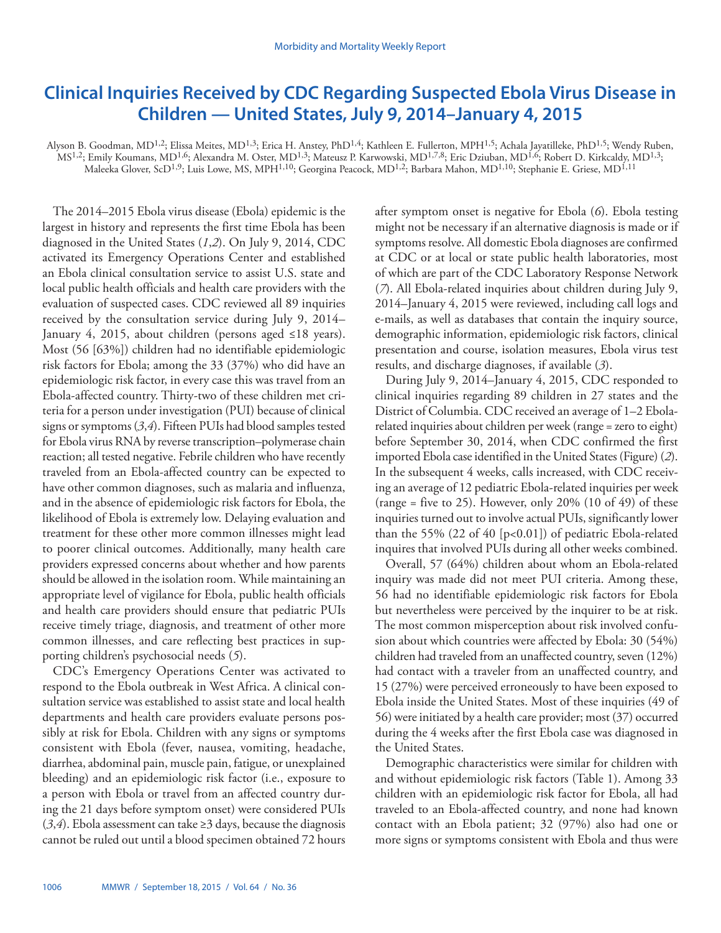# <span id="page-13-0"></span>**Clinical Inquiries Received by CDC Regarding Suspected Ebola Virus Disease in Children — United States, July 9, 2014–January 4, 2015**

Alyson B. Goodman, MD<sup>1,2</sup>; Elissa Meites, MD<sup>1,3</sup>; Erica H. Anstey, PhD<sup>1,4</sup>; Kathleen E. Fullerton, MPH<sup>1,5</sup>; Achala Jayatilleke, PhD<sup>1,5</sup>; Wendy Ruben, MS1,2; Emily Koumans, MD1,6; Alexandra M. Oster, MD1,3; Mateusz P. Karwowski, MD1,7,8; Eric Dziuban, MD1,6; Robert D. Kirkcaldy, MD1,3; Maleeka Glover, ScD<sup>1,9</sup>; Luis Lowe, MS, MPH<sup>1,10</sup>; Georgina Peacock, MD<sup>1,2</sup>; Barbara Mahon, MD<sup>1,10</sup>; Stephanie E. Griese, MD<sup>1,11</sup>

The 2014–2015 Ebola virus disease (Ebola) epidemic is the largest in history and represents the first time Ebola has been diagnosed in the United States (*1*,*2*). On July 9, 2014, CDC activated its Emergency Operations Center and established an Ebola clinical consultation service to assist U.S. state and local public health officials and health care providers with the evaluation of suspected cases. CDC reviewed all 89 inquiries received by the consultation service during July 9, 2014– January 4, 2015, about children (persons aged ≤18 years). Most (56 [63%]) children had no identifiable epidemiologic risk factors for Ebola; among the 33 (37%) who did have an epidemiologic risk factor, in every case this was travel from an Ebola-affected country. Thirty-two of these children met criteria for a person under investigation (PUI) because of clinical signs or symptoms (*3*,*4*). Fifteen PUIs had blood samples tested for Ebola virus RNA by reverse transcription–polymerase chain reaction; all tested negative. Febrile children who have recently traveled from an Ebola-affected country can be expected to have other common diagnoses, such as malaria and influenza, and in the absence of epidemiologic risk factors for Ebola, the likelihood of Ebola is extremely low. Delaying evaluation and treatment for these other more common illnesses might lead to poorer clinical outcomes. Additionally, many health care providers expressed concerns about whether and how parents should be allowed in the isolation room. While maintaining an appropriate level of vigilance for Ebola, public health officials and health care providers should ensure that pediatric PUIs receive timely triage, diagnosis, and treatment of other more common illnesses, and care reflecting best practices in supporting children's psychosocial needs (*5*).

CDC's Emergency Operations Center was activated to respond to the Ebola outbreak in West Africa. A clinical consultation service was established to assist state and local health departments and health care providers evaluate persons possibly at risk for Ebola. Children with any signs or symptoms consistent with Ebola (fever, nausea, vomiting, headache, diarrhea, abdominal pain, muscle pain, fatigue, or unexplained bleeding) and an epidemiologic risk factor (i.e., exposure to a person with Ebola or travel from an affected country during the 21 days before symptom onset) were considered PUIs (*3*,*4*). Ebola assessment can take ≥3 days, because the diagnosis cannot be ruled out until a blood specimen obtained 72 hours

after symptom onset is negative for Ebola (*6*). Ebola testing might not be necessary if an alternative diagnosis is made or if symptoms resolve. All domestic Ebola diagnoses are confirmed at CDC or at local or state public health laboratories, most of which are part of the CDC Laboratory Response Network (*7*). All Ebola-related inquiries about children during July 9, 2014–January 4, 2015 were reviewed, including call logs and e-mails, as well as databases that contain the inquiry source, demographic information, epidemiologic risk factors, clinical presentation and course, isolation measures, Ebola virus test results, and discharge diagnoses, if available (*3*).

During July 9, 2014–January 4, 2015, CDC responded to clinical inquiries regarding 89 children in 27 states and the District of Columbia. CDC received an average of 1–2 Ebolarelated inquiries about children per week (range = zero to eight) before September 30, 2014, when CDC confirmed the first imported Ebola case identified in the United States (Figure) (*2*). In the subsequent 4 weeks, calls increased, with CDC receiving an average of 12 pediatric Ebola-related inquiries per week (range = five to 25). However, only 20% (10 of 49) of these inquiries turned out to involve actual PUIs, significantly lower than the 55% (22 of 40  $[p<0.01]$ ) of pediatric Ebola-related inquires that involved PUIs during all other weeks combined.

Overall, 57 (64%) children about whom an Ebola-related inquiry was made did not meet PUI criteria. Among these, 56 had no identifiable epidemiologic risk factors for Ebola but nevertheless were perceived by the inquirer to be at risk. The most common misperception about risk involved confusion about which countries were affected by Ebola: 30 (54%) children had traveled from an unaffected country, seven (12%) had contact with a traveler from an unaffected country, and 15 (27%) were perceived erroneously to have been exposed to Ebola inside the United States. Most of these inquiries (49 of 56) were initiated by a health care provider; most (37) occurred during the 4 weeks after the first Ebola case was diagnosed in the United States.

Demographic characteristics were similar for children with and without epidemiologic risk factors (Table 1). Among 33 children with an epidemiologic risk factor for Ebola, all had traveled to an Ebola-affected country, and none had known contact with an Ebola patient; 32 (97%) also had one or more signs or symptoms consistent with Ebola and thus were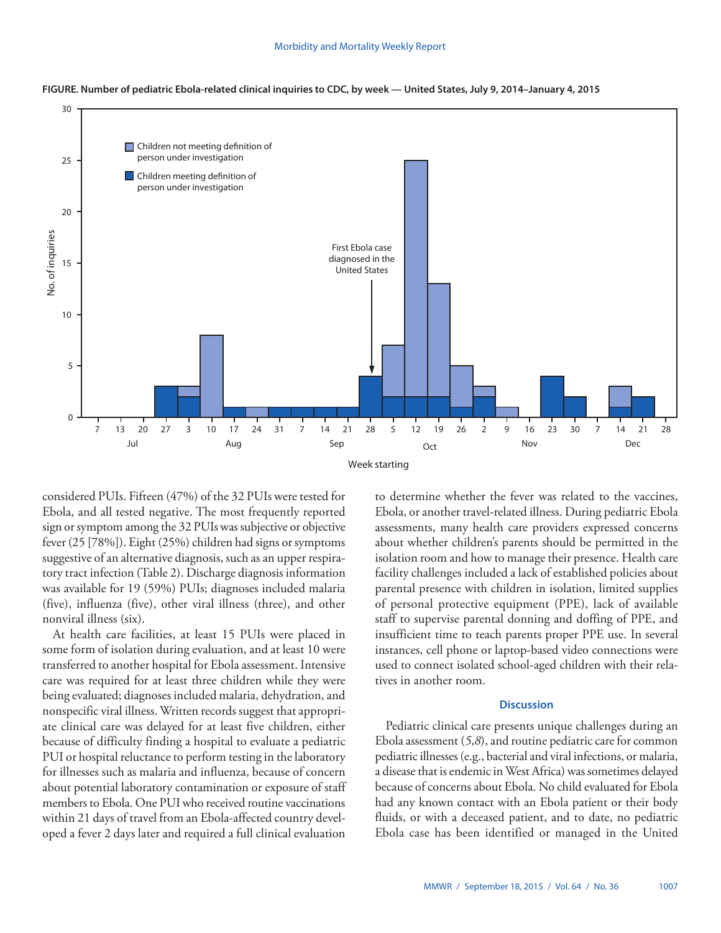



considered PUIs. Fifteen (47%) of the 32 PUIs were tested for Ebola, and all tested negative. The most frequently reported sign or symptom among the 32 PUIs was subjective or objective fever (25 [78%]). Eight (25%) children had signs or symptoms suggestive of an alternative diagnosis, such as an upper respiratory tract infection (Table 2). Discharge diagnosis information was available for 19 (59%) PUIs; diagnoses included malaria (five), influenza (five), other viral illness (three), and other nonviral illness (six).

At health care facilities, at least 15 PUIs were placed in some form of isolation during evaluation, and at least 10 were transferred to another hospital for Ebola assessment. Intensive care was required for at least three children while they were being evaluated; diagnoses included malaria, dehydration, and nonspecific viral illness. Written records suggest that appropriate clinical care was delayed for at least five children, either because of difficulty finding a hospital to evaluate a pediatric PUI or hospital reluctance to perform testing in the laboratory for illnesses such as malaria and influenza, because of concern about potential laboratory contamination or exposure of staff members to Ebola. One PUI who received routine vaccinations within 21 days of travel from an Ebola-affected country developed a fever 2 days later and required a full clinical evaluation

to determine whether the fever was related to the vaccines, Ebola, or another travel-related illness. During pediatric Ebola assessments, many health care providers expressed concerns about whether children's parents should be permitted in the isolation room and how to manage their presence. Health care facility challenges included a lack of established policies about parental presence with children in isolation, limited supplies of personal protective equipment (PPE), lack of available staff to supervise parental donning and doffing of PPE, and insufficient time to teach parents proper PPE use. In several instances, cell phone or laptop-based video connections were used to connect isolated school-aged children with their relatives in another room.

# **Discussion**

Pediatric clinical care presents unique challenges during an Ebola assessment (*5*,*8*), and routine pediatric care for common pediatric illnesses (e.g., bacterial and viral infections, or malaria, a disease that is endemic in West Africa) was sometimes delayed because of concerns about Ebola. No child evaluated for Ebola had any known contact with an Ebola patient or their body fluids, or with a deceased patient, and to date, no pediatric Ebola case has been identified or managed in the United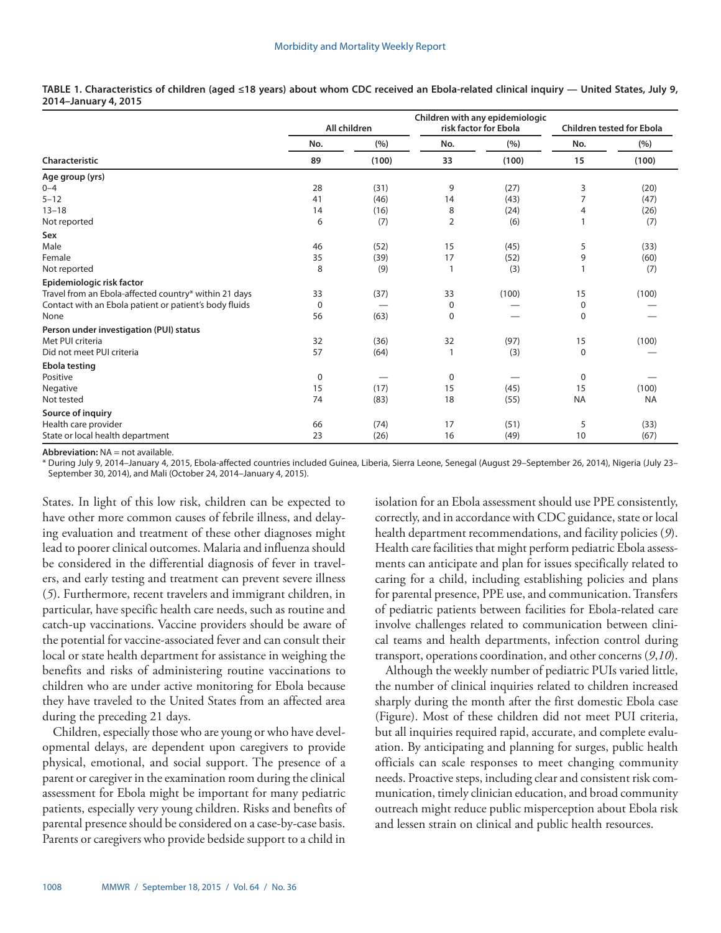|                                                        |             | All children |                | Children with any epidemiologic<br>risk factor for Ebola |              | <b>Children tested for Ebola</b> |
|--------------------------------------------------------|-------------|--------------|----------------|----------------------------------------------------------|--------------|----------------------------------|
|                                                        | No.         | (%)          | No.            | (%)                                                      | No.          | (% )                             |
| Characteristic                                         | 89          | (100)        | 33             | (100)                                                    | 15           | (100)                            |
| Age group (yrs)                                        |             |              |                |                                                          |              |                                  |
| $0 - 4$                                                | 28          | (31)         | 9              | (27)                                                     | 3            | (20)                             |
| $5 - 12$                                               | 41          | (46)         | 14             | (43)                                                     | 7            | (47)                             |
| $13 - 18$                                              | 14          | (16)         | 8              | (24)                                                     | 4            | (26)                             |
| Not reported                                           | 6           | (7)          | $\overline{2}$ | (6)                                                      | $\mathbf{1}$ | (7)                              |
| Sex                                                    |             |              |                |                                                          |              |                                  |
| Male                                                   | 46          | (52)         | 15             | (45)                                                     | 5            | (33)                             |
| Female                                                 | 35          | (39)         | 17             | (52)                                                     | 9            | (60)                             |
| Not reported                                           | 8           | (9)          | $\mathbf{1}$   | (3)                                                      | $\mathbf{1}$ | (7)                              |
| Epidemiologic risk factor                              |             |              |                |                                                          |              |                                  |
| Travel from an Ebola-affected country* within 21 days  | 33          | (37)         | 33             | (100)                                                    | 15           | (100)                            |
| Contact with an Ebola patient or patient's body fluids | $\mathbf 0$ |              | 0              |                                                          | 0            |                                  |
| None                                                   | 56          | (63)         | $\pmb{0}$      |                                                          | $\mathbf 0$  |                                  |
| Person under investigation (PUI) status                |             |              |                |                                                          |              |                                  |
| Met PUI criteria                                       | 32          | (36)         | 32             | (97)                                                     | 15           | (100)                            |
| Did not meet PUI criteria                              | 57          | (64)         |                | (3)                                                      | $\Omega$     |                                  |
| Ebola testing                                          |             |              |                |                                                          |              |                                  |
| Positive                                               | 0           |              | $\pmb{0}$      |                                                          | 0            |                                  |
| Negative                                               | 15          | (17)         | 15             | (45)                                                     | 15           | (100)                            |
| Not tested                                             | 74          | (83)         | 18             | (55)                                                     | <b>NA</b>    | <b>NA</b>                        |
| Source of inquiry                                      |             |              |                |                                                          |              |                                  |
| Health care provider                                   | 66          | (74)         | 17             | (51)                                                     | 5            | (33)                             |
| State or local health department                       | 23          | (26)         | 16             | (49)                                                     | 10           | (67)                             |

**TABLE 1. Characteristics of children (aged ≤18 years) about whom CDC received an Ebola-related clinical inquiry — United States, July 9, 2014–January 4, 2015**

**Abbreviation:** NA = not available.

\* During July 9, 2014–January 4, 2015, Ebola-affected countries included Guinea, Liberia, Sierra Leone, Senegal (August 29–September 26, 2014), Nigeria (July 23– September 30, 2014), and Mali (October 24, 2014–January 4, 2015).

States. In light of this low risk, children can be expected to have other more common causes of febrile illness, and delaying evaluation and treatment of these other diagnoses might lead to poorer clinical outcomes. Malaria and influenza should be considered in the differential diagnosis of fever in travelers, and early testing and treatment can prevent severe illness (*5*). Furthermore, recent travelers and immigrant children, in particular, have specific health care needs, such as routine and catch-up vaccinations. Vaccine providers should be aware of the potential for vaccine-associated fever and can consult their local or state health department for assistance in weighing the benefits and risks of administering routine vaccinations to children who are under active monitoring for Ebola because they have traveled to the United States from an affected area during the preceding 21 days.

Children, especially those who are young or who have developmental delays, are dependent upon caregivers to provide physical, emotional, and social support. The presence of a parent or caregiver in the examination room during the clinical assessment for Ebola might be important for many pediatric patients, especially very young children. Risks and benefits of parental presence should be considered on a case-by-case basis. Parents or caregivers who provide bedside support to a child in

isolation for an Ebola assessment should use PPE consistently, correctly, and in accordance with CDC guidance, state or local health department recommendations, and facility policies (*9*). Health care facilities that might perform pediatric Ebola assessments can anticipate and plan for issues specifically related to caring for a child, including establishing policies and plans for parental presence, PPE use, and communication. Transfers of pediatric patients between facilities for Ebola-related care involve challenges related to communication between clinical teams and health departments, infection control during transport, operations coordination, and other concerns (*9*,*10*).

Although the weekly number of pediatric PUIs varied little, the number of clinical inquiries related to children increased sharply during the month after the first domestic Ebola case (Figure). Most of these children did not meet PUI criteria, but all inquiries required rapid, accurate, and complete evaluation. By anticipating and planning for surges, public health officials can scale responses to meet changing community needs. Proactive steps, including clear and consistent risk communication, timely clinician education, and broad community outreach might reduce public misperception about Ebola risk and lessen strain on clinical and public health resources.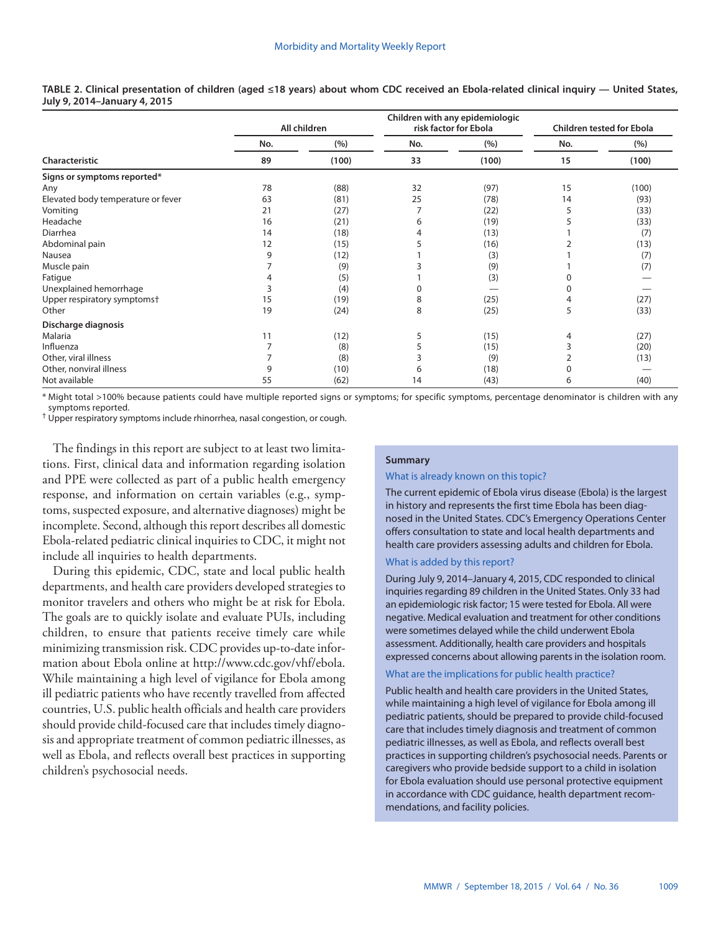|                                    |     | All children |     | Children with any epidemiologic<br>risk factor for Ebola | <b>Children tested for Ebola</b> |       |
|------------------------------------|-----|--------------|-----|----------------------------------------------------------|----------------------------------|-------|
|                                    | No. | (%)          | No. | (%)                                                      | No.                              | (%)   |
| Characteristic                     | 89  | (100)        | 33  | (100)                                                    | 15                               | (100) |
| Signs or symptoms reported*        |     |              |     |                                                          |                                  |       |
| Any                                | 78  | (88)         | 32  | (97)                                                     | 15                               | (100) |
| Elevated body temperature or fever | 63  | (81)         | 25  | (78)                                                     | 14                               | (93)  |
| Vomiting                           | 21  | (27)         | 7   | (22)                                                     | 5                                | (33)  |
| Headache                           | 16  | (21)         | 6   | (19)                                                     |                                  | (33)  |
| Diarrhea                           | 14  | (18)         | 4   | (13)                                                     |                                  | (7)   |
| Abdominal pain                     | 12  | (15)         |     | (16)                                                     |                                  | (13)  |
| Nausea                             | 9   | (12)         |     | (3)                                                      |                                  | (7)   |
| Muscle pain                        |     | (9)          |     | (9)                                                      |                                  | (7)   |
| Fatigue                            |     | (5)          |     | (3)                                                      |                                  |       |
| Unexplained hemorrhage             |     | (4)          | 0   |                                                          |                                  |       |
| Upper respiratory symptoms+        | 15  | (19)         | 8   | (25)                                                     |                                  | (27)  |
| Other                              | 19  | (24)         | 8   | (25)                                                     | 5                                | (33)  |
| Discharge diagnosis                |     |              |     |                                                          |                                  |       |
| Malaria                            | 11  | (12)         | 5   | (15)                                                     | 4                                | (27)  |
| Influenza                          |     | (8)          | 5   | (15)                                                     |                                  | (20)  |
| Other, viral illness               |     | (8)          |     | (9)                                                      | 2                                | (13)  |
| Other, nonviral illness            | 9   | (10)         | 6   | (18)                                                     | 0                                |       |
| Not available                      | 55  | (62)         | 14  | (43)                                                     | 6                                | (40)  |

**TABLE 2. Clinical presentation of children (aged ≤18 years) about whom CDC received an Ebola-related clinical inquiry — United States, July 9, 2014–January 4, 2015**

\* Might total >100% because patients could have multiple reported signs or symptoms; for specific symptoms, percentage denominator is children with any symptoms reported.

† Upper respiratory symptoms include rhinorrhea, nasal congestion, or cough.

The findings in this report are subject to at least two limitations. First, clinical data and information regarding isolation and PPE were collected as part of a public health emergency response, and information on certain variables (e.g., symptoms, suspected exposure, and alternative diagnoses) might be incomplete. Second, although this report describes all domestic Ebola-related pediatric clinical inquiries to CDC, it might not include all inquiries to health departments.

During this epidemic, CDC, state and local public health departments, and health care providers developed strategies to monitor travelers and others who might be at risk for Ebola. The goals are to quickly isolate and evaluate PUIs, including children, to ensure that patients receive timely care while minimizing transmission risk. CDC provides up-to-date information about Ebola online at [http://www.cdc.gov/vhf/ebola.](http://www.cdc.gov/vhf/ebola) While maintaining a high level of vigilance for Ebola among ill pediatric patients who have recently travelled from affected countries, U.S. public health officials and health care providers should provide child-focused care that includes timely diagnosis and appropriate treatment of common pediatric illnesses, as well as Ebola, and reflects overall best practices in supporting children's psychosocial needs.

# **Summary**

### What is already known on this topic?

The current epidemic of Ebola virus disease (Ebola) is the largest in history and represents the first time Ebola has been diagnosed in the United States. CDC's Emergency Operations Center offers consultation to state and local health departments and health care providers assessing adults and children for Ebola.

# What is added by this report?

During July 9, 2014–January 4, 2015, CDC responded to clinical inquiries regarding 89 children in the United States. Only 33 had an epidemiologic risk factor; 15 were tested for Ebola. All were negative. Medical evaluation and treatment for other conditions were sometimes delayed while the child underwent Ebola assessment. Additionally, health care providers and hospitals expressed concerns about allowing parents in the isolation room.

#### What are the implications for public health practice?

Public health and health care providers in the United States, while maintaining a high level of vigilance for Ebola among ill pediatric patients, should be prepared to provide child-focused care that includes timely diagnosis and treatment of common pediatric illnesses, as well as Ebola, and reflects overall best practices in supporting children's psychosocial needs. Parents or caregivers who provide bedside support to a child in isolation for Ebola evaluation should use personal protective equipment in accordance with CDC guidance, health department recommendations, and facility policies.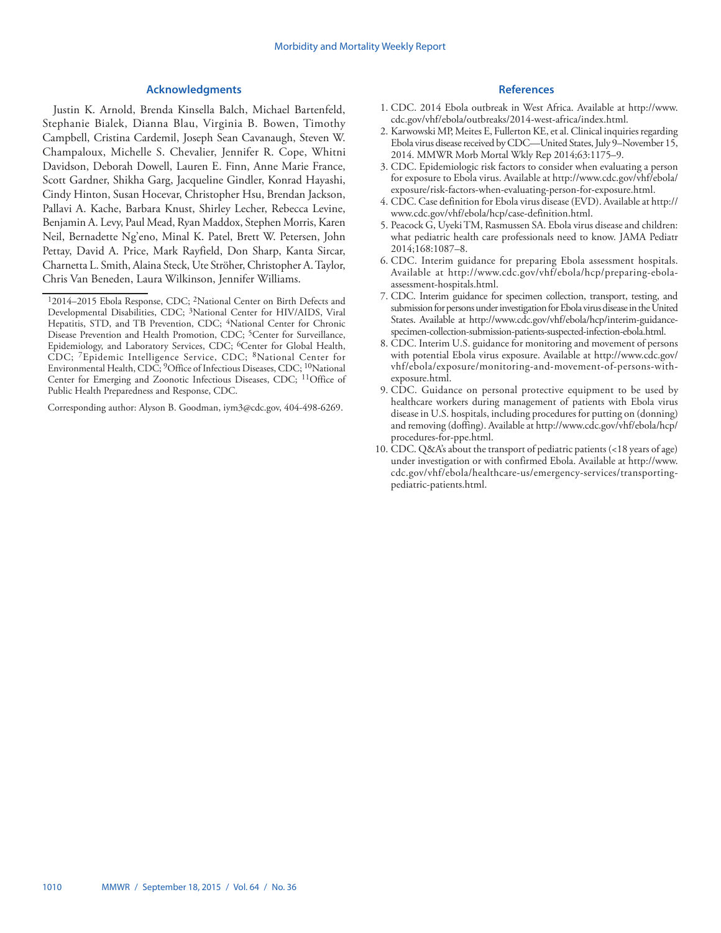## **Acknowledgments**

Justin K. Arnold, Brenda Kinsella Balch, Michael Bartenfeld, Stephanie Bialek, Dianna Blau, Virginia B. Bowen, Timothy Campbell, Cristina Cardemil, Joseph Sean Cavanaugh, Steven W. Champaloux, Michelle S. Chevalier, Jennifer R. Cope, Whitni Davidson, Deborah Dowell, Lauren E. Finn, Anne Marie France, Scott Gardner, Shikha Garg, Jacqueline Gindler, Konrad Hayashi, Cindy Hinton, Susan Hocevar, Christopher Hsu, Brendan Jackson, Pallavi A. Kache, Barbara Knust, Shirley Lecher, Rebecca Levine, Benjamin A. Levy, Paul Mead, Ryan Maddox, Stephen Morris, Karen Neil, Bernadette Ng'eno, Minal K. Patel, Brett W. Petersen, John Pettay, David A. Price, Mark Rayfield, Don Sharp, Kanta Sircar, Charnetta L. Smith, Alaina Steck, Ute Ströher, Christopher A. Taylor, Chris Van Beneden, Laura Wilkinson, Jennifer Williams.

Corresponding author: Alyson B. Goodman, [iym3@cdc.gov](mailto:iym3@cdc.gov), 404-498-6269.

- 1. CDC. 2014 Ebola outbreak in West Africa. Available at [http://www.](http://www.cdc.gov/vhf/ebola/outbreaks/2014-west-africa/index.html) [cdc.gov/vhf/ebola/outbreaks/2014-west-africa/index.html.](http://www.cdc.gov/vhf/ebola/outbreaks/2014-west-africa/index.html)
- 2. Karwowski MP, Meites E, Fullerton KE, et al. Clinical inquiries regarding Ebola virus disease received by CDC—United States, July 9–November 15, 2014. MMWR Morb Mortal Wkly Rep 2014;63:1175–9.
- 3. CDC. Epidemiologic risk factors to consider when evaluating a person for exposure to Ebola virus. Available at [http://www.cdc.gov/vhf/ebola/](http://www.cdc.gov/vhf/ebola/exposure/risk-factors-when-evaluating-person-for-exposure.html) [exposure/risk-factors-when-evaluating-person-for-exposure.html.](http://www.cdc.gov/vhf/ebola/exposure/risk-factors-when-evaluating-person-for-exposure.html)
- 4. CDC. Case definition for Ebola virus disease (EVD). Available at [http://](http://www.cdc.gov/vhf/ebola/hcp/case-definition.html) [www.cdc.gov/vhf/ebola/hcp/case-definition.html](http://www.cdc.gov/vhf/ebola/hcp/case-definition.html).
- 5. Peacock G, Uyeki TM, Rasmussen SA. Ebola virus disease and children: what pediatric health care professionals need to know. JAMA Pediatr 2014;168:1087–8.
- 6. CDC. Interim guidance for preparing Ebola assessment hospitals. Available at [http://www.cdc.gov/vhf/ebola/hcp/preparing-ebola](http://www.cdc.gov/vhf/ebola/hcp/preparing-ebola-assessment-hospitals.html)[assessment-hospitals.html](http://www.cdc.gov/vhf/ebola/hcp/preparing-ebola-assessment-hospitals.html).
- 7. CDC. Interim guidance for specimen collection, transport, testing, and submission for persons under investigation for Ebola virus disease in the United States. Available at [http://www.cdc.gov/vhf/ebola/hcp/interim-guidance](http://www.cdc.gov/vhf/ebola/hcp/interim-guidance-specimen-collection-submission-patients-suspected-infection-ebola.html)[specimen-collection-submission-patients-suspected-infection-ebola.html.](http://www.cdc.gov/vhf/ebola/hcp/interim-guidance-specimen-collection-submission-patients-suspected-infection-ebola.html)
- 8. CDC. Interim U.S. guidance for monitoring and movement of persons with potential Ebola virus exposure. Available at [http://www.cdc.gov/](http://www.cdc.gov/vhf/ebola/exposure/monitoring-and-movement-of-persons-with-exposure.html) [vhf/ebola/exposure/monitoring-and-movement-of-persons-with](http://www.cdc.gov/vhf/ebola/exposure/monitoring-and-movement-of-persons-with-exposure.html)[exposure.html](http://www.cdc.gov/vhf/ebola/exposure/monitoring-and-movement-of-persons-with-exposure.html).
- 9. CDC. Guidance on personal protective equipment to be used by healthcare workers during management of patients with Ebola virus disease in U.S. hospitals, including procedures for putting on (donning) and removing (doffing). Available at [http://www.cdc.gov/vhf/ebola/hcp/](http://www.cdc.gov/vhf/ebola/hcp/procedures-for-ppe.html) [procedures-for-ppe.html](http://www.cdc.gov/vhf/ebola/hcp/procedures-for-ppe.html).
- 10. CDC. Q&A's about the transport of pediatric patients (<18 years of age) under investigation or with confirmed Ebola. Available at [http://www.](http://www.cdc.gov/vhf/ebola/healthcare-us/emergency-services/transporting-pediatric-patients.html) [cdc.gov/vhf/ebola/healthcare-us/emergency-services/transporting](http://www.cdc.gov/vhf/ebola/healthcare-us/emergency-services/transporting-pediatric-patients.html)[pediatric-patients.html](http://www.cdc.gov/vhf/ebola/healthcare-us/emergency-services/transporting-pediatric-patients.html).

<sup>12014–2015</sup> Ebola Response, CDC; 2National Center on Birth Defects and Developmental Disabilities, CDC; 3National Center for HIV/AIDS, Viral Hepatitis, STD, and TB Prevention, CDC; <sup>4</sup>National Center for Chronic Disease Prevention and Health Promotion, CDC; <sup>5</sup>Center for Surveillance, Epidemiology, and Laboratory Services, CDC; <sup>6</sup>Center for Global Health, CDC; 7Epidemic Intelligence Service, CDC; 8National Center for Environmental Health, CDC; <sup>9</sup>Office of Infectious Diseases, CDC; <sup>10</sup>National Center for Emerging and Zoonotic Infectious Diseases, CDC; <sup>11</sup>Office of Public Health Preparedness and Response, CDC.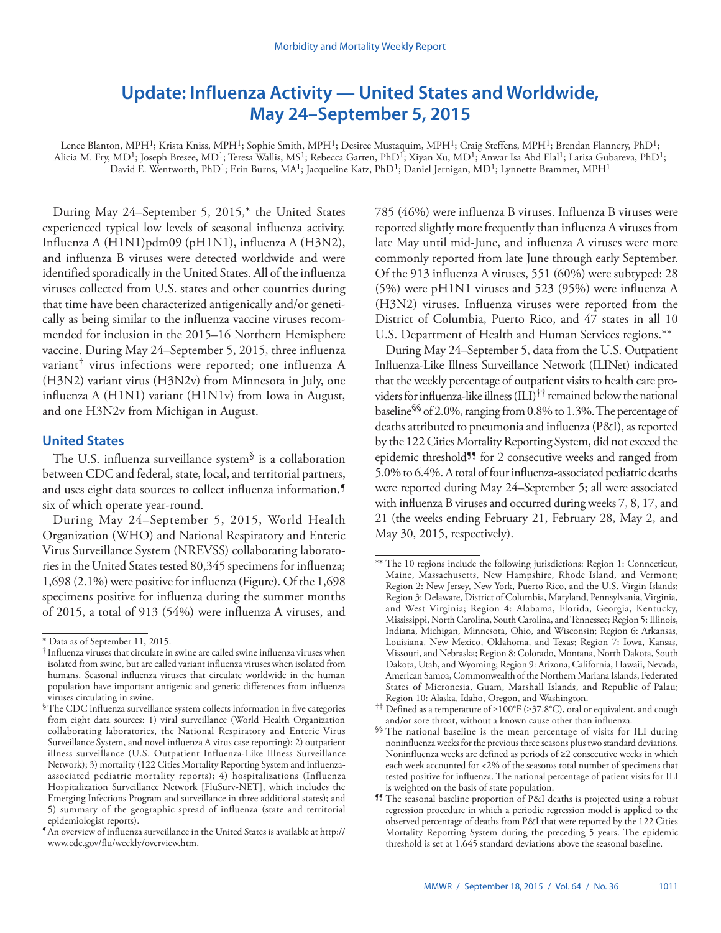# <span id="page-18-0"></span>**Update: Influenza Activity — United States and Worldwide, May 24–September 5, 2015**

Lenee Blanton, MPH<sup>1</sup>; Krista Kniss, MPH<sup>1</sup>; Sophie Smith, MPH<sup>1</sup>; Desiree Mustaquim, MPH<sup>1</sup>; Craig Steffens, MPH<sup>1</sup>; Brendan Flannery, PhD<sup>1</sup>; Alicia M. Fry, MD<sup>1</sup>; Joseph Bresee, MD<sup>1</sup>; Teresa Wallis, MS<sup>1</sup>; Rebecca Garten, PhD<sup>1</sup>; Xiyan Xu, MD<sup>1</sup>; Anwar Isa Abd Elal<sup>1</sup>; Larisa Gubareva, PhD<sup>1</sup>; David E. Wentworth, PhD<sup>1</sup>; Erin Burns, MA<sup>1</sup>; Jacqueline Katz, PhD<sup>1</sup>; Daniel Jernigan, MD<sup>1</sup>; Lynnette Brammer, MPH<sup>1</sup>

During May 24–September 5, 2015,\* the United States experienced typical low levels of seasonal influenza activity. Influenza A (H1N1)pdm09 (pH1N1), influenza A (H3N2), and influenza B viruses were detected worldwide and were identified sporadically in the United States. All of the influenza viruses collected from U.S. states and other countries during that time have been characterized antigenically and/or genetically as being similar to the influenza vaccine viruses recommended for inclusion in the 2015–16 Northern Hemisphere vaccine. During May 24–September 5, 2015, three influenza variant† virus infections were reported; one influenza A (H3N2) variant virus (H3N2v) from Minnesota in July, one influenza A (H1N1) variant (H1N1v) from Iowa in August, and one H3N2v from Michigan in August.

# **United States**

The U.S. influenza surveillance system<sup>§</sup> is a collaboration between CDC and federal, state, local, and territorial partners, and uses eight data sources to collect influenza information,<sup>5</sup> six of which operate year-round.

During May 24–September 5, 2015, World Health Organization (WHO) and National Respiratory and Enteric Virus Surveillance System (NREVSS) collaborating laboratories in the United States tested 80,345 specimens for influenza; 1,698 (2.1%) were positive for influenza (Figure). Of the 1,698 specimens positive for influenza during the summer months of 2015, a total of 913 (54%) were influenza A viruses, and 785 (46%) were influenza B viruses. Influenza B viruses were reported slightly more frequently than influenza A viruses from late May until mid-June, and influenza A viruses were more commonly reported from late June through early September. Of the 913 influenza A viruses, 551 (60%) were subtyped: 28 (5%) were pH1N1 viruses and 523 (95%) were influenza A (H3N2) viruses. Influenza viruses were reported from the District of Columbia, Puerto Rico, and 47 states in all 10 U.S. Department of Health and Human Services regions.\*\*

During May 24–September 5, data from the U.S. Outpatient Influenza-Like Illness Surveillance Network (ILINet) indicated that the weekly percentage of outpatient visits to health care providers for influenza-like illness (ILI)†† remained below the national baseline§§ of 2.0%, ranging from 0.8% to 1.3%. The percentage of deaths attributed to pneumonia and influenza (P&I), as reported by the 122 Cities Mortality Reporting System, did not exceed the epidemic threshold<sup>99</sup> for 2 consecutive weeks and ranged from 5.0% to 6.4%. A total of four influenza-associated pediatric deaths were reported during May 24–September 5; all were associated with influenza B viruses and occurred during weeks 7, 8, 17, and 21 (the weeks ending February 21, February 28, May 2, and May 30, 2015, respectively).

<sup>\*</sup> Data as of September 11, 2015.

<sup>†</sup> Influenza viruses that circulate in swine are called swine influenza viruses when isolated from swine, but are called variant influenza viruses when isolated from humans. Seasonal influenza viruses that circulate worldwide in the human population have important antigenic and genetic differences from influenza viruses circulating in swine.

<sup>§</sup>The CDC influenza surveillance system collects information in five categories from eight data sources: 1) viral surveillance (World Health Organization collaborating laboratories, the National Respiratory and Enteric Virus Surveillance System, and novel influenza A virus case reporting); 2) outpatient illness surveillance (U.S. Outpatient Influenza-Like Illness Surveillance Network); 3) mortality (122 Cities Mortality Reporting System and influenzaassociated pediatric mortality reports); 4) hospitalizations (Influenza Hospitalization Surveillance Network [FluSurv-NET], which includes the Emerging Infections Program and surveillance in three additional states); and 5) summary of the geographic spread of influenza (state and territorial epidemiologist reports).

<sup>¶</sup>An overview of influenza surveillance in the United States is available at [http://](http://www.cdc.gov/flu/weekly/overview.htm) [www.cdc.gov/flu/weekly/overview.htm](http://www.cdc.gov/flu/weekly/overview.htm).

<sup>\*\*</sup> The 10 regions include the following jurisdictions: Region 1: Connecticut, Maine, Massachusetts, New Hampshire, Rhode Island, and Vermont; Region 2: New Jersey, New York, Puerto Rico, and the U.S. Virgin Islands; Region 3: Delaware, District of Columbia, Maryland, Pennsylvania, Virginia, and West Virginia; Region 4: Alabama, Florida, Georgia, Kentucky, Mississippi, North Carolina, South Carolina, and Tennessee; Region 5: Illinois, Indiana, Michigan, Minnesota, Ohio, and Wisconsin; Region 6: Arkansas, Louisiana, New Mexico, Oklahoma, and Texas; Region 7: Iowa, Kansas, Missouri, and Nebraska; Region 8: Colorado, Montana, North Dakota, South Dakota, Utah, and Wyoming; Region 9: Arizona, California, Hawaii, Nevada, American Samoa, Commonwealth of the Northern Mariana Islands, Federated States of Micronesia, Guam, Marshall Islands, and Republic of Palau; Region 10: Alaska, Idaho, Oregon, and Washington.

<sup>††</sup> Defined as a temperature of ≥100°F (≥37.8°C), oral or equivalent, and cough and/or sore throat, without a known cause other than influenza.

<sup>§§</sup> The national baseline is the mean percentage of visits for ILI during noninfluenza weeks for the previous three seasons plus two standard deviations. Noninfluenza weeks are defined as periods of ≥2 consecutive weeks in which each week accounted for <2% of the season s total number of specimens that tested positive for influenza. The national percentage of patient visits for ILI is weighted on the basis of state population.

<sup>¶¶</sup> The seasonal baseline proportion of P&I deaths is projected using a robust regression procedure in which a periodic regression model is applied to the observed percentage of deaths from P&I that were reported by the 122 Cities Mortality Reporting System during the preceding 5 years. The epidemic threshold is set at 1.645 standard deviations above the seasonal baseline.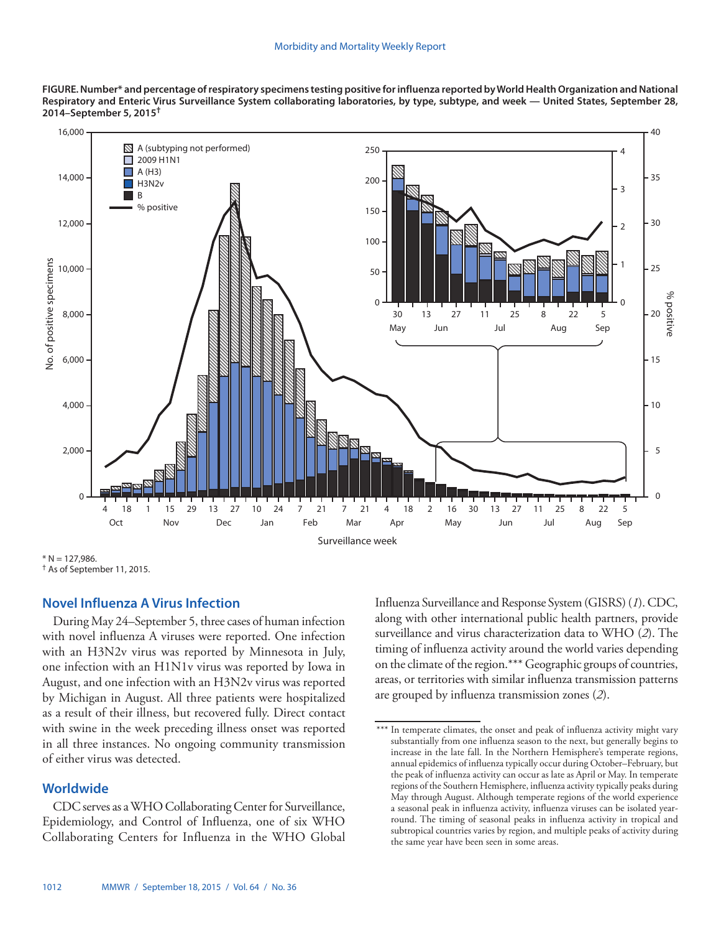**FIGURE. Number\* and percentage of respiratory specimens testing positive for influenza reported by World Health Organization and National Respiratory and Enteric Virus Surveillance System collaborating laboratories, by type, subtype, and week — United States, September 28, 2014–September 5, 2015†**



 $* N = 127.986$ .

† As of September 11, 2015.

# **Novel Influenza A Virus Infection**

During May 24–September 5, three cases of human infection with novel influenza A viruses were reported. One infection with an H3N2v virus was reported by Minnesota in July, one infection with an H1N1v virus was reported by Iowa in August, and one infection with an H3N2v virus was reported by Michigan in August. All three patients were hospitalized as a result of their illness, but recovered fully. Direct contact with swine in the week preceding illness onset was reported in all three instances. No ongoing community transmission of either virus was detected.

# **Worldwide**

CDC serves as a WHO Collaborating Center for Surveillance, Epidemiology, and Control of Influenza, one of six WHO Collaborating Centers for Influenza in the WHO Global Influenza Surveillance and Response System (GISRS) (*1*). CDC, along with other international public health partners, provide surveillance and virus characterization data to WHO (*2*). The timing of influenza activity around the world varies depending on the climate of the region.\*\*\* Geographic groups of countries, areas, or territories with similar influenza transmission patterns are grouped by influenza transmission zones (*2*).

<sup>\*\*\*</sup> In temperate climates, the onset and peak of influenza activity might vary substantially from one influenza season to the next, but generally begins to increase in the late fall. In the Northern Hemisphere's temperate regions, annual epidemics of influenza typically occur during October–February, but the peak of influenza activity can occur as late as April or May. In temperate regions of the Southern Hemisphere, influenza activity typically peaks during May through August. Although temperate regions of the world experience a seasonal peak in influenza activity, influenza viruses can be isolated yearround. The timing of seasonal peaks in influenza activity in tropical and subtropical countries varies by region, and multiple peaks of activity during the same year have been seen in some areas.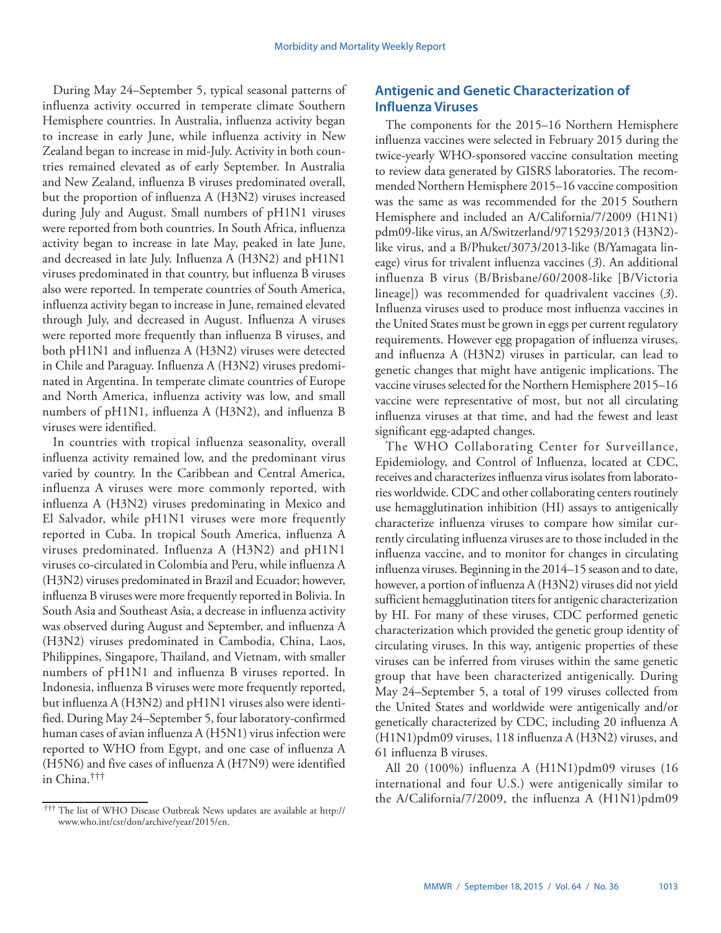During May 24–September 5, typical seasonal patterns of influenza activity occurred in temperate climate Southern Hemisphere countries. In Australia, influenza activity began to increase in early June, while influenza activity in New Zealand began to increase in mid-July. Activity in both countries remained elevated as of early September. In Australia and New Zealand, influenza B viruses predominated overall, but the proportion of influenza A (H3N2) viruses increased during July and August. Small numbers of pH1N1 viruses were reported from both countries. In South Africa, influenza activity began to increase in late May, peaked in late June, and decreased in late July. Influenza A (H3N2) and pH1N1 viruses predominated in that country, but influenza B viruses also were reported. In temperate countries of South America, influenza activity began to increase in June, remained elevated through July, and decreased in August. Influenza A viruses were reported more frequently than influenza B viruses, and both pH1N1 and influenza A (H3N2) viruses were detected in Chile and Paraguay. Influenza A (H3N2) viruses predominated in Argentina. In temperate climate countries of Europe and North America, influenza activity was low, and small numbers of pH1N1, influenza A (H3N2), and influenza B viruses were identified.

In countries with tropical influenza seasonality, overall influenza activity remained low, and the predominant virus varied by country. In the Caribbean and Central America, influenza A viruses were more commonly reported, with influenza A (H3N2) viruses predominating in Mexico and El Salvador, while pH1N1 viruses were more frequently reported in Cuba. In tropical South America, influenza A viruses predominated. Influenza A (H3N2) and pH1N1 viruses co-circulated in Colombia and Peru, while influenza A (H3N2) viruses predominated in Brazil and Ecuador; however, influenza B viruses were more frequently reported in Bolivia. In South Asia and Southeast Asia, a decrease in influenza activity was observed during August and September, and influenza A (H3N2) viruses predominated in Cambodia, China, Laos, Philippines, Singapore, Thailand, and Vietnam, with smaller numbers of pH1N1 and influenza B viruses reported. In Indonesia, influenza B viruses were more frequently reported, but influenza A (H3N2) and pH1N1 viruses also were identified. During May 24–September 5, four laboratory-confirmed human cases of avian influenza A (H5N1) virus infection were reported to WHO from Egypt, and one case of influenza A (H5N6) and five cases of influenza A (H7N9) were identified in China.†††

# **Antigenic and Genetic Characterization of Influenza Viruses**

The components for the 2015–16 Northern Hemisphere influenza vaccines were selected in February 2015 during the twice-yearly WHO-sponsored vaccine consultation meeting to review data generated by GISRS laboratories. The recommended Northern Hemisphere 2015–16 vaccine composition was the same as was recommended for the 2015 Southern Hemisphere and included an A/California/7/2009 (H1N1) pdm09-like virus, an A/Switzerland/9715293/2013 (H3N2) like virus, and a B/Phuket/3073/2013-like (B/Yamagata lineage) virus for trivalent influenza vaccines (*3*). An additional influenza B virus (B/Brisbane/60/2008-like [B/Victoria lineage]) was recommended for quadrivalent vaccines (*3*). Influenza viruses used to produce most influenza vaccines in the United States must be grown in eggs per current regulatory requirements. However egg propagation of influenza viruses, and influenza A (H3N2) viruses in particular, can lead to genetic changes that might have antigenic implications. The vaccine viruses selected for the Northern Hemisphere 2015–16 vaccine were representative of most, but not all circulating influenza viruses at that time, and had the fewest and least significant egg-adapted changes.

The WHO Collaborating Center for Surveillance, Epidemiology, and Control of Influenza, located at CDC, receives and characterizes influenza virus isolates from laboratories worldwide. CDC and other collaborating centers routinely use hemagglutination inhibition (HI) assays to antigenically characterize influenza viruses to compare how similar currently circulating influenza viruses are to those included in the influenza vaccine, and to monitor for changes in circulating influenza viruses. Beginning in the 2014–15 season and to date, however, a portion of influenza A (H3N2) viruses did not yield sufficient hemagglutination titers for antigenic characterization by HI. For many of these viruses, CDC performed genetic characterization which provided the genetic group identity of circulating viruses. In this way, antigenic properties of these viruses can be inferred from viruses within the same genetic group that have been characterized antigenically. During May 24–September 5, a total of 199 viruses collected from the United States and worldwide were antigenically and/or genetically characterized by CDC, including 20 influenza A (H1N1)pdm09 viruses, 118 influenza A (H3N2) viruses, and 61 influenza B viruses.

All 20 (100%) influenza A (H1N1)pdm09 viruses (16 international and four U.S.) were antigenically similar to the A/California/7/2009, the influenza A (H1N1)pdm09 ††† The list of WHO Disease Outbreak News updates are available at [http://](http://www.who.int/csr/don/archive/year/2015/en)

[www.who.int/csr/don/archive/year/2015/en](http://www.who.int/csr/don/archive/year/2015/en).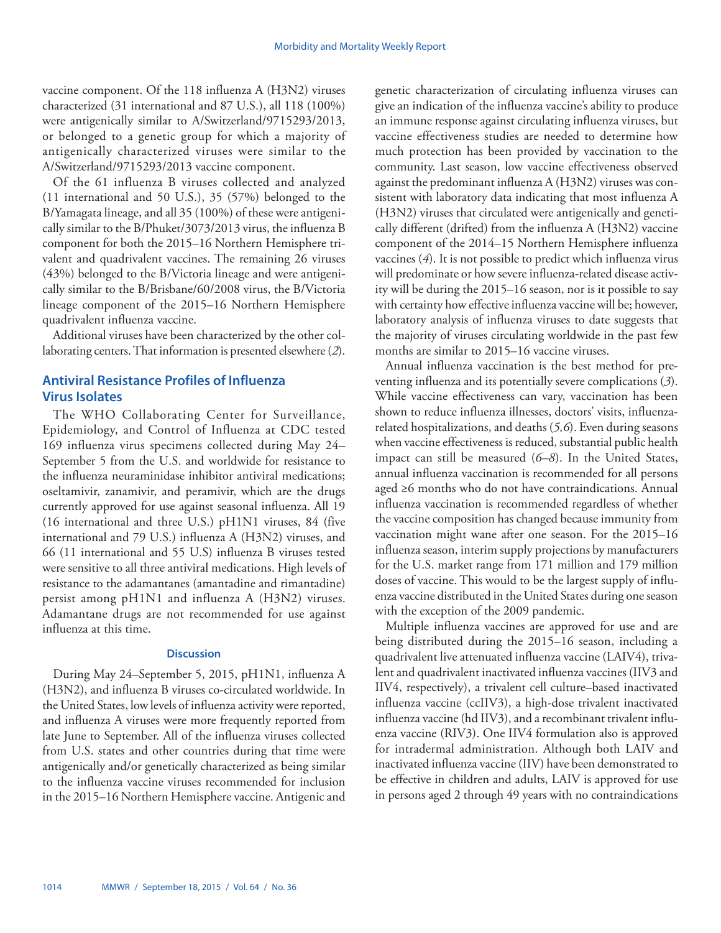vaccine component. Of the 118 influenza A (H3N2) viruses characterized (31 international and 87 U.S.), all 118 (100%) were antigenically similar to A/Switzerland/9715293/2013, or belonged to a genetic group for which a majority of antigenically characterized viruses were similar to the A/Switzerland/9715293/2013 vaccine component.

Of the 61 influenza B viruses collected and analyzed (11 international and 50 U.S.), 35 (57%) belonged to the B/Yamagata lineage, and all 35 (100%) of these were antigenically similar to the B/Phuket/3073/2013 virus, the influenza B component for both the 2015–16 Northern Hemisphere trivalent and quadrivalent vaccines. The remaining 26 viruses (43%) belonged to the B/Victoria lineage and were antigenically similar to the B/Brisbane/60/2008 virus, the B/Victoria lineage component of the 2015–16 Northern Hemisphere quadrivalent influenza vaccine.

Additional viruses have been characterized by the other collaborating centers. That information is presented elsewhere (*2*).

# **Antiviral Resistance Profiles of Influenza Virus Isolates**

The WHO Collaborating Center for Surveillance, Epidemiology, and Control of Influenza at CDC tested 169 influenza virus specimens collected during May 24– September 5 from the U.S. and worldwide for resistance to the influenza neuraminidase inhibitor antiviral medications; oseltamivir, zanamivir, and peramivir, which are the drugs currently approved for use against seasonal influenza. All 19 (16 international and three U.S.) pH1N1 viruses, 84 (five international and 79 U.S.) influenza A (H3N2) viruses, and 66 (11 international and 55 U.S) influenza B viruses tested were sensitive to all three antiviral medications. High levels of resistance to the adamantanes (amantadine and rimantadine) persist among pH1N1 and influenza A (H3N2) viruses. Adamantane drugs are not recommended for use against influenza at this time.

# **Discussion**

During May 24–September 5, 2015, pH1N1, influenza A (H3N2), and influenza B viruses co-circulated worldwide. In the United States, low levels of influenza activity were reported, and influenza A viruses were more frequently reported from late June to September. All of the influenza viruses collected from U.S. states and other countries during that time were antigenically and/or genetically characterized as being similar to the influenza vaccine viruses recommended for inclusion in the 2015–16 Northern Hemisphere vaccine. Antigenic and genetic characterization of circulating influenza viruses can give an indication of the influenza vaccine's ability to produce an immune response against circulating influenza viruses, but vaccine effectiveness studies are needed to determine how much protection has been provided by vaccination to the community. Last season, low vaccine effectiveness observed against the predominant influenza A (H3N2) viruses was consistent with laboratory data indicating that most influenza A (H3N2) viruses that circulated were antigenically and genetically different (drifted) from the influenza A (H3N2) vaccine component of the 2014–15 Northern Hemisphere influenza vaccines (*4*). It is not possible to predict which influenza virus will predominate or how severe influenza-related disease activity will be during the 2015–16 season, nor is it possible to say with certainty how effective influenza vaccine will be; however, laboratory analysis of influenza viruses to date suggests that the majority of viruses circulating worldwide in the past few months are similar to 2015–16 vaccine viruses.

Annual influenza vaccination is the best method for preventing influenza and its potentially severe complications (*3*). While vaccine effectiveness can vary, vaccination has been shown to reduce influenza illnesses, doctors' visits, influenzarelated hospitalizations, and deaths (*5,6*). Even during seasons when vaccine effectiveness is reduced, substantial public health impact can still be measured (*6–8*). In the United States, annual influenza vaccination is recommended for all persons aged ≥6 months who do not have contraindications. Annual influenza vaccination is recommended regardless of whether the vaccine composition has changed because immunity from vaccination might wane after one season. For the 2015–16 influenza season, interim supply projections by manufacturers for the U.S. market range from 171 million and 179 million doses of vaccine. This would to be the largest supply of influenza vaccine distributed in the United States during one season with the exception of the 2009 pandemic.

Multiple influenza vaccines are approved for use and are being distributed during the 2015–16 season, including a quadrivalent live attenuated influenza vaccine (LAIV4), trivalent and quadrivalent inactivated influenza vaccines (IIV3 and IIV4, respectively), a trivalent cell culture–based inactivated influenza vaccine (ccIIV3), a high-dose trivalent inactivated influenza vaccine (hd IIV3), and a recombinant trivalent influenza vaccine (RIV3). One IIV4 formulation also is approved for intradermal administration. Although both LAIV and inactivated influenza vaccine (IIV) have been demonstrated to be effective in children and adults, LAIV is approved for use in persons aged 2 through 49 years with no contraindications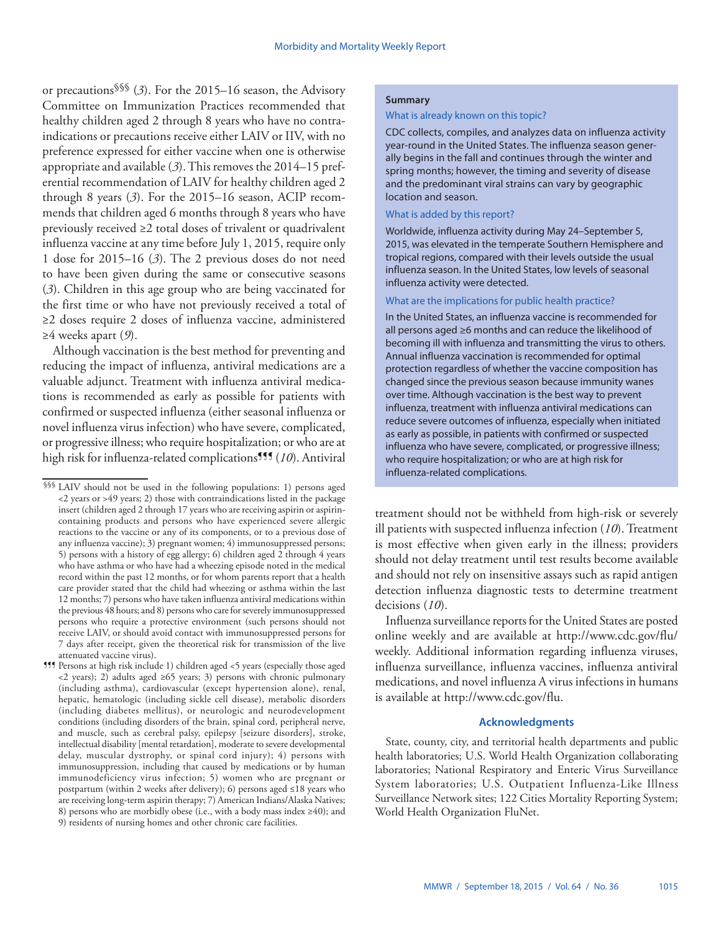or precautions§§§ (*3*). For the 2015–16 season, the Advisory Committee on Immunization Practices recommended that healthy children aged 2 through 8 years who have no contraindications or precautions receive either LAIV or IIV, with no preference expressed for either vaccine when one is otherwise appropriate and available (*3*). This removes the 2014–15 preferential recommendation of LAIV for healthy children aged 2 through 8 years (*3*). For the 2015–16 season, ACIP recommends that children aged 6 months through 8 years who have previously received ≥2 total doses of trivalent or quadrivalent influenza vaccine at any time before July 1, 2015, require only 1 dose for 2015–16 (*3*). The 2 previous doses do not need to have been given during the same or consecutive seasons (*3*). Children in this age group who are being vaccinated for the first time or who have not previously received a total of ≥2 doses require 2 doses of influenza vaccine, administered ≥4 weeks apart (*9*).

Although vaccination is the best method for preventing and reducing the impact of influenza, antiviral medications are a valuable adjunct. Treatment with influenza antiviral medications is recommended as early as possible for patients with confirmed or suspected influenza (either seasonal influenza or novel influenza virus infection) who have severe, complicated, or progressive illness; who require hospitalization; or who are at high risk for influenza-related complications¶¶¶ (*10*). Antiviral

¶¶¶ Persons at high risk include 1) children aged <5 years (especially those aged <2 years); 2) adults aged ≥65 years; 3) persons with chronic pulmonary (including asthma), cardiovascular (except hypertension alone), renal, hepatic, hematologic (including sickle cell disease), metabolic disorders (including diabetes mellitus), or neurologic and neurodevelopment conditions (including disorders of the brain, spinal cord, peripheral nerve, and muscle, such as cerebral palsy, epilepsy [seizure disorders], stroke, intellectual disability [mental retardation], moderate to severe developmental delay, muscular dystrophy, or spinal cord injury); 4) persons with immunosuppression, including that caused by medications or by human immunodeficiency virus infection; 5) women who are pregnant or postpartum (within 2 weeks after delivery); 6) persons aged ≤18 years who are receiving long-term aspirin therapy; 7) American Indians/Alaska Natives; 8) persons who are morbidly obese (i.e., with a body mass index ≥40); and 9) residents of nursing homes and other chronic care facilities.

## **Summary**

#### What is already known on this topic?

CDC collects, compiles, and analyzes data on influenza activity year-round in the United States. The influenza season generally begins in the fall and continues through the winter and spring months; however, the timing and severity of disease and the predominant viral strains can vary by geographic location and season.

# What is added by this report?

Worldwide, influenza activity during May 24–September 5, 2015, was elevated in the temperate Southern Hemisphere and tropical regions, compared with their levels outside the usual influenza season. In the United States, low levels of seasonal influenza activity were detected.

#### What are the implications for public health practice?

In the United States, an influenza vaccine is recommended for all persons aged ≥6 months and can reduce the likelihood of becoming ill with influenza and transmitting the virus to others. Annual influenza vaccination is recommended for optimal protection regardless of whether the vaccine composition has changed since the previous season because immunity wanes over time. Although vaccination is the best way to prevent influenza, treatment with influenza antiviral medications can reduce severe outcomes of influenza, especially when initiated as early as possible, in patients with confirmed or suspected influenza who have severe, complicated, or progressive illness; who require hospitalization; or who are at high risk for influenza-related complications.

treatment should not be withheld from high-risk or severely ill patients with suspected influenza infection (*10*). Treatment is most effective when given early in the illness; providers should not delay treatment until test results become available and should not rely on insensitive assays such as rapid antigen detection influenza diagnostic tests to determine treatment decisions (*10*).

Influenza surveillance reports for the United States are posted online weekly and are available at [http://www.cdc.gov/flu/](http://www.cdc.gov/flu/weekly) [weekly](http://www.cdc.gov/flu/weekly). Additional information regarding influenza viruses, influenza surveillance, influenza vaccines, influenza antiviral medications, and novel influenza A virus infections in humans is available at [http://www.cdc.gov/flu.](http://www.cdc.gov/flu)

# **Acknowledgments**

State, county, city, and territorial health departments and public health laboratories; U.S. World Health Organization collaborating laboratories; National Respiratory and Enteric Virus Surveillance System laboratories; U.S. Outpatient Influenza-Like Illness Surveillance Network sites; 122 Cities Mortality Reporting System; World Health Organization FluNet.

<sup>§§§</sup> LAIV should not be used in the following populations: 1) persons aged <2 years or >49 years; 2) those with contraindications listed in the package insert (children aged 2 through 17 years who are receiving aspirin or aspirincontaining products and persons who have experienced severe allergic reactions to the vaccine or any of its components, or to a previous dose of any influenza vaccine); 3) pregnant women; 4) immunosuppressed persons; 5) persons with a history of egg allergy; 6) children aged  $2$  through 4 years who have asthma or who have had a wheezing episode noted in the medical record within the past 12 months, or for whom parents report that a health care provider stated that the child had wheezing or asthma within the last 12 months; 7) persons who have taken influenza antiviral medications within the previous 48 hours; and 8) persons who care for severely immunosuppressed persons who require a protective environment (such persons should not receive LAIV, or should avoid contact with immunosuppressed persons for 7 days after receipt, given the theoretical risk for transmission of the live attenuated vaccine virus).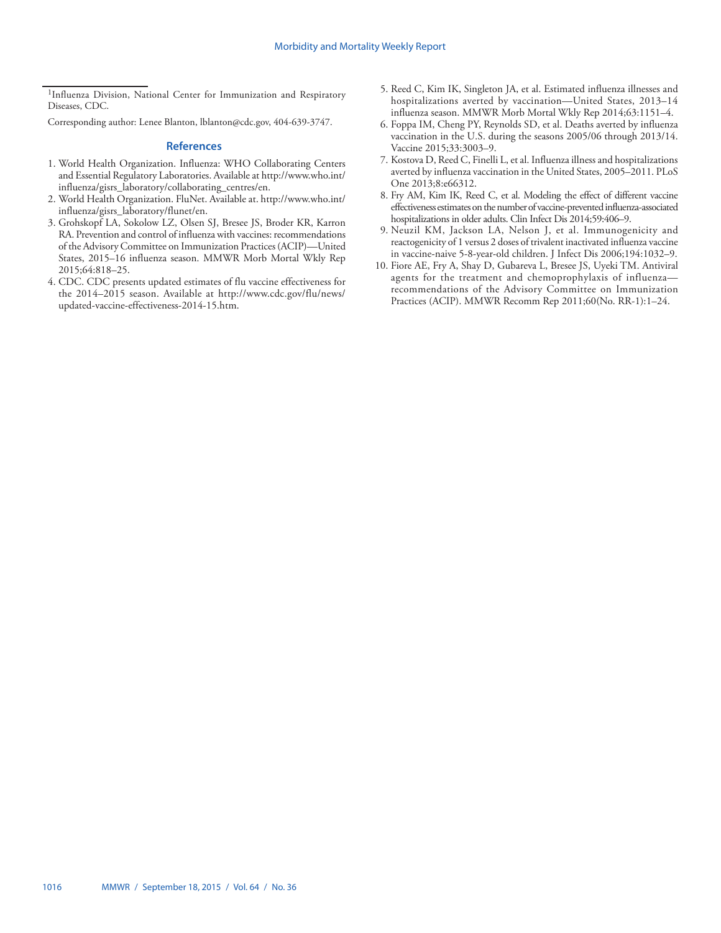<sup>1</sup>Influenza Division, National Center for Immunization and Respiratory Diseases, CDC.

Corresponding author: Lenee Blanton, [lblanton@cdc.gov](mailto:lblanton@cdc.gov), 404-639-3747.

- 1. World Health Organization. Influenza: WHO Collaborating Centers and Essential Regulatory Laboratories. Available at [http://www.who.int/](http://www.who.int/influenza/gisrs_laboratory/collaborating_centres/en) [influenza/gisrs\\_laboratory/collaborating\\_centres/en.](http://www.who.int/influenza/gisrs_laboratory/collaborating_centres/en)
- 2. World Health Organization. FluNet. Available at. [http://www.who.int/](http://www.who.int/influenza/gisrs_laboratory/flunet/en) [influenza/gisrs\\_laboratory/flunet/en](http://www.who.int/influenza/gisrs_laboratory/flunet/en).
- 3. Grohskopf LA, Sokolow LZ, Olsen SJ, Bresee JS, Broder KR, Karron RA. Prevention and control of influenza with vaccines: recommendations of the Advisory Committee on Immunization Practices (ACIP)—United States, 2015–16 influenza season. MMWR Morb Mortal Wkly Rep 2015;64:818–25.
- 4. CDC. CDC presents updated estimates of flu vaccine effectiveness for the 2014–2015 season. Available at [http://www.cdc.gov/flu/news/](http://www.cdc.gov/flu/news/updated-vaccine-effectiveness-2014-15.htm) [updated-vaccine-effectiveness-2014-15.htm.](http://www.cdc.gov/flu/news/updated-vaccine-effectiveness-2014-15.htm)
- 5. Reed C, Kim IK, Singleton JA, et al. Estimated influenza illnesses and hospitalizations averted by vaccination—United States, 2013–14 influenza season. MMWR Morb Mortal Wkly Rep 2014;63:1151–4.
- 6. Foppa IM, Cheng PY, Reynolds SD, et al. Deaths averted by influenza vaccination in the U.S. during the seasons 2005/06 through 2013/14. Vaccine 2015;33:3003–9.
- 7. Kostova D, Reed C, Finelli L, et al. Influenza illness and hospitalizations averted by influenza vaccination in the United States, 2005–2011. PLoS One 2013;8:e66312.
- 8. Fry AM, Kim IK, Reed C, et al. Modeling the effect of different vaccine effectiveness estimates on the number of vaccine-prevented influenza-associated hospitalizations in older adults. Clin Infect Dis 2014;59:406–9.
- 9. Neuzil KM, Jackson LA, Nelson J, et al. Immunogenicity and reactogenicity of 1 versus 2 doses of trivalent inactivated influenza vaccine in vaccine-naive 5-8-year-old children. J Infect Dis 2006;194:1032–9.
- 10. Fiore AE, Fry A, Shay D, Gubareva L, Bresee JS, Uyeki TM. Antiviral agents for the treatment and chemoprophylaxis of influenza recommendations of the Advisory Committee on Immunization Practices (ACIP). MMWR Recomm Rep 2011;60(No. RR-1):1–24.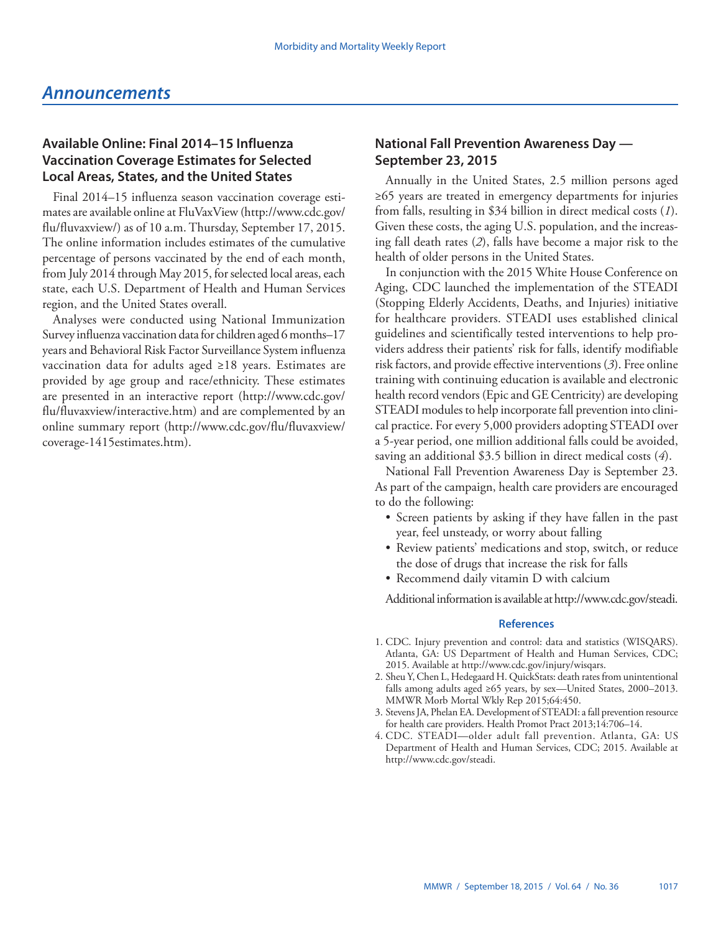# <span id="page-24-0"></span>**Available Online: Final 2014–15 Influenza Vaccination Coverage Estimates for Selected Local Areas, States, and the United States**

Final 2014–15 influenza season vaccination coverage estimates are available online at FluVaxView ([http://www.cdc.gov/](http://www.cdc.gov/flu/fluvaxview/) [flu/fluvaxview/](http://www.cdc.gov/flu/fluvaxview/)) as of 10 a.m. Thursday, September 17, 2015. The online information includes estimates of the cumulative percentage of persons vaccinated by the end of each month, from July 2014 through May 2015, for selected local areas, each state, each U.S. Department of Health and Human Services region, and the United States overall.

Analyses were conducted using National Immunization Survey influenza vaccination data for children aged 6 months–17 years and Behavioral Risk Factor Surveillance System influenza vaccination data for adults aged ≥18 years. Estimates are provided by age group and race/ethnicity. These estimates are presented in an interactive report ([http://www.cdc.gov/](http://www.cdc.gov/flu/fluvaxview/interactive.htm) [flu/fluvaxview/interactive.htm\)](http://www.cdc.gov/flu/fluvaxview/interactive.htm) and are complemented by an online summary report ([http://www.cdc.gov/flu/fluvaxview/](http://www.cdc.gov/flu/fluvaxview/coverage-1415estimates.htm) [coverage-1415estimates.htm](http://www.cdc.gov/flu/fluvaxview/coverage-1415estimates.htm)).

# **National Fall Prevention Awareness Day — September 23, 2015**

Annually in the United States, 2.5 million persons aged ≥65 years are treated in emergency departments for injuries from falls, resulting in \$34 billion in direct medical costs (*1*). Given these costs, the aging U.S. population, and the increasing fall death rates (*2*), falls have become a major risk to the health of older persons in the United States.

In conjunction with the 2015 White House Conference on Aging, CDC launched the implementation of the STEADI (Stopping Elderly Accidents, Deaths, and Injuries) initiative for healthcare providers. STEADI uses established clinical guidelines and scientifically tested interventions to help providers address their patients' risk for falls, identify modifiable risk factors, and provide effective interventions (*3*). Free online training with continuing education is available and electronic health record vendors (Epic and GE Centricity) are developing STEADI modules to help incorporate fall prevention into clinical practice. For every 5,000 providers adopting STEADI over a 5-year period, one million additional falls could be avoided, saving an additional \$3.5 billion in direct medical costs (*4*).

National Fall Prevention Awareness Day is September 23. As part of the campaign, health care providers are encouraged to do the following:

- Screen patients by asking if they have fallen in the past year, feel unsteady, or worry about falling
- Review patients' medications and stop, switch, or reduce the dose of drugs that increase the risk for falls
- • Recommend daily vitamin D with calcium

Additional information is available at<http://www.cdc.gov/steadi>.

- 1. CDC. Injury prevention and control: data and statistics (WISQARS). Atlanta, GA: US Department of Health and Human Services, CDC; 2015. Available at [http://www.cdc.gov/injury/wisqars.](http://www.cdc.gov/injury/wisqars)
- 2. Sheu Y, Chen L, Hedegaard H. QuickStats: death rates from unintentional falls among adults aged ≥65 years, by sex—United States, 2000–2013. MMWR Morb Mortal Wkly Rep 2015;64:450.
- 3. Stevens JA, Phelan EA. Development of STEADI: a fall prevention resource for health care providers. Health Promot Pract 2013;14:706–14.
- 4. CDC. STEADI—older adult fall prevention. Atlanta, GA: US Department of Health and Human Services, CDC; 2015. Available at [http://www.cdc.gov/steadi.](http://www.cdc.gov/steadi)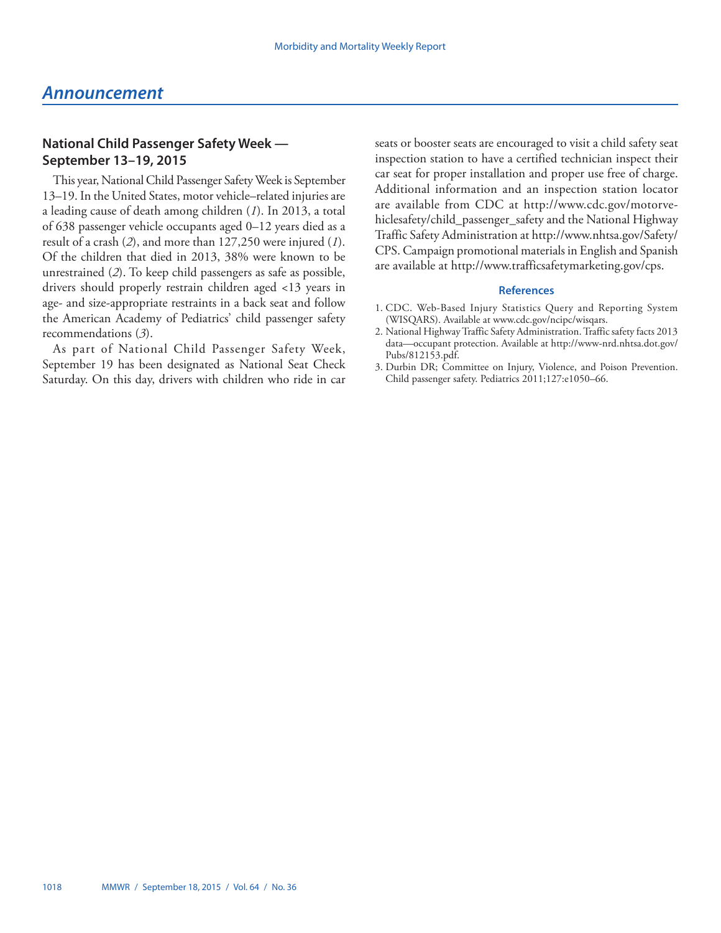# **National Child Passenger Safety Week — September 13–19, 2015**

This year, National Child Passenger Safety Week is September 13–19. In the United States, motor vehicle–related injuries are a leading cause of death among children (*1*). In 2013, a total of 638 passenger vehicle occupants aged 0–12 years died as a result of a crash (*2*), and more than 127,250 were injured (*1*). Of the children that died in 2013, 38% were known to be unrestrained (*2*). To keep child passengers as safe as possible, drivers should properly restrain children aged <13 years in age- and size-appropriate restraints in a back seat and follow the American Academy of Pediatrics' child passenger safety recommendations (*3*).

As part of National Child Passenger Safety Week, September 19 has been designated as National Seat Check Saturday. On this day, drivers with children who ride in car seats or booster seats are encouraged to visit a child safety seat inspection station to have a certified technician inspect their car seat for proper installation and proper use free of charge. Additional information and an inspection station locator are available from CDC at [http://www.cdc.gov/motorve](http://www.cdc.gov/motorvehiclesafety/child_passenger_safety)[hiclesafety/child\\_passenger\\_safety](http://www.cdc.gov/motorvehiclesafety/child_passenger_safety) and the National Highway Traffic Safety Administration at [http://www.nhtsa.gov/Safety/](http://www.nhtsa.gov/Safety/CPS) [CPS](http://www.nhtsa.gov/Safety/CPS). Campaign promotional materials in English and Spanish are available at [http://www.trafficsafetymarketing.gov/cps.](http://www.trafficsafetymarketing.gov/cps)

- 1. CDC. Web-Based Injury Statistics Query and Reporting System (WISQARS). Available at www.cdc.gov/ncipc/wisqars.
- 2. National Highway Traffic Safety Administration. Traffic safety facts 2013 data—occupant protection. Available at [http://www-nrd.nhtsa.dot.gov/](http://www-nrd.nhtsa.dot.gov/Pubs/812153.pdf) [Pubs/812153.pdf](http://www-nrd.nhtsa.dot.gov/Pubs/812153.pdf).
- 3. Durbin DR; Committee on Injury, Violence, and Poison Prevention. Child passenger safety. Pediatrics 2011;127:e1050–66.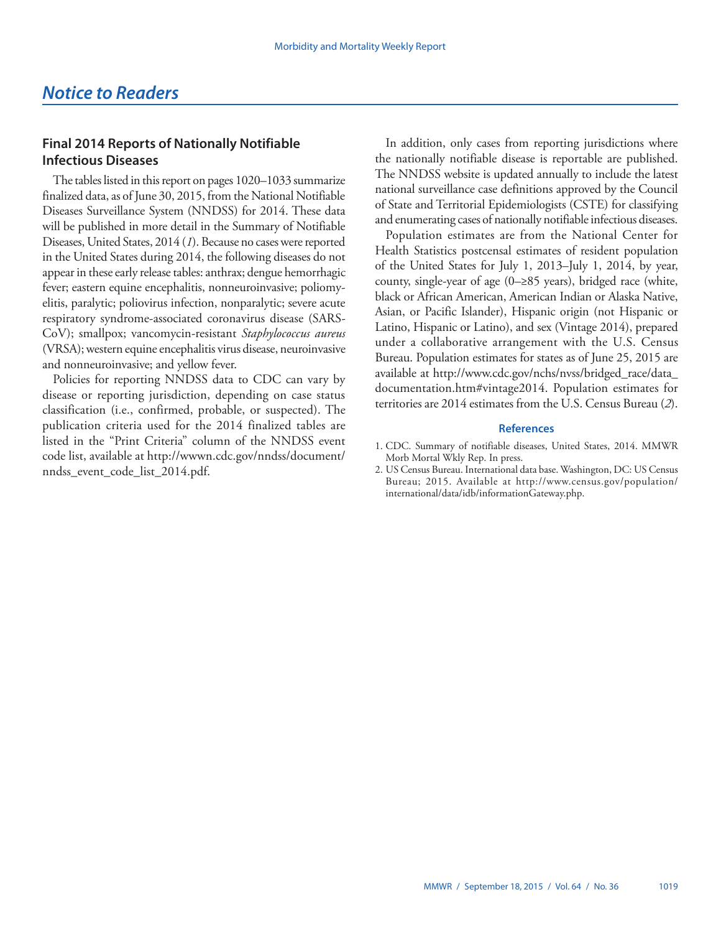# <span id="page-26-0"></span>**Final 2014 Reports of Nationally Notifiable Infectious Diseases**

The tables listed in this report on pages 1020–1033 summarize finalized data, as of June 30, 2015, from the National Notifiable Diseases Surveillance System (NNDSS) for 2014. These data will be published in more detail in the Summary of Notifiable Diseases, United States, 2014 (*1*). Because no cases were reported in the United States during 2014, the following diseases do not appear in these early release tables: anthrax; dengue hemorrhagic fever; eastern equine encephalitis, nonneuroinvasive; poliomyelitis, paralytic; poliovirus infection, nonparalytic; severe acute respiratory syndrome-associated coronavirus disease (SARS-CoV); smallpox; vancomycin-resistant *Staphylococcus aureus* (VRSA); western equine encephalitis virus disease, neuroinvasive and nonneuroinvasive; and yellow fever.

Policies for reporting NNDSS data to CDC can vary by disease or reporting jurisdiction, depending on case status classification (i.e., confirmed, probable, or suspected). The publication criteria used for the 2014 finalized tables are listed in the "Print Criteria" column of the NNDSS event code list, available at [http://wwwn.cdc.gov/nndss/document/](http://wwwn.cdc.gov/nndss/document/nndss_event_code_list_2014.pdf) [nndss\\_event\\_code\\_list\\_2014.pdf.](http://wwwn.cdc.gov/nndss/document/nndss_event_code_list_2014.pdf)

In addition, only cases from reporting jurisdictions where the nationally notifiable disease is reportable are published. The NNDSS website is updated annually to include the latest national surveillance case definitions approved by the Council of State and Territorial Epidemiologists (CSTE) for classifying and enumerating cases of nationally notifiable infectious diseases.

Population estimates are from the National Center for Health Statistics postcensal estimates of resident population of the United States for July 1, 2013–July 1, 2014, by year, county, single-year of age (0–≥85 years), bridged race (white, black or African American, American Indian or Alaska Native, Asian, or Pacific Islander), Hispanic origin (not Hispanic or Latino, Hispanic or Latino), and sex (Vintage 2014), prepared under a collaborative arrangement with the U.S. Census Bureau. Population estimates for states as of June 25, 2015 are available at [http://www.cdc.gov/nchs/nvss/bridged\\_race/data\\_](http://www.cdc.gov/nchs/nvss/bridged_race/data_documentation.htm#vintage2014) [documentation.htm#vintage2014.](http://www.cdc.gov/nchs/nvss/bridged_race/data_documentation.htm#vintage2014) Population estimates for territories are 2014 estimates from the U.S. Census Bureau (*2*).

<sup>1.</sup> CDC. Summary of notifiable diseases, United States, 2014. MMWR Morb Mortal Wkly Rep. In press.

<sup>2.</sup> US Census Bureau. International data base. Washington, DC: US Census Bureau; 2015. Available at [http://www.census.gov/population/](http://www.census.gov/population/international/data/idb/informationGateway.php) [international/data/idb/informationGateway.php](http://www.census.gov/population/international/data/idb/informationGateway.php).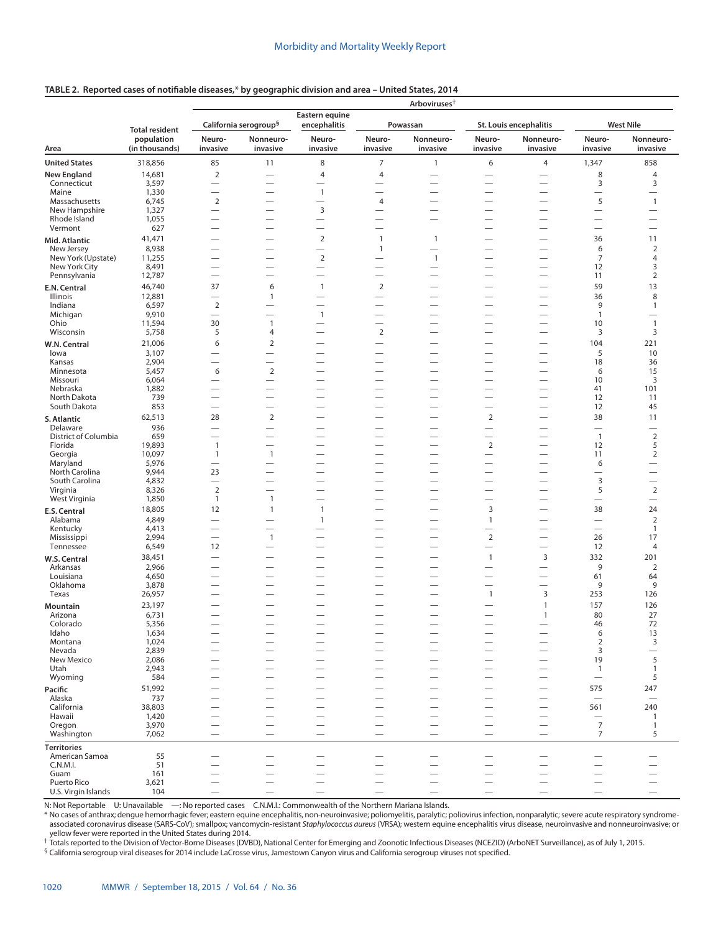|  |  | TABLE 2. Reported cases of notifiable diseases,* by geographic division and area – United States, 2014 |  |
|--|--|--------------------------------------------------------------------------------------------------------|--|
|--|--|--------------------------------------------------------------------------------------------------------|--|

|                                  |                              |                                                      |                                                      |                                            |                                                      | Arboviruses <sup>†</sup>                             |                                                      |                                                      |                                       |                                         |
|----------------------------------|------------------------------|------------------------------------------------------|------------------------------------------------------|--------------------------------------------|------------------------------------------------------|------------------------------------------------------|------------------------------------------------------|------------------------------------------------------|---------------------------------------|-----------------------------------------|
|                                  | <b>Total resident</b>        |                                                      | California serogroup <sup>§</sup>                    | Eastern equine<br>encephalitis             |                                                      | Powassan                                             |                                                      | St. Louis encephalitis                               |                                       | <b>West Nile</b>                        |
| Area                             | population<br>(in thousands) | Neuro-<br>invasive                                   | Nonneuro-<br>invasive                                | Neuro-<br>invasive                         | Neuro-<br>invasive                                   | Nonneuro-<br>invasive                                | Neuro-<br>invasive                                   | Nonneuro-<br>invasive                                | Neuro-<br>invasive                    | Nonneuro-<br>invasive                   |
| <b>United States</b>             | 318,856                      | 85                                                   | 11                                                   | 8                                          | $\boldsymbol{7}$                                     | $\mathbf{1}$                                         | 6                                                    | $\overline{4}$                                       | 1,347                                 | 858                                     |
| <b>New England</b>               | 14,681                       | $\overline{2}$                                       | $\overline{\phantom{0}}$                             | 4                                          | 4                                                    | $\overline{\phantom{0}}$                             |                                                      |                                                      | 8                                     | 4                                       |
| Connecticut                      | 3,597                        |                                                      | $\overline{\phantom{0}}$                             | $\overline{\phantom{0}}$                   | -                                                    | $\overline{\phantom{0}}$                             | —                                                    |                                                      | 3                                     | 3                                       |
| Maine<br>Massachusetts           | 1,330<br>6,745               | $\overline{2}$                                       | $\overline{\phantom{0}}$<br>$\overline{\phantom{0}}$ | $\overline{1}$<br>$\overline{\phantom{0}}$ | $\overline{\phantom{0}}$<br>$\overline{4}$           | -<br>$\overline{\phantom{0}}$                        | $\overline{\phantom{0}}$<br>$\overline{\phantom{0}}$ |                                                      | $\overline{\phantom{0}}$<br>5         | $\mathbf{1}$                            |
| New Hampshire                    | 1,327                        |                                                      | $\overline{\phantom{0}}$                             | $\overline{3}$                             |                                                      |                                                      | $\overline{\phantom{0}}$                             |                                                      | $\qquad \qquad$                       |                                         |
| Rhode Island                     | 1,055                        |                                                      | $\overline{\phantom{0}}$                             | $\overline{\phantom{0}}$                   | $\overline{\phantom{0}}$                             | —                                                    |                                                      |                                                      |                                       | $\overline{\phantom{0}}$                |
| Vermont                          | 627                          | $\overline{\phantom{0}}$                             | $\overline{\phantom{0}}$                             | $\overline{\phantom{0}}$                   | —                                                    |                                                      | $\overline{\phantom{0}}$                             |                                                      | $\overline{\phantom{0}}$              | $\overline{\phantom{0}}$                |
| Mid. Atlantic                    | 41,471<br>8,938              |                                                      |                                                      | $\overline{2}$<br>$\overline{\phantom{0}}$ | $\mathbf{1}$<br>$\mathbf{1}$                         | $\mathbf{1}$<br>$\overline{\phantom{0}}$             | $\overline{\phantom{0}}$                             |                                                      | 36<br>6                               | 11<br>$\overline{2}$                    |
| New Jersey<br>New York (Upstate) | 11,255                       |                                                      |                                                      | $\overline{2}$                             | $\overline{\phantom{0}}$                             | $\overline{1}$                                       |                                                      |                                                      | 7                                     | 4                                       |
| New York City                    | 8,491                        |                                                      | $\overline{\phantom{0}}$                             |                                            | $\overline{\phantom{0}}$                             |                                                      | $\overline{\phantom{0}}$                             |                                                      | 12                                    | 3                                       |
| Pennsylvania                     | 12,787                       | $\overline{\phantom{0}}$                             | $\overline{\phantom{0}}$                             | $\overline{\phantom{0}}$                   | $\overline{\phantom{0}}$                             |                                                      | $\overline{\phantom{0}}$                             |                                                      | 11                                    | $\overline{2}$                          |
| E.N. Central                     | 46,740                       | 37                                                   | 6                                                    | $\overline{1}$                             | $\overline{2}$                                       | —                                                    | $\overline{\phantom{0}}$                             | $\overline{\phantom{0}}$                             | 59                                    | 13                                      |
| Illinois<br>Indiana              | 12,881                       |                                                      | $\mathbf{1}$                                         |                                            | $\overline{\phantom{0}}$                             |                                                      |                                                      | -                                                    | 36<br>9                               | 8<br>$\mathbf{1}$                       |
| Michigan                         | 6,597<br>9,910               | $\overline{2}$                                       | $\overline{\phantom{0}}$<br>$\overline{\phantom{0}}$ | $\mathbf{1}$                               | $\overline{\phantom{0}}$<br>$\overline{\phantom{0}}$ | —                                                    |                                                      |                                                      | $\mathbf{1}$                          | $\overline{\phantom{0}}$                |
| Ohio                             | 11,594                       | 30                                                   | $\mathbf{1}$                                         | $\overline{\phantom{0}}$                   | $\overline{\phantom{0}}$                             | $\overline{\phantom{0}}$                             |                                                      |                                                      | 10                                    | $\mathbf{1}$                            |
| Wisconsin                        | 5,758                        | 5                                                    | 4                                                    | $\overline{\phantom{0}}$                   | $\overline{2}$                                       |                                                      |                                                      | $\overline{\phantom{0}}$                             | 3                                     | 3                                       |
| W.N. Central                     | 21,006                       | 6                                                    | $\mathbf 2$                                          | -                                          | —                                                    |                                                      |                                                      | $\overline{\phantom{0}}$                             | 104                                   | 221                                     |
| lowa                             | 3,107                        |                                                      | $\overline{\phantom{0}}$                             |                                            | -                                                    | -                                                    | <u>—</u><br>$\overline{\phantom{0}}$                 |                                                      | 5                                     | 10<br>36                                |
| Kansas<br>Minnesota              | 2,904<br>5,457               | 6                                                    | $\overline{\phantom{0}}$<br>$\overline{2}$           | -                                          | $\overline{\phantom{0}}$                             | —                                                    | $\overline{\phantom{0}}$                             |                                                      | 18<br>6                               | 15                                      |
| Missouri                         | 6,064                        |                                                      | $\overline{\phantom{0}}$                             | -                                          | $\overline{\phantom{0}}$                             | -                                                    | $\overline{\phantom{0}}$                             |                                                      | 10                                    | 3                                       |
| Nebraska                         | 1,882                        | $\overline{\phantom{0}}$                             |                                                      |                                            | $\overline{\phantom{0}}$                             | -                                                    | $\overline{\phantom{0}}$                             | $\overline{\phantom{0}}$                             | 41                                    | 101                                     |
| North Dakota<br>South Dakota     | 739<br>853                   | $\overline{\phantom{0}}$                             | $\overline{\phantom{0}}$<br>$\overline{\phantom{0}}$ | —<br>—                                     | $\overline{\phantom{0}}$<br>—                        | $\overline{\phantom{0}}$                             | $\overline{\phantom{0}}$<br>$\overline{\phantom{0}}$ | $\overline{\phantom{0}}$<br>$\overline{\phantom{0}}$ | 12<br>12                              | 11<br>45                                |
|                                  | 62,513                       | 28                                                   | $\mathbf 2$                                          |                                            | -                                                    | —                                                    | $\overline{2}$                                       | $\overline{\phantom{0}}$                             | 38                                    | 11                                      |
| S. Atlantic<br>Delaware          | 936                          |                                                      | $\overline{\phantom{0}}$                             | —                                          | $\overline{\phantom{0}}$                             | —                                                    |                                                      |                                                      | $\qquad \qquad$                       |                                         |
| District of Columbia             | 659                          |                                                      |                                                      |                                            | $\overline{\phantom{0}}$                             |                                                      |                                                      |                                                      | $\mathbf{1}$                          | $\sqrt{2}$                              |
| Florida                          | 19,893                       | $\mathbf{1}$                                         | $\overline{\phantom{0}}$                             |                                            | $\overline{\phantom{0}}$                             | —                                                    | $\overline{2}$                                       | $\overline{\phantom{0}}$                             | 12                                    | 5                                       |
| Georgia<br>Maryland              | 10,097<br>5,976              | $\mathbf{1}$<br>$\overline{\phantom{0}}$             | $\mathbf{1}$                                         | -                                          | $\overline{\phantom{0}}$<br>$\overline{\phantom{0}}$ | $\overline{\phantom{0}}$<br>—                        | $\overline{\phantom{0}}$<br>$\overline{\phantom{0}}$ |                                                      | 11<br>6                               | $\mathbf 2$<br>$\overline{\phantom{0}}$ |
| North Carolina                   | 9,944                        | 23                                                   | $\overline{\phantom{0}}$                             | $\overline{\phantom{0}}$                   | $\overline{\phantom{0}}$                             | $\overline{\phantom{0}}$                             |                                                      | $\overline{\phantom{0}}$                             |                                       | $\overline{\phantom{0}}$                |
| South Carolina                   | 4,832                        | $\overline{\phantom{0}}$                             | —                                                    | -                                          | $\overline{\phantom{0}}$                             | —                                                    | $\overline{\phantom{0}}$                             | $\overline{\phantom{0}}$                             | 3                                     |                                         |
| Virginia                         | 8,326<br>1,850               | $\overline{2}$<br>1                                  | $\overline{\phantom{0}}$<br>$\mathbf{1}$             | $\overline{\phantom{0}}$<br>—              | $\overline{\phantom{0}}$<br>$\overline{\phantom{0}}$ | $\overline{\phantom{0}}$<br>$\overline{\phantom{0}}$ | $\overline{\phantom{0}}$<br>$\overline{\phantom{0}}$ | $\overline{\phantom{0}}$<br>$\overline{\phantom{0}}$ | 5<br>$\overbrace{\phantom{12322111}}$ | $\sqrt{2}$<br>$\overline{\phantom{0}}$  |
| West Virginia                    | 18,805                       | 12                                                   | $\overline{1}$                                       | $\overline{1}$                             | $\overline{\phantom{0}}$                             | —                                                    | 3                                                    |                                                      | 38                                    | 24                                      |
| E.S. Central<br>Alabama          | 4,849                        | $\overline{\phantom{0}}$                             |                                                      | $\overline{1}$                             | -                                                    | —                                                    | $\mathbf{1}$                                         | $\overline{\phantom{0}}$                             | $\overline{\phantom{0}}$              | $\overline{2}$                          |
| Kentucky                         | 4,413                        | $\overline{\phantom{0}}$                             | —                                                    | -                                          | -                                                    | $\overline{\phantom{0}}$                             | $\overline{\phantom{0}}$                             | $\overline{\phantom{0}}$                             | $\overline{\phantom{0}}$              | $\mathbf{1}$                            |
| Mississippi                      | 2,994                        | $\overline{\phantom{0}}$                             | $\mathbf{1}$                                         |                                            | $\overline{\phantom{0}}$                             | —                                                    | $\sqrt{2}$                                           | $\overline{\phantom{0}}$                             | 26                                    | 17                                      |
| Tennessee                        | 6,549                        | 12                                                   |                                                      | $\overline{\phantom{0}}$                   | $\overline{\phantom{0}}$                             | $\overline{\phantom{0}}$                             | $\overline{\phantom{0}}$                             |                                                      | 12                                    | 4                                       |
| W.S. Central<br>Arkansas         | 38,451<br>2,966              | $\overline{\phantom{0}}$<br>$\overline{\phantom{0}}$ |                                                      |                                            | $\overline{\phantom{0}}$                             | $\overline{\phantom{0}}$                             | $\mathbf{1}$<br>$\overline{\phantom{0}}$             | 3<br>$\overline{\phantom{0}}$                        | 332<br>9                              | 201<br>$\overline{2}$                   |
| Louisiana                        | 4,650                        | $\overline{\phantom{0}}$                             | -                                                    | -                                          | -                                                    |                                                      |                                                      |                                                      | 61                                    | 64                                      |
| Oklahoma                         | 3,878                        | $\overline{\phantom{0}}$                             |                                                      |                                            | $\overline{\phantom{0}}$                             |                                                      |                                                      | $\overline{\phantom{0}}$                             | 9                                     | 9                                       |
| Texas                            | 26,957                       | $\overline{\phantom{0}}$                             |                                                      |                                            | -                                                    | -                                                    | $\mathbf{1}$                                         | 3                                                    | 253                                   | 126                                     |
| <b>Mountain</b>                  | 23,197                       |                                                      |                                                      |                                            | $\overline{\phantom{0}}$                             |                                                      |                                                      | 1                                                    | 157                                   | 126                                     |
| Arizona<br>Colorado              | 6,731<br>5,356               |                                                      |                                                      |                                            | -                                                    | -                                                    | -                                                    | 1                                                    | 80<br>46                              | 27<br>72                                |
| Idaho                            | 1,634                        |                                                      |                                                      |                                            |                                                      |                                                      |                                                      |                                                      | 6                                     | 13                                      |
| Montana                          | 1,024                        |                                                      |                                                      |                                            |                                                      | $\overline{\phantom{0}}$                             |                                                      |                                                      | $\overline{2}$                        | 3                                       |
| Nevada                           | 2,839                        |                                                      |                                                      |                                            | $\overline{\phantom{0}}$                             | $\overline{\phantom{0}}$<br>$\overline{\phantom{0}}$ |                                                      | $\overline{\phantom{0}}$                             | 3<br>19                               | $\overline{\phantom{0}}$<br>5           |
| New Mexico<br>Utah               | 2,086<br>2,943               |                                                      |                                                      |                                            |                                                      | $\overline{\phantom{0}}$                             |                                                      |                                                      | $\overline{1}$                        | $\mathbf{1}$                            |
| Wyoming                          | 584                          |                                                      |                                                      |                                            |                                                      |                                                      |                                                      | $\overline{\phantom{0}}$                             | $\overline{\phantom{0}}$              | 5                                       |
| Pacific                          | 51,992                       |                                                      |                                                      |                                            |                                                      |                                                      |                                                      |                                                      | 575                                   | 247                                     |
| Alaska                           | 737                          |                                                      |                                                      |                                            |                                                      |                                                      |                                                      |                                                      | $\overbrace{\phantom{12322111}}$      | $\overline{\phantom{m}}$                |
| California<br>Hawaii             | 38,803<br>1,420              |                                                      |                                                      |                                            |                                                      | $\overline{\phantom{0}}$                             |                                                      | $\overline{\phantom{0}}$<br>$\overline{\phantom{0}}$ | 561                                   | 240<br>$\mathbf{1}$                     |
| Oregon                           | 3,970                        |                                                      | $\overline{\phantom{0}}$                             | —                                          | $\overline{\phantom{0}}$                             | $\overline{\phantom{0}}$                             | $\overline{\phantom{0}}$                             |                                                      | $\qquad \qquad -$<br>$\overline{7}$   | $\mathbf{1}$                            |
| Washington                       | 7,062                        | $\overline{\phantom{0}}$                             |                                                      | $\overline{\phantom{0}}$                   | $\overline{\phantom{0}}$                             | $\overline{\phantom{0}}$                             | $\overline{\phantom{0}}$                             | $\overline{\phantom{0}}$                             | $\overline{7}$                        | 5                                       |
| <b>Territories</b>               |                              |                                                      |                                                      |                                            |                                                      |                                                      |                                                      |                                                      |                                       |                                         |
| American Samoa<br>C.N.M.I.       | 55<br>51                     |                                                      | $\overline{\phantom{0}}$                             | $\overline{\phantom{0}}$                   | $\overline{\phantom{0}}$                             |                                                      | $\overline{\phantom{0}}$                             |                                                      |                                       |                                         |
| Guam                             | 161                          |                                                      |                                                      |                                            |                                                      |                                                      |                                                      |                                                      |                                       |                                         |
| Puerto Rico                      | 3,621                        |                                                      |                                                      |                                            |                                                      |                                                      |                                                      |                                                      | $\overline{\phantom{0}}$              |                                         |
| U.S. Virgin Islands              | 104                          |                                                      |                                                      |                                            |                                                      | $\overline{\phantom{0}}$                             |                                                      |                                                      |                                       |                                         |

N: Not Reportable U: Unavailable —: No reported cases C.N.M.I.: Commonwealth of the Northern Mariana Islands.

\* No cases of anthrax; dengue hemorrhagic fever; eastern equine encephalitis, non-neuroinvasive; poliomyelitis, paralytic; poliovirus infection, nonparalytic; severe acute respiratory syndromeassociated coronavirus disease (SARS-CoV); smallpox; vancomycin-resistant *Staphylococcus aureus* (VRSA); western equine encephalitis virus disease, neuroinvasive and nonneuroinvasive; or

yellow fever were reported in the United States during 2014.<br><sup>†</sup> Totals reported to the Division of Vector-Borne Diseases (DVBD), National Center for Emerging and Zoonotic Infectious Diseases (NCEZID) (ArboNET Surveillance

§ California serogroup viral diseases for 2014 include LaCrosse virus, Jamestown Canyon virus and California serogroup viruses not specified.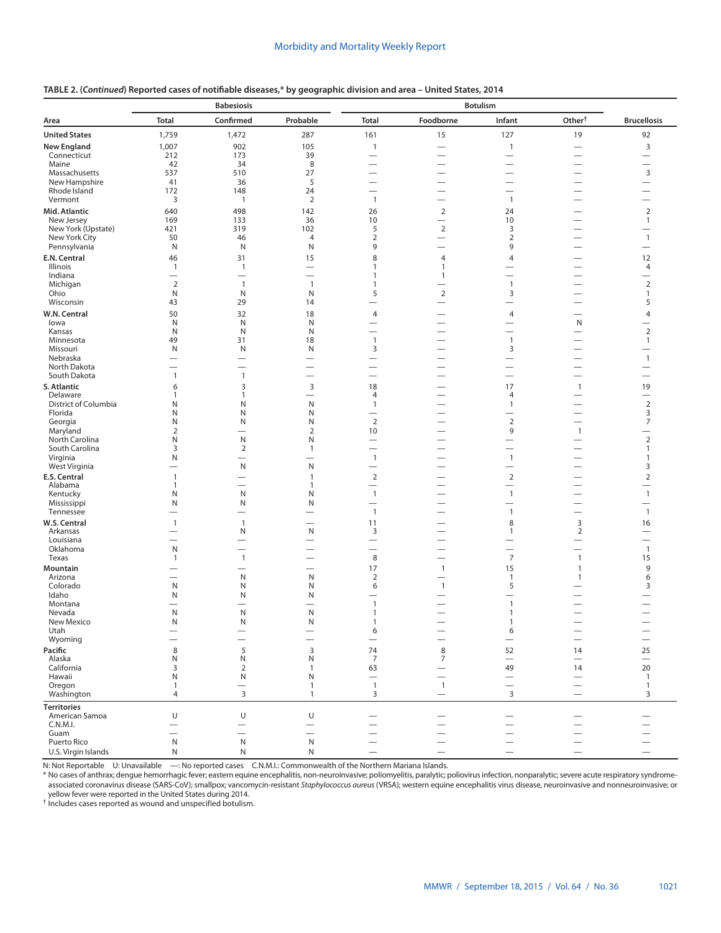# **TABLE 2. (***Continued***) Reported cases of notifiable diseases,\* by geographic division and area – United States, 2014**

|                                      | <b>Babesiosis</b>        |                                          |                               | <b>Botulism</b>                          |                                                               |                                            |                                                      |                                          |
|--------------------------------------|--------------------------|------------------------------------------|-------------------------------|------------------------------------------|---------------------------------------------------------------|--------------------------------------------|------------------------------------------------------|------------------------------------------|
| Area                                 | <b>Total</b>             | Confirmed                                | Probable                      | <b>Total</b>                             | Foodborne                                                     | Infant                                     | Other <sup>+</sup>                                   | <b>Brucellosis</b>                       |
| <b>United States</b>                 | 1,759                    | 1,472                                    | 287                           | 161                                      | 15                                                            | 127                                        | 19                                                   | 92                                       |
| <b>New England</b>                   | 1,007                    | 902                                      | 105                           | $\mathbf{1}$                             | $\overline{\phantom{0}}$                                      | $\mathbf{1}$                               |                                                      | 3                                        |
| Connecticut<br>Maine                 | 212<br>42                | 173<br>34                                | 39<br>8                       | $\overline{\phantom{0}}$                 |                                                               |                                            |                                                      |                                          |
| Massachusetts                        | 537                      | 510                                      | 27                            |                                          |                                                               |                                            |                                                      | 3                                        |
| New Hampshire                        | 41                       | 36                                       | 5                             | $\overline{\phantom{0}}$                 |                                                               |                                            |                                                      |                                          |
| Rhode Island                         | 172                      | 148                                      | 24                            |                                          |                                                               |                                            |                                                      |                                          |
| Vermont                              | 3                        | $\mathbf{1}$                             | $\overline{2}$                | $\mathbf{1}$                             | $\overline{\phantom{0}}$                                      | $\mathbf{1}$                               | $\overline{\phantom{0}}$                             |                                          |
| Mid. Atlantic<br>New Jersey          | 640<br>169               | 498<br>133                               | 142<br>36                     | 26<br>10                                 | $\overline{2}$<br>$\overline{\phantom{0}}$                    | 24<br>10                                   | $\overline{\phantom{0}}$<br>$\overline{\phantom{0}}$ | 2<br>$\mathbf{1}$                        |
| New York (Upstate)                   | 421                      | 319                                      | 102                           | 5                                        | $\sqrt{2}$                                                    | 3                                          | $\overline{\phantom{0}}$                             |                                          |
| New York City                        | 50                       | 46                                       | 4                             | $\overline{2}$                           | $\overline{\phantom{0}}$                                      | $\overline{2}$                             | $\overline{\phantom{0}}$                             | $\mathbf{1}$                             |
| Pennsylvania                         | N                        | N                                        | N                             | 9                                        | $\overline{\phantom{0}}$                                      | 9                                          |                                                      | $\overline{\phantom{0}}$                 |
| E.N. Central<br>Illinois             | 46<br>$\mathbf{1}$       | 31<br>$\mathbf{1}$                       | 15                            | 8<br>1                                   | 4<br>1                                                        | 4                                          |                                                      | 12<br>4                                  |
| Indiana                              | $\overline{\phantom{0}}$ | $\overline{\phantom{0}}$                 | $\overline{\phantom{0}}$      | $\mathbf{1}$                             | $\mathbf{1}$                                                  |                                            |                                                      | $\overline{\phantom{0}}$                 |
| Michigan                             | 2                        | $\mathbf{1}$                             | $\mathbf{1}$                  | $\mathbf{1}$                             |                                                               | $\mathbf{1}$                               |                                                      | $\overline{2}$                           |
| Ohio<br>Wisconsin                    | N<br>43                  | N<br>29                                  | N<br>14                       | 5<br>$\overline{\phantom{0}}$            | $\overline{2}$                                                | 3                                          |                                                      | $\mathbf{1}$<br>5                        |
| W.N. Central                         | 50                       | 32                                       | 18                            | $\overline{4}$                           |                                                               | 4                                          |                                                      | $\overline{4}$                           |
| lowa                                 | N                        | N                                        | N                             | $\overline{\phantom{0}}$                 | $\overline{\phantom{0}}$                                      |                                            | N                                                    |                                          |
| Kansas                               | N                        | N                                        | N                             | $\overline{\phantom{0}}$                 |                                                               | $\overline{\phantom{0}}$                   | $\overline{\phantom{0}}$                             | $\overline{2}$                           |
| Minnesota<br>Missouri                | 49<br>N                  | 31<br>N                                  | 18<br>N                       | $\mathbf{1}$<br>3                        | $\overline{\phantom{0}}$                                      | $\overline{1}$<br>3                        | $\overline{\phantom{0}}$<br>$\overline{\phantom{0}}$ | $\mathbf{1}$                             |
| Nebraska                             |                          |                                          |                               | $\overline{\phantom{0}}$                 | $\overline{\phantom{0}}$                                      | $\overline{\phantom{0}}$                   | $\overline{\phantom{0}}$                             | $\mathbf{1}$                             |
| North Dakota                         |                          |                                          |                               |                                          | $\overline{\phantom{0}}$                                      |                                            | $\overline{\phantom{0}}$                             |                                          |
| South Dakota                         | $\mathbf{1}$             | $\mathbf{1}$                             | $\overline{\phantom{0}}$      | $\overline{\phantom{0}}$                 | $\overline{\phantom{0}}$                                      | $\overbrace{\phantom{12322111}}$           | $\overline{\phantom{0}}$                             |                                          |
| S. Atlantic<br>Delaware              | 6<br>1                   | 3<br>$\mathbf{1}$                        | 3<br>$\overline{\phantom{0}}$ | 18<br>4                                  | $\overline{\phantom{0}}$                                      | 17<br>4                                    | $\mathbf{1}$<br>$\overline{\phantom{0}}$             | 19<br>$\overline{\phantom{0}}$           |
| District of Columbia                 | N                        | N                                        | N                             | $\mathbf{1}$                             | $\overline{\phantom{0}}$                                      | $\mathbf{1}$                               | $\overline{\phantom{0}}$                             | 2                                        |
| Florida                              | N                        | N                                        | N                             | $\overline{\phantom{0}}$                 | $\overline{\phantom{0}}$                                      |                                            |                                                      | 3                                        |
| Georgia<br>Maryland                  | N<br>$\overline{2}$      | N                                        | N<br>$\overline{2}$           | $\overline{2}$<br>10                     | $\overline{\phantom{0}}$                                      | $\overline{2}$<br>9                        | $\overline{\phantom{0}}$<br>$\overline{1}$           | 7<br>$\overline{\phantom{0}}$            |
| North Carolina                       | N                        | N                                        | N                             |                                          |                                                               | —                                          |                                                      | $\overline{2}$                           |
| South Carolina                       | 3                        | 2                                        | $\mathbf{1}$                  | $\overline{\phantom{0}}$                 |                                                               |                                            | $\overline{\phantom{0}}$                             | $\mathbf{1}$                             |
| Virginia                             | N<br>-                   | $\mathsf{N}$                             | —<br>N                        | $\mathbf{1}$<br>$\overline{\phantom{0}}$ | $\overline{\phantom{0}}$                                      | $\mathbf{1}$<br>$\overline{\phantom{0}}$   | $\overline{\phantom{0}}$                             | 1<br>3                                   |
| West Virginia<br><b>E.S. Central</b> | $\mathbf{1}$             |                                          | $\mathbf{1}$                  | $\overline{2}$                           | $\overline{\phantom{0}}$                                      | $\overline{2}$                             | $\overline{\phantom{0}}$                             | $\overline{2}$                           |
| Alabama                              | 1                        | —                                        | $\mathbf{1}$                  |                                          | $\overline{\phantom{0}}$                                      |                                            | $\overline{\phantom{0}}$                             | —                                        |
| Kentucky                             | N                        | N                                        | N                             | $\mathbf{1}$                             |                                                               | $\mathbf{1}$                               | $\overline{\phantom{0}}$                             | $\mathbf{1}$                             |
| Mississippi<br>Tennessee             | N                        | N<br>$\overline{\phantom{0}}$            | N<br>—                        | $\qquad \qquad$<br>$\mathbf{1}$          | $\overline{\phantom{0}}$<br>$\overline{\phantom{0}}$          | $\mathbf{1}$                               | $\overline{\phantom{0}}$                             | $\overline{\phantom{0}}$<br>$\mathbf{1}$ |
| W.S. Central                         | 1                        | $\mathbf{1}$                             | -                             | 11                                       |                                                               | 8                                          | 3                                                    | 16                                       |
| Arkansas                             | $\overline{\phantom{0}}$ | N                                        | N                             | 3                                        | $\overline{\phantom{0}}$                                      | $\mathbf{1}$                               | $\overline{2}$                                       |                                          |
| Louisiana                            | —                        |                                          | —                             | $\qquad \qquad$                          |                                                               | $\overline{\phantom{0}}$                   |                                                      | $\overline{\phantom{0}}$                 |
| Oklahoma<br>Texas                    | N<br>$\mathbf{1}$        | $\overline{\phantom{a}}$<br>$\mathbf{1}$ | -                             | $\overline{\phantom{0}}$<br>$\,8\,$      | $\overline{\phantom{0}}$<br>$\overbrace{\phantom{123221111}}$ | $\overline{\phantom{0}}$<br>$\overline{7}$ | $\overline{\phantom{0}}$<br>$\mathbf{1}$             | $\overline{1}$<br>15                     |
| Mountain                             |                          |                                          |                               | 17                                       | $\mathbf{1}$                                                  | 15                                         | $\mathbf{1}$                                         | 9                                        |
| Arizona                              |                          | N                                        | N                             | $\overline{2}$                           |                                                               | $\mathbf{1}$                               | $\mathbf{1}$                                         | 6                                        |
| Colorado                             | N                        | N                                        | N                             | 6                                        | $\mathbf{1}$                                                  | 5                                          |                                                      | 3                                        |
| Idaho<br>Montana                     | N                        | N                                        | N                             | $\overline{\phantom{0}}$<br>$\mathbf{1}$ | $\overline{\phantom{0}}$                                      | $\mathbf{1}$                               |                                                      |                                          |
| Nevada                               | N                        | N                                        | N                             | $\mathbf{1}$                             |                                                               | 1                                          |                                                      |                                          |
| New Mexico                           | N                        | N                                        | N                             | $\mathbf{1}$                             |                                                               | 1                                          |                                                      |                                          |
| Utah<br>Wyoming                      |                          | $\overline{\phantom{0}}$                 | $\overline{\phantom{0}}$      | 6<br>$\overline{\phantom{0}}$            |                                                               | 6<br>$\qquad \qquad -$                     | $\overline{\phantom{0}}$                             |                                          |
| Pacific                              | 8                        | 5                                        | 3                             | 74                                       | 8                                                             | 52                                         | 14                                                   | 25                                       |
| Alaska                               | N                        | N                                        | N                             | $\overline{7}$                           | 7                                                             |                                            |                                                      |                                          |
| California                           | 3                        | 2                                        | $\mathbf{1}$                  | 63                                       | $\overline{\phantom{0}}$                                      | 49                                         | 14                                                   | 20                                       |
| Hawaii<br>Oregon                     | N<br>$\mathbf{1}$        | N<br>$\overline{\phantom{0}}$            | N<br>$\mathbf{1}$             | $\overline{\phantom{0}}$<br>$\mathbf{1}$ | $\overline{1}$                                                | $\overline{\phantom{0}}$                   | $\overline{\phantom{0}}$                             | $\overline{1}$<br>$\mathbf{1}$           |
| Washington                           | 4                        | 3                                        | $\mathbf{1}$                  | 3                                        |                                                               | 3                                          | $\overline{\phantom{0}}$                             | 3                                        |
| <b>Territories</b>                   |                          |                                          |                               |                                          |                                                               |                                            |                                                      |                                          |
| American Samoa                       | U                        | U                                        | U                             | $\overline{\phantom{0}}$                 |                                                               |                                            |                                                      |                                          |
| C.N.M.I.<br>Guam                     |                          | $\overline{\phantom{0}}$                 | $\overline{\phantom{0}}$      |                                          |                                                               |                                            |                                                      |                                          |
| Puerto Rico                          | ${\sf N}$                | ${\sf N}$                                | N                             |                                          |                                                               |                                            |                                                      |                                          |
| U.S. Virgin Islands                  | N                        | N                                        | N                             |                                          |                                                               |                                            |                                                      |                                          |

N: Not Reportable U: Unavailable —: No reported cases C.N.M.I.: Commonwealth of the Northern Mariana Islands.

\* No cases of anthrax; dengue hemorrhagic fever; eastern equine encephalitis, non-neuroinvasive; poliomyelitis, paralytic; poliovirus infection, nonparalytic; severe acute respiratory syndrome-<br>associated coronavirus disea

yellow fever were reported in the United States during 2014. † Includes cases reported as wound and unspecified botulism.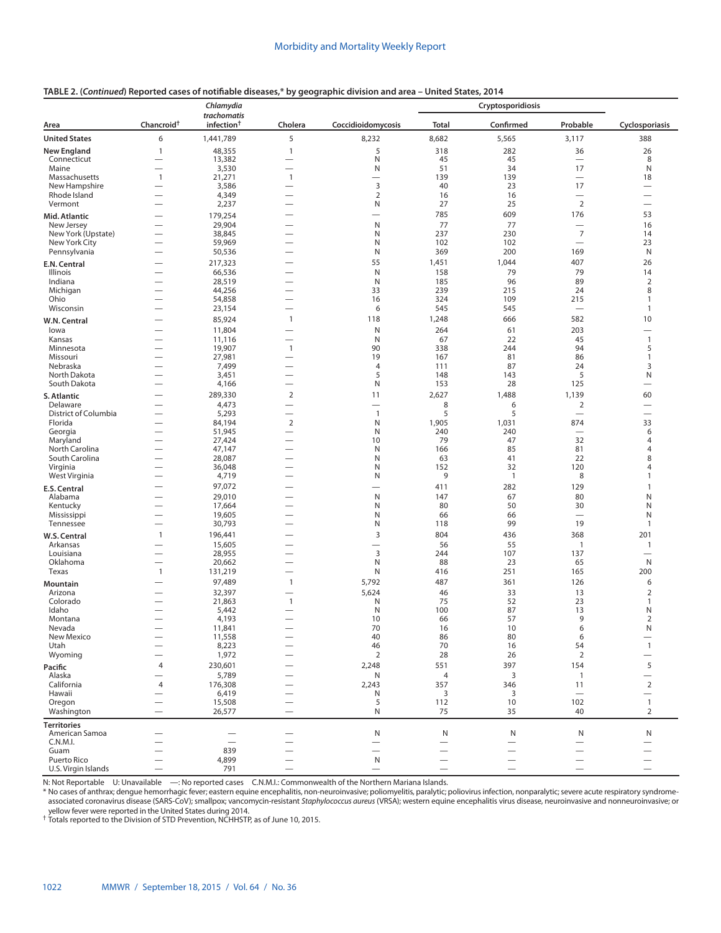| TABLE 2. (Continued) Reported cases of notifiable diseases,* by geographic division and area - United States, 2014 |
|--------------------------------------------------------------------------------------------------------------------|
|--------------------------------------------------------------------------------------------------------------------|

|                                 |                                                      | Chlamydia                             |                                                      |                          |              | Cryptosporidiosis |                                 |                                          |
|---------------------------------|------------------------------------------------------|---------------------------------------|------------------------------------------------------|--------------------------|--------------|-------------------|---------------------------------|------------------------------------------|
| Area                            | Chancroid <sup>+</sup>                               | trachomatis<br>infection <sup>†</sup> | Cholera                                              | Coccidioidomycosis       | <b>Total</b> | Confirmed         | Probable                        | Cyclosporiasis                           |
| <b>United States</b>            | 6                                                    | 1,441,789                             | 5                                                    | 8,232                    | 8,682        | 5,565             | 3,117                           | 388                                      |
| <b>New England</b>              | $\mathbf{1}$                                         | 48,355                                | $\mathbf{1}$                                         | 5                        | 318          | 282               | 36                              | 26                                       |
| Connecticut<br>Maine            | $\overline{\phantom{0}}$<br>-                        | 13,382<br>3,530                       | $\overline{\phantom{0}}$<br>-                        | Ν<br>N                   | 45<br>51     | 45<br>34          | $\overline{\phantom{0}}$<br>17  | 8<br>N                                   |
| Massachusetts                   | $\mathbf{1}$                                         | 21,271                                | $\mathbf{1}$                                         |                          | 139          | 139               | $\overbrace{\phantom{1232211}}$ | 18                                       |
| New Hampshire                   |                                                      | 3,586                                 | —                                                    | 3                        | 40           | 23                | 17                              | $\overline{\phantom{0}}$                 |
| Rhode Island                    |                                                      | 4,349                                 | $\overline{\phantom{0}}$                             | $\overline{2}$           | 16           | 16                | $\overline{\phantom{0}}$        | $\overline{\phantom{0}}$                 |
| Vermont                         | -                                                    | 2,237                                 | $\overline{\phantom{0}}$                             | Ν                        | 27<br>785    | 25<br>609         | $\overline{2}$<br>176           | $\overline{\phantom{0}}$<br>53           |
| Mid. Atlantic<br>New Jersey     | -<br>-                                               | 179,254<br>29,904                     |                                                      | N                        | 77           | 77                | $\overline{\phantom{0}}$        | 16                                       |
| New York (Upstate)              | $\overline{\phantom{0}}$                             | 38,845                                | $\overline{\phantom{0}}$                             | N                        | 237          | 230               | $\overline{7}$                  | 14                                       |
| New York City                   | $\overline{\phantom{0}}$                             | 59,969                                |                                                      | N                        | 102          | 102               | $\overline{\phantom{m}}$        | 23                                       |
| Pennsylvania                    | $\overline{\phantom{0}}$                             | 50,536                                | $\overline{\phantom{0}}$                             | N                        | 369          | 200               | 169                             | N                                        |
| E.N. Central                    | $\overline{\phantom{0}}$                             | 217,323                               |                                                      | 55<br>N                  | 1,451        | 1,044<br>79       | 407<br>79                       | 26<br>14                                 |
| Illinois<br>Indiana             | $\overline{\phantom{0}}$                             | 66,536<br>28,519                      | $\overline{\phantom{0}}$                             | N                        | 158<br>185   | 96                | 89                              | $\overline{2}$                           |
| Michigan                        |                                                      | 44,256                                | $\overline{\phantom{0}}$                             | 33                       | 239          | 215               | 24                              | 8                                        |
| Ohio                            | $\overline{\phantom{0}}$                             | 54,858                                |                                                      | 16                       | 324          | 109               | 215                             | $\mathbf{1}$                             |
| Wisconsin                       | $\overline{\phantom{0}}$                             | 23,154                                | $\overline{\phantom{0}}$<br>$\mathbf{1}$             | 6<br>118                 | 545          | 545<br>666        | 582                             | $\mathbf{1}$<br>10                       |
| W.N. Central                    | —                                                    | 85,924                                |                                                      | N                        | 1,248<br>264 | 61                | 203                             |                                          |
| lowa<br>Kansas                  | -                                                    | 11,804<br>11,116                      | $\overline{\phantom{0}}$                             | N                        | 67           | 22                | 45                              | -<br>$\mathbf{1}$                        |
| Minnesota                       | —                                                    | 19,907                                | $\mathbf{1}$                                         | 90                       | 338          | 244               | 94                              | 5                                        |
| Missouri                        |                                                      | 27,981                                |                                                      | 19                       | 167          | 81                | 86                              | $\mathbf{1}$                             |
| Nebraska<br>North Dakota        | -<br>$\overline{\phantom{0}}$                        | 7,499<br>3,451                        | -<br>$\overline{\phantom{0}}$                        | 4<br>5                   | 111<br>148   | 87<br>143         | 24<br>5                         | 3<br>N                                   |
| South Dakota                    | $\overline{\phantom{0}}$                             | 4,166                                 | -                                                    | N                        | 153          | 28                | 125                             | $\overline{\phantom{0}}$                 |
| S. Atlantic                     | -                                                    | 289,330                               | $\overline{2}$                                       | 11                       | 2,627        | 1,488             | 1,139                           | 60                                       |
| Delaware                        | —                                                    | 4,473                                 | —                                                    | $\overline{\phantom{0}}$ | 8            | 6                 | $\overline{2}$                  | $\overline{\phantom{0}}$                 |
| District of Columbia<br>Florida | -                                                    | 5,293<br>84,194                       | $\overline{\phantom{0}}$<br>$\sqrt{2}$               | $\mathbf{1}$<br>N        | 5<br>1,905   | 5<br>1,031        | $\overline{\phantom{0}}$<br>874 | $\overline{\phantom{0}}$<br>33           |
| Georgia                         |                                                      | 51,945                                | -                                                    | N                        | 240          | 240               | $\overline{\phantom{0}}$        | 6                                        |
| Maryland                        | $\overline{\phantom{0}}$                             | 27,424                                | -                                                    | 10                       | 79           | 47                | 32                              | 4                                        |
| North Carolina                  | $\overline{\phantom{0}}$                             | 47,147                                | $\overline{\phantom{0}}$                             | N                        | 166          | 85<br>41          | 81                              | 4                                        |
| South Carolina<br>Virginia      | -<br>$\overline{\phantom{0}}$                        | 28,087<br>36,048                      | $\overline{\phantom{0}}$                             | N<br>N                   | 63<br>152    | 32                | 22<br>120                       | 8<br>4                                   |
| West Virginia                   | -                                                    | 4,719                                 | -                                                    | N                        | 9            | $\mathbf{1}$      | 8                               | $\mathbf{1}$                             |
| E.S. Central                    | --                                                   | 97,072                                |                                                      | $\overline{\phantom{0}}$ | 411          | 282               | 129                             | $\mathbf{1}$                             |
| Alabama                         | $\overline{\phantom{0}}$                             | 29,010                                | -                                                    | N                        | 147          | 67                | 80                              | Ν                                        |
| Kentucky<br>Mississippi         | $\overline{\phantom{0}}$<br>-                        | 17,664<br>19,605                      | -                                                    | N<br>N                   | 80<br>66     | 50<br>66          | 30<br>$\overline{\phantom{0}}$  | N<br>N                                   |
| Tennessee                       | $\overline{\phantom{0}}$                             | 30,793                                | $\overline{\phantom{0}}$                             | N                        | 118          | 99                | 19                              | $\mathbf{1}$                             |
| W.S. Central                    | $\mathbf{1}$                                         | 196,441                               |                                                      | 3                        | 804          | 436               | 368                             | 201                                      |
| Arkansas                        |                                                      | 15,605                                |                                                      |                          | 56           | 55                | $\mathbf{1}$                    | $\mathbf{1}$                             |
| Louisiana<br>Oklahoma           | $\overline{\phantom{0}}$<br>$\overline{\phantom{0}}$ | 28,955<br>20,662                      | -                                                    | 3<br>N                   | 244<br>88    | 107<br>23         | 137<br>65                       | N                                        |
| Texas                           | $\mathbf{1}$                                         | 131,219                               | $\overline{\phantom{0}}$                             | N                        | 416          | 251               | 165                             | 200                                      |
| Mountain                        |                                                      | 97,489                                | $\mathbf{1}$                                         | 5,792                    | 487          | 361               | 126                             | 6                                        |
| Arizona                         |                                                      | 32,397                                | $\overline{\phantom{0}}$                             | 5,624                    | 46           | 33                | 13                              | 2                                        |
| Colorado                        |                                                      | 21,863                                | $\mathbf{1}$                                         | N                        | 75<br>100    | 52<br>87          | 23<br>13                        | $\mathbf{1}$<br>Ν                        |
| Idaho<br>Montana                |                                                      | 5,442<br>4,193                        | $\overline{\phantom{0}}$                             | N<br>10                  | 66           | 57                | 9                               | 2                                        |
| Nevada                          |                                                      | 11,841                                |                                                      | 70                       | 16           | 10                | 6                               | N                                        |
| New Mexico                      | $\overline{\phantom{0}}$                             | 11,558                                |                                                      | 40                       | 86           | 80                | 6<br>54                         | $\overline{\phantom{0}}$                 |
| Utah<br>Wyoming                 | $\overline{\phantom{0}}$                             | 8,223<br>1,972                        |                                                      | 46<br>$\overline{2}$     | 70<br>28     | 16<br>26          | $\overline{2}$                  | $\mathbf{1}$<br>$\overline{\phantom{0}}$ |
| Pacific                         | 4                                                    | 230,601                               |                                                      | 2,248                    | 551          | 397               | 154                             | 5                                        |
| Alaska                          | $\overline{\phantom{0}}$                             | 5,789                                 |                                                      | N                        | 4            | 3                 | $\mathbf{1}$                    | $\overline{\phantom{0}}$                 |
| California                      | 4                                                    | 176,308                               | $\overline{\phantom{0}}$                             | 2,243                    | 357          | 346               | 11                              | $\overline{2}$                           |
| Hawaii<br>Oregon                | $\overline{\phantom{0}}$<br>$\overline{\phantom{0}}$ | 6,419<br>15,508                       | $\overline{\phantom{0}}$<br>$\overline{\phantom{0}}$ | Ν<br>5                   | 3<br>112     | 3<br>10           | $\qquad \qquad -$<br>102        | $\overline{\phantom{0}}$<br>$\mathbf{1}$ |
| Washington                      |                                                      | 26,577                                | $\overline{\phantom{0}}$                             | N                        | 75           | 35                | 40                              | 2                                        |
| <b>Territories</b>              |                                                      |                                       |                                                      |                          |              |                   |                                 |                                          |
| American Samoa                  |                                                      |                                       |                                                      | Ν                        | N            | N                 | N                               | N                                        |
| C.N.M.I.<br>Guam                | -                                                    | $\overline{\phantom{0}}$<br>839       | -                                                    |                          |              | $\qquad \qquad$   |                                 |                                          |
| Puerto Rico                     |                                                      | 4,899                                 |                                                      | N                        |              |                   |                                 |                                          |
| U.S. Virgin Islands             | $\overline{\phantom{0}}$                             | 791                                   | $\overline{\phantom{0}}$                             |                          |              |                   |                                 |                                          |

N: Not Reportable U: Unavailable —: No reported cases C.N.M.I.: Commonwealth of the Northern Mariana Islands.

\* No cases of anthrax; dengue hemorrhagic fever; eastern equine encephalitis, non-neuroinvasive; poliomyelitis, paralytic; poliovirus infection, nonparalytic; severe acute respiratory syndrome-<br>associated coronavirus disea yellow fever were reported in the United States during 2014.<br><sup>†</sup> Totals reported to the Division of STD Prevention, NCHHSTP, as of June 10, 2015.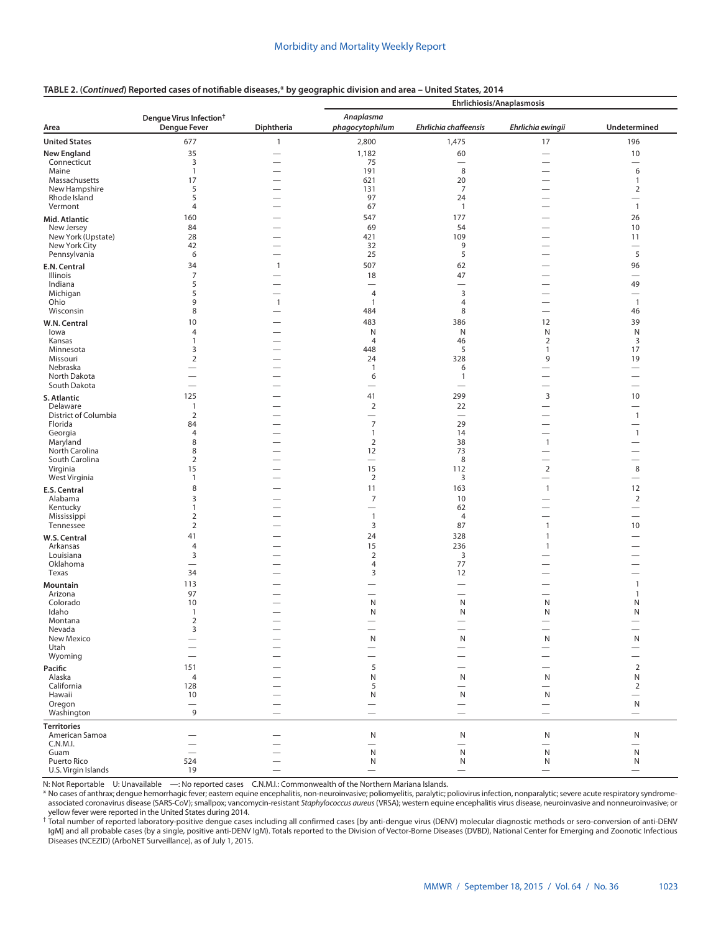#### **TABLE 2. (***Continued***) Reported cases of notifiable diseases,\* by geographic division and area – United States, 2014**

|                                     |                                                            |                                          | Ehrlichiosis/Anaplasmosis         |                                  |                                   |                                          |  |  |
|-------------------------------------|------------------------------------------------------------|------------------------------------------|-----------------------------------|----------------------------------|-----------------------------------|------------------------------------------|--|--|
| Area                                | Dengue Virus Infection <sup>†</sup><br><b>Dengue Fever</b> | Diphtheria                               | Anaplasma<br>phagocytophilum      | Ehrlichia chaffeensis            | Ehrlichia ewingii                 | Undetermined                             |  |  |
| <b>United States</b>                | 677                                                        | $\mathbf{1}$                             | 2,800                             | 1,475                            | 17                                | 196                                      |  |  |
| <b>New England</b>                  | 35                                                         |                                          | 1,182                             | 60                               |                                   | 10                                       |  |  |
| Connecticut                         | 3                                                          |                                          | 75                                |                                  | $\overline{\phantom{0}}$          | $\overbrace{\phantom{1232211}}$          |  |  |
| Maine<br>Massachusetts              | $\mathbf{1}$<br>17                                         |                                          | 191<br>621                        | 8<br>20                          |                                   | 6<br>$\mathbf{1}$                        |  |  |
| New Hampshire                       | 5                                                          |                                          | 131                               | $\overline{7}$                   |                                   | $\overline{2}$                           |  |  |
| Rhode Island                        | 5                                                          |                                          | 97                                | 24                               | $\overline{\phantom{0}}$          | $\overline{\phantom{0}}$                 |  |  |
| Vermont                             | $\overline{4}$                                             |                                          | 67                                | $\overline{1}$                   | $\overbrace{\phantom{12322111}}$  | $\mathbf{1}$                             |  |  |
| Mid. Atlantic                       | 160                                                        |                                          | 547                               | 177                              |                                   | 26                                       |  |  |
| New Jersey                          | 84                                                         |                                          | 69                                | 54                               |                                   | 10                                       |  |  |
| New York (Upstate)<br>New York City | 28<br>42                                                   | $\overline{\phantom{0}}$<br>—            | 421<br>32                         | 109<br>9                         | $\overbrace{\phantom{12322111}}$  | 11<br>$\overline{\phantom{m}}$           |  |  |
| Pennsylvania                        | 6                                                          | $\overline{\phantom{0}}$                 | 25                                | 5                                |                                   | 5                                        |  |  |
| E.N. Central                        | 34                                                         | $\mathbf{1}$                             | 507                               | 62                               |                                   | 96                                       |  |  |
| Illinois                            | $\overline{7}$                                             |                                          | 18                                | 47                               |                                   |                                          |  |  |
| Indiana                             | 5                                                          | —                                        | $\overline{\phantom{0}}$          | $\overline{\phantom{0}}$         |                                   | 49                                       |  |  |
| Michigan<br>Ohio                    | 5<br>9                                                     | $\overline{\phantom{0}}$<br>$\mathbf{1}$ | $\overline{4}$<br>$\mathbf{1}$    | $\mathsf 3$<br>4                 |                                   | $\overline{\phantom{0}}$<br>$\mathbf{1}$ |  |  |
| Wisconsin                           | 8                                                          | $\overline{\phantom{0}}$                 | 484                               | 8                                | $\overline{\phantom{0}}$          | 46                                       |  |  |
| W.N. Central                        | 10                                                         |                                          | 483                               | 386                              | 12                                | 39                                       |  |  |
| lowa                                | 4                                                          |                                          | N                                 | $\mathsf{N}$                     | ${\sf N}$                         | ${\sf N}$                                |  |  |
| Kansas                              | 1                                                          |                                          | 4                                 | 46                               | $\overline{2}$                    | 3                                        |  |  |
| Minnesota                           | 3                                                          |                                          | 448                               | 5                                | 1                                 | 17                                       |  |  |
| Missouri<br>Nebraska                | $\overline{2}$<br>$\overline{\phantom{0}}$                 |                                          | 24<br>$\mathbf{1}$                | 328                              | 9                                 | 19                                       |  |  |
| North Dakota                        | $\overline{\phantom{0}}$                                   |                                          | 6                                 | 6<br>$\mathbf{1}$                |                                   |                                          |  |  |
| South Dakota                        | $\overline{\phantom{m}}$                                   |                                          | $\overline{\phantom{0}}$          | $\overbrace{\phantom{12322111}}$ | $\overline{\phantom{0}}$          |                                          |  |  |
| S. Atlantic                         | 125                                                        |                                          | 41                                | 299                              | 3                                 | 10                                       |  |  |
| Delaware                            | $\mathbf{1}$                                               |                                          | $\sqrt{2}$                        | 22                               | $\overline{\phantom{0}}$          | $\overline{\phantom{0}}$                 |  |  |
| District of Columbia                | $\overline{2}$                                             |                                          | $\overbrace{\phantom{123221111}}$ | $\equiv$                         |                                   | $\mathbf{1}$                             |  |  |
| Florida<br>Georgia                  | 84<br>$\overline{4}$                                       |                                          | $\overline{7}$<br>$\mathbf{1}$    | 29<br>14                         |                                   | $\overline{\phantom{0}}$<br>$\mathbf{1}$ |  |  |
| Maryland                            | 8                                                          | -                                        | $\overline{2}$                    | 38                               | $\mathbf{1}$                      |                                          |  |  |
| North Carolina                      | 8                                                          |                                          | 12                                | 73                               |                                   | $\overline{\phantom{0}}$                 |  |  |
| South Carolina                      | $\overline{2}$                                             |                                          | $\overbrace{\phantom{1232211}}$   | 8                                |                                   | $\overline{\phantom{0}}$                 |  |  |
| Virginia<br>West Virginia           | 15<br>$\mathbf{1}$                                         |                                          | 15<br>$\overline{2}$              | 112<br>3                         | $\overline{2}$<br>$\qquad \qquad$ | 8<br>$\overline{\phantom{0}}$            |  |  |
|                                     | 8                                                          |                                          | 11                                | 163                              | $\mathbf{1}$                      | 12                                       |  |  |
| <b>E.S. Central</b><br>Alabama      | 3                                                          |                                          | $\overline{7}$                    | 10                               |                                   | $\overline{2}$                           |  |  |
| Kentucky                            | 1                                                          |                                          |                                   | 62                               |                                   | $\overline{\phantom{0}}$                 |  |  |
| Mississippi                         | $\overline{2}$                                             |                                          | $\mathbf{1}$                      | $\overline{4}$                   |                                   | $\overline{\phantom{0}}$                 |  |  |
| Tennessee                           | $\overline{2}$                                             |                                          | 3                                 | 87                               | $\mathbf{1}$                      | 10                                       |  |  |
| W.S. Central                        | 41                                                         |                                          | 24                                | 328                              | $\mathbf{1}$                      | $\overline{\phantom{0}}$                 |  |  |
| Arkansas<br>Louisiana               | $\overline{4}$<br>3                                        | —                                        | 15<br>$\overline{2}$              | 236<br>3                         | $\mathbf{1}$                      | $\overline{\phantom{0}}$                 |  |  |
| Oklahoma                            | $\overline{\phantom{0}}$                                   |                                          | 4                                 | 77                               |                                   |                                          |  |  |
| Texas                               | 34                                                         |                                          | 3                                 | 12                               |                                   |                                          |  |  |
| Mountain                            | 113                                                        |                                          |                                   |                                  |                                   | $\mathbf{1}$                             |  |  |
| Arizona                             | 97                                                         |                                          |                                   |                                  |                                   | $\mathbf{1}$                             |  |  |
| Colorado<br>Idaho                   | 10<br>$\mathbf{1}$                                         | -                                        | N<br>N                            | N<br>N                           | N<br>N                            | N<br>N                                   |  |  |
| Montana                             | 2                                                          |                                          |                                   |                                  |                                   |                                          |  |  |
| Nevada                              | 3                                                          |                                          |                                   |                                  |                                   |                                          |  |  |
| New Mexico                          | $\overline{\phantom{0}}$                                   |                                          | ${\sf N}$                         | ${\sf N}$                        | ${\sf N}$                         | $\mathsf{N}$                             |  |  |
| Utah<br>Wyoming                     |                                                            |                                          |                                   |                                  |                                   | $\overline{\phantom{0}}$                 |  |  |
| Pacific                             | 151                                                        |                                          | 5                                 |                                  | $\overline{\phantom{0}}$          | $\overline{2}$                           |  |  |
| Alaska                              | 4                                                          |                                          | N                                 | N                                | N                                 | N                                        |  |  |
| California                          | 128                                                        |                                          | 5                                 |                                  | $\overline{\phantom{0}}$          | $\overline{2}$                           |  |  |
| Hawaii                              | 10                                                         |                                          | ${\sf N}$                         | N                                | N                                 | $\overline{\phantom{0}}$                 |  |  |
| Oregon                              | $\overline{\phantom{m}}$                                   |                                          |                                   | $\qquad \qquad$                  | $\qquad \qquad -$                 | ${\sf N}$                                |  |  |
| Washington                          | 9                                                          |                                          |                                   |                                  | $\overline{\phantom{0}}$          |                                          |  |  |
| <b>Territories</b>                  |                                                            |                                          |                                   |                                  |                                   |                                          |  |  |
| American Samoa<br>C.N.M.I.          |                                                            |                                          | N<br>$\overline{\phantom{0}}$     | N<br>$\overline{\phantom{0}}$    | N<br>$\overline{\phantom{0}}$     | ${\sf N}$<br>$\overline{\phantom{0}}$    |  |  |
| Guam                                | $\overline{\phantom{0}}$                                   |                                          | ${\sf N}$                         | ${\sf N}$                        | ${\sf N}$                         | ${\sf N}$                                |  |  |
| Puerto Rico                         | 524                                                        |                                          | N                                 | N                                | N                                 | N                                        |  |  |
| U.S. Virgin Islands                 | 19                                                         |                                          |                                   |                                  |                                   | $\overline{\phantom{0}}$                 |  |  |

N: Not Reportable U: Unavailable —: No reported cases C.N.M.I.: Commonwealth of the Northern Mariana Islands.

\* No cases of anthrax; dengue hemorrhagic fever; eastern equine encephalitis, non-neuroinvasive; poliomyelitis, paralytic; poliovirus infection, nonparalytic; severe acute respiratory syndromeassociated coronavirus disease (SARS-CoV); smallpox; vancomycin-resistant *Staphylococcus aureus* (VRSA); western equine encephalitis virus disease, neuroinvasive and nonneuroinvasive; or

yellow fever were reported in the United States during 2014.<br><sup>†</sup> Total number of reported laboratory-positive dengue cases including all confirmed cases [by anti-dengue virus (DENV) molecular diagnostic methods or sero-con IgM] and all probable cases (by a single, positive anti-DENV IgM). Totals reported to the Division of Vector-Borne Diseases (DVBD), National Center for Emerging and Zoonotic Infectious Diseases (NCEZID) (ArboNET Surveillance), as of July 1, 2015.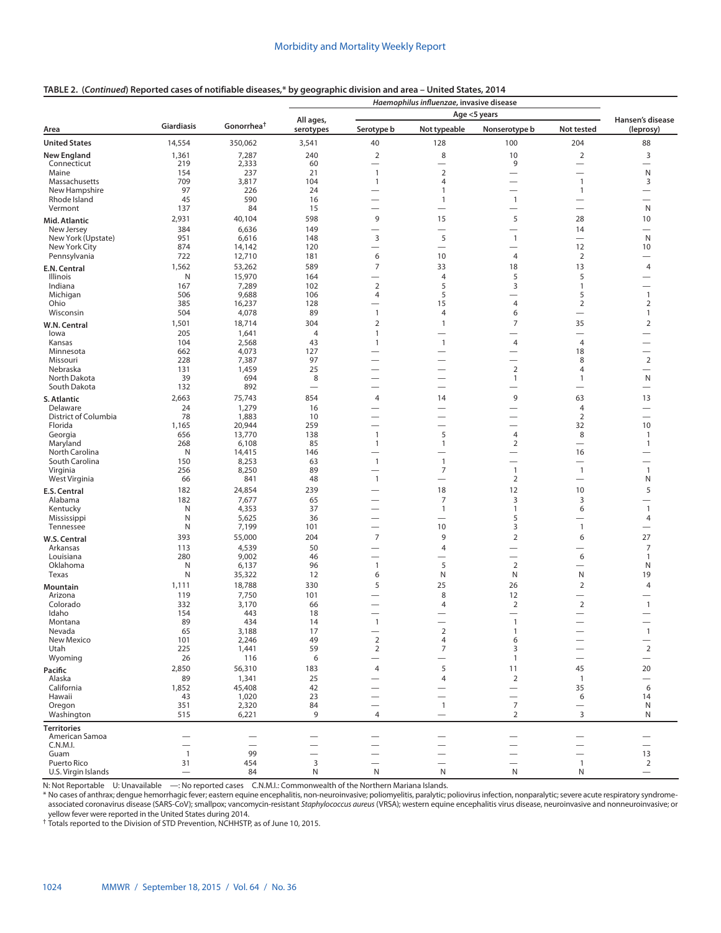### **TABLE 2. (***Continued***) Reported cases of notifiable diseases,\* by geographic division and area – United States, 2014**

|                                      |                          |                          |                 |                                          | Haemophilus influenzae, invasive disease   |                                            |                                            |                               |
|--------------------------------------|--------------------------|--------------------------|-----------------|------------------------------------------|--------------------------------------------|--------------------------------------------|--------------------------------------------|-------------------------------|
|                                      |                          |                          | All ages,       |                                          |                                            | Age <5 years                               |                                            | Hansen's disease              |
| Area                                 | <b>Giardiasis</b>        | Gonorrhea <sup>†</sup>   | serotypes       | Serotype b                               | Not typeable                               | Nonserotype b                              | Not tested                                 | (leprosy)                     |
| <b>United States</b>                 | 14,554                   | 350,062                  | 3,541           | 40                                       | 128                                        | 100                                        | 204                                        | 88                            |
| <b>New England</b>                   | 1,361                    | 7,287                    | 240             | $\overline{2}$                           | 8                                          | 10                                         | $\overline{2}$                             | 3                             |
| Connecticut<br>Maine                 | 219<br>154               | 2,333<br>237             | 60<br>21        | $\overline{\phantom{0}}$<br>$\mathbf{1}$ | $\overline{\phantom{0}}$<br>$\overline{2}$ | 9<br>$\overline{\phantom{0}}$              |                                            | N                             |
| Massachusetts                        | 709                      | 3,817                    | 104             | $\mathbf{1}$                             | 4                                          | $\overline{\phantom{0}}$                   | $\mathbf{1}$                               | 3                             |
| New Hampshire                        | 97                       | 226                      | 24              |                                          | 1                                          | $\overline{\phantom{0}}$                   | $\mathbf{1}$                               |                               |
| Rhode Island                         | 45                       | 590                      | 16              |                                          | 1                                          | $\mathbf{1}$                               | $\overline{\phantom{0}}$                   |                               |
| Vermont                              | 137                      | 84                       | 15              |                                          |                                            | -                                          |                                            | N                             |
| Mid. Atlantic                        | 2,931                    | 40,104                   | 598             | 9                                        | 15                                         | 5                                          | 28                                         | 10                            |
| New Jersey<br>New York (Upstate)     | 384<br>951               | 6,636<br>6,616           | 149<br>148      | 3                                        | $\overline{\phantom{0}}$<br>5              | $\overline{\phantom{0}}$<br>$\mathbf{1}$   | 14                                         | $\overline{\phantom{0}}$<br>N |
| New York City                        | 874                      | 14,142                   | 120             |                                          | $\overline{\phantom{0}}$                   | -                                          | 12                                         | 10                            |
| Pennsylvania                         | 722                      | 12,710                   | 181             | 6                                        | 10                                         | $\overline{4}$                             | $\overline{2}$                             |                               |
| E.N. Central                         | 1,562                    | 53,262                   | 589             | $\overline{7}$                           | 33                                         | 18                                         | 13                                         | $\overline{4}$                |
| Illinois                             | N                        | 15,970                   | 164             | $\overline{\phantom{0}}$                 | $\overline{4}$                             | 5                                          | 5                                          |                               |
| Indiana                              | 167                      | 7,289                    | 102             | $\overline{2}$                           | 5                                          | 3                                          | $\mathbf{1}$                               |                               |
| Michigan<br>Ohio                     | 506<br>385               | 9,688<br>16,237          | 106<br>128      | 4                                        | 5<br>15                                    | -<br>$\overline{4}$                        | 5<br>$\overline{2}$                        | $\mathbf{1}$<br>2             |
| Wisconsin                            | 504                      | 4,078                    | 89              | $\mathbf{1}$                             | $\overline{4}$                             | 6                                          |                                            | $\mathbf{1}$                  |
| W.N. Central                         | 1,501                    | 18,714                   | 304             | 2                                        | $\mathbf{1}$                               | 7                                          | 35                                         | 2                             |
| lowa                                 | 205                      | 1,641                    | $\overline{4}$  | $\mathbf{1}$                             |                                            | $\overline{\phantom{0}}$                   |                                            |                               |
| Kansas                               | 104                      | 2,568                    | 43              | $\mathbf{1}$                             | $\mathbf{1}$                               | $\overline{4}$                             | $\overline{4}$                             |                               |
| Minnesota                            | 662                      | 4,073                    | 127             |                                          | $\overline{\phantom{0}}$                   | $\overline{\phantom{0}}$                   | 18                                         |                               |
| Missouri<br>Nebraska                 | 228<br>131               | 7,387<br>1,459           | 97<br>25        |                                          |                                            | $\overline{\phantom{0}}$<br>$\overline{2}$ | 8<br>$\overline{4}$                        | $\overline{2}$                |
| North Dakota                         | 39                       | 694                      | 8               |                                          |                                            | $\mathbf{1}$                               | $\mathbf{1}$                               | N                             |
| South Dakota                         | 132                      | 892                      | $\qquad \qquad$ |                                          |                                            |                                            | $\overline{\phantom{0}}$                   |                               |
| S. Atlantic                          | 2,663                    | 75,743                   | 854             | 4                                        | 14                                         | 9                                          | 63                                         | 13                            |
| Delaware                             | 24                       | 1,279                    | 16              |                                          |                                            | -                                          | $\overline{4}$                             | $\overline{\phantom{0}}$      |
| District of Columbia                 | 78                       | 1,883                    | 10              |                                          |                                            | $\overline{\phantom{0}}$                   | $\overline{2}$                             | -                             |
| Florida<br>Georgia                   | 1,165<br>656             | 20,944<br>13,770         | 259<br>138      | $\mathbf{1}$                             | 5                                          | $\overline{4}$                             | 32<br>8                                    | 10<br>1                       |
| Maryland                             | 268                      | 6,108                    | 85              | $\mathbf{1}$                             | $\mathbf{1}$                               | 2                                          | $\overline{\phantom{0}}$                   | $\mathbf{1}$                  |
| North Carolina                       | N                        | 14,415                   | 146             | $\overline{\phantom{0}}$                 | $\overline{\phantom{0}}$                   | $\overline{\phantom{0}}$                   | 16                                         |                               |
| South Carolina                       | 150                      | 8,253                    | 63              | $\mathbf{1}$                             | $\overline{1}$                             | $\overline{\phantom{0}}$                   | $\overline{\phantom{0}}$                   |                               |
| Virginia                             | 256                      | 8,250                    | 89              | $\overline{\phantom{0}}$<br>$\mathbf{1}$ | $\overline{7}$<br>$\overline{\phantom{0}}$ | $\overline{1}$                             | $\overline{1}$<br>$\overline{\phantom{0}}$ | $\mathbf{1}$<br>N             |
| West Virginia                        | 66<br>182                | 841<br>24,854            | 48<br>239       | $\overline{\phantom{0}}$                 | 18                                         | $\overline{2}$<br>12                       | 10                                         | 5                             |
| E.S. Central<br>Alabama              | 182                      | 7,677                    | 65              |                                          | $\overline{7}$                             | 3                                          | 3                                          |                               |
| Kentucky                             | N                        | 4,353                    | 37              | —                                        | $\mathbf{1}$                               | $\mathbf{1}$                               | 6                                          | $\mathbf{1}$                  |
| Mississippi                          | N                        | 5,625                    | 36              |                                          | $\overline{\phantom{0}}$                   | 5                                          | $\overline{\phantom{0}}$                   | 4                             |
| Tennessee                            | N                        | 7,199                    | 101             |                                          | 10                                         | 3                                          | $\mathbf{1}$                               |                               |
| W.S. Central                         | 393                      | 55,000                   | 204             | $\overline{7}$                           | 9                                          | $\mathbf 2$                                | 6                                          | 27                            |
| Arkansas                             | 113                      | 4,539                    | 50              |                                          | 4                                          |                                            |                                            | 7                             |
| Louisiana<br>Oklahoma                | 280<br>N                 | 9,002<br>6,137           | 46<br>96        | —<br>$\mathbf{1}$                        | —<br>5                                     | -<br>$\overline{2}$                        | 6<br>$\overline{\phantom{0}}$              | 1<br>N                        |
| Texas                                | N                        | 35,322                   | 12              | 6                                        | N                                          | N                                          | $\sf N$                                    | 19                            |
| Mountain                             | 1,111                    | 18,788                   | 330             | 5                                        | 25                                         | 26                                         | $\overline{2}$                             | $\overline{4}$                |
| Arizona                              | 119                      | 7,750                    | 101             |                                          | 8                                          | 12                                         | $\overline{\phantom{0}}$                   |                               |
| Colorado                             | 332                      | 3,170                    | 66              |                                          | 4                                          | $\overline{2}$                             | $\overline{2}$                             | $\mathbf{1}$                  |
| Idaho                                | 154                      | 443                      | 18              |                                          |                                            | $\overline{\phantom{0}}$<br>$\overline{1}$ | $\overline{\phantom{0}}$                   |                               |
| Montana<br>Nevada                    | 89<br>65                 | 434<br>3,188             | 14<br>17        | $\mathbf{1}$                             | $\overline{2}$                             | $\mathbf{1}$                               |                                            | $\mathbf{1}$                  |
| New Mexico                           | 101                      | 2,246                    | 49              | $\mathbf 2$                              | 4                                          | 6                                          |                                            | $\overline{\phantom{0}}$      |
| Utah                                 | 225                      | 1,441                    | 59              | $\overline{2}$                           | 7                                          | 3                                          | $\overline{\phantom{0}}$                   | $\overline{2}$                |
| Wyoming                              | 26                       | 116                      | 6               | $\overline{\phantom{0}}$                 |                                            | $\overline{1}$                             |                                            | $\qquad \qquad -$             |
| Pacific                              | 2,850                    | 56,310                   | 183             | 4                                        | 5                                          | 11                                         | 45                                         | 20                            |
| Alaska<br>California                 | 89<br>1,852              | 1,341<br>45,408          | 25<br>42        | $\overline{\phantom{0}}$                 | $\overline{4}$                             | $\sqrt{2}$<br>$\overline{\phantom{0}}$     | $\overline{1}$<br>35                       | 6                             |
| Hawaii                               | 43                       | 1,020                    | 23              |                                          |                                            | $\overline{\phantom{0}}$                   | 6                                          | 14                            |
| Oregon                               | 351                      | 2,320                    | 84              | $\overline{\phantom{0}}$                 | $\mathbf{1}$                               | $\overline{7}$                             |                                            | N                             |
| Washington                           | 515                      | 6,221                    | 9               | $\overline{4}$                           | $\qquad \qquad -$                          | 2                                          | 3                                          | N                             |
| <b>Territories</b><br>American Samoa |                          |                          |                 |                                          |                                            |                                            |                                            |                               |
| C.N.M.I.                             | $\overline{\phantom{0}}$ | $\overline{\phantom{0}}$ |                 | $\overline{\phantom{0}}$                 | $\overline{\phantom{0}}$                   | $\overline{\phantom{0}}$                   | $\overline{\phantom{0}}$                   | $\overline{\phantom{0}}$      |
| Guam                                 | $\mathbf{1}$             | 99                       |                 |                                          |                                            |                                            |                                            | 13                            |
| Puerto Rico                          | 31                       | 454                      | 3               |                                          | $\overline{\phantom{0}}$                   | $\overline{\phantom{0}}$                   | $\overline{1}$                             | $\overline{2}$                |
| U.S. Virgin Islands                  | $\overline{\phantom{0}}$ | 84                       | N               | N                                        | N                                          | N                                          | N                                          | $\qquad \qquad -$             |

N: Not Reportable U: Unavailable —: No reported cases C.N.M.I.: Commonwealth of the Northern Mariana Islands.

\* No cases of anthrax; dengue hemorrhagic fever; eastern equine encephalitis, non-neuroinvasive; poliomyelitis, paralytic; poliovirus infection, nonparalytic; severe acute respiratory syndromeassociated coronavirus disease (SARS-CoV); smallpox; vancomycin-resistant *Staphylococcus aureus* (VRSA); western equine encephalitis virus disease, neuroinvasive and nonneuroinvasive; or

yellow fever were reported in the United States during 2014.<br><sup>†</sup> Totals reported to the Division of STD Prevention, NCHHSTP, as of June 10, 2015.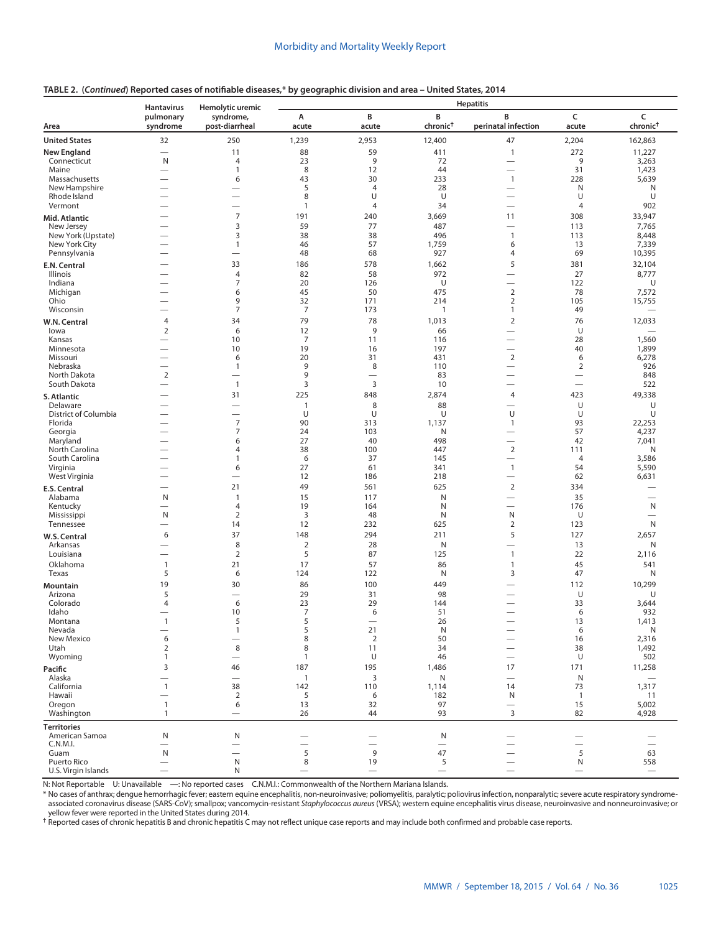|                             | <b>Hantavirus</b>        | Hemolytic uremic                 | -, ,                 |                      |                           | <b>Hepatitis</b>                                     |                               |                                   |
|-----------------------------|--------------------------|----------------------------------|----------------------|----------------------|---------------------------|------------------------------------------------------|-------------------------------|-----------------------------------|
| Area                        | pulmonary<br>syndrome    | syndrome,<br>post-diarrheal      | А<br>acute           | B<br>acute           | B<br>chronic <sup>+</sup> | B<br>perinatal infection                             | C<br>acute                    | C<br>chronic <sup>†</sup>         |
| <b>United States</b>        | 32                       | 250                              | 1,239                | 2,953                | 12,400                    | 47                                                   | 2,204                         | 162,863                           |
| <b>New England</b>          |                          | 11                               | 88                   | 59                   | 411                       | $\mathbf{1}$                                         | 272                           | 11,227                            |
| Connecticut                 | N                        | $\overline{4}$                   | 23                   | 9                    | 72                        | $\overline{\phantom{0}}$                             | 9                             | 3,263                             |
| Maine<br>Massachusetts      |                          | $\mathbf{1}$<br>6                | 8<br>43              | 12<br>30             | 44<br>233                 | $\overline{\phantom{0}}$<br>$\mathbf{1}$             | 31<br>228                     | 1,423<br>5,639                    |
| New Hampshire               |                          |                                  | 5                    | $\overline{4}$       | 28                        |                                                      | N                             | Ν                                 |
| Rhode Island                |                          |                                  | 8                    | U                    | U                         |                                                      | U                             | U                                 |
| Vermont                     | $\overline{\phantom{0}}$ | —<br>$\overline{7}$              | 1                    | $\overline{4}$       | 34                        |                                                      | 4                             | 902                               |
| Mid. Atlantic<br>New Jersey |                          | 3                                | 191<br>59            | 240<br>77            | 3,669<br>487              | 11<br>$\overline{\phantom{0}}$                       | 308<br>113                    | 33,947<br>7,765                   |
| New York (Upstate)          |                          | 3                                | 38                   | 38                   | 496                       | $\mathbf{1}$                                         | 113                           | 8,448                             |
| New York City               |                          | 1                                | 46                   | 57                   | 1,759                     | 6                                                    | 13                            | 7,339                             |
| Pennsylvania                |                          | $\overline{\phantom{0}}$         | 48                   | 68                   | 927                       | 4                                                    | 69                            | 10,395                            |
| E.N. Central                |                          | 33                               | 186                  | 578                  | 1,662                     | 5                                                    | 381                           | 32,104                            |
| Illinois<br>Indiana         |                          | $\overline{4}$<br>7              | 82<br>20             | 58<br>126            | 972<br>U                  | $\overline{\phantom{0}}$<br>$\overline{\phantom{0}}$ | 27<br>122                     | 8,777<br>U                        |
| Michigan                    |                          | 6                                | 45                   | 50                   | 475                       | 2                                                    | 78                            | 7,572                             |
| Ohio                        |                          | 9                                | 32                   | 171                  | 214                       | $\overline{2}$                                       | 105                           | 15,755                            |
| Wisconsin                   | $\overline{\phantom{0}}$ | $\overline{7}$                   | $\overline{7}$       | 173                  | 1                         | $\mathbf{1}$                                         | 49                            |                                   |
| W.N. Central                | 4<br>$\overline{2}$      | 34<br>6                          | 79                   | 78<br>9              | 1,013<br>66               | $\overline{2}$                                       | 76<br>U                       | 12,033                            |
| lowa<br>Kansas              |                          | 10                               | 12<br>$\overline{7}$ | 11                   | 116                       |                                                      | 28                            | 1,560                             |
| Minnesota                   | $\overline{\phantom{0}}$ | 10                               | 19                   | 16                   | 197                       | $\overline{\phantom{0}}$                             | 40                            | 1,899                             |
| Missouri                    |                          | 6                                | 20                   | 31                   | 431                       | $\sqrt{2}$                                           | 6                             | 6,278                             |
| Nebraska<br>North Dakota    | $\overline{2}$           | $\mathbf{1}$<br>-                | 9<br>9               | 8<br>—               | 110<br>83                 |                                                      | $\overline{2}$                | 926<br>848                        |
| South Dakota                | $\overline{\phantom{0}}$ | $\overline{1}$                   | 3                    | 3                    | 10                        |                                                      |                               | 522                               |
| S. Atlantic                 |                          | 31                               | 225                  | 848                  | 2,874                     | 4                                                    | 423                           | 49,338                            |
| Delaware                    |                          | —                                | 1                    | 8                    | 88                        | $\overline{\phantom{0}}$                             | U                             | U                                 |
| District of Columbia        |                          | —                                | U                    | U                    | U                         | U                                                    | U                             | U                                 |
| Florida<br>Georgia          |                          | $\overline{7}$<br>$\overline{7}$ | 90<br>24             | 313<br>103           | 1,137<br>N                | 1                                                    | 93<br>57                      | 22,253<br>4,237                   |
| Maryland                    |                          | 6                                | 27                   | 40                   | 498                       | $\overline{\phantom{0}}$                             | 42                            | 7,041                             |
| North Carolina              |                          | 4                                | 38                   | 100                  | 447                       | $\overline{2}$                                       | 111                           | Ν                                 |
| South Carolina<br>Virginia  |                          | $\mathbf{1}$<br>6                | 6<br>27              | 37<br>61             | 145<br>341                | $\overline{\phantom{0}}$<br>$\mathbf{1}$             | $\overline{4}$<br>54          | 3,586<br>5,590                    |
| West Virginia               |                          |                                  | 12                   | 186                  | 218                       | $\overline{\phantom{0}}$                             | 62                            | 6,631                             |
| E.S. Central                |                          | 21                               | 49                   | 561                  | 625                       | $\overline{2}$                                       | 334                           |                                   |
| Alabama                     | N                        | $\mathbf{1}$                     | 15                   | 117                  | N                         |                                                      | 35                            |                                   |
| Kentucky                    |                          | $\overline{4}$                   | 19                   | 164                  | N                         | $\overline{\phantom{0}}$                             | 176                           | N                                 |
| Mississippi<br>Tennessee    | N                        | 2<br>14                          | 3<br>12              | 48<br>232            | N<br>625                  | N<br>2                                               | U<br>123                      | $\overline{\phantom{0}}$<br>N     |
| W.S. Central                | 6                        | 37                               | 148                  | 294                  | 211                       | 5                                                    | 127                           | 2,657                             |
| Arkansas                    |                          | 8                                | $\overline{2}$       | 28                   | N                         |                                                      | 13                            | Ν                                 |
| Louisiana                   | $\overline{\phantom{0}}$ | $\overline{2}$                   | 5                    | 87                   | 125                       | $\mathbf{1}$                                         | 22                            | 2,116                             |
| Oklahoma                    | $\mathbf{1}$             | 21                               | 17                   | 57                   | 86                        | $\mathbf{1}$                                         | 45                            | 541                               |
| Texas                       | 5                        | 6                                | 124                  | 122                  | N                         | 3                                                    | 47                            | Ν                                 |
| Mountain<br>Arizona         | 19<br>5                  | 30                               | 86<br>29             | 100<br>31            | 449<br>98                 |                                                      | 112<br>U                      | 10,299<br>U                       |
| Colorado                    | 4                        | 6                                | 23                   | 29                   | 144                       |                                                      | 33                            | 3,644                             |
| Idaho                       |                          | 10                               | $\overline{7}$       | 6                    | 51                        | $\overline{\phantom{0}}$                             | 6                             | 932                               |
| Montana                     | $\mathbf{1}$             | 5                                | 5                    |                      | 26                        |                                                      | 13                            | 1,413                             |
| Nevada<br>New Mexico        | 6                        | $\mathbf{1}$                     | 5<br>8               | 21<br>$\overline{2}$ | ${\sf N}$<br>50           |                                                      | 6<br>16                       | ${\sf N}$<br>2,316                |
| Utah                        | $\overline{2}$           | 8                                | 8                    | 11                   | 34                        |                                                      | 38                            | 1,492                             |
| Wyoming                     | 1                        | $\overline{\phantom{0}}$         | 1                    | U                    | 46                        | $\overbrace{\phantom{12322111}}$                     | U                             | 502                               |
| Pacific                     | 3                        | 46                               | 187                  | 195                  | 1,486                     | 17                                                   | 171                           | 11,258                            |
| Alaska<br>California        | $\mathbf{1}$             | 38                               | $\mathbf{1}$<br>142  | 3<br>110             | N<br>1,114                | $\equiv$<br>14                                       | $\mathsf{N}$<br>73            | $\overline{\phantom{0}}$<br>1,317 |
| Hawaii                      |                          | $\overline{2}$                   | 5                    | 6                    | 182                       | N                                                    | $\overline{1}$                | 11                                |
| Oregon                      | $\mathbf{1}$             | 6                                | 13                   | 32                   | 97                        | $\overline{\phantom{0}}$                             | 15                            | 5,002                             |
| Washington                  | $\mathbf{1}$             | $\overline{\phantom{0}}$         | 26                   | 44                   | 93                        | 3                                                    | 82                            | 4,928                             |
| <b>Territories</b>          |                          |                                  |                      |                      |                           |                                                      |                               |                                   |
| American Samoa<br>C.N.M.I.  | N                        | $\mathsf{N}$                     |                      |                      | $\mathsf{N}$              |                                                      | $\overline{\phantom{0}}$      |                                   |
| Guam                        | N                        |                                  | 5                    | 9                    | 47                        |                                                      | $\overline{\phantom{0}}$<br>5 | 63                                |
| Puerto Rico                 |                          | N                                | $\,8\,$              | 19                   | 5                         |                                                      | N                             | 558                               |
| U.S. Virgin Islands         |                          | N                                |                      |                      |                           |                                                      |                               |                                   |

# **TABLE 2. (***Continued***) Reported cases of notifiable diseases,\* by geographic division and area – United States, 2014**

N: Not Reportable U: Unavailable —: No reported cases C.N.M.I.: Commonwealth of the Northern Mariana Islands.

\* No cases of anthrax; dengue hemorrhagic fever; eastern equine encephalitis, non-neuroinvasive; poliomyelitis, paralytic; poliovirus infection, nonparalytic; severe acute respiratory syndrome-<br>associated coronavirus disea

yellow fever were reported in the United States during 2014.<br><sup>†</sup> Reported cases of chronic hepatitis B and chronic hepatitis C may not reflect unique case reports and may include both confirmed and probable case reports.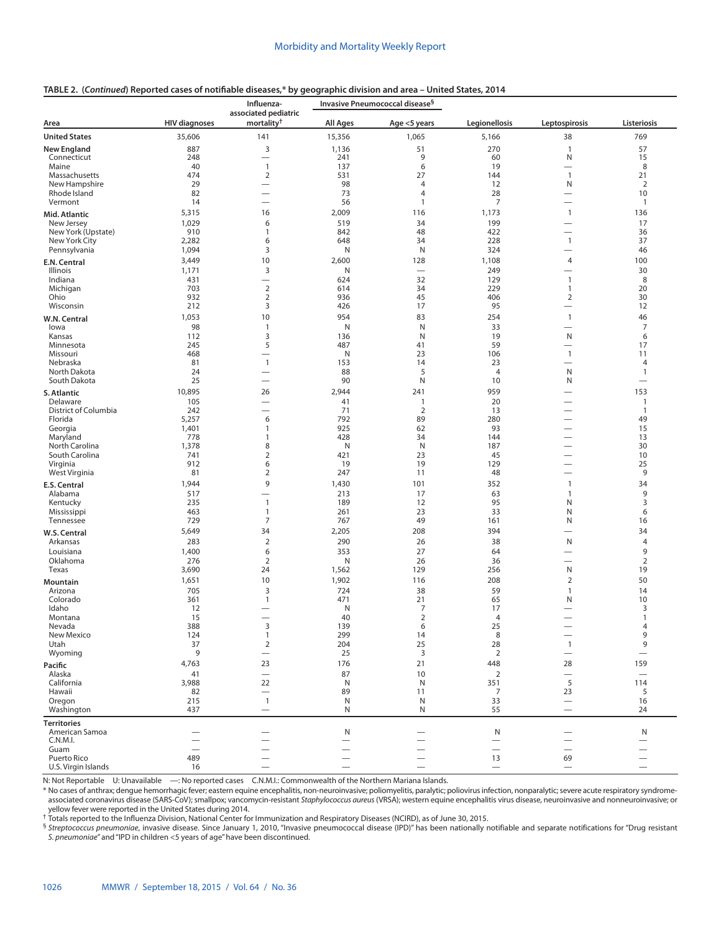# **TABLE 2. (***Continued***) Reported cases of notifiable diseases,\* by geographic division and area – United States, 2014**

|                                |                      | Influenza-                                     |                          | Invasive Pneumococcal disease <sup>§</sup> |                                |                               |                          |
|--------------------------------|----------------------|------------------------------------------------|--------------------------|--------------------------------------------|--------------------------------|-------------------------------|--------------------------|
| Area                           | <b>HIV diagnoses</b> | associated pediatric<br>mortality <sup>†</sup> | <b>All Ages</b>          | Age <5 years                               | Legionellosis                  | Leptospirosis                 | Listeriosis              |
| <b>United States</b>           | 35,606               | 141                                            | 15,356                   | 1,065                                      | 5,166                          | 38                            | 769                      |
| <b>New England</b>             | 887                  | 3                                              | 1,136                    | 51                                         | 270                            | $\mathbf{1}$                  | 57                       |
| Connecticut                    | 248                  | $\qquad \qquad -$                              | 241                      | 9                                          | 60                             | N                             | 15                       |
| Maine                          | 40                   | $\mathbf{1}$                                   | 137                      | 6                                          | 19                             |                               | 8                        |
| Massachusetts<br>New Hampshire | 474<br>29            | $\overline{2}$                                 | 531<br>98                | 27<br>4                                    | 144<br>12                      | $\mathbf{1}$<br>N             | 21<br>$\overline{2}$     |
| Rhode Island                   | 82                   | $\overline{\phantom{0}}$                       | 73                       | $\overline{4}$                             | 28                             |                               | 10                       |
| Vermont                        | 14                   | $\overline{\phantom{0}}$                       | 56                       | 1                                          | 7                              | $\overline{\phantom{0}}$      | $\mathbf{1}$             |
| Mid. Atlantic                  | 5,315                | 16                                             | 2,009                    | 116                                        | 1,173                          | $\mathbf{1}$                  | 136                      |
| New Jersey                     | 1,029                | 6                                              | 519                      | 34                                         | 199                            | $\overline{\phantom{0}}$      | 17                       |
| New York (Upstate)             | 910                  | 1                                              | 842                      | 48                                         | 422                            |                               | 36                       |
| New York City                  | 2,282                | 6                                              | 648                      | 34                                         | 228                            | $\mathbf{1}$                  | 37                       |
| Pennsylvania                   | 1,094                | 3                                              | N                        | N                                          | 324                            |                               | 46                       |
| E.N. Central                   | 3,449                | 10                                             | 2,600                    | 128                                        | 1,108                          | 4                             | 100                      |
| Illinois                       | 1,171                | 3                                              | N                        |                                            | 249                            | $\overline{\phantom{0}}$      | 30                       |
| Indiana                        | 431                  | $\overbrace{\phantom{123221111}}$              | 624                      | 32                                         | 129                            | $\mathbf{1}$                  | 8                        |
| Michigan                       | 703                  | $\overline{2}$                                 | 614                      | 34                                         | 229                            | $\mathbf{1}$                  | 20                       |
| Ohio<br>Wisconsin              | 932<br>212           | $\overline{2}$<br>3                            | 936<br>426               | 45<br>17                                   | 406<br>95                      | $\overline{2}$                | 30<br>12                 |
|                                | 1,053                | 10                                             | 954                      | 83                                         | 254                            | $\mathbf{1}$                  | 46                       |
| W.N. Central<br>lowa           | 98                   | $\mathbf{1}$                                   | N                        | N                                          | 33                             | $\overline{\phantom{0}}$      | 7                        |
| Kansas                         | 112                  | 3                                              | 136                      | N                                          | 19                             | N                             | 6                        |
| Minnesota                      | 245                  | 5                                              | 487                      | 41                                         | 59                             |                               | 17                       |
| Missouri                       | 468                  |                                                | N                        | 23                                         | 106                            | $\mathbf{1}$                  | 11                       |
| Nebraska                       | 81                   | $\mathbf{1}$                                   | 153                      | 14                                         | 23                             |                               | 4                        |
| North Dakota                   | 24                   |                                                | 88                       | 5                                          | $\overline{4}$                 | N                             | $\mathbf{1}$             |
| South Dakota                   | 25                   |                                                | 90                       | N                                          | 10                             | N                             | $\overline{\phantom{0}}$ |
| S. Atlantic                    | 10,895               | 26                                             | 2,944                    | 241                                        | 959                            |                               | 153                      |
| Delaware                       | 105                  | $\overline{\phantom{0}}$                       | 41                       | $\mathbf{1}$                               | 20                             |                               | $\mathbf{1}$             |
| District of Columbia           | 242                  |                                                | 71                       | $\overline{2}$                             | 13                             | $\overline{\phantom{0}}$      | $\mathbf{1}$             |
| Florida<br>Georgia             | 5,257<br>1,401       | 6<br>1                                         | 792<br>925               | 89<br>62                                   | 280<br>93                      | $\overline{\phantom{0}}$      | 49<br>15                 |
| Maryland                       | 778                  | 1                                              | 428                      | 34                                         | 144                            |                               | 13                       |
| North Carolina                 | 1,378                | 8                                              | N                        | N                                          | 187                            |                               | 30                       |
| South Carolina                 | 741                  | $\overline{2}$                                 | 421                      | 23                                         | 45                             |                               | 10                       |
| Virginia                       | 912                  | 6                                              | 19                       | 19                                         | 129                            |                               | 25                       |
| West Virginia                  | 81                   | $\mathbf 2$                                    | 247                      | 11                                         | 48                             | $\overline{\phantom{0}}$      | 9                        |
| E.S. Central                   | 1,944                | 9                                              | 1,430                    | 101                                        | 352                            | 1                             | 34                       |
| Alabama                        | 517                  | $\overline{\phantom{0}}$                       | 213                      | 17                                         | 63                             | $\mathbf{1}$                  | 9                        |
| Kentucky                       | 235                  | $\mathbf{1}$                                   | 189                      | 12                                         | 95                             | N                             | 3                        |
| Mississippi<br>Tennessee       | 463<br>729           | $\mathbf{1}$<br>7                              | 261<br>767               | 23<br>49                                   | 33<br>161                      | N<br>N                        | 6<br>16                  |
|                                | 5,649                | 34                                             |                          |                                            | 394                            |                               | 34                       |
| W.S. Central<br>Arkansas       | 283                  | $\overline{2}$                                 | 2,205<br>290             | 208<br>26                                  | 38                             | $\overline{\phantom{0}}$<br>N | $\overline{4}$           |
|                                |                      |                                                |                          |                                            |                                |                               | 9                        |
| Louisiana<br>Oklahoma          | 1,400<br>276         | 6<br>$\overline{2}$                            | 353<br>N                 | 27<br>26                                   | 64<br>36                       | $\overline{\phantom{0}}$      | 2                        |
| Texas                          | 3,690                | 24                                             | 1,562                    | 129                                        | 256                            | N                             | 19                       |
| Mountain                       | 1,651                | 10                                             | 1,902                    | 116                                        | 208                            | $\mathbf 2$                   | 50                       |
| Arizona                        | 705                  | 3                                              | 724                      | 38                                         | 59                             | $\mathbf{1}$                  | 14                       |
| Colorado                       | 361                  | 1                                              | 471                      | 21                                         | 65                             | N                             | 10                       |
| Idaho                          | 12                   |                                                | N                        | 7                                          | 17                             |                               | 3                        |
| Montana                        | 15                   |                                                | 40                       | $\overline{2}$                             | $\overline{4}$                 | $\overline{\phantom{0}}$      | $\mathbf{1}$             |
| Nevada                         | 388                  | 3                                              | 139                      | 6                                          | 25                             |                               | 4                        |
| New Mexico<br>Utah             | 124<br>37            | $\mathbf{1}$<br>$\overline{2}$                 | 299<br>204               | 14<br>25                                   | 8<br>28                        | $\overline{1}$                | 9<br>9                   |
| Wyoming                        | 9                    |                                                | 25                       | $\overline{3}$                             | $\overline{2}$                 | $\overline{\phantom{m}}$      | $\overline{\phantom{m}}$ |
| Pacific                        | 4,763                | 23                                             | 176                      | 21                                         | 448                            | 28                            | 159                      |
| Alaska                         | 41                   | $\overline{\phantom{0}}$                       | 87                       | 10                                         | 2                              |                               |                          |
| California                     | 3,988                | 22                                             | N                        | ${\sf N}$                                  | 351                            | 5                             | 114                      |
| Hawaii                         | 82                   | $\overline{\phantom{m}}$                       | 89                       | 11                                         | 7                              | 23                            | 5                        |
| Oregon                         | 215                  | $\overline{1}$                                 | N                        | ${\sf N}$                                  | 33                             | $\qquad \qquad$               | 16                       |
| Washington                     | 437                  | $\qquad \qquad -$                              | N                        | N                                          | 55                             | $\qquad \qquad -$             | 24                       |
| <b>Territories</b>             |                      |                                                |                          |                                            |                                |                               |                          |
| American Samoa                 |                      |                                                | N                        |                                            | N                              |                               | N                        |
| C.N.M.I.                       |                      |                                                |                          |                                            | $\overline{\phantom{0}}$       |                               |                          |
| Guam<br>Puerto Rico            | -                    |                                                |                          |                                            | $\overline{\phantom{0}}$<br>13 | 69                            |                          |
| U.S. Virgin Islands            | 489<br>16            |                                                | $\overline{\phantom{0}}$ |                                            | $\qquad \qquad -$              | $\overline{\phantom{0}}$      |                          |
|                                |                      |                                                |                          |                                            |                                |                               |                          |

N: Not Reportable U: Unavailable —: No reported cases C.N.M.I.: Commonwealth of the Northern Mariana Islands.

\* No cases of anthrax; dengue hemorrhagic fever; eastern equine encephalitis, non-neuroinvasive; poliomyelitis, paralytic; poliovirus infection, nonparalytic; severe acute respiratory syndrome-<br>associated coronavirus disea

yellow fever were reported in the United States during 2014. † Totals reported to the Influenza Division, National Center for Immunization and Respiratory Diseases (NCIRD), as of June 30, 2015.

§ *Streptococcus pneumoniae*, invasive disease. Since January 1, 2010, "Invasive pneumococcal disease (IPD)" has been nationally notifiable and separate notifications for "Drug resistant *S. pneumoniae*" and "IPD in children <5 years of age" have been discontinued.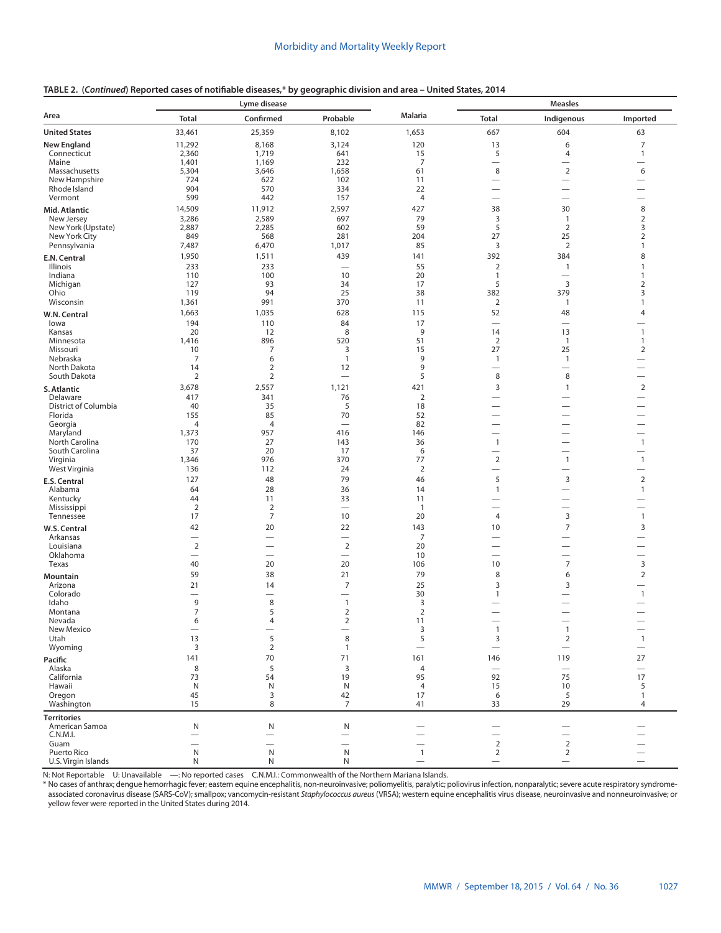|  |  | TABLE 2. (Continued) Reported cases of notifiable diseases,* by geographic division and area - United States, 2014 |  |  |  |  |
|--|--|--------------------------------------------------------------------------------------------------------------------|--|--|--|--|
|--|--|--------------------------------------------------------------------------------------------------------------------|--|--|--|--|

|                                  | Lyme disease             |                               |                                 | <b>Measles</b>           |                                 |                                                      |                                                      |
|----------------------------------|--------------------------|-------------------------------|---------------------------------|--------------------------|---------------------------------|------------------------------------------------------|------------------------------------------------------|
| Area                             | <b>Total</b>             | Confirmed                     | Probable                        | <b>Malaria</b>           | <b>Total</b>                    | Indigenous                                           | Imported                                             |
| <b>United States</b>             | 33,461                   | 25,359                        | 8,102                           | 1,653                    | 667                             | 604                                                  | 63                                                   |
| <b>New England</b>               | 11,292                   | 8,168                         | 3,124                           | 120                      | 13                              | 6                                                    | $\overline{7}$                                       |
| Connecticut                      | 2,360                    | 1,719                         | 641                             | 15                       | 5                               | 4                                                    | $\mathbf{1}$                                         |
| Maine                            | 1,401                    | 1,169                         | 232                             | $\overline{7}$           | $\overbrace{\phantom{1232211}}$ | —                                                    | $\overline{\phantom{0}}$                             |
| Massachusetts<br>New Hampshire   | 5,304                    | 3,646                         | 1,658                           | 61                       | 8<br>$\overline{\phantom{0}}$   | $\overline{2}$<br>$\overline{\phantom{0}}$           | 6<br>$\overline{\phantom{0}}$                        |
| Rhode Island                     | 724<br>904               | 622<br>570                    | 102<br>334                      | 11<br>22                 | $\overline{\phantom{0}}$        | $\overline{\phantom{0}}$                             | $\overline{\phantom{0}}$                             |
| Vermont                          | 599                      | 442                           | 157                             | $\overline{4}$           |                                 |                                                      |                                                      |
| Mid. Atlantic                    | 14,509                   | 11,912                        | 2,597                           | 427                      | 38                              | 30                                                   | $\,8\,$                                              |
| New Jersey                       | 3,286                    | 2,589                         | 697                             | 79                       | 3                               | $\mathbf{1}$                                         | $\mathbf 2$                                          |
| New York (Upstate)               | 2,887                    | 2,285                         | 602                             | 59                       | 5                               | $\overline{2}$                                       | $\mathsf 3$                                          |
| New York City                    | 849                      | 568                           | 281                             | 204                      | 27                              | 25                                                   | $\overline{2}$                                       |
| Pennsylvania                     | 7,487                    | 6,470                         | 1,017                           | 85<br>141                | 3<br>392                        | $\overline{2}$<br>384                                | 1<br>8                                               |
| E.N. Central<br>Illinois         | 1,950<br>233             | 1,511<br>233                  | 439<br>$\overline{\phantom{0}}$ | 55                       | $\overline{2}$                  | $\overline{1}$                                       | 1                                                    |
| Indiana                          | 110                      | 100                           | 10                              | 20                       | $\mathbf{1}$                    | $\overline{\phantom{0}}$                             | $\mathbf{1}$                                         |
| Michigan                         | 127                      | 93                            | 34                              | 17                       | 5                               | 3                                                    | $\mathbf 2$                                          |
| Ohio                             | 119                      | 94                            | 25                              | 38                       | 382                             | 379                                                  | 3                                                    |
| Wisconsin                        | 1,361                    | 991                           | 370                             | 11                       | 2                               | $\mathbf{1}$                                         | 1                                                    |
| W.N. Central                     | 1,663                    | 1,035                         | 628                             | 115                      | 52                              | 48                                                   | $\overline{4}$                                       |
| lowa                             | 194                      | 110                           | 84<br>8                         | 17<br>9                  | $\overline{\phantom{0}}$        |                                                      | $\mathbf{1}$                                         |
| Kansas<br>Minnesota              | 20<br>1,416              | 12<br>896                     | 520                             | 51                       | 14<br>2                         | 13<br>$\overline{1}$                                 | $\mathbf{1}$                                         |
| Missouri                         | 10                       | 7                             | 3                               | 15                       | 27                              | 25                                                   | $\overline{2}$                                       |
| Nebraska                         | $\overline{7}$           | 6                             | $\overline{1}$                  | 9                        | $\mathbf{1}$                    | $\mathbf{1}$                                         | $\overline{\phantom{0}}$                             |
| North Dakota                     | 14                       | $\overline{2}$                | 12                              | 9                        |                                 |                                                      | $\overline{\phantom{0}}$                             |
| South Dakota                     | 2                        | 2                             |                                 | 5                        | 8                               | 8                                                    | $\qquad \qquad$                                      |
| S. Atlantic                      | 3,678                    | 2,557                         | 1,121                           | 421                      | 3                               | $\overline{1}$                                       | $\overline{2}$                                       |
| Delaware<br>District of Columbia | 417<br>40                | 341<br>35                     | 76<br>5                         | $\overline{2}$<br>18     | $\overline{\phantom{0}}$        | $\overline{\phantom{0}}$<br>$\overline{\phantom{0}}$ | $\overline{\phantom{0}}$<br>$\overline{\phantom{0}}$ |
| Florida                          | 155                      | 85                            | 70                              | 52                       |                                 | $\overline{\phantom{0}}$                             | $\overline{\phantom{0}}$                             |
| Georgia                          | $\overline{4}$           | $\overline{4}$                |                                 | 82                       |                                 | $\overline{\phantom{0}}$                             | $\overline{\phantom{0}}$                             |
| Maryland                         | 1,373                    | 957                           | 416                             | 146                      | $\overline{\phantom{0}}$        | $\overline{\phantom{0}}$                             | $\overline{\phantom{0}}$                             |
| North Carolina                   | 170                      | 27                            | 143                             | 36                       | $\mathbf{1}$                    | $\overline{\phantom{0}}$                             | $\mathbf{1}$                                         |
| South Carolina<br>Virginia       | 37<br>1,346              | 20<br>976                     | 17<br>370                       | 6<br>77                  | $\overline{2}$                  | $\mathbf{1}$                                         | $\mathbf{1}$                                         |
| West Virginia                    | 136                      | 112                           | 24                              | $\overline{2}$           | $\overline{\phantom{0}}$        | $\overline{\phantom{0}}$                             | $\overline{\phantom{0}}$                             |
| E.S. Central                     | 127                      | 48                            | 79                              | 46                       | 5                               | $\overline{3}$                                       | $\overline{2}$                                       |
| Alabama                          | 64                       | 28                            | 36                              | 14                       | $\mathbf{1}$                    |                                                      | $\mathbf{1}$                                         |
| Kentucky                         | 44                       | 11                            | 33                              | 11                       |                                 | $\overline{\phantom{0}}$                             | $\overline{\phantom{0}}$                             |
| Mississippi                      | $\overline{2}$           | $\overline{2}$                | $\overline{\phantom{0}}$        | $\overline{1}$           |                                 | $\overline{\phantom{0}}$                             |                                                      |
| Tennessee                        | 17                       | $\boldsymbol{7}$              | 10                              | 20                       | 4                               | 3                                                    | $\mathbf{1}$                                         |
| W.S. Central<br>Arkansas         | 42                       | 20                            | 22<br>$\overline{\phantom{0}}$  | 143<br>7                 | 10                              | 7<br>$\overline{\phantom{0}}$                        | 3<br>$\overline{\phantom{0}}$                        |
| Louisiana                        | $\overline{2}$           |                               | $\overline{2}$                  | 20                       |                                 | $\overline{\phantom{0}}$                             |                                                      |
| Oklahoma                         | $\overline{\phantom{0}}$ | $\overline{\phantom{0}}$      | $\overline{\phantom{m}}$        | 10                       |                                 | $\overline{\phantom{0}}$                             | $\overline{\phantom{0}}$                             |
| Texas                            | 40                       | 20                            | 20                              | 106                      | 10                              | $\overline{7}$                                       | 3                                                    |
| <b>Mountain</b>                  | 59                       | 38                            | 21                              | 79                       | 8                               | 6                                                    | $\overline{2}$                                       |
| Arizona                          | 21                       | 14                            | 7                               | 25                       | 3                               | 3                                                    | $\overline{\phantom{0}}$                             |
| Colorado<br>Idaho                | 9                        | $\overline{\phantom{0}}$<br>8 | $\mathbf{1}$                    | 30<br>3                  | $\mathbf{1}$                    | $\overline{\phantom{0}}$<br>—                        | $\mathbf{1}$                                         |
| Montana                          | $\overline{7}$           | 5                             | $\overline{2}$                  | $\overline{2}$           |                                 | $\overline{\phantom{0}}$                             | $\overline{\phantom{0}}$                             |
| Nevada                           | 6                        | 4                             | 2                               | 11                       |                                 | $\overline{\phantom{0}}$                             |                                                      |
| New Mexico                       |                          |                               |                                 | 3                        | $\mathbf{1}$                    | 1                                                    |                                                      |
| Utah<br>Wyoming                  | 13<br>3                  | 5<br>$\overline{2}$           | 8<br>$\mathbf{1}$               | 5                        | 3                               | $\overline{2}$                                       | $\overline{1}$                                       |
|                                  |                          |                               |                                 |                          | $\qquad \qquad$                 |                                                      |                                                      |
| Pacific<br>Alaska                | 141<br>8                 | 70<br>5                       | 71<br>$\overline{3}$            | 161<br>$\overline{4}$    | 146<br>$\overline{\phantom{0}}$ | 119<br>$\overline{\phantom{0}}$                      | 27<br>$\overline{\phantom{m}}$                       |
| California                       | 73                       | 54                            | 19                              | 95                       | 92                              | 75                                                   | 17                                                   |
| Hawaii                           | ${\sf N}$                | ${\sf N}$                     | N                               | $\overline{4}$           | 15                              | 10                                                   | 5                                                    |
| Oregon                           | 45                       | 3                             | 42                              | 17                       | 6                               | 5                                                    | $\mathbf{1}$                                         |
| Washington                       | 15                       | 8                             | $\overline{7}$                  | 41                       | 33                              | 29                                                   | 4                                                    |
| <b>Territories</b>               |                          |                               |                                 |                          |                                 |                                                      |                                                      |
| American Samoa<br>C.N.M.I.       | N<br>-                   | N                             | N                               |                          |                                 |                                                      |                                                      |
| Guam                             | $\overline{\phantom{0}}$ |                               |                                 |                          | $\overline{2}$                  | $\sqrt{2}$                                           |                                                      |
| Puerto Rico                      | ${\sf N}$                | N                             | ${\sf N}$                       | $\mathbf{1}$             | $\overline{2}$                  | $\overline{2}$                                       |                                                      |
| U.S. Virgin Islands              | N                        | N                             | N                               | $\overline{\phantom{0}}$ | $\qquad \qquad$                 | $\overline{\phantom{0}}$                             |                                                      |

N: Not Reportable U: Unavailable —: No reported cases C.N.M.I.: Commonwealth of the Northern Mariana Islands.

\* No cases of anthrax; dengue hemorrhagic fever; eastern equine encephalitis, non-neuroinvasive; poliomyelitis, paralytic; poliovirus infection, nonparalytic; severe acute respiratory syndrome-<br>associated coronavirus disea yellow fever were reported in the United States during 2014.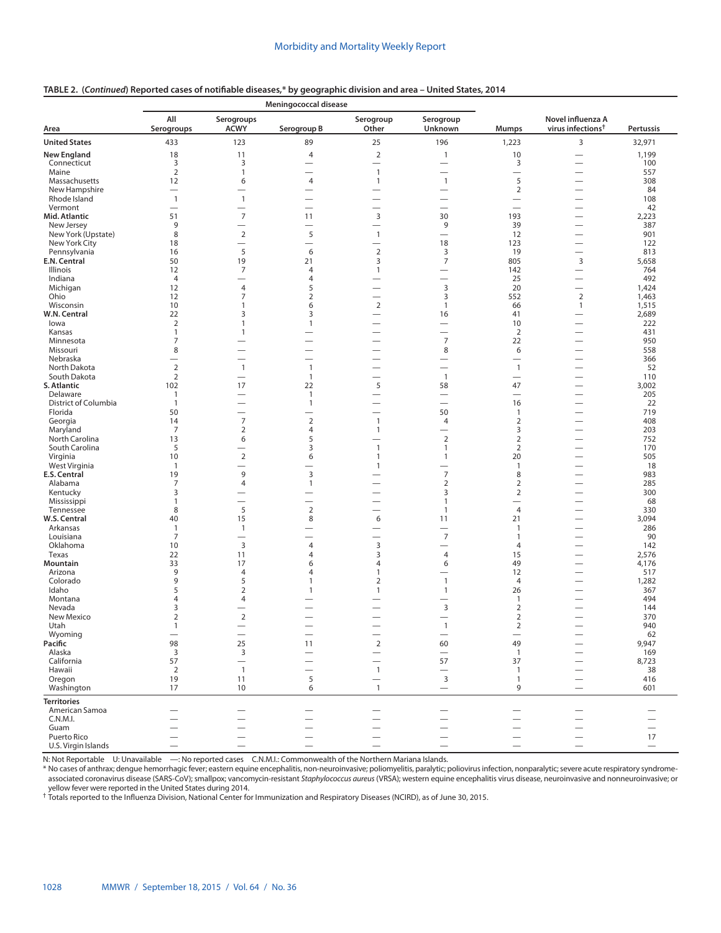#### **Area Meningococcal disease Mumps Novel influenza A virus infections† Pertussis All Serogroups Serogroups ACWY Serogroup B Serogroup Other Serogroup Unknown United States** 433 123 89 25 196 1,223 3 32,971 **New England 18 11 4 2 1 10 — 1,199** Connecticut 3 3 — — — 3 — 100 Maine 2 1 — 1 — — — 557 Massachusetts 12 6 4 1 1 5 — 308 New Hampshire — — — — — 2 — 84 Rhode Island 1 1 — — — — — 108 Vermont — — — — — — — 42 **Mid. Atlantic** 51 7 11 3 30 193 — 2,223 New Jersey 9 — — — 9 39 — 387 New York (Upstate) 8 2 5 1 — 12 — 901 New York City 18 — — — 18 123 — 122 Pennsylvania 16 5 6 2 3 19 — 813 **E.N. Central** 50 50 19 21 3 7 805 3 5,658 Illinois 12 7 4 1 — 142 — 764 Indiana 4 — 4 — — 25 — 492 Michigan 12 4 5 — 3 20 — 1,424 Ohio 12 7 2 — 3 552 2 1,463 Wisconsin 10 1 6 2 1 66 1 1,515 **W.N. Central** 22 3 3 3 <del>4</del> 5 41 <del>4</del> 2,689 Iowa 2 1 1 — — 10 — 222 Kansas 1 1 — — — 2 — 431 Minnesota 7 — — — 7 22 — 950 Missouri 8 — — — 8 6 — 558 Nebraska — — — — — — — 366 North Dakota 2 1 1 — — 1 — 52 South Dakota 2 — 1 — 1 — — 110 **S. Atlantic** 102 17 22 5 58 47 — 3,002 Delaware 1 — 1 — — — — 205 <table>\n<tbody>\n<tr>\n<th>102</th>\n<th>17</th>\n<th>22</th>\n<th>5</th>\n<th>58</th>\n<th>47</th>\n<th>−</th>\n</tr>\n<tr>\n<td>201</td>\n<td>1</td>\n<td>1</td>\n<td>−</td>\n<td>1</td>\n<td>−</td>\n<td>−</td>\n<td>205</td>\n</tr>\n<tr>\n<td>203</td>\n<td>1</td>\n<td>−</td>\n<td>1</td>\n<td>−</td>\n<td>−</td>\n<td>−</td>\n<td>−</td>\n<td>−</td>\n<td>−</td>\n<td>−</td>\n<td>−</ Florida 50 — — — 50 1 — 719 Georgia 14 7 2 1 4 2 — 408 Maryland 7 2 4 1 — 3 — 203 North Carolina 13 6 5 — 2 2 — 752 South Carolina 5 — 3 1 1 2 — 170 Virginia 10 2 6 1 1 20 — 505 West Virginia 1 — — 1 — 1 — 18 **E.S. Central** 19 9 3 — 7 8 — 983 Alabama 7 4 1 — 2 2 — 285 Kentucky 3 — — 3 2 — 300 Mississippi 1 — — — 1 — — 68 Tennessee 8 5 2 — 1 4 — 330 **W.S. Central** 40 40 15 8 6 11 21 — 3,094 Arkansas 1 1 — — — 1 — 286 Louisiana 7 — — — 7 1 — 90 Oklahoma 10 3 4 3 — 4 — 142 Texas 22 11 4 3 4 15 — 2,576 **Mountain** 33 17 6 4 6 49 — 4,176 Arizona 9 4 4 1 — 12 — 517 Colorado 9 5 1 2 1 4 — 1,282 Idaho 5 2 1 1 1 26 — 367 Montana 4 4 — — — 1 — 494 Nevada 3 — — — 3 2 — 144 New Mexico 2 2 — — — 2 — 370 Utah 1 — — — 1 2 — 940 Wyoming — — — — — — — 62 **Pacific** 98 25 11 2 60 49 — 9,947 Alaska 3 3 — — — 1 — 169 California 57 — — — 57 37 — 8,723 Hawaii 2 1 — 1 — 1 — 38 Oregon 19 11 5 — 3 1 — 416 Washington 17 10 6 1 — 9 — 601 **Territories** American Samoa — — — — — — — — C.N.M.I. — — — — — — — — Guam — — — — — — — — Puerto Rico — — — — — — — 17 U.S. Virgin Islands — — — — — — — —

#### **TABLE 2. (***Continued***) Reported cases of notifiable diseases,\* by geographic division and area – United States, 2014**

N: Not Reportable U: Unavailable —: No reported cases C.N.M.I.: Commonwealth of the Northern Mariana Islands.

\* No cases of anthrax; dengue hemorrhagic fever; eastern equine encephalitis, non-neuroinvasive; poliomyelitis, paralytic; poliovirus infection, nonparalytic; severe acute respiratory syndromeassociated coronavirus disease (SARS-CoV); smallpox; vancomycin-resistant *Staphylococcus aureus* (VRSA); western equine encephalitis virus disease, neuroinvasive and nonneuroinvasive; or yellow fever were reported in the United States during 2014.

† Totals reported to the Influenza Division, National Center for Immunization and Respiratory Diseases (NCIRD), as of June 30, 2015.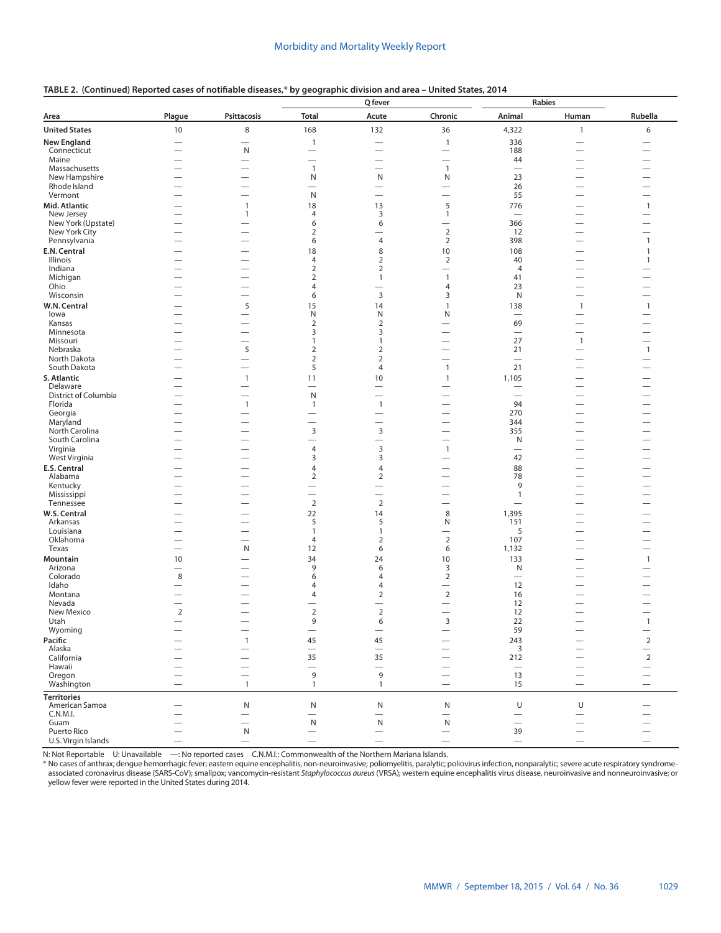|                                  |                          |                               |                                            | Q fever                                  |                                          | Rabies                                 |                                                      |                                                      |
|----------------------------------|--------------------------|-------------------------------|--------------------------------------------|------------------------------------------|------------------------------------------|----------------------------------------|------------------------------------------------------|------------------------------------------------------|
| Area                             | Plague                   | <b>Psittacosis</b>            | <b>Total</b>                               | Acute                                    | Chronic                                  | Animal                                 | Human                                                | Rubella                                              |
| <b>United States</b>             | 10                       | 8                             | 168                                        | 132                                      | 36                                       | 4,322                                  | $\mathbf{1}$                                         | 6                                                    |
| <b>New England</b>               |                          | $\overline{\phantom{0}}$      | $\mathbf{1}$                               |                                          | $\mathbf{1}$                             | 336                                    |                                                      |                                                      |
| Connecticut                      |                          | N                             |                                            |                                          |                                          | 188                                    | $\overline{\phantom{0}}$                             |                                                      |
| Maine<br>Massachusetts           | $\overline{\phantom{0}}$ | $\overline{\phantom{0}}$      | $\overline{\phantom{0}}$<br>$\overline{1}$ | $\overline{\phantom{0}}$<br>—            | $\overline{\phantom{0}}$<br>$\mathbf{1}$ | 44<br>$\overline{\phantom{0}}$         | $\overline{\phantom{0}}$<br>-                        |                                                      |
| New Hampshire                    |                          |                               | N                                          | N                                        | N                                        | 23                                     | $\overline{\phantom{0}}$                             |                                                      |
| Rhode Island                     | $\overline{\phantom{0}}$ |                               |                                            | $\overline{\phantom{0}}$                 | $\overline{\phantom{0}}$                 | 26                                     | $\overline{\phantom{0}}$                             | $\overline{\phantom{0}}$                             |
| Vermont                          |                          | —                             | N                                          |                                          | $\overline{\phantom{0}}$                 | 55                                     | $\overline{\phantom{0}}$                             |                                                      |
| Mid. Atlantic                    |                          | $\mathbf{1}$                  | 18                                         | 13                                       | 5                                        | 776                                    | $\overline{\phantom{0}}$                             | $\mathbf{1}$                                         |
| New Jersey<br>New York (Upstate) |                          | 1                             | 4                                          | 3                                        | $\mathbf{1}$                             | $\overline{\phantom{0}}$               | $\overline{\phantom{0}}$                             |                                                      |
| New York City                    |                          |                               | 6<br>$\overline{2}$                        | 6                                        | $\overline{2}$                           | 366<br>12                              | $\overline{\phantom{0}}$                             |                                                      |
| Pennsylvania                     |                          |                               | 6                                          | $\overline{4}$                           | $\overline{2}$                           | 398                                    |                                                      | $\mathbf{1}$                                         |
| E.N. Central                     |                          |                               | 18                                         | 8                                        | 10                                       | 108                                    | $\overline{\phantom{0}}$                             | $\mathbf{1}$                                         |
| Illinois                         |                          |                               | 4                                          | $\overline{2}$                           | $\overline{2}$                           | 40                                     | $\overline{\phantom{0}}$                             | 1                                                    |
| Indiana                          |                          |                               | 2                                          | $\overline{2}$                           | $\overline{\phantom{0}}$                 | $\overline{4}$                         | $\overline{\phantom{0}}$                             |                                                      |
| Michigan<br>Ohio                 |                          |                               | 2<br>4                                     | $\mathbf{1}$<br>$\overline{\phantom{0}}$ | $\mathbf{1}$                             | 41                                     |                                                      |                                                      |
| Wisconsin                        |                          |                               | 6                                          | $\overline{3}$                           | $\overline{4}$<br>3                      | 23<br>N                                | $\overline{\phantom{0}}$                             |                                                      |
| W.N. Central                     |                          | 5                             | 15                                         | 14                                       | $\mathbf{1}$                             | 138                                    | $\mathbf{1}$                                         | $\mathbf{1}$                                         |
| lowa                             | $\overline{\phantom{0}}$ | -                             | N                                          | N                                        | N                                        | $\overline{\phantom{0}}$               | $\overline{\phantom{0}}$                             |                                                      |
| Kansas                           |                          | --                            | $\overline{2}$                             | $\overline{2}$                           | -                                        | 69                                     | $\overline{\phantom{0}}$                             | -                                                    |
| Minnesota                        |                          |                               | 3                                          | 3                                        |                                          | $\overline{\phantom{0}}$               | -                                                    |                                                      |
| Missouri<br>Nebraska             |                          | $\overline{\phantom{0}}$      | 1                                          | $\mathbf{1}$                             |                                          | 27                                     | $\mathbf{1}$                                         |                                                      |
| North Dakota                     | —                        | 5<br>-                        | $\overline{2}$<br>$\overline{2}$           | $\overline{2}$<br>$\overline{2}$         | -                                        | 21                                     |                                                      | $\mathbf{1}$<br>—                                    |
| South Dakota                     |                          | -                             | 5                                          | 4                                        | $\mathbf{1}$                             | 21                                     | $\overline{\phantom{0}}$                             |                                                      |
| S. Atlantic                      |                          | $\mathbf{1}$                  | 11                                         | 10                                       | $\mathbf{1}$                             | 1,105                                  | $\overline{\phantom{0}}$                             |                                                      |
| Delaware                         |                          | -                             |                                            | —                                        |                                          |                                        |                                                      |                                                      |
| District of Columbia             |                          |                               | N                                          |                                          |                                          | $\overline{\phantom{0}}$               |                                                      |                                                      |
| Florida                          |                          | $\mathbf{1}$                  | $\mathbf{1}$                               | $\mathbf{1}$                             |                                          | 94                                     | —                                                    |                                                      |
| Georgia<br>Maryland              | —                        |                               |                                            | —<br>-                                   | —                                        | 270<br>344                             | $\overline{\phantom{0}}$<br>$\overline{\phantom{0}}$ |                                                      |
| North Carolina                   |                          |                               | 3                                          | $\mathsf 3$                              | $\overline{\phantom{0}}$                 | 355                                    | $\overline{\phantom{0}}$                             |                                                      |
| South Carolina                   |                          | -                             | —                                          |                                          |                                          | N                                      |                                                      |                                                      |
| Virginia                         |                          | -                             | 4                                          | 3                                        | $\overline{1}$                           | $\overline{\phantom{0}}$               | $\overline{\phantom{0}}$                             |                                                      |
| West Virginia                    |                          | -                             | 3                                          | 3                                        | —                                        | 42                                     | $\overline{\phantom{0}}$                             |                                                      |
| E.S. Central<br>Alabama          |                          | $\overline{\phantom{0}}$      | 4<br>$\overline{2}$                        | $\overline{4}$<br>$\overline{2}$         | $\overline{\phantom{0}}$                 | 88<br>78                               | $\overline{\phantom{0}}$                             |                                                      |
| Kentucky                         |                          |                               |                                            |                                          |                                          | 9                                      |                                                      |                                                      |
| Mississippi                      |                          |                               |                                            |                                          |                                          | $\mathbf{1}$                           |                                                      |                                                      |
| Tennessee                        |                          |                               | $\overline{2}$                             | $\mathbf 2$                              | $\overline{\phantom{0}}$                 | $\overline{\phantom{0}}$               | —                                                    |                                                      |
| W.S. Central                     |                          |                               | 22                                         | 14                                       | 8                                        | 1,395                                  |                                                      |                                                      |
| Arkansas                         |                          | -                             | 5                                          | 5                                        | N                                        | 151                                    | $\overline{\phantom{0}}$                             |                                                      |
| Louisiana<br>Oklahoma            |                          | -                             | $\mathbf{1}$<br>$\overline{4}$             | $\mathbf{1}$<br>$\overline{2}$           | $\overline{2}$                           | 5<br>107                               | $\overline{\phantom{0}}$<br>$\overline{\phantom{0}}$ |                                                      |
| Texas                            |                          | N                             | 12                                         | 6                                        | 6                                        | 1,132                                  |                                                      |                                                      |
| Mountain                         | 10                       | $\overline{\phantom{0}}$      | 34                                         | 24                                       | 10                                       | 133                                    | $\overline{\phantom{0}}$                             | $\mathbf{1}$                                         |
| Arizona                          |                          |                               | 9                                          | 6                                        | 3                                        | N                                      | $\overline{\phantom{0}}$                             |                                                      |
| Colorado                         | 8                        |                               | 6                                          | $\overline{4}$                           | $\overline{2}$                           |                                        |                                                      |                                                      |
| Idaho<br>Montana                 |                          |                               | 4<br>4                                     | $\overline{4}$<br>$\overline{2}$         | $\overline{2}$                           | 12<br>16                               | $\overline{\phantom{0}}$                             |                                                      |
| Nevada                           |                          |                               |                                            |                                          |                                          | 12                                     |                                                      |                                                      |
| New Mexico                       | $\overline{2}$           | --                            | $\overline{2}$                             | $\overline{2}$                           | $\overline{\phantom{0}}$                 | 12                                     |                                                      | $\overline{\phantom{0}}$                             |
| Utah                             | —                        |                               | a                                          | 6                                        | 3                                        | 22                                     |                                                      | $\mathbf{1}$                                         |
| Wyoming                          |                          | $\overline{\phantom{m}}$      | $\qquad \qquad -$                          | $\qquad \qquad -$                        | $\overline{\phantom{0}}$                 | 59                                     |                                                      | $\overline{\phantom{0}}$                             |
| Pacific                          |                          | $\mathbf{1}$                  | 45                                         | 45                                       | $\overline{\phantom{0}}$                 | 243                                    |                                                      | $\mathbf 2$                                          |
| Alaska<br>California             |                          | —                             | $\overline{\phantom{0}}$<br>35             | $\overline{\phantom{0}}$<br>35           |                                          | 3<br>212                               | $\overline{\phantom{0}}$                             | $\qquad \qquad -$<br>$\mathbf 2$                     |
| Hawaii                           |                          |                               |                                            |                                          | —                                        | $\overline{\phantom{m}}$               |                                                      | $\qquad \qquad$                                      |
| Oregon                           |                          |                               | 9                                          | 9                                        | $\overline{\phantom{0}}$                 | 13                                     | $\overbrace{\phantom{12333}}$                        | $\qquad \qquad$                                      |
| Washington                       |                          | $\mathbf{1}$                  | $\mathbf{1}$                               | $\mathbf{1}$                             | $\qquad \qquad -$                        | 15                                     | $\overline{\phantom{m}}$                             | $\qquad \qquad -$                                    |
| <b>Territories</b>               |                          |                               |                                            |                                          |                                          |                                        |                                                      |                                                      |
| American Samoa                   |                          | ${\sf N}$                     | ${\sf N}$                                  | ${\sf N}$                                | N                                        | U                                      | U                                                    |                                                      |
| C.N.M.I.                         |                          | $\overline{\phantom{0}}$      | $\overline{\phantom{0}}$                   | $\overline{\phantom{0}}$                 | $\overline{\phantom{0}}$                 |                                        | $\overbrace{\phantom{12333}}$                        |                                                      |
| Guam<br>Puerto Rico              |                          | $\overline{\phantom{0}}$<br>N | ${\sf N}$<br>$\overline{\phantom{0}}$      | ${\sf N}$<br>$\overline{\phantom{0}}$    | ${\sf N}$                                | $\overbrace{\phantom{12322111}}$<br>39 | $\overline{\phantom{0}}$<br>$\overline{\phantom{0}}$ | $\overline{\phantom{0}}$<br>$\overline{\phantom{0}}$ |
| U.S. Virgin Islands              | $\qquad \qquad$          | $\qquad \qquad -$             |                                            | $\overline{\phantom{0}}$                 |                                          | $\qquad \qquad -$                      | $\overline{\phantom{m}}$                             | $\qquad \qquad -$                                    |

# **TABLE 2. (Continued) Reported cases of notifiable diseases,\* by geographic division and area – United States, 2014**

N: Not Reportable U: Unavailable —: No reported cases C.N.M.I.: Commonwealth of the Northern Mariana Islands.

\* No cases of anthrax; dengue hemorrhagic fever; eastern equine encephalitis, non-neuroinvasive; poliomyelitis, paralytic; poliovirus infection, nonparalytic; severe acute respiratory syndromeassociated coronavirus disease (SARS-CoV); smallpox; vancomycin-resistant *Staphylococcus aureus* (VRSA); western equine encephalitis virus disease, neuroinvasive and nonneuroinvasive; or yellow fever were reported in the United States during 2014.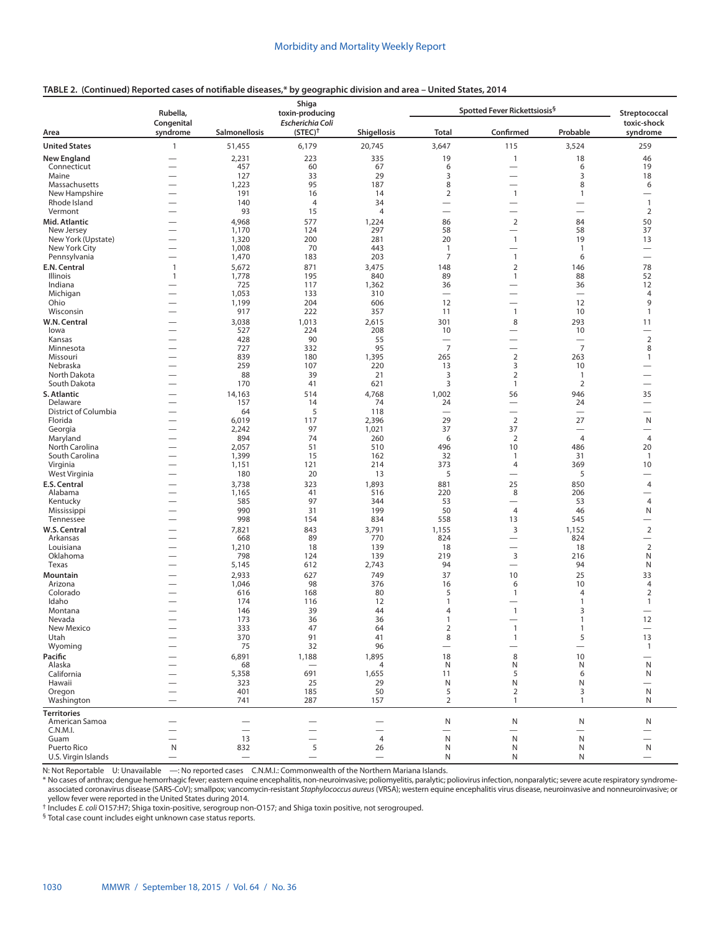# **TABLE 2. (Continued) Reported cases of notifiable diseases,\* by geographic division and area – United States, 2014**

|                                  | Rubella,<br>Congenital                               |                                | Shiga<br>toxin-producing<br><b>Escherichia Coli</b> |                                            |                                  | Spotted Fever Rickettsiosis <sup>§</sup> |                                  | Streptococcal<br>toxic-shock   |
|----------------------------------|------------------------------------------------------|--------------------------------|-----------------------------------------------------|--------------------------------------------|----------------------------------|------------------------------------------|----------------------------------|--------------------------------|
| Area                             | syndrome                                             | <b>Salmonellosis</b>           | $(STEC)^{\dagger}$                                  | <b>Shigellosis</b>                         | <b>Total</b>                     | Confirmed                                | Probable                         | syndrome                       |
| <b>United States</b>             | $\mathbf{1}$                                         | 51,455                         | 6,179                                               | 20,745                                     | 3,647                            | 115                                      | 3,524                            | 259                            |
| <b>New England</b>               | —<br>—                                               | 2,231                          | 223                                                 | 335                                        | 19                               | $\mathbf{1}$                             | 18                               | 46                             |
| Connecticut                      |                                                      | 457                            | 60                                                  | 67                                         | 6                                |                                          | 6                                | 19                             |
| Maine<br>Massachusetts           |                                                      | 127<br>1,223                   | 33<br>95                                            | 29<br>187                                  | 3<br>8                           |                                          | 3<br>8                           | 18                             |
| New Hampshire                    | $\overline{\phantom{0}}$<br>L,                       | 191                            | 16                                                  | 14                                         | $\overline{2}$                   | $\mathbf{1}$                             | 1                                | 6<br>$\overline{\phantom{0}}$  |
| Rhode Island                     | -                                                    | 140                            | $\overline{4}$                                      | 34                                         | $\overline{\phantom{0}}$         |                                          |                                  | $\mathbf{1}$                   |
| Vermont                          | $\overline{\phantom{0}}$                             | 93                             | 15                                                  | $\overline{4}$                             | $\overline{\phantom{0}}$         |                                          | $\overline{\phantom{0}}$         | $\overline{2}$                 |
| Mid. Atlantic                    | -                                                    | 4,968                          | 577                                                 | 1,224                                      | 86                               | $\mathbf 2$                              | 84                               | 50                             |
| New Jersey                       | $\overline{\phantom{0}}$                             | 1,170                          | 124                                                 | 297                                        | 58                               | $\overline{\phantom{0}}$                 | 58                               | 37                             |
| New York (Upstate)               |                                                      | 1,320<br>1,008                 | 200<br>70                                           | 281<br>443                                 | 20<br>$\overline{1}$             | $\mathbf{1}$<br>$\overline{\phantom{0}}$ | 19<br>$\overline{1}$             | 13                             |
| New York City<br>Pennsylvania    | -<br>$\overline{\phantom{0}}$                        | 1,470                          | 183                                                 | 203                                        | 7                                | $\overline{1}$                           | 6                                |                                |
| E.N. Central                     | $\mathbf{1}$                                         | 5,672                          | 871                                                 | 3,475                                      | 148                              | $\overline{2}$                           | 146                              | 78                             |
| Illinois                         | $\mathbf{1}$                                         | 1,778                          | 195                                                 | 840                                        | 89                               | $\mathbf{1}$                             | 88                               | 52                             |
| Indiana                          |                                                      | 725                            | 117                                                 | 1,362                                      | 36                               | $\overline{\phantom{0}}$                 | 36                               | 12                             |
| Michigan                         | $\overline{\phantom{0}}$                             | 1,053                          | 133                                                 | 310                                        | $\overbrace{\phantom{12322111}}$ |                                          | $\overbrace{\phantom{12322111}}$ | 4                              |
| Ohio                             | $\overline{\phantom{0}}$                             | 1,199<br>917                   | 204<br>222                                          | 606<br>357                                 | 12<br>11                         | $\overline{\phantom{0}}$<br>$\mathbf{1}$ | 12<br>10                         | 9<br>$\mathbf{1}$              |
| Wisconsin                        |                                                      |                                |                                                     |                                            |                                  |                                          | 293                              |                                |
| W.N. Central<br>lowa             | $\overline{\phantom{0}}$                             | 3,038<br>527                   | 1,013<br>224                                        | 2,615<br>208                               | 301<br>10                        | 8<br>$\overline{\phantom{0}}$            | 10                               | 11<br>$\overline{\phantom{0}}$ |
| Kansas                           | -                                                    | 428                            | 90                                                  | 55                                         | $\overline{\phantom{0}}$         | $\overline{\phantom{0}}$                 | $\overline{\phantom{0}}$         | $\mathbf 2$                    |
| Minnesota                        | $\overline{\phantom{0}}$                             | 727                            | 332                                                 | 95                                         | $\overline{7}$                   | $\overline{\phantom{0}}$                 | $\overline{7}$                   | 8                              |
| Missouri                         | $\overline{\phantom{0}}$                             | 839                            | 180                                                 | 1,395                                      | 265                              | $\overline{2}$                           | 263                              | $\mathbf{1}$                   |
| Nebraska                         | -                                                    | 259                            | 107                                                 | 220                                        | 13                               | 3                                        | 10                               |                                |
| North Dakota<br>South Dakota     | $\overline{\phantom{0}}$<br>$\overline{\phantom{0}}$ | 88<br>170                      | 39<br>41                                            | 21<br>621                                  | 3<br>3                           | $\overline{2}$<br>$\mathbf{1}$           | $\mathbf{1}$<br>$\overline{2}$   | $\overline{\phantom{0}}$       |
| S. Atlantic                      |                                                      |                                | 514                                                 |                                            |                                  |                                          | 946                              |                                |
| Delaware                         |                                                      | 14,163<br>157                  | 14                                                  | 4,768<br>74                                | 1,002<br>24                      | 56<br>$\overline{\phantom{0}}$           | 24                               | 35<br>$\overline{\phantom{0}}$ |
| District of Columbia             | —                                                    | 64                             | 5                                                   | 118                                        | $\overline{\phantom{0}}$         | $\overline{\phantom{0}}$                 | $\overbrace{\phantom{12322111}}$ |                                |
| Florida                          | -                                                    | 6,019                          | 117                                                 | 2,396                                      | 29                               | $\overline{2}$                           | 27                               | N                              |
| Georgia                          |                                                      | 2,242                          | 97                                                  | 1,021                                      | 37                               | 37                                       |                                  | $\overline{\phantom{0}}$       |
| Maryland                         | -                                                    | 894                            | 74                                                  | 260                                        | 6                                | $\overline{2}$                           | $\overline{4}$                   | $\overline{4}$                 |
| North Carolina<br>South Carolina | $\overline{\phantom{0}}$<br>-                        | 2,057<br>1,399                 | 51<br>15                                            | 510<br>162                                 | 496<br>32                        | 10<br>$\mathbf{1}$                       | 486<br>31                        | 20<br>$\mathbf{1}$             |
| Virginia                         | $\overline{\phantom{0}}$                             | 1,151                          | 121                                                 | 214                                        | 373                              | 4                                        | 369                              | 10                             |
| West Virginia                    | $\overline{\phantom{0}}$                             | 180                            | 20                                                  | 13                                         | 5                                | $\overline{\phantom{0}}$                 | 5                                |                                |
| E.S. Central                     | $\overline{\phantom{0}}$                             | 3,738                          | 323                                                 | 1,893                                      | 881                              | 25                                       | 850                              | $\overline{4}$                 |
| Alabama                          | $\overline{\phantom{0}}$                             | 1,165                          | 41                                                  | 516                                        | 220                              | 8                                        | 206                              | $\overline{\phantom{0}}$       |
| Kentucky                         |                                                      | 585                            | 97                                                  | 344                                        | 53                               | $\overline{\phantom{0}}$                 | 53                               | $\overline{4}$                 |
| Mississippi                      | $\overline{\phantom{0}}$                             | 990<br>998                     | 31<br>154                                           | 199<br>834                                 | 50<br>558                        | $\overline{4}$<br>13                     | 46<br>545                        | N<br>$\overline{\phantom{0}}$  |
| Tennessee<br>W.S. Central        | -                                                    | 7,821                          | 843                                                 | 3,791                                      | 1,155                            | $\mathsf 3$                              | 1,152                            | $\mathbf 2$                    |
| Arkansas                         | -<br>$\overline{\phantom{0}}$                        | 668                            | 89                                                  | 770                                        | 824                              |                                          | 824                              | $\overline{\phantom{0}}$       |
| Louisiana                        | $\overline{\phantom{0}}$                             | 1,210                          | 18                                                  | 139                                        | 18                               |                                          | 18                               | $\overline{2}$                 |
| Oklahoma                         | -                                                    | 798                            | 124                                                 | 139                                        | 219                              | 3                                        | 216                              | N                              |
| Texas                            |                                                      | 5,145                          | 612                                                 | 2,743                                      | 94                               |                                          | 94                               | N                              |
| Mountain                         | $\overline{\phantom{0}}$                             | 2,933                          | 627                                                 | 749                                        | 37                               | 10                                       | 25                               | 33                             |
| Arizona<br>Colorado              |                                                      | 1,046<br>616                   | 98<br>168                                           | 376<br>80                                  | 16<br>5                          | 6<br>$\mathbf{1}$                        | 10<br>$\overline{4}$             | 4<br>$\overline{2}$            |
| Idaho                            |                                                      | 174                            | 116                                                 | 12                                         | $\mathbf{1}$                     |                                          | $\mathbf{1}$                     | $\mathbf{1}$                   |
| Montana                          |                                                      | 146                            | 39                                                  | 44                                         | $\overline{4}$                   | $\overline{1}$                           | 3                                |                                |
| Nevada                           |                                                      | 173                            | 36                                                  | 36                                         | $\mathbf{1}$                     | $\overline{\phantom{0}}$                 | $\mathbf{1}$                     | 12                             |
| New Mexico                       |                                                      | 333                            | 47                                                  | 64                                         | $\overline{2}$                   | $\mathbf{1}$                             | 1                                |                                |
| Utah                             |                                                      | 370                            | 91                                                  | 41<br>96                                   | 8                                | $\mathbf{1}$                             | 5                                | 13                             |
| Wyoming<br>Pacific               | $\overline{\phantom{0}}$                             | 75                             | 32                                                  |                                            |                                  |                                          | $\overline{\phantom{0}}$         | $\mathbf{1}$                   |
| Alaska                           |                                                      | 6,891<br>68                    | 1,188<br>$\overline{\phantom{m}}$                   | 1,895<br>4                                 | 18<br>N                          | 8<br>N                                   | 10<br>N                          | $\mathsf{N}$                   |
| California                       |                                                      | 5,358                          | 691                                                 | 1,655                                      | 11                               | 5                                        | 6                                | N                              |
| Hawaii                           |                                                      | 323                            | 25                                                  | 29                                         | N                                | N                                        | N                                |                                |
| Oregon                           |                                                      | 401                            | 185                                                 | 50                                         | 5                                | $\overline{2}$                           | 3                                | N                              |
| Washington                       | $\overline{\phantom{0}}$                             | 741                            | 287                                                 | 157                                        | $\overline{2}$                   | $\mathbf{1}$                             | $\mathbf{1}$                     | N                              |
| <b>Territories</b>               |                                                      |                                |                                                     |                                            |                                  |                                          |                                  |                                |
| American Samoa                   |                                                      |                                |                                                     |                                            | ${\sf N}$                        | N                                        | $\mathsf{N}$                     | N                              |
| C.N.M.I.<br>Guam                 | $\overline{\phantom{0}}$<br>-                        | $\overline{\phantom{0}}$<br>13 | $\overline{\phantom{0}}$<br>-                       | $\overline{\phantom{0}}$<br>$\overline{4}$ | $\overline{\phantom{m}}$<br>N    | $\overline{\phantom{0}}$<br>N            | ${\sf N}$                        | $\overline{\phantom{0}}$       |
| Puerto Rico                      | N                                                    | 832                            | 5                                                   | 26                                         | N                                | N                                        | N                                | N                              |
| U.S. Virgin Islands              |                                                      |                                | $\qquad \qquad -$                                   |                                            | N                                | Ν                                        | N                                |                                |

N: Not Reportable U: Unavailable —: No reported cases C.N.M.I.: Commonwealth of the Northern Mariana Islands.

\* No cases of anthrax; dengue hemorrhagic fever; eastern equine encephalitis, non-neuroinvasive; poliomyelitis, paralytic; poliovirus infection, nonparalytic; severe acute respiratory syndromeassociated coronavirus disease (SARS-CoV); smallpox; vancomycin-resistant *Staphylococcus aureus* (VRSA); western equine encephalitis virus disease, neuroinvasive and nonneuroinvasive; or yellow fever were reported in the United States during 2014.

† Includes *E. coli* O157:H7; Shiga toxin-positive, serogroup non-O157; and Shiga toxin positive, not serogrouped. § Total case count includes eight unknown case status reports.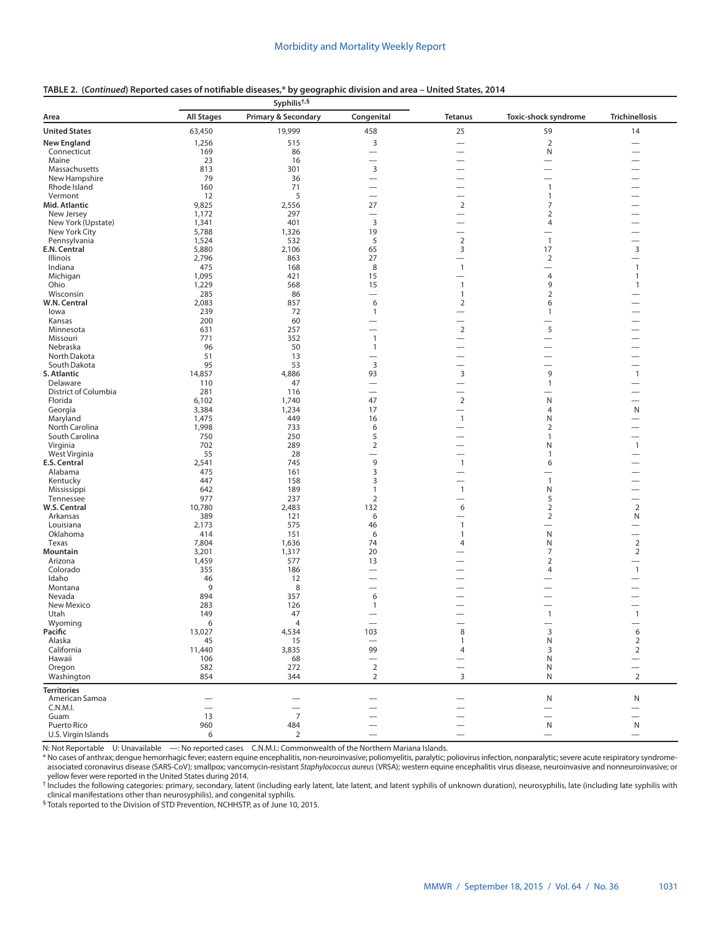| TABLE 2. (Continued) Reported cases of notifiable diseases,* by geographic division and area - United States, 2014 |  |
|--------------------------------------------------------------------------------------------------------------------|--|
|--------------------------------------------------------------------------------------------------------------------|--|

| <b>All Stages</b><br><b>Primary &amp; Secondary</b><br>Congenital<br>Toxic-shock syndrome<br><b>Trichinellosis</b><br><b>Tetanus</b><br>63,450<br>19,999<br>458<br>25<br>59<br>14<br>515<br>3<br>$\sqrt{2}$<br>1,256<br>-<br>169<br>86<br>N<br>Connecticut<br>$\overline{\phantom{0}}$<br>23<br>16<br>Maine<br>$\overline{\phantom{0}}$<br>$\overline{\phantom{0}}$<br>$\overline{\phantom{0}}$<br>3<br>813<br>301<br>Massachusetts<br>—<br>79<br>36<br>New Hampshire<br>$\overline{\phantom{0}}$<br>Rhode Island<br>160<br>71<br>$\mathbf{1}$<br>5<br>Vermont<br>12<br>1<br>$\overline{\phantom{0}}$<br>$\overline{\phantom{0}}$<br>$\overline{2}$<br>Mid. Atlantic<br>9,825<br>27<br>7<br>2,556<br>1,172<br>297<br>$\overline{2}$<br>New Jersey<br>$\overline{\phantom{0}}$<br>$\overline{\phantom{0}}$<br>3<br>New York (Upstate)<br>1,341<br>401<br>$\overline{4}$<br>$\overline{\phantom{0}}$<br>New York City<br>5,788<br>1,326<br>19<br>—<br>$\mathbf 2$<br>Pennsylvania<br>1,524<br>532<br>5<br>$\overline{1}$<br>$\overline{\phantom{0}}$<br>E.N. Central<br>5,880<br>2,106<br>65<br>3<br>17<br>3<br>2,796<br>863<br>27<br>$\overline{2}$<br>Illinois<br>$\overline{\phantom{0}}$<br>475<br>168<br>8<br>$\mathbf{1}$<br>$\mathbf{1}$<br>Indiana<br>$\overline{\phantom{0}}$<br>1,095<br>$\overline{4}$<br>421<br>15<br>$\mathbf{1}$<br>Michigan<br>Ohio<br>1,229<br>568<br>15<br>$\mathbf{1}$<br>9<br>$\mathbf{1}$<br>Wisconsin<br>285<br>86<br>$\overline{2}$<br>$\mathbf{1}$<br>W.N. Central<br>2,083<br>857<br>6<br>$\overline{2}$<br>6<br>239<br>72<br>$\mathbf{1}$<br>lowa<br>1<br>$\overline{\phantom{0}}$<br>200<br>60<br>Kansas<br>$\overline{\phantom{0}}$<br>$\overline{2}$<br>5<br>631<br>257<br>Minnesota<br>771<br>352<br>$\mathbf{1}$<br>Missouri<br>96<br>Nebraska<br>50<br>$\mathbf{1}$<br>$\overline{\phantom{0}}$<br>$\overline{\phantom{0}}$<br>51<br>13<br>North Dakota<br>—<br>$\overline{\phantom{0}}$<br>$\overline{\phantom{0}}$<br>95<br>3<br>South Dakota<br>53<br>$\overline{\phantom{0}}$<br>-<br>$\mathsf 3$<br>9<br>S. Atlantic<br>14,857<br>4,886<br>93<br>$\mathbf{1}$<br>Delaware<br>110<br>47<br>$\mathbf{1}$<br>District of Columbia<br>281<br>116<br>$\overline{\phantom{0}}$<br>—<br>$\overline{2}$<br>Florida<br>6,102<br>1,740<br>47<br>N<br>Georgia<br>3,384<br>1,234<br>17<br>N<br>$\overline{4}$<br>$\overline{\phantom{0}}$<br>Maryland<br>1,475<br>449<br>$\mathbf{1}$<br>Ν<br>16<br>North Carolina<br>1,998<br>733<br>6<br>2<br>5<br>South Carolina<br>750<br>250<br>1<br>$\overline{\phantom{0}}$<br>$\overline{2}$<br>702<br>289<br>$\mathbf{1}$<br>Virginia<br>N<br>$\overline{\phantom{0}}$<br>West Virginia<br>55<br>28<br>1<br>$\overline{\phantom{0}}$<br>$\overline{\phantom{0}}$<br>9<br>E.S. Central<br>2,541<br>745<br>$\mathbf{1}$<br>6<br>3<br>Alabama<br>161<br>475<br>$\overline{\phantom{0}}$<br>-<br>3<br>447<br>158<br>$\mathbf{1}$<br>Kentucky<br>642<br>189<br>$\mathbf{1}$<br>N<br>Mississippi<br>$\mathbf{1}$<br>977<br>237<br>$\overline{2}$<br>5<br>Tennessee<br>-<br>W.S. Central<br>10,780<br>2,483<br>132<br>$\overline{2}$<br>$\overline{2}$<br>6<br>Arkansas<br>389<br>121<br>6<br>$\overline{2}$<br>N<br>$\overline{\phantom{0}}$<br>2,173<br>575<br>46<br>$\mathbf{1}$<br>Louisiana<br>$\overline{\phantom{0}}$<br>N<br>Oklahoma<br>414<br>151<br>6<br>$\mathbf{1}$<br>$\overline{2}$<br>Texas<br>7,804<br>1,636<br>74<br>N<br>4<br>$\overline{2}$<br>Mountain<br>3,201<br>1,317<br>20<br>$\overline{7}$<br>Arizona<br>1,459<br>577<br>13<br>$\overline{2}$<br>—<br>Colorado<br>355<br>186<br>$\mathbf{1}$<br>4<br>$\overline{\phantom{0}}$<br>Idaho<br>46<br>12<br>9<br>Montana<br>8<br>Nevada<br>894<br>357<br>6<br>283<br>126<br>New Mexico<br>1<br>149<br>47<br>$\mathbf{1}$<br>$\mathbf{1}$<br>Utah<br>$\overline{\phantom{0}}$<br>6<br>Wyoming<br>$\overline{4}$<br>Pacific<br>13,027<br>4,534<br>103<br>3<br>6<br>8<br>${\sf N}$<br>$\mathbf 2$<br>45<br>Alaska<br>15<br>1<br>$\overline{\phantom{0}}$<br>99<br>$\overline{2}$<br>California<br>11,440<br>3,835<br>3<br>4<br>106<br>68<br>N<br>Hawaii<br>$\overline{\phantom{0}}$<br>$\overline{2}$<br>582<br>272<br>Oregon<br>N<br>$\overline{\phantom{0}}$<br>$\overline{2}$<br>$\overline{2}$<br>854<br>344<br>3<br>${\sf N}$<br>Washington<br><b>Territories</b><br>American Samoa<br>N<br>N<br>C.N.M.I.<br>$\overline{\phantom{0}}$<br>13<br>$\overline{7}$<br>Guam<br>Puerto Rico<br>960<br>484<br>N<br>N<br>U.S. Virgin Islands<br>6<br>$\overline{2}$<br>$\qquad \qquad$<br>$\qquad \qquad -$ |                      | Syphilis <sup>+,§</sup> |  |  |  |  |  |
|---------------------------------------------------------------------------------------------------------------------------------------------------------------------------------------------------------------------------------------------------------------------------------------------------------------------------------------------------------------------------------------------------------------------------------------------------------------------------------------------------------------------------------------------------------------------------------------------------------------------------------------------------------------------------------------------------------------------------------------------------------------------------------------------------------------------------------------------------------------------------------------------------------------------------------------------------------------------------------------------------------------------------------------------------------------------------------------------------------------------------------------------------------------------------------------------------------------------------------------------------------------------------------------------------------------------------------------------------------------------------------------------------------------------------------------------------------------------------------------------------------------------------------------------------------------------------------------------------------------------------------------------------------------------------------------------------------------------------------------------------------------------------------------------------------------------------------------------------------------------------------------------------------------------------------------------------------------------------------------------------------------------------------------------------------------------------------------------------------------------------------------------------------------------------------------------------------------------------------------------------------------------------------------------------------------------------------------------------------------------------------------------------------------------------------------------------------------------------------------------------------------------------------------------------------------------------------------------------------------------------------------------------------------------------------------------------------------------------------------------------------------------------------------------------------------------------------------------------------------------------------------------------------------------------------------------------------------------------------------------------------------------------------------------------------------------------------------------------------------------------------------------------------------------------------------------------------------------------------------------------------------------------------------------------------------------------------------------------------------------------------------------------------------------------------------------------------------------------------------------------------------------------------------------------------------------------------------------------------------------------------------------------------------------------------------------------------------------------------------------------------------------------------------------------------------------------------------------------------------------------------------------------------------------------------------------------------------------------------------------------------------------------------------------------------------------------------------------------------------------------------------------------------------------------------------------------------------------------------------------------------------------------------------------------------------------------------------------------------------------------------------------------------------------------------------------------------------------------------------------------------------------------------------------------|----------------------|-------------------------|--|--|--|--|--|
|                                                                                                                                                                                                                                                                                                                                                                                                                                                                                                                                                                                                                                                                                                                                                                                                                                                                                                                                                                                                                                                                                                                                                                                                                                                                                                                                                                                                                                                                                                                                                                                                                                                                                                                                                                                                                                                                                                                                                                                                                                                                                                                                                                                                                                                                                                                                                                                                                                                                                                                                                                                                                                                                                                                                                                                                                                                                                                                                                                                                                                                                                                                                                                                                                                                                                                                                                                                                                                                                                                                                                                                                                                                                                                                                                                                                                                                                                                                                                                                                                                                                                                                                                                                                                                                                                                                                                                                                                                                                                                                                                   | Area                 |                         |  |  |  |  |  |
|                                                                                                                                                                                                                                                                                                                                                                                                                                                                                                                                                                                                                                                                                                                                                                                                                                                                                                                                                                                                                                                                                                                                                                                                                                                                                                                                                                                                                                                                                                                                                                                                                                                                                                                                                                                                                                                                                                                                                                                                                                                                                                                                                                                                                                                                                                                                                                                                                                                                                                                                                                                                                                                                                                                                                                                                                                                                                                                                                                                                                                                                                                                                                                                                                                                                                                                                                                                                                                                                                                                                                                                                                                                                                                                                                                                                                                                                                                                                                                                                                                                                                                                                                                                                                                                                                                                                                                                                                                                                                                                                                   | <b>United States</b> |                         |  |  |  |  |  |
|                                                                                                                                                                                                                                                                                                                                                                                                                                                                                                                                                                                                                                                                                                                                                                                                                                                                                                                                                                                                                                                                                                                                                                                                                                                                                                                                                                                                                                                                                                                                                                                                                                                                                                                                                                                                                                                                                                                                                                                                                                                                                                                                                                                                                                                                                                                                                                                                                                                                                                                                                                                                                                                                                                                                                                                                                                                                                                                                                                                                                                                                                                                                                                                                                                                                                                                                                                                                                                                                                                                                                                                                                                                                                                                                                                                                                                                                                                                                                                                                                                                                                                                                                                                                                                                                                                                                                                                                                                                                                                                                                   | <b>New England</b>   |                         |  |  |  |  |  |
|                                                                                                                                                                                                                                                                                                                                                                                                                                                                                                                                                                                                                                                                                                                                                                                                                                                                                                                                                                                                                                                                                                                                                                                                                                                                                                                                                                                                                                                                                                                                                                                                                                                                                                                                                                                                                                                                                                                                                                                                                                                                                                                                                                                                                                                                                                                                                                                                                                                                                                                                                                                                                                                                                                                                                                                                                                                                                                                                                                                                                                                                                                                                                                                                                                                                                                                                                                                                                                                                                                                                                                                                                                                                                                                                                                                                                                                                                                                                                                                                                                                                                                                                                                                                                                                                                                                                                                                                                                                                                                                                                   |                      |                         |  |  |  |  |  |
|                                                                                                                                                                                                                                                                                                                                                                                                                                                                                                                                                                                                                                                                                                                                                                                                                                                                                                                                                                                                                                                                                                                                                                                                                                                                                                                                                                                                                                                                                                                                                                                                                                                                                                                                                                                                                                                                                                                                                                                                                                                                                                                                                                                                                                                                                                                                                                                                                                                                                                                                                                                                                                                                                                                                                                                                                                                                                                                                                                                                                                                                                                                                                                                                                                                                                                                                                                                                                                                                                                                                                                                                                                                                                                                                                                                                                                                                                                                                                                                                                                                                                                                                                                                                                                                                                                                                                                                                                                                                                                                                                   |                      |                         |  |  |  |  |  |
|                                                                                                                                                                                                                                                                                                                                                                                                                                                                                                                                                                                                                                                                                                                                                                                                                                                                                                                                                                                                                                                                                                                                                                                                                                                                                                                                                                                                                                                                                                                                                                                                                                                                                                                                                                                                                                                                                                                                                                                                                                                                                                                                                                                                                                                                                                                                                                                                                                                                                                                                                                                                                                                                                                                                                                                                                                                                                                                                                                                                                                                                                                                                                                                                                                                                                                                                                                                                                                                                                                                                                                                                                                                                                                                                                                                                                                                                                                                                                                                                                                                                                                                                                                                                                                                                                                                                                                                                                                                                                                                                                   |                      |                         |  |  |  |  |  |
|                                                                                                                                                                                                                                                                                                                                                                                                                                                                                                                                                                                                                                                                                                                                                                                                                                                                                                                                                                                                                                                                                                                                                                                                                                                                                                                                                                                                                                                                                                                                                                                                                                                                                                                                                                                                                                                                                                                                                                                                                                                                                                                                                                                                                                                                                                                                                                                                                                                                                                                                                                                                                                                                                                                                                                                                                                                                                                                                                                                                                                                                                                                                                                                                                                                                                                                                                                                                                                                                                                                                                                                                                                                                                                                                                                                                                                                                                                                                                                                                                                                                                                                                                                                                                                                                                                                                                                                                                                                                                                                                                   |                      |                         |  |  |  |  |  |
|                                                                                                                                                                                                                                                                                                                                                                                                                                                                                                                                                                                                                                                                                                                                                                                                                                                                                                                                                                                                                                                                                                                                                                                                                                                                                                                                                                                                                                                                                                                                                                                                                                                                                                                                                                                                                                                                                                                                                                                                                                                                                                                                                                                                                                                                                                                                                                                                                                                                                                                                                                                                                                                                                                                                                                                                                                                                                                                                                                                                                                                                                                                                                                                                                                                                                                                                                                                                                                                                                                                                                                                                                                                                                                                                                                                                                                                                                                                                                                                                                                                                                                                                                                                                                                                                                                                                                                                                                                                                                                                                                   |                      |                         |  |  |  |  |  |
|                                                                                                                                                                                                                                                                                                                                                                                                                                                                                                                                                                                                                                                                                                                                                                                                                                                                                                                                                                                                                                                                                                                                                                                                                                                                                                                                                                                                                                                                                                                                                                                                                                                                                                                                                                                                                                                                                                                                                                                                                                                                                                                                                                                                                                                                                                                                                                                                                                                                                                                                                                                                                                                                                                                                                                                                                                                                                                                                                                                                                                                                                                                                                                                                                                                                                                                                                                                                                                                                                                                                                                                                                                                                                                                                                                                                                                                                                                                                                                                                                                                                                                                                                                                                                                                                                                                                                                                                                                                                                                                                                   |                      |                         |  |  |  |  |  |
|                                                                                                                                                                                                                                                                                                                                                                                                                                                                                                                                                                                                                                                                                                                                                                                                                                                                                                                                                                                                                                                                                                                                                                                                                                                                                                                                                                                                                                                                                                                                                                                                                                                                                                                                                                                                                                                                                                                                                                                                                                                                                                                                                                                                                                                                                                                                                                                                                                                                                                                                                                                                                                                                                                                                                                                                                                                                                                                                                                                                                                                                                                                                                                                                                                                                                                                                                                                                                                                                                                                                                                                                                                                                                                                                                                                                                                                                                                                                                                                                                                                                                                                                                                                                                                                                                                                                                                                                                                                                                                                                                   |                      |                         |  |  |  |  |  |
|                                                                                                                                                                                                                                                                                                                                                                                                                                                                                                                                                                                                                                                                                                                                                                                                                                                                                                                                                                                                                                                                                                                                                                                                                                                                                                                                                                                                                                                                                                                                                                                                                                                                                                                                                                                                                                                                                                                                                                                                                                                                                                                                                                                                                                                                                                                                                                                                                                                                                                                                                                                                                                                                                                                                                                                                                                                                                                                                                                                                                                                                                                                                                                                                                                                                                                                                                                                                                                                                                                                                                                                                                                                                                                                                                                                                                                                                                                                                                                                                                                                                                                                                                                                                                                                                                                                                                                                                                                                                                                                                                   |                      |                         |  |  |  |  |  |
|                                                                                                                                                                                                                                                                                                                                                                                                                                                                                                                                                                                                                                                                                                                                                                                                                                                                                                                                                                                                                                                                                                                                                                                                                                                                                                                                                                                                                                                                                                                                                                                                                                                                                                                                                                                                                                                                                                                                                                                                                                                                                                                                                                                                                                                                                                                                                                                                                                                                                                                                                                                                                                                                                                                                                                                                                                                                                                                                                                                                                                                                                                                                                                                                                                                                                                                                                                                                                                                                                                                                                                                                                                                                                                                                                                                                                                                                                                                                                                                                                                                                                                                                                                                                                                                                                                                                                                                                                                                                                                                                                   |                      |                         |  |  |  |  |  |
|                                                                                                                                                                                                                                                                                                                                                                                                                                                                                                                                                                                                                                                                                                                                                                                                                                                                                                                                                                                                                                                                                                                                                                                                                                                                                                                                                                                                                                                                                                                                                                                                                                                                                                                                                                                                                                                                                                                                                                                                                                                                                                                                                                                                                                                                                                                                                                                                                                                                                                                                                                                                                                                                                                                                                                                                                                                                                                                                                                                                                                                                                                                                                                                                                                                                                                                                                                                                                                                                                                                                                                                                                                                                                                                                                                                                                                                                                                                                                                                                                                                                                                                                                                                                                                                                                                                                                                                                                                                                                                                                                   |                      |                         |  |  |  |  |  |
|                                                                                                                                                                                                                                                                                                                                                                                                                                                                                                                                                                                                                                                                                                                                                                                                                                                                                                                                                                                                                                                                                                                                                                                                                                                                                                                                                                                                                                                                                                                                                                                                                                                                                                                                                                                                                                                                                                                                                                                                                                                                                                                                                                                                                                                                                                                                                                                                                                                                                                                                                                                                                                                                                                                                                                                                                                                                                                                                                                                                                                                                                                                                                                                                                                                                                                                                                                                                                                                                                                                                                                                                                                                                                                                                                                                                                                                                                                                                                                                                                                                                                                                                                                                                                                                                                                                                                                                                                                                                                                                                                   |                      |                         |  |  |  |  |  |
|                                                                                                                                                                                                                                                                                                                                                                                                                                                                                                                                                                                                                                                                                                                                                                                                                                                                                                                                                                                                                                                                                                                                                                                                                                                                                                                                                                                                                                                                                                                                                                                                                                                                                                                                                                                                                                                                                                                                                                                                                                                                                                                                                                                                                                                                                                                                                                                                                                                                                                                                                                                                                                                                                                                                                                                                                                                                                                                                                                                                                                                                                                                                                                                                                                                                                                                                                                                                                                                                                                                                                                                                                                                                                                                                                                                                                                                                                                                                                                                                                                                                                                                                                                                                                                                                                                                                                                                                                                                                                                                                                   |                      |                         |  |  |  |  |  |
|                                                                                                                                                                                                                                                                                                                                                                                                                                                                                                                                                                                                                                                                                                                                                                                                                                                                                                                                                                                                                                                                                                                                                                                                                                                                                                                                                                                                                                                                                                                                                                                                                                                                                                                                                                                                                                                                                                                                                                                                                                                                                                                                                                                                                                                                                                                                                                                                                                                                                                                                                                                                                                                                                                                                                                                                                                                                                                                                                                                                                                                                                                                                                                                                                                                                                                                                                                                                                                                                                                                                                                                                                                                                                                                                                                                                                                                                                                                                                                                                                                                                                                                                                                                                                                                                                                                                                                                                                                                                                                                                                   |                      |                         |  |  |  |  |  |
|                                                                                                                                                                                                                                                                                                                                                                                                                                                                                                                                                                                                                                                                                                                                                                                                                                                                                                                                                                                                                                                                                                                                                                                                                                                                                                                                                                                                                                                                                                                                                                                                                                                                                                                                                                                                                                                                                                                                                                                                                                                                                                                                                                                                                                                                                                                                                                                                                                                                                                                                                                                                                                                                                                                                                                                                                                                                                                                                                                                                                                                                                                                                                                                                                                                                                                                                                                                                                                                                                                                                                                                                                                                                                                                                                                                                                                                                                                                                                                                                                                                                                                                                                                                                                                                                                                                                                                                                                                                                                                                                                   |                      |                         |  |  |  |  |  |
|                                                                                                                                                                                                                                                                                                                                                                                                                                                                                                                                                                                                                                                                                                                                                                                                                                                                                                                                                                                                                                                                                                                                                                                                                                                                                                                                                                                                                                                                                                                                                                                                                                                                                                                                                                                                                                                                                                                                                                                                                                                                                                                                                                                                                                                                                                                                                                                                                                                                                                                                                                                                                                                                                                                                                                                                                                                                                                                                                                                                                                                                                                                                                                                                                                                                                                                                                                                                                                                                                                                                                                                                                                                                                                                                                                                                                                                                                                                                                                                                                                                                                                                                                                                                                                                                                                                                                                                                                                                                                                                                                   |                      |                         |  |  |  |  |  |
|                                                                                                                                                                                                                                                                                                                                                                                                                                                                                                                                                                                                                                                                                                                                                                                                                                                                                                                                                                                                                                                                                                                                                                                                                                                                                                                                                                                                                                                                                                                                                                                                                                                                                                                                                                                                                                                                                                                                                                                                                                                                                                                                                                                                                                                                                                                                                                                                                                                                                                                                                                                                                                                                                                                                                                                                                                                                                                                                                                                                                                                                                                                                                                                                                                                                                                                                                                                                                                                                                                                                                                                                                                                                                                                                                                                                                                                                                                                                                                                                                                                                                                                                                                                                                                                                                                                                                                                                                                                                                                                                                   |                      |                         |  |  |  |  |  |
|                                                                                                                                                                                                                                                                                                                                                                                                                                                                                                                                                                                                                                                                                                                                                                                                                                                                                                                                                                                                                                                                                                                                                                                                                                                                                                                                                                                                                                                                                                                                                                                                                                                                                                                                                                                                                                                                                                                                                                                                                                                                                                                                                                                                                                                                                                                                                                                                                                                                                                                                                                                                                                                                                                                                                                                                                                                                                                                                                                                                                                                                                                                                                                                                                                                                                                                                                                                                                                                                                                                                                                                                                                                                                                                                                                                                                                                                                                                                                                                                                                                                                                                                                                                                                                                                                                                                                                                                                                                                                                                                                   |                      |                         |  |  |  |  |  |
|                                                                                                                                                                                                                                                                                                                                                                                                                                                                                                                                                                                                                                                                                                                                                                                                                                                                                                                                                                                                                                                                                                                                                                                                                                                                                                                                                                                                                                                                                                                                                                                                                                                                                                                                                                                                                                                                                                                                                                                                                                                                                                                                                                                                                                                                                                                                                                                                                                                                                                                                                                                                                                                                                                                                                                                                                                                                                                                                                                                                                                                                                                                                                                                                                                                                                                                                                                                                                                                                                                                                                                                                                                                                                                                                                                                                                                                                                                                                                                                                                                                                                                                                                                                                                                                                                                                                                                                                                                                                                                                                                   |                      |                         |  |  |  |  |  |
|                                                                                                                                                                                                                                                                                                                                                                                                                                                                                                                                                                                                                                                                                                                                                                                                                                                                                                                                                                                                                                                                                                                                                                                                                                                                                                                                                                                                                                                                                                                                                                                                                                                                                                                                                                                                                                                                                                                                                                                                                                                                                                                                                                                                                                                                                                                                                                                                                                                                                                                                                                                                                                                                                                                                                                                                                                                                                                                                                                                                                                                                                                                                                                                                                                                                                                                                                                                                                                                                                                                                                                                                                                                                                                                                                                                                                                                                                                                                                                                                                                                                                                                                                                                                                                                                                                                                                                                                                                                                                                                                                   |                      |                         |  |  |  |  |  |
|                                                                                                                                                                                                                                                                                                                                                                                                                                                                                                                                                                                                                                                                                                                                                                                                                                                                                                                                                                                                                                                                                                                                                                                                                                                                                                                                                                                                                                                                                                                                                                                                                                                                                                                                                                                                                                                                                                                                                                                                                                                                                                                                                                                                                                                                                                                                                                                                                                                                                                                                                                                                                                                                                                                                                                                                                                                                                                                                                                                                                                                                                                                                                                                                                                                                                                                                                                                                                                                                                                                                                                                                                                                                                                                                                                                                                                                                                                                                                                                                                                                                                                                                                                                                                                                                                                                                                                                                                                                                                                                                                   |                      |                         |  |  |  |  |  |
|                                                                                                                                                                                                                                                                                                                                                                                                                                                                                                                                                                                                                                                                                                                                                                                                                                                                                                                                                                                                                                                                                                                                                                                                                                                                                                                                                                                                                                                                                                                                                                                                                                                                                                                                                                                                                                                                                                                                                                                                                                                                                                                                                                                                                                                                                                                                                                                                                                                                                                                                                                                                                                                                                                                                                                                                                                                                                                                                                                                                                                                                                                                                                                                                                                                                                                                                                                                                                                                                                                                                                                                                                                                                                                                                                                                                                                                                                                                                                                                                                                                                                                                                                                                                                                                                                                                                                                                                                                                                                                                                                   |                      |                         |  |  |  |  |  |
|                                                                                                                                                                                                                                                                                                                                                                                                                                                                                                                                                                                                                                                                                                                                                                                                                                                                                                                                                                                                                                                                                                                                                                                                                                                                                                                                                                                                                                                                                                                                                                                                                                                                                                                                                                                                                                                                                                                                                                                                                                                                                                                                                                                                                                                                                                                                                                                                                                                                                                                                                                                                                                                                                                                                                                                                                                                                                                                                                                                                                                                                                                                                                                                                                                                                                                                                                                                                                                                                                                                                                                                                                                                                                                                                                                                                                                                                                                                                                                                                                                                                                                                                                                                                                                                                                                                                                                                                                                                                                                                                                   |                      |                         |  |  |  |  |  |
|                                                                                                                                                                                                                                                                                                                                                                                                                                                                                                                                                                                                                                                                                                                                                                                                                                                                                                                                                                                                                                                                                                                                                                                                                                                                                                                                                                                                                                                                                                                                                                                                                                                                                                                                                                                                                                                                                                                                                                                                                                                                                                                                                                                                                                                                                                                                                                                                                                                                                                                                                                                                                                                                                                                                                                                                                                                                                                                                                                                                                                                                                                                                                                                                                                                                                                                                                                                                                                                                                                                                                                                                                                                                                                                                                                                                                                                                                                                                                                                                                                                                                                                                                                                                                                                                                                                                                                                                                                                                                                                                                   |                      |                         |  |  |  |  |  |
|                                                                                                                                                                                                                                                                                                                                                                                                                                                                                                                                                                                                                                                                                                                                                                                                                                                                                                                                                                                                                                                                                                                                                                                                                                                                                                                                                                                                                                                                                                                                                                                                                                                                                                                                                                                                                                                                                                                                                                                                                                                                                                                                                                                                                                                                                                                                                                                                                                                                                                                                                                                                                                                                                                                                                                                                                                                                                                                                                                                                                                                                                                                                                                                                                                                                                                                                                                                                                                                                                                                                                                                                                                                                                                                                                                                                                                                                                                                                                                                                                                                                                                                                                                                                                                                                                                                                                                                                                                                                                                                                                   |                      |                         |  |  |  |  |  |
|                                                                                                                                                                                                                                                                                                                                                                                                                                                                                                                                                                                                                                                                                                                                                                                                                                                                                                                                                                                                                                                                                                                                                                                                                                                                                                                                                                                                                                                                                                                                                                                                                                                                                                                                                                                                                                                                                                                                                                                                                                                                                                                                                                                                                                                                                                                                                                                                                                                                                                                                                                                                                                                                                                                                                                                                                                                                                                                                                                                                                                                                                                                                                                                                                                                                                                                                                                                                                                                                                                                                                                                                                                                                                                                                                                                                                                                                                                                                                                                                                                                                                                                                                                                                                                                                                                                                                                                                                                                                                                                                                   |                      |                         |  |  |  |  |  |
|                                                                                                                                                                                                                                                                                                                                                                                                                                                                                                                                                                                                                                                                                                                                                                                                                                                                                                                                                                                                                                                                                                                                                                                                                                                                                                                                                                                                                                                                                                                                                                                                                                                                                                                                                                                                                                                                                                                                                                                                                                                                                                                                                                                                                                                                                                                                                                                                                                                                                                                                                                                                                                                                                                                                                                                                                                                                                                                                                                                                                                                                                                                                                                                                                                                                                                                                                                                                                                                                                                                                                                                                                                                                                                                                                                                                                                                                                                                                                                                                                                                                                                                                                                                                                                                                                                                                                                                                                                                                                                                                                   |                      |                         |  |  |  |  |  |
|                                                                                                                                                                                                                                                                                                                                                                                                                                                                                                                                                                                                                                                                                                                                                                                                                                                                                                                                                                                                                                                                                                                                                                                                                                                                                                                                                                                                                                                                                                                                                                                                                                                                                                                                                                                                                                                                                                                                                                                                                                                                                                                                                                                                                                                                                                                                                                                                                                                                                                                                                                                                                                                                                                                                                                                                                                                                                                                                                                                                                                                                                                                                                                                                                                                                                                                                                                                                                                                                                                                                                                                                                                                                                                                                                                                                                                                                                                                                                                                                                                                                                                                                                                                                                                                                                                                                                                                                                                                                                                                                                   |                      |                         |  |  |  |  |  |
|                                                                                                                                                                                                                                                                                                                                                                                                                                                                                                                                                                                                                                                                                                                                                                                                                                                                                                                                                                                                                                                                                                                                                                                                                                                                                                                                                                                                                                                                                                                                                                                                                                                                                                                                                                                                                                                                                                                                                                                                                                                                                                                                                                                                                                                                                                                                                                                                                                                                                                                                                                                                                                                                                                                                                                                                                                                                                                                                                                                                                                                                                                                                                                                                                                                                                                                                                                                                                                                                                                                                                                                                                                                                                                                                                                                                                                                                                                                                                                                                                                                                                                                                                                                                                                                                                                                                                                                                                                                                                                                                                   |                      |                         |  |  |  |  |  |
|                                                                                                                                                                                                                                                                                                                                                                                                                                                                                                                                                                                                                                                                                                                                                                                                                                                                                                                                                                                                                                                                                                                                                                                                                                                                                                                                                                                                                                                                                                                                                                                                                                                                                                                                                                                                                                                                                                                                                                                                                                                                                                                                                                                                                                                                                                                                                                                                                                                                                                                                                                                                                                                                                                                                                                                                                                                                                                                                                                                                                                                                                                                                                                                                                                                                                                                                                                                                                                                                                                                                                                                                                                                                                                                                                                                                                                                                                                                                                                                                                                                                                                                                                                                                                                                                                                                                                                                                                                                                                                                                                   |                      |                         |  |  |  |  |  |
|                                                                                                                                                                                                                                                                                                                                                                                                                                                                                                                                                                                                                                                                                                                                                                                                                                                                                                                                                                                                                                                                                                                                                                                                                                                                                                                                                                                                                                                                                                                                                                                                                                                                                                                                                                                                                                                                                                                                                                                                                                                                                                                                                                                                                                                                                                                                                                                                                                                                                                                                                                                                                                                                                                                                                                                                                                                                                                                                                                                                                                                                                                                                                                                                                                                                                                                                                                                                                                                                                                                                                                                                                                                                                                                                                                                                                                                                                                                                                                                                                                                                                                                                                                                                                                                                                                                                                                                                                                                                                                                                                   |                      |                         |  |  |  |  |  |
|                                                                                                                                                                                                                                                                                                                                                                                                                                                                                                                                                                                                                                                                                                                                                                                                                                                                                                                                                                                                                                                                                                                                                                                                                                                                                                                                                                                                                                                                                                                                                                                                                                                                                                                                                                                                                                                                                                                                                                                                                                                                                                                                                                                                                                                                                                                                                                                                                                                                                                                                                                                                                                                                                                                                                                                                                                                                                                                                                                                                                                                                                                                                                                                                                                                                                                                                                                                                                                                                                                                                                                                                                                                                                                                                                                                                                                                                                                                                                                                                                                                                                                                                                                                                                                                                                                                                                                                                                                                                                                                                                   |                      |                         |  |  |  |  |  |
|                                                                                                                                                                                                                                                                                                                                                                                                                                                                                                                                                                                                                                                                                                                                                                                                                                                                                                                                                                                                                                                                                                                                                                                                                                                                                                                                                                                                                                                                                                                                                                                                                                                                                                                                                                                                                                                                                                                                                                                                                                                                                                                                                                                                                                                                                                                                                                                                                                                                                                                                                                                                                                                                                                                                                                                                                                                                                                                                                                                                                                                                                                                                                                                                                                                                                                                                                                                                                                                                                                                                                                                                                                                                                                                                                                                                                                                                                                                                                                                                                                                                                                                                                                                                                                                                                                                                                                                                                                                                                                                                                   |                      |                         |  |  |  |  |  |
|                                                                                                                                                                                                                                                                                                                                                                                                                                                                                                                                                                                                                                                                                                                                                                                                                                                                                                                                                                                                                                                                                                                                                                                                                                                                                                                                                                                                                                                                                                                                                                                                                                                                                                                                                                                                                                                                                                                                                                                                                                                                                                                                                                                                                                                                                                                                                                                                                                                                                                                                                                                                                                                                                                                                                                                                                                                                                                                                                                                                                                                                                                                                                                                                                                                                                                                                                                                                                                                                                                                                                                                                                                                                                                                                                                                                                                                                                                                                                                                                                                                                                                                                                                                                                                                                                                                                                                                                                                                                                                                                                   |                      |                         |  |  |  |  |  |
|                                                                                                                                                                                                                                                                                                                                                                                                                                                                                                                                                                                                                                                                                                                                                                                                                                                                                                                                                                                                                                                                                                                                                                                                                                                                                                                                                                                                                                                                                                                                                                                                                                                                                                                                                                                                                                                                                                                                                                                                                                                                                                                                                                                                                                                                                                                                                                                                                                                                                                                                                                                                                                                                                                                                                                                                                                                                                                                                                                                                                                                                                                                                                                                                                                                                                                                                                                                                                                                                                                                                                                                                                                                                                                                                                                                                                                                                                                                                                                                                                                                                                                                                                                                                                                                                                                                                                                                                                                                                                                                                                   |                      |                         |  |  |  |  |  |
|                                                                                                                                                                                                                                                                                                                                                                                                                                                                                                                                                                                                                                                                                                                                                                                                                                                                                                                                                                                                                                                                                                                                                                                                                                                                                                                                                                                                                                                                                                                                                                                                                                                                                                                                                                                                                                                                                                                                                                                                                                                                                                                                                                                                                                                                                                                                                                                                                                                                                                                                                                                                                                                                                                                                                                                                                                                                                                                                                                                                                                                                                                                                                                                                                                                                                                                                                                                                                                                                                                                                                                                                                                                                                                                                                                                                                                                                                                                                                                                                                                                                                                                                                                                                                                                                                                                                                                                                                                                                                                                                                   |                      |                         |  |  |  |  |  |
|                                                                                                                                                                                                                                                                                                                                                                                                                                                                                                                                                                                                                                                                                                                                                                                                                                                                                                                                                                                                                                                                                                                                                                                                                                                                                                                                                                                                                                                                                                                                                                                                                                                                                                                                                                                                                                                                                                                                                                                                                                                                                                                                                                                                                                                                                                                                                                                                                                                                                                                                                                                                                                                                                                                                                                                                                                                                                                                                                                                                                                                                                                                                                                                                                                                                                                                                                                                                                                                                                                                                                                                                                                                                                                                                                                                                                                                                                                                                                                                                                                                                                                                                                                                                                                                                                                                                                                                                                                                                                                                                                   |                      |                         |  |  |  |  |  |
|                                                                                                                                                                                                                                                                                                                                                                                                                                                                                                                                                                                                                                                                                                                                                                                                                                                                                                                                                                                                                                                                                                                                                                                                                                                                                                                                                                                                                                                                                                                                                                                                                                                                                                                                                                                                                                                                                                                                                                                                                                                                                                                                                                                                                                                                                                                                                                                                                                                                                                                                                                                                                                                                                                                                                                                                                                                                                                                                                                                                                                                                                                                                                                                                                                                                                                                                                                                                                                                                                                                                                                                                                                                                                                                                                                                                                                                                                                                                                                                                                                                                                                                                                                                                                                                                                                                                                                                                                                                                                                                                                   |                      |                         |  |  |  |  |  |
|                                                                                                                                                                                                                                                                                                                                                                                                                                                                                                                                                                                                                                                                                                                                                                                                                                                                                                                                                                                                                                                                                                                                                                                                                                                                                                                                                                                                                                                                                                                                                                                                                                                                                                                                                                                                                                                                                                                                                                                                                                                                                                                                                                                                                                                                                                                                                                                                                                                                                                                                                                                                                                                                                                                                                                                                                                                                                                                                                                                                                                                                                                                                                                                                                                                                                                                                                                                                                                                                                                                                                                                                                                                                                                                                                                                                                                                                                                                                                                                                                                                                                                                                                                                                                                                                                                                                                                                                                                                                                                                                                   |                      |                         |  |  |  |  |  |
|                                                                                                                                                                                                                                                                                                                                                                                                                                                                                                                                                                                                                                                                                                                                                                                                                                                                                                                                                                                                                                                                                                                                                                                                                                                                                                                                                                                                                                                                                                                                                                                                                                                                                                                                                                                                                                                                                                                                                                                                                                                                                                                                                                                                                                                                                                                                                                                                                                                                                                                                                                                                                                                                                                                                                                                                                                                                                                                                                                                                                                                                                                                                                                                                                                                                                                                                                                                                                                                                                                                                                                                                                                                                                                                                                                                                                                                                                                                                                                                                                                                                                                                                                                                                                                                                                                                                                                                                                                                                                                                                                   |                      |                         |  |  |  |  |  |
|                                                                                                                                                                                                                                                                                                                                                                                                                                                                                                                                                                                                                                                                                                                                                                                                                                                                                                                                                                                                                                                                                                                                                                                                                                                                                                                                                                                                                                                                                                                                                                                                                                                                                                                                                                                                                                                                                                                                                                                                                                                                                                                                                                                                                                                                                                                                                                                                                                                                                                                                                                                                                                                                                                                                                                                                                                                                                                                                                                                                                                                                                                                                                                                                                                                                                                                                                                                                                                                                                                                                                                                                                                                                                                                                                                                                                                                                                                                                                                                                                                                                                                                                                                                                                                                                                                                                                                                                                                                                                                                                                   |                      |                         |  |  |  |  |  |
|                                                                                                                                                                                                                                                                                                                                                                                                                                                                                                                                                                                                                                                                                                                                                                                                                                                                                                                                                                                                                                                                                                                                                                                                                                                                                                                                                                                                                                                                                                                                                                                                                                                                                                                                                                                                                                                                                                                                                                                                                                                                                                                                                                                                                                                                                                                                                                                                                                                                                                                                                                                                                                                                                                                                                                                                                                                                                                                                                                                                                                                                                                                                                                                                                                                                                                                                                                                                                                                                                                                                                                                                                                                                                                                                                                                                                                                                                                                                                                                                                                                                                                                                                                                                                                                                                                                                                                                                                                                                                                                                                   |                      |                         |  |  |  |  |  |
|                                                                                                                                                                                                                                                                                                                                                                                                                                                                                                                                                                                                                                                                                                                                                                                                                                                                                                                                                                                                                                                                                                                                                                                                                                                                                                                                                                                                                                                                                                                                                                                                                                                                                                                                                                                                                                                                                                                                                                                                                                                                                                                                                                                                                                                                                                                                                                                                                                                                                                                                                                                                                                                                                                                                                                                                                                                                                                                                                                                                                                                                                                                                                                                                                                                                                                                                                                                                                                                                                                                                                                                                                                                                                                                                                                                                                                                                                                                                                                                                                                                                                                                                                                                                                                                                                                                                                                                                                                                                                                                                                   |                      |                         |  |  |  |  |  |
|                                                                                                                                                                                                                                                                                                                                                                                                                                                                                                                                                                                                                                                                                                                                                                                                                                                                                                                                                                                                                                                                                                                                                                                                                                                                                                                                                                                                                                                                                                                                                                                                                                                                                                                                                                                                                                                                                                                                                                                                                                                                                                                                                                                                                                                                                                                                                                                                                                                                                                                                                                                                                                                                                                                                                                                                                                                                                                                                                                                                                                                                                                                                                                                                                                                                                                                                                                                                                                                                                                                                                                                                                                                                                                                                                                                                                                                                                                                                                                                                                                                                                                                                                                                                                                                                                                                                                                                                                                                                                                                                                   |                      |                         |  |  |  |  |  |
|                                                                                                                                                                                                                                                                                                                                                                                                                                                                                                                                                                                                                                                                                                                                                                                                                                                                                                                                                                                                                                                                                                                                                                                                                                                                                                                                                                                                                                                                                                                                                                                                                                                                                                                                                                                                                                                                                                                                                                                                                                                                                                                                                                                                                                                                                                                                                                                                                                                                                                                                                                                                                                                                                                                                                                                                                                                                                                                                                                                                                                                                                                                                                                                                                                                                                                                                                                                                                                                                                                                                                                                                                                                                                                                                                                                                                                                                                                                                                                                                                                                                                                                                                                                                                                                                                                                                                                                                                                                                                                                                                   |                      |                         |  |  |  |  |  |
|                                                                                                                                                                                                                                                                                                                                                                                                                                                                                                                                                                                                                                                                                                                                                                                                                                                                                                                                                                                                                                                                                                                                                                                                                                                                                                                                                                                                                                                                                                                                                                                                                                                                                                                                                                                                                                                                                                                                                                                                                                                                                                                                                                                                                                                                                                                                                                                                                                                                                                                                                                                                                                                                                                                                                                                                                                                                                                                                                                                                                                                                                                                                                                                                                                                                                                                                                                                                                                                                                                                                                                                                                                                                                                                                                                                                                                                                                                                                                                                                                                                                                                                                                                                                                                                                                                                                                                                                                                                                                                                                                   |                      |                         |  |  |  |  |  |
|                                                                                                                                                                                                                                                                                                                                                                                                                                                                                                                                                                                                                                                                                                                                                                                                                                                                                                                                                                                                                                                                                                                                                                                                                                                                                                                                                                                                                                                                                                                                                                                                                                                                                                                                                                                                                                                                                                                                                                                                                                                                                                                                                                                                                                                                                                                                                                                                                                                                                                                                                                                                                                                                                                                                                                                                                                                                                                                                                                                                                                                                                                                                                                                                                                                                                                                                                                                                                                                                                                                                                                                                                                                                                                                                                                                                                                                                                                                                                                                                                                                                                                                                                                                                                                                                                                                                                                                                                                                                                                                                                   |                      |                         |  |  |  |  |  |
|                                                                                                                                                                                                                                                                                                                                                                                                                                                                                                                                                                                                                                                                                                                                                                                                                                                                                                                                                                                                                                                                                                                                                                                                                                                                                                                                                                                                                                                                                                                                                                                                                                                                                                                                                                                                                                                                                                                                                                                                                                                                                                                                                                                                                                                                                                                                                                                                                                                                                                                                                                                                                                                                                                                                                                                                                                                                                                                                                                                                                                                                                                                                                                                                                                                                                                                                                                                                                                                                                                                                                                                                                                                                                                                                                                                                                                                                                                                                                                                                                                                                                                                                                                                                                                                                                                                                                                                                                                                                                                                                                   |                      |                         |  |  |  |  |  |
|                                                                                                                                                                                                                                                                                                                                                                                                                                                                                                                                                                                                                                                                                                                                                                                                                                                                                                                                                                                                                                                                                                                                                                                                                                                                                                                                                                                                                                                                                                                                                                                                                                                                                                                                                                                                                                                                                                                                                                                                                                                                                                                                                                                                                                                                                                                                                                                                                                                                                                                                                                                                                                                                                                                                                                                                                                                                                                                                                                                                                                                                                                                                                                                                                                                                                                                                                                                                                                                                                                                                                                                                                                                                                                                                                                                                                                                                                                                                                                                                                                                                                                                                                                                                                                                                                                                                                                                                                                                                                                                                                   |                      |                         |  |  |  |  |  |
|                                                                                                                                                                                                                                                                                                                                                                                                                                                                                                                                                                                                                                                                                                                                                                                                                                                                                                                                                                                                                                                                                                                                                                                                                                                                                                                                                                                                                                                                                                                                                                                                                                                                                                                                                                                                                                                                                                                                                                                                                                                                                                                                                                                                                                                                                                                                                                                                                                                                                                                                                                                                                                                                                                                                                                                                                                                                                                                                                                                                                                                                                                                                                                                                                                                                                                                                                                                                                                                                                                                                                                                                                                                                                                                                                                                                                                                                                                                                                                                                                                                                                                                                                                                                                                                                                                                                                                                                                                                                                                                                                   |                      |                         |  |  |  |  |  |
|                                                                                                                                                                                                                                                                                                                                                                                                                                                                                                                                                                                                                                                                                                                                                                                                                                                                                                                                                                                                                                                                                                                                                                                                                                                                                                                                                                                                                                                                                                                                                                                                                                                                                                                                                                                                                                                                                                                                                                                                                                                                                                                                                                                                                                                                                                                                                                                                                                                                                                                                                                                                                                                                                                                                                                                                                                                                                                                                                                                                                                                                                                                                                                                                                                                                                                                                                                                                                                                                                                                                                                                                                                                                                                                                                                                                                                                                                                                                                                                                                                                                                                                                                                                                                                                                                                                                                                                                                                                                                                                                                   |                      |                         |  |  |  |  |  |
|                                                                                                                                                                                                                                                                                                                                                                                                                                                                                                                                                                                                                                                                                                                                                                                                                                                                                                                                                                                                                                                                                                                                                                                                                                                                                                                                                                                                                                                                                                                                                                                                                                                                                                                                                                                                                                                                                                                                                                                                                                                                                                                                                                                                                                                                                                                                                                                                                                                                                                                                                                                                                                                                                                                                                                                                                                                                                                                                                                                                                                                                                                                                                                                                                                                                                                                                                                                                                                                                                                                                                                                                                                                                                                                                                                                                                                                                                                                                                                                                                                                                                                                                                                                                                                                                                                                                                                                                                                                                                                                                                   |                      |                         |  |  |  |  |  |
|                                                                                                                                                                                                                                                                                                                                                                                                                                                                                                                                                                                                                                                                                                                                                                                                                                                                                                                                                                                                                                                                                                                                                                                                                                                                                                                                                                                                                                                                                                                                                                                                                                                                                                                                                                                                                                                                                                                                                                                                                                                                                                                                                                                                                                                                                                                                                                                                                                                                                                                                                                                                                                                                                                                                                                                                                                                                                                                                                                                                                                                                                                                                                                                                                                                                                                                                                                                                                                                                                                                                                                                                                                                                                                                                                                                                                                                                                                                                                                                                                                                                                                                                                                                                                                                                                                                                                                                                                                                                                                                                                   |                      |                         |  |  |  |  |  |
|                                                                                                                                                                                                                                                                                                                                                                                                                                                                                                                                                                                                                                                                                                                                                                                                                                                                                                                                                                                                                                                                                                                                                                                                                                                                                                                                                                                                                                                                                                                                                                                                                                                                                                                                                                                                                                                                                                                                                                                                                                                                                                                                                                                                                                                                                                                                                                                                                                                                                                                                                                                                                                                                                                                                                                                                                                                                                                                                                                                                                                                                                                                                                                                                                                                                                                                                                                                                                                                                                                                                                                                                                                                                                                                                                                                                                                                                                                                                                                                                                                                                                                                                                                                                                                                                                                                                                                                                                                                                                                                                                   |                      |                         |  |  |  |  |  |
|                                                                                                                                                                                                                                                                                                                                                                                                                                                                                                                                                                                                                                                                                                                                                                                                                                                                                                                                                                                                                                                                                                                                                                                                                                                                                                                                                                                                                                                                                                                                                                                                                                                                                                                                                                                                                                                                                                                                                                                                                                                                                                                                                                                                                                                                                                                                                                                                                                                                                                                                                                                                                                                                                                                                                                                                                                                                                                                                                                                                                                                                                                                                                                                                                                                                                                                                                                                                                                                                                                                                                                                                                                                                                                                                                                                                                                                                                                                                                                                                                                                                                                                                                                                                                                                                                                                                                                                                                                                                                                                                                   |                      |                         |  |  |  |  |  |
|                                                                                                                                                                                                                                                                                                                                                                                                                                                                                                                                                                                                                                                                                                                                                                                                                                                                                                                                                                                                                                                                                                                                                                                                                                                                                                                                                                                                                                                                                                                                                                                                                                                                                                                                                                                                                                                                                                                                                                                                                                                                                                                                                                                                                                                                                                                                                                                                                                                                                                                                                                                                                                                                                                                                                                                                                                                                                                                                                                                                                                                                                                                                                                                                                                                                                                                                                                                                                                                                                                                                                                                                                                                                                                                                                                                                                                                                                                                                                                                                                                                                                                                                                                                                                                                                                                                                                                                                                                                                                                                                                   |                      |                         |  |  |  |  |  |
|                                                                                                                                                                                                                                                                                                                                                                                                                                                                                                                                                                                                                                                                                                                                                                                                                                                                                                                                                                                                                                                                                                                                                                                                                                                                                                                                                                                                                                                                                                                                                                                                                                                                                                                                                                                                                                                                                                                                                                                                                                                                                                                                                                                                                                                                                                                                                                                                                                                                                                                                                                                                                                                                                                                                                                                                                                                                                                                                                                                                                                                                                                                                                                                                                                                                                                                                                                                                                                                                                                                                                                                                                                                                                                                                                                                                                                                                                                                                                                                                                                                                                                                                                                                                                                                                                                                                                                                                                                                                                                                                                   |                      |                         |  |  |  |  |  |
|                                                                                                                                                                                                                                                                                                                                                                                                                                                                                                                                                                                                                                                                                                                                                                                                                                                                                                                                                                                                                                                                                                                                                                                                                                                                                                                                                                                                                                                                                                                                                                                                                                                                                                                                                                                                                                                                                                                                                                                                                                                                                                                                                                                                                                                                                                                                                                                                                                                                                                                                                                                                                                                                                                                                                                                                                                                                                                                                                                                                                                                                                                                                                                                                                                                                                                                                                                                                                                                                                                                                                                                                                                                                                                                                                                                                                                                                                                                                                                                                                                                                                                                                                                                                                                                                                                                                                                                                                                                                                                                                                   |                      |                         |  |  |  |  |  |
|                                                                                                                                                                                                                                                                                                                                                                                                                                                                                                                                                                                                                                                                                                                                                                                                                                                                                                                                                                                                                                                                                                                                                                                                                                                                                                                                                                                                                                                                                                                                                                                                                                                                                                                                                                                                                                                                                                                                                                                                                                                                                                                                                                                                                                                                                                                                                                                                                                                                                                                                                                                                                                                                                                                                                                                                                                                                                                                                                                                                                                                                                                                                                                                                                                                                                                                                                                                                                                                                                                                                                                                                                                                                                                                                                                                                                                                                                                                                                                                                                                                                                                                                                                                                                                                                                                                                                                                                                                                                                                                                                   |                      |                         |  |  |  |  |  |
|                                                                                                                                                                                                                                                                                                                                                                                                                                                                                                                                                                                                                                                                                                                                                                                                                                                                                                                                                                                                                                                                                                                                                                                                                                                                                                                                                                                                                                                                                                                                                                                                                                                                                                                                                                                                                                                                                                                                                                                                                                                                                                                                                                                                                                                                                                                                                                                                                                                                                                                                                                                                                                                                                                                                                                                                                                                                                                                                                                                                                                                                                                                                                                                                                                                                                                                                                                                                                                                                                                                                                                                                                                                                                                                                                                                                                                                                                                                                                                                                                                                                                                                                                                                                                                                                                                                                                                                                                                                                                                                                                   |                      |                         |  |  |  |  |  |
|                                                                                                                                                                                                                                                                                                                                                                                                                                                                                                                                                                                                                                                                                                                                                                                                                                                                                                                                                                                                                                                                                                                                                                                                                                                                                                                                                                                                                                                                                                                                                                                                                                                                                                                                                                                                                                                                                                                                                                                                                                                                                                                                                                                                                                                                                                                                                                                                                                                                                                                                                                                                                                                                                                                                                                                                                                                                                                                                                                                                                                                                                                                                                                                                                                                                                                                                                                                                                                                                                                                                                                                                                                                                                                                                                                                                                                                                                                                                                                                                                                                                                                                                                                                                                                                                                                                                                                                                                                                                                                                                                   |                      |                         |  |  |  |  |  |

N: Not Reportable U: Unavailable —: No reported cases C.N.M.I.: Commonwealth of the Northern Mariana Islands.

\* No cases of anthrax; dengue hemorrhagic fever; eastern equine encephalitis, non-neuroinvasive; poliomyelitis, paralytic; poliovirus infection, nonparalytic; severe acute respiratory syndrome-<br>associated coronavirus disea

yellow fever were reported in the United States during 2014.<br>† Includes the following categories: primary, secondary, latent (including early latent, late latent, and latent syphilis of unknown duration), neurosyphilis, la clinical manifestations other than neurosyphilis), and congenital syphilis.

§ Totals reported to the Division of STD Prevention, NCHHSTP, as of June 10, 2015.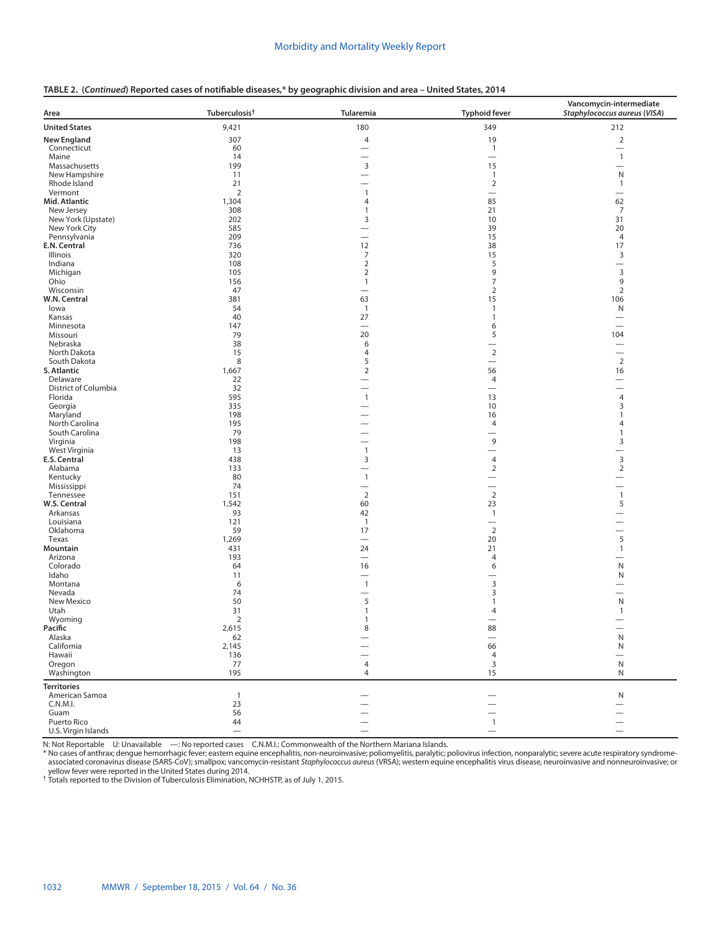| TABLE 2. (Continued) Reported cases of notifiable diseases,* by geographic division and area - United States, 2014 |  |  |  |  |  |  |  |
|--------------------------------------------------------------------------------------------------------------------|--|--|--|--|--|--|--|
|--------------------------------------------------------------------------------------------------------------------|--|--|--|--|--|--|--|

| Area                                 | Tuberculosis <sup>†</sup> | Tularemia                                | <b>Typhoid fever</b>     | Vancomycin-intermediate<br>Staphylococcus aureus (VISA) |
|--------------------------------------|---------------------------|------------------------------------------|--------------------------|---------------------------------------------------------|
| <b>United States</b>                 | 9,421                     | 180                                      | 349                      | 212                                                     |
| New England                          | 307                       | $\overline{4}$                           | 19                       | $\mathbf 2$                                             |
| Connecticut                          | 60                        |                                          | $\mathbf{1}$             | $\overline{\phantom{0}}$                                |
| Maine                                | 14                        |                                          | $\overline{\phantom{0}}$ | $\mathbf{1}$                                            |
| Massachusetts                        | 199                       | 3                                        | 15                       |                                                         |
| New Hampshire                        | 11                        | $\overline{\phantom{0}}$                 | $\mathbf{1}$             | N                                                       |
| Rhode Island<br>Vermont              | 21<br>$\overline{2}$      | $\overline{\phantom{0}}$<br>$\mathbf{1}$ | $\overline{2}$           | $\mathbf{1}$                                            |
| Mid. Atlantic                        | 1,304                     | 4                                        | 85                       | 62                                                      |
| New Jersey                           | 308                       | $\mathbf{1}$                             | 21                       | $\overline{7}$                                          |
| New York (Upstate)                   | 202                       | 3                                        | 10                       | 31                                                      |
| New York City                        | 585                       |                                          | 39                       | 20                                                      |
| Pennsylvania                         | 209                       | $\overline{\phantom{0}}$                 | 15                       | 4                                                       |
| E.N. Central                         | 736                       | 12                                       | 38                       | 17                                                      |
| Illinois<br>Indiana                  | 320<br>108                | 7<br>2                                   | 15<br>5                  | 3                                                       |
| Michigan                             | 105                       | 2                                        | 9                        | 3                                                       |
| Ohio                                 | 156                       | $\mathbf{1}$                             | 7                        | 9                                                       |
| Wisconsin                            | 47                        |                                          | $\overline{2}$           | $\overline{2}$                                          |
| W.N. Central                         | 381                       | 63                                       | 15                       | 106                                                     |
| lowa                                 | 54                        | $\mathbf{1}$                             | $\mathbf{1}$             | N                                                       |
| Kansas                               | 40                        | 27                                       | $\mathbf{1}$             | $\overline{\phantom{0}}$                                |
| Minnesota<br>Missouri                | 147<br>79                 | $\overbrace{\phantom{12322111}}$<br>20   | 6<br>5                   | 104                                                     |
| Nebraska                             | 38                        | 6                                        |                          |                                                         |
| North Dakota                         | 15                        | 4                                        | $\overline{2}$           | $\overline{\phantom{0}}$                                |
| South Dakota                         | 8                         | 5                                        |                          | $\overline{2}$                                          |
| S. Atlantic                          | 1,667                     | 2                                        | 56                       | 16                                                      |
| Delaware                             | 22                        | $\overline{\phantom{0}}$                 | 4                        |                                                         |
| District of Columbia<br>Florida      | 32<br>595                 | $\mathbf{1}$                             | 13                       |                                                         |
| Georgia                              | 335                       |                                          | 10                       | 4<br>3                                                  |
| Maryland                             | 198                       |                                          | 16                       | 1                                                       |
| North Carolina                       | 195                       |                                          | 4                        | 4                                                       |
| South Carolina                       | 79                        | $\overline{\phantom{0}}$                 | -                        | 1                                                       |
| Virginia                             | 198                       |                                          | 9                        | 3                                                       |
| West Virginia                        | 13                        | $\mathbf{1}$                             | $\overline{\phantom{0}}$ | $\overline{\phantom{0}}$                                |
| E.S. Central                         | 438                       | 3                                        | $\overline{4}$           | $\mathsf 3$                                             |
| Alabama<br>Kentucky                  | 133<br>80                 | -<br>$\mathbf{1}$                        | $\overline{2}$           | $\overline{2}$<br>$\overline{\phantom{0}}$              |
| Mississippi                          | 74                        | $\overline{\phantom{0}}$                 | $\overline{\phantom{0}}$ | $\overline{\phantom{0}}$                                |
| Tennessee                            | 151                       | $\overline{2}$                           | $\overline{2}$           | $\mathbf{1}$                                            |
| W.S. Central                         | 1,542                     | 60                                       | 23                       | 5                                                       |
| Arkansas                             | 93                        | 42                                       | $\overline{1}$           |                                                         |
| Louisiana                            | 121                       | $\mathbf{1}$                             |                          | $\overline{\phantom{0}}$<br>$\overline{\phantom{0}}$    |
| Oklahoma<br>Texas                    | 59<br>1,269               | 17<br>$\overline{\phantom{0}}$           | $\overline{2}$<br>20     | 5                                                       |
| Mountain                             | 431                       | 24                                       | 21                       | $\mathbf{1}$                                            |
| Arizona                              | 193                       | $\overline{\phantom{0}}$                 | $\overline{4}$           |                                                         |
| Colorado                             | 64                        | 16                                       | 6                        | N                                                       |
| Idaho                                | 11                        | $\overline{\phantom{0}}$                 | -                        | N                                                       |
| Montana                              | 6                         | $\overline{1}$                           | 3                        |                                                         |
| Nevada<br>New Mexico                 | 74<br>50                  | $\overline{\phantom{0}}$<br>5            | 3<br>1                   | $\overline{\phantom{0}}$<br>N                           |
| Utah                                 | 31                        | $\mathbf{1}$                             | 4                        | $\mathbf{1}$                                            |
| Wyoming                              | 2                         | $\mathbf{1}$                             |                          |                                                         |
| Pacific                              | 2,615                     | 8                                        | 88                       |                                                         |
| Alaska                               | 62                        |                                          |                          | ${\sf N}$                                               |
| California                           | 2,145                     |                                          | 66                       | ${\sf N}$                                               |
| Hawaii                               | 136                       |                                          | 4                        |                                                         |
| Oregon<br>Washington                 | 77<br>195                 | $\overline{4}$<br>4                      | $\overline{3}$<br>15     | ${\sf N}$<br>N                                          |
|                                      |                           |                                          |                          |                                                         |
| <b>Territories</b><br>American Samoa | $\overline{1}$            |                                          |                          | ${\sf N}$                                               |
| C.N.M.I.                             | 23                        |                                          |                          |                                                         |
| Guam                                 | 56                        |                                          |                          |                                                         |
| Puerto Rico                          | 44                        | $\overline{\phantom{0}}$                 | $\mathbf{1}$             | $\overline{\phantom{0}}$                                |
| U.S. Virgin Islands                  | $\overline{\phantom{0}}$  | $\qquad \qquad$                          | $\overline{\phantom{0}}$ | $\qquad \qquad$                                         |

N: Not Reportable U: Unavailable —: No reported cases C.N.M.I.: Commonwealth of the Northern Mariana Islands.<br>\* No cases of anthrax; dengue hemorrhagic fever; eastern equine encephalitis, non-neuroinvasive; poliomyelitis,

yellow fever were reported in the United States during 2014. † Totals reported to the Division of Tuberculosis Elimination, NCHHSTP, as of July 1, 2015.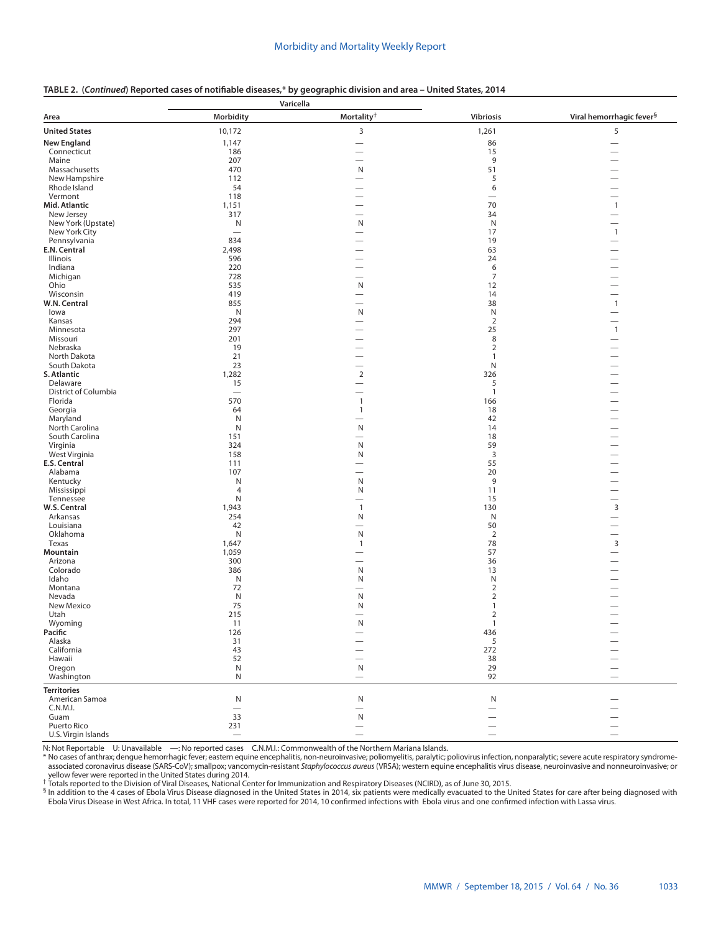|  |  | TABLE 2. (Continued) Reported cases of notifiable diseases,* by geographic division and area – United States, 2014 |  |
|--|--|--------------------------------------------------------------------------------------------------------------------|--|
|  |  |                                                                                                                    |  |

|                                 | Varicella                |                                            |                                  |                                                      |  |
|---------------------------------|--------------------------|--------------------------------------------|----------------------------------|------------------------------------------------------|--|
| Area                            | Morbidity                | Mortality <sup>†</sup>                     | <b>Vibriosis</b>                 | Viral hemorrhagic fever <sup>§</sup>                 |  |
| <b>United States</b>            | 10,172                   | 3                                          | 1,261                            | 5                                                    |  |
| <b>New England</b>              | 1,147                    |                                            | 86                               |                                                      |  |
| Connecticut                     | 186                      |                                            | 15                               |                                                      |  |
| Maine                           | 207                      |                                            | $\,9$                            |                                                      |  |
| Massachusetts                   | 470                      | N                                          | 51                               |                                                      |  |
| New Hampshire                   | 112                      | $\overline{\phantom{0}}$                   | 5                                | $\overline{\phantom{0}}$                             |  |
| Rhode Island                    | 54                       |                                            | 6                                |                                                      |  |
| Vermont<br>Mid. Atlantic        | 118<br>1,151             | —                                          | 70                               | $\mathbf{1}$                                         |  |
| New Jersey                      | 317                      | $\overline{\phantom{0}}$                   | 34                               |                                                      |  |
| New York (Upstate)              | N                        | N                                          | N                                |                                                      |  |
| New York City                   | $\overline{\phantom{0}}$ | $\overline{\phantom{0}}$                   | 17                               | $\mathbf{1}$                                         |  |
| Pennsylvania                    | 834                      |                                            | 19                               | $\overline{\phantom{0}}$                             |  |
| E.N. Central                    | 2,498                    |                                            | 63                               | $\overline{\phantom{0}}$                             |  |
| <b>Illinois</b>                 | 596                      |                                            | 24                               |                                                      |  |
| Indiana                         | 220                      | $\overline{\phantom{0}}$                   | 6                                |                                                      |  |
| Michigan                        | 728                      | $\overline{\phantom{0}}$                   | $\overline{7}$                   |                                                      |  |
| Ohio                            | 535                      | N                                          | 12                               | $\overline{\phantom{0}}$                             |  |
| Wisconsin                       | 419                      | $\overline{\phantom{0}}$                   | 14                               | $\overline{\phantom{0}}$                             |  |
| W.N. Central<br>lowa            | 855<br>N                 | N                                          | 38<br>N                          | $\mathbf{1}$<br>$\overline{\phantom{0}}$             |  |
| Kansas                          | 294                      |                                            | $\overline{2}$                   | $\overline{\phantom{0}}$                             |  |
| Minnesota                       | 297                      |                                            | 25                               | $\mathbf{1}$                                         |  |
| Missouri                        | 201                      |                                            | 8                                | $\overline{\phantom{0}}$                             |  |
| Nebraska                        | 19                       |                                            | $\overline{2}$                   |                                                      |  |
| North Dakota                    | 21                       |                                            | $\mathbf{1}$                     |                                                      |  |
| South Dakota                    | 23                       |                                            | N                                |                                                      |  |
| S. Atlantic                     | 1,282                    | $\overline{2}$                             | 326                              |                                                      |  |
| Delaware                        | 15                       | —                                          | 5                                |                                                      |  |
| District of Columbia<br>Florida | $\overline{\phantom{0}}$ |                                            | $\mathbf{1}$                     |                                                      |  |
| Georgia                         | 570<br>64                | $\mathbf{1}$<br>$\mathbf{1}$               | 166<br>18                        |                                                      |  |
| Maryland                        | N                        | $\overline{\phantom{0}}$                   | 42                               | $\overline{\phantom{0}}$                             |  |
| North Carolina                  | N                        | N                                          | 14                               |                                                      |  |
| South Carolina                  | 151                      | $\overline{\phantom{0}}$                   | 18                               |                                                      |  |
| Virginia                        | 324                      | $\mathsf{N}$                               | 59                               | $\overline{\phantom{0}}$                             |  |
| West Virginia                   | 158                      | N                                          | $\mathsf 3$                      | —<br>—                                               |  |
| E.S. Central                    | 111                      |                                            | 55                               |                                                      |  |
| Alabama                         | 107                      | $\overline{\phantom{0}}$                   | 20                               | -                                                    |  |
| Kentucky                        | N                        | N                                          | 9                                | $\overline{\phantom{0}}$                             |  |
| Mississippi                     | $\overline{4}$           | N                                          | 11                               | $\overline{\phantom{m}}$                             |  |
| Tennessee<br>W.S. Central       | Ν<br>1,943               | $\overline{\phantom{0}}$<br>$\overline{1}$ | 15<br>130                        | $\overline{\phantom{0}}$<br>3                        |  |
| Arkansas                        | 254                      | N                                          | N                                |                                                      |  |
| Louisiana                       | 42                       | $\overline{\phantom{0}}$                   | 50                               | $\overline{\phantom{0}}$                             |  |
| Oklahoma                        | N                        | N                                          | $\sqrt{2}$                       | $\overline{\phantom{0}}$                             |  |
| Texas                           | 1,647                    | $\mathbf{1}$                               | 78                               | 3                                                    |  |
| Mountain                        | 1,059                    |                                            | 57                               | $\overline{\phantom{0}}$                             |  |
| Arizona                         | 300                      |                                            | 36                               | $\overline{\phantom{0}}$                             |  |
| Colorado                        | 386                      | N                                          | 13                               |                                                      |  |
| Idaho                           | N                        | N                                          | N                                |                                                      |  |
| Montana<br>Nevada               | 72<br>N                  | N                                          | $\overline{2}$<br>$\overline{2}$ |                                                      |  |
| New Mexico                      | 75                       | N                                          | $\overline{1}$                   |                                                      |  |
| Utah                            | 215                      |                                            | $\overline{2}$                   |                                                      |  |
| Wyoming                         | 11                       | $\mathsf{N}$                               | $\mathbf{1}$                     |                                                      |  |
| Pacific                         | 126                      |                                            | 436                              |                                                      |  |
| Alaska                          | 31                       |                                            | 5                                | $\overline{\phantom{0}}$                             |  |
| California                      | 43                       |                                            | 272                              |                                                      |  |
| Hawaii                          | 52                       |                                            | 38                               |                                                      |  |
| Oregon                          | N                        | ${\sf N}$                                  | 29                               | $\overline{\phantom{0}}$                             |  |
| Washington                      | N                        | $\qquad \qquad$                            | 92                               | $\overline{\phantom{0}}$                             |  |
| <b>Territories</b>              |                          |                                            |                                  |                                                      |  |
| American Samoa                  | ${\sf N}$                | N                                          | N                                |                                                      |  |
| C.N.M.I.                        | $\overline{\phantom{0}}$ | $\overline{\phantom{0}}$                   | $\overline{\phantom{0}}$         | $\overline{\phantom{0}}$                             |  |
| Guam<br>Puerto Rico             | 33<br>231                | ${\sf N}$<br>$\overline{\phantom{0}}$      |                                  | $\overline{\phantom{0}}$<br>$\overline{\phantom{0}}$ |  |
| U.S. Virgin Islands             | $\overline{\phantom{0}}$ |                                            |                                  | $\overline{\phantom{0}}$                             |  |
|                                 |                          |                                            |                                  |                                                      |  |

N: Not Reportable U: Unavailable —: No reported cases C.N.M.I.: Commonwealth of the Northern Mariana Islands.<br>\* No cases of anthrax; dengue hemorrhagic fever; eastern equine encephalitis, non-neuroinvasive; poliomyelitis, spotated columnus disease (particle in the United States during 2014.<br>The United States during 2014.<br>Totals reported to the Division of Viral Diseases, National Center for Immunization and Respiratory Diseases (NCIRD), as

<sup>§</sup> In addition to the 4 cases of Ebola Virus Disease diagnosed in the United States in 2014, six patients were medically evacuated to the United States for care after being diagnosed with Ebola Virus Disease in West Africa. In total, 11 VHF cases were reported for 2014, 10 confirmed infections with Ebola virus and one confirmed infection with Lassa virus.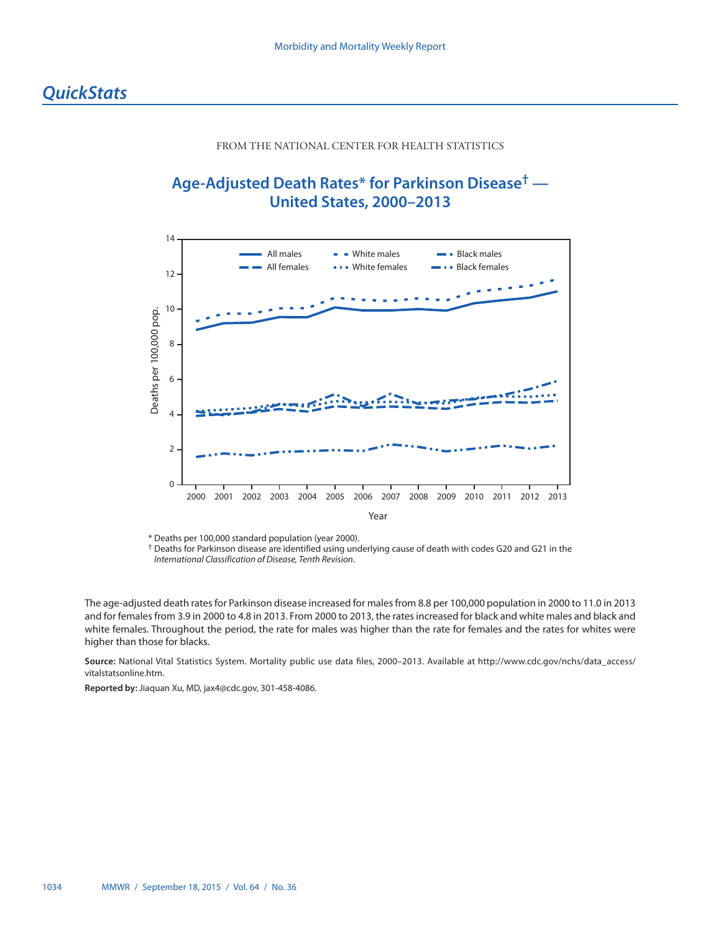# FROM THE NATIONAL CENTER FOR HEALTH STATISTICS

# <span id="page-41-0"></span>**Age-Adjusted Death Rates\* for Parkinson Disease† — United States, 2000–2013**



\* Deaths per 100,000 standard population (year 2000).

† Deaths for Parkinson disease are identified using underlying cause of death with codes G20 and G21 in the *International Classification of Disease, Tenth Revision*.

The age-adjusted death rates for Parkinson disease increased for males from 8.8 per 100,000 population in 2000 to 11.0 in 2013 and for females from 3.9 in 2000 to 4.8 in 2013. From 2000 to 2013, the rates increased for black and white males and black and white females. Throughout the period, the rate for males was higher than the rate for females and the rates for whites were higher than those for blacks.

**Source:** National Vital Statistics System. Mortality public use data files, 2000–2013. Available at [http://www.cdc.gov/nchs/data\\_access/](http://www.cdc.gov/nchs/data_access/vitalstatsonline.htm) [vitalstatsonline.htm.](http://www.cdc.gov/nchs/data_access/vitalstatsonline.htm)

**Reported by:** Jiaquan Xu, MD, [jax4@cdc.gov](mailto:jax4@cdc.gov), 301-458-4086.